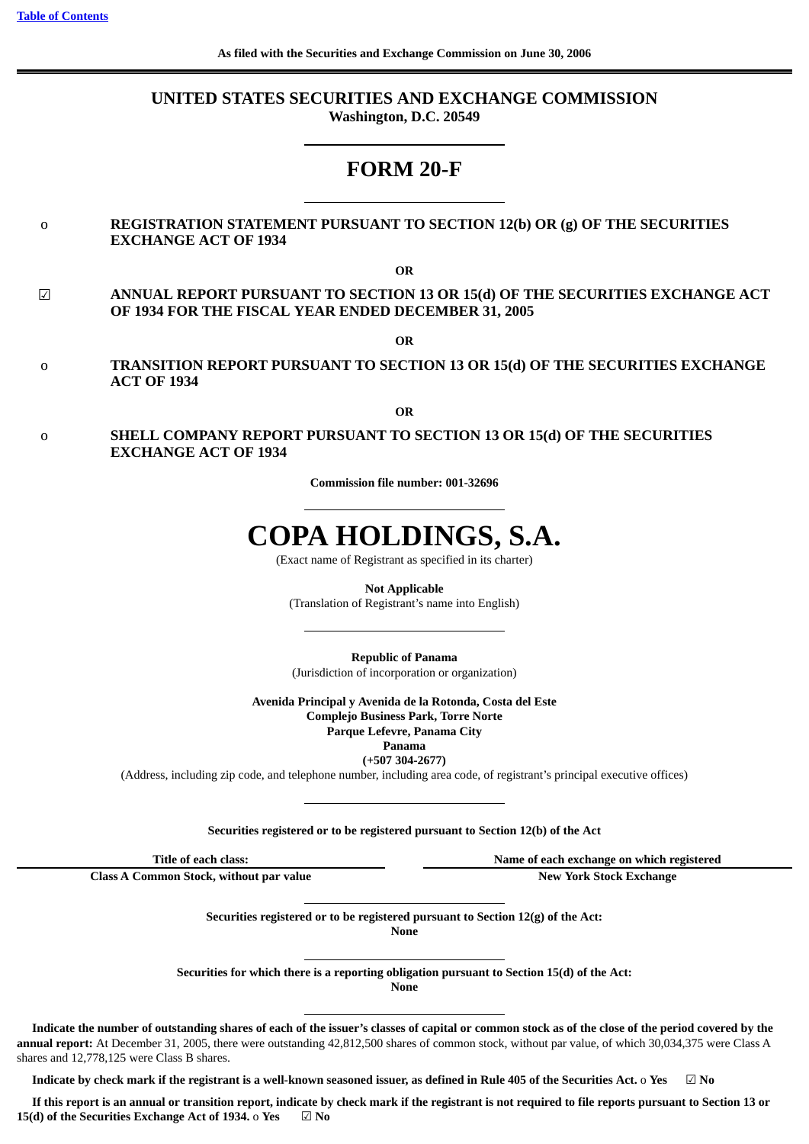## **UNITED STATES SECURITIES AND EXCHANGE COMMISSION Washington, D.C. 20549**

## **FORM 20-F**

## o **REGISTRATION STATEMENT PURSUANT TO SECTION 12(b) OR (g) OF THE SECURITIES EXCHANGE ACT OF 1934**

**OR**

☑ **ANNUAL REPORT PURSUANT TO SECTION 13 OR 15(d) OF THE SECURITIES EXCHANGE ACT OF 1934 FOR THE FISCAL YEAR ENDED DECEMBER 31, 2005**

**OR**

o **TRANSITION REPORT PURSUANT TO SECTION 13 OR 15(d) OF THE SECURITIES EXCHANGE ACT OF 1934**

**OR**

o **SHELL COMPANY REPORT PURSUANT TO SECTION 13 OR 15(d) OF THE SECURITIES EXCHANGE ACT OF 1934**

**Commission file number: 001-32696**

# **COPA HOLDINGS, S.A.**

(Exact name of Registrant as specified in its charter)

**Not Applicable**

(Translation of Registrant's name into English)

**Republic of Panama** (Jurisdiction of incorporation or organization)

**Avenida Principal y Avenida de la Rotonda, Costa del Este Complejo Business Park, Torre Norte**

**Parque Lefevre, Panama City**

**Panama**

**(+507 304-2677)**

(Address, including zip code, and telephone number, including area code, of registrant's principal executive offices)

## **Securities registered or to be registered pursuant to Section 12(b) of the Act**

**Title of each class: Name of each exchange on which registered**

**Class A Common Stock, without par value New York Stock Exchange**

**Securities registered or to be registered pursuant to Section 12(g) of the Act: None**

**Securities for which there is a reporting obligation pursuant to Section 15(d) of the Act: None**

Indicate the number of outstanding shares of each of the issuer's classes of capital or common stock as of the close of the period covered by the **annual report:** At December 31, 2005, there were outstanding 42,812,500 shares of common stock, without par value, of which 30,034,375 were Class A shares and 12,778,125 were Class B shares.

Indicate by check mark if the registrant is a well-known seasoned issuer, as defined in Rule 405 of the Securities Act. o Yes  $\Box$  No

If this report is an annual or transition report, indicate by check mark if the registrant is not required to file reports pursuant to Section 13 or **15(d) of the Securities Exchange Act of 1934.** o **Yes** ☑ **No**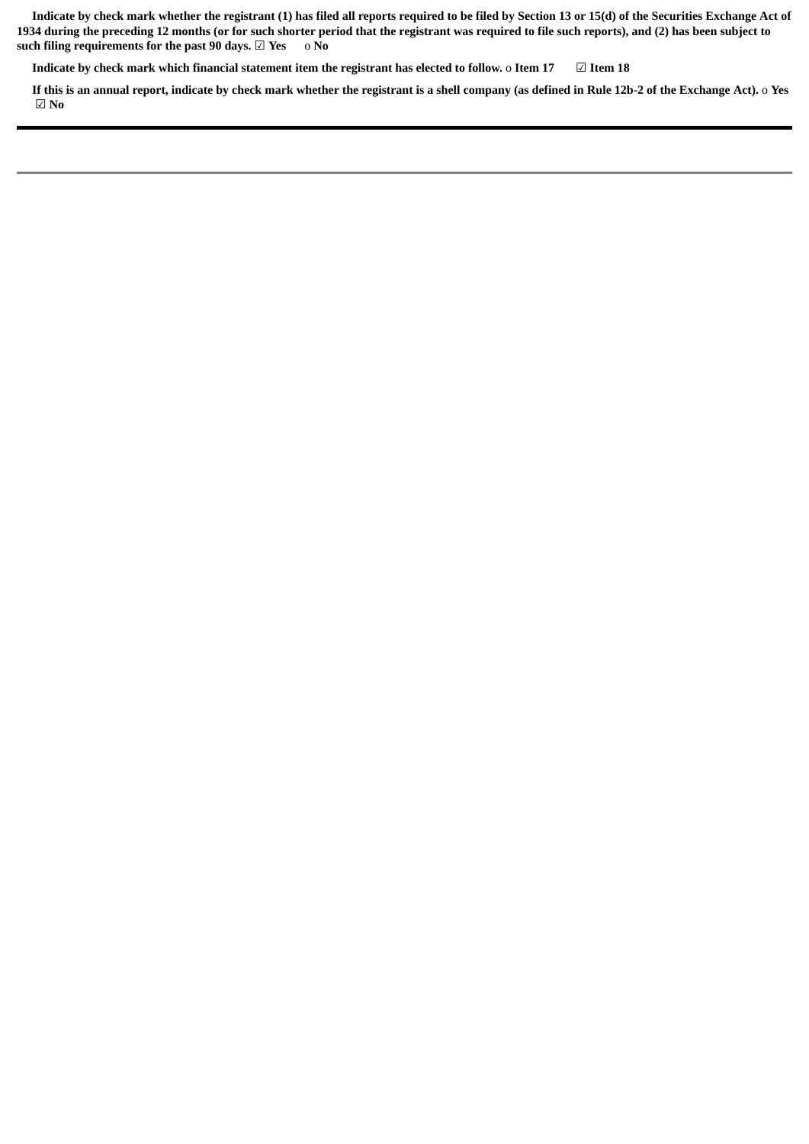Indicate by check mark whether the registrant (1) has filed all reports required to be filed by Section 13 or 15(d) of the Securities Exchange Act of 1934 during the preceding 12 months (or for such shorter period that the registrant was required to file such reports), and (2) has been subject to **such filing requirements for the past 90 days.** ☑ **Yes** o **No**

Indicate by check mark which financial statement item the registrant has elected to follow. o Item 17  $\Box$  Item 18

If this is an annual report, indicate by check mark whether the registrant is a shell company (as defined in Rule 12b-2 of the Exchange Act). o Yes ☑ **No**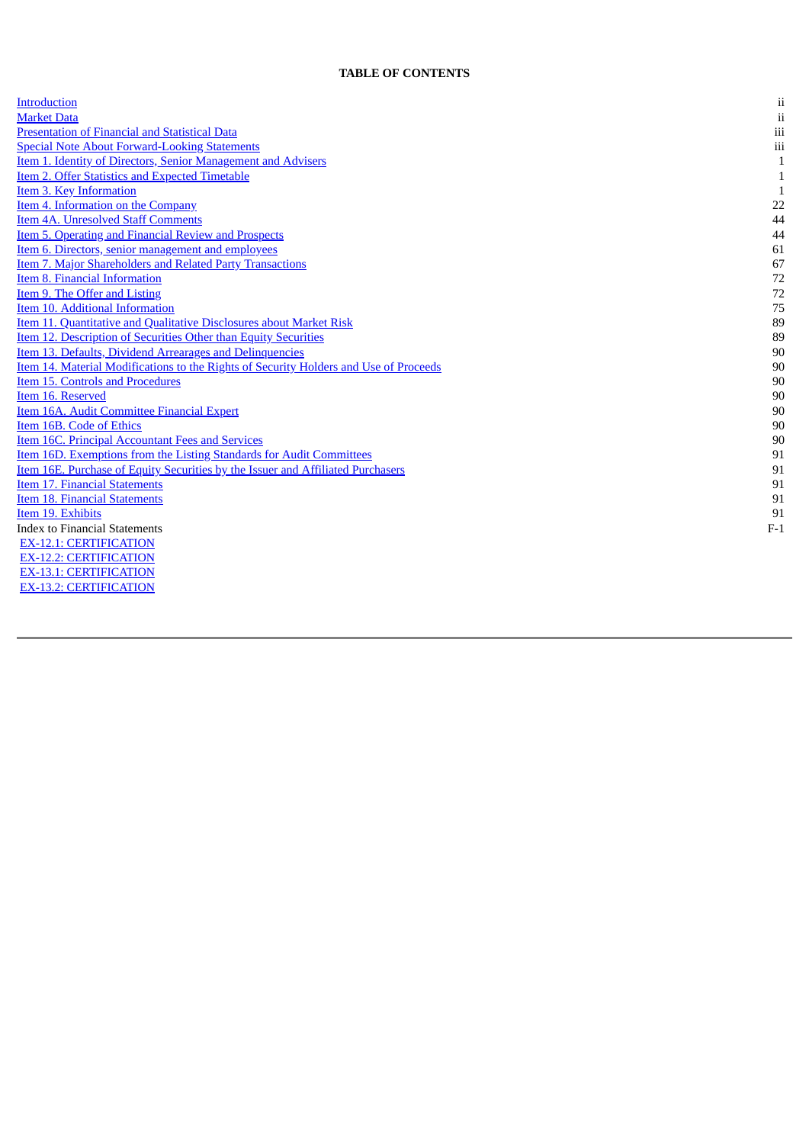#### **TABLE OF CONTENTS**

<span id="page-3-0"></span>

| <b>Introduction</b>                                                                   | ii           |
|---------------------------------------------------------------------------------------|--------------|
| <b>Market Data</b>                                                                    | $\,$ ii      |
| <b>Presentation of Financial and Statistical Data</b>                                 | $\rm iii$    |
| <b>Special Note About Forward-Looking Statements</b>                                  | $\,$ iii     |
| Item 1. Identity of Directors, Senior Management and Advisers                         | $\mathbf{1}$ |
| <b>Item 2. Offer Statistics and Expected Timetable</b>                                | 1            |
| Item 3. Key Information                                                               | 1            |
| Item 4. Information on the Company                                                    | 22           |
| Item 4A. Unresolved Staff Comments                                                    | 44           |
| <b>Item 5. Operating and Financial Review and Prospects</b>                           | 44           |
| Item 6. Directors, senior management and employees                                    | 61           |
| <b>Item 7. Major Shareholders and Related Party Transactions</b>                      | 67           |
| Item 8. Financial Information                                                         | 72           |
| Item 9. The Offer and Listing                                                         | 72           |
| Item 10. Additional Information                                                       | 75           |
| Item 11. Quantitative and Qualitative Disclosures about Market Risk                   | 89           |
| <b>Item 12. Description of Securities Other than Equity Securities</b>                | 89           |
| Item 13. Defaults, Dividend Arrearages and Delinquencies                              | 90           |
| Item 14. Material Modifications to the Rights of Security Holders and Use of Proceeds | 90           |
| Item 15. Controls and Procedures                                                      | 90           |
| Item 16. Reserved                                                                     | 90           |
| Item 16A. Audit Committee Financial Expert                                            | $90\,$       |
| Item 16B. Code of Ethics                                                              | 90           |
| <b>Item 16C. Principal Accountant Fees and Services</b>                               | 90           |
| Item 16D. Exemptions from the Listing Standards for Audit Committees                  | 91           |
| Item 16E. Purchase of Equity Securities by the Issuer and Affiliated Purchasers       | 91           |
| Item 17. Financial Statements                                                         | 91           |
| Item 18. Financial Statements                                                         | 91           |
| Item 19. Exhibits                                                                     | 91           |
| <b>Index to Financial Statements</b>                                                  | $F-1$        |
| <b>EX-12.1: CERTIFICATION</b>                                                         |              |
| <b>EX-12.2: CERTIFICATION</b>                                                         |              |
| <b>EX-13.1: CERTIFICATION</b>                                                         |              |

EX-13.2: CERTIFICATION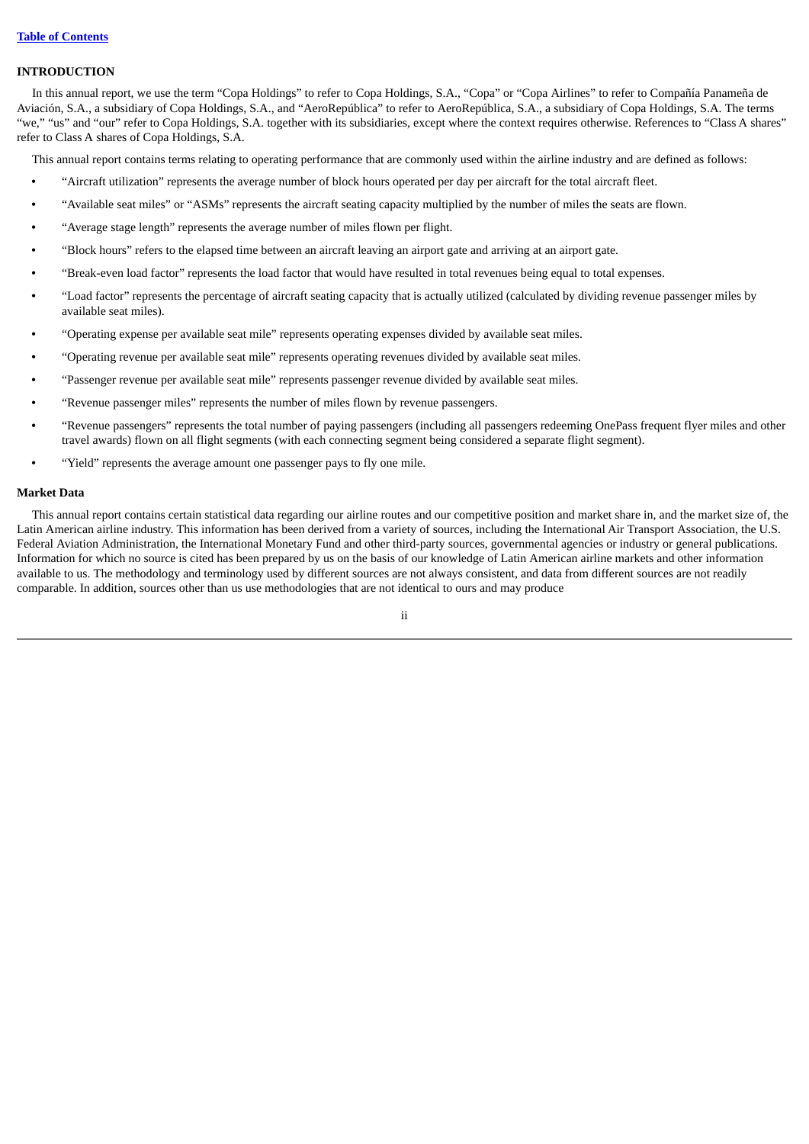## <span id="page-4-0"></span>**INTRODUCTION**

In this annual report, we use the term "Copa Holdings" to refer to Copa Holdings, S.A., "Copa" or "Copa Airlines" to refer to Compañía Panameña de Aviación, S.A., a subsidiary of Copa Holdings, S.A., and "AeroRepública" to refer to AeroRepública, S.A., a subsidiary of Copa Holdings, S.A. The terms "we," "us" and "our" refer to Copa Holdings, S.A. together with its subsidiaries, except where the context requires otherwise. References to "Class A shares" refer to Class A shares of Copa Holdings, S.A.

This annual report contains terms relating to operating performance that are commonly used within the airline industry and are defined as follows:

- **•** "Aircraft utilization" represents the average number of block hours operated per day per aircraft for the total aircraft fleet.
- **•** "Available seat miles" or "ASMs" represents the aircraft seating capacity multiplied by the number of miles the seats are flown.
- **•** "Average stage length" represents the average number of miles flown per flight.
- **•** "Block hours" refers to the elapsed time between an aircraft leaving an airport gate and arriving at an airport gate.
- **•** "Break-even load factor" represents the load factor that would have resulted in total revenues being equal to total expenses.
- **•** "Load factor" represents the percentage of aircraft seating capacity that is actually utilized (calculated by dividing revenue passenger miles by available seat miles).
- **•** "Operating expense per available seat mile" represents operating expenses divided by available seat miles.
- **•** "Operating revenue per available seat mile" represents operating revenues divided by available seat miles.
- **•** "Passenger revenue per available seat mile" represents passenger revenue divided by available seat miles.
- **•** "Revenue passenger miles" represents the number of miles flown by revenue passengers.
- **•** "Revenue passengers" represents the total number of paying passengers (including all passengers redeeming OnePass frequent flyer miles and other travel awards) flown on all flight segments (with each connecting segment being considered a separate flight segment).
- **•** "Yield" represents the average amount one passenger pays to fly one mile.

## <span id="page-4-1"></span>**Market Data**

This annual report contains certain statistical data regarding our airline routes and our competitive position and market share in, and the market size of, the Latin American airline industry. This information has been derived from a variety of sources, including the International Air Transport Association, the U.S. Federal Aviation Administration, the International Monetary Fund and other third-party sources, governmental agencies or industry or general publications. Information for which no source is cited has been prepared by us on the basis of our knowledge of Latin American airline markets and other information available to us. The methodology and terminology used by different sources are not always consistent, and data from different sources are not readily comparable. In addition, sources other than us use methodologies that are not identical to ours and may produce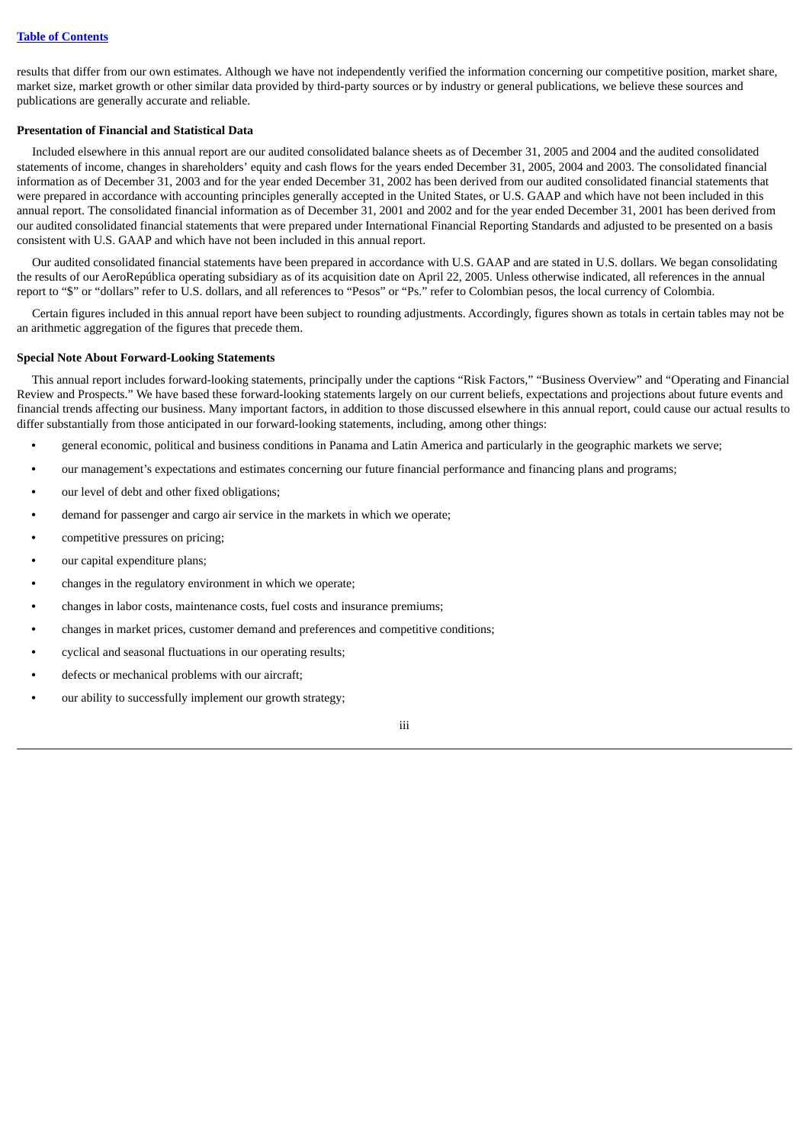results that differ from our own estimates. Although we have not independently verified the information concerning our competitive position, market share, market size, market growth or other similar data provided by third-party sources or by industry or general publications, we believe these sources and publications are generally accurate and reliable.

## <span id="page-5-0"></span>**Presentation of Financial and Statistical Data**

Included elsewhere in this annual report are our audited consolidated balance sheets as of December 31, 2005 and 2004 and the audited consolidated statements of income, changes in shareholders' equity and cash flows for the years ended December 31, 2005, 2004 and 2003. The consolidated financial information as of December 31, 2003 and for the year ended December 31, 2002 has been derived from our audited consolidated financial statements that were prepared in accordance with accounting principles generally accepted in the United States, or U.S. GAAP and which have not been included in this annual report. The consolidated financial information as of December 31, 2001 and 2002 and for the year ended December 31, 2001 has been derived from our audited consolidated financial statements that were prepared under International Financial Reporting Standards and adjusted to be presented on a basis consistent with U.S. GAAP and which have not been included in this annual report.

Our audited consolidated financial statements have been prepared in accordance with U.S. GAAP and are stated in U.S. dollars. We began consolidating the results of our AeroRepública operating subsidiary as of its acquisition date on April 22, 2005. Unless otherwise indicated, all references in the annual report to "\$" or "dollars" refer to U.S. dollars, and all references to "Pesos" or "Ps." refer to Colombian pesos, the local currency of Colombia.

Certain figures included in this annual report have been subject to rounding adjustments. Accordingly, figures shown as totals in certain tables may not be an arithmetic aggregation of the figures that precede them.

## <span id="page-5-1"></span>**Special Note About Forward-Looking Statements**

This annual report includes forward-looking statements, principally under the captions "Risk Factors," "Business Overview" and "Operating and Financial Review and Prospects." We have based these forward-looking statements largely on our current beliefs, expectations and projections about future events and financial trends affecting our business. Many important factors, in addition to those discussed elsewhere in this annual report, could cause our actual results to differ substantially from those anticipated in our forward-looking statements, including, among other things:

- **•** general economic, political and business conditions in Panama and Latin America and particularly in the geographic markets we serve;
- **•** our management's expectations and estimates concerning our future financial performance and financing plans and programs;
- **•** our level of debt and other fixed obligations;
- **•** demand for passenger and cargo air service in the markets in which we operate;
- **•** competitive pressures on pricing;
- **•** our capital expenditure plans;
- **•** changes in the regulatory environment in which we operate;
- **•** changes in labor costs, maintenance costs, fuel costs and insurance premiums;
- **•** changes in market prices, customer demand and preferences and competitive conditions;
- **•** cyclical and seasonal fluctuations in our operating results;
- **•** defects or mechanical problems with our aircraft;
- **•** our ability to successfully implement our growth strategy;

iii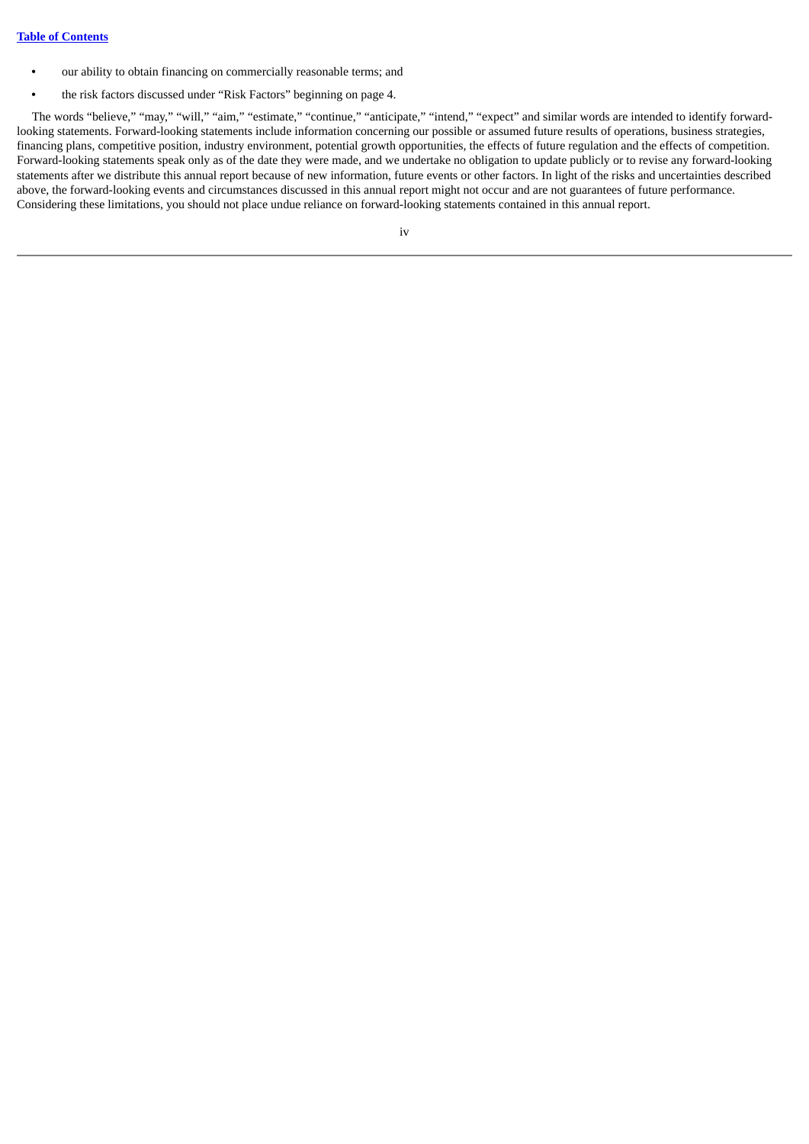- **•** our ability to obtain financing on commercially reasonable terms; and
- **•** the risk factors discussed under "Risk Factors" beginning on page 4.

The words "believe," "may," "will," "aim," "estimate," "continue," "anticipate," "intend," "expect" and similar words are intended to identify forwardlooking statements. Forward-looking statements include information concerning our possible or assumed future results of operations, business strategies, financing plans, competitive position, industry environment, potential growth opportunities, the effects of future regulation and the effects of competition. Forward-looking statements speak only as of the date they were made, and we undertake no obligation to update publicly or to revise any forward-looking statements after we distribute this annual report because of new information, future events or other factors. In light of the risks and uncertainties described above, the forward-looking events and circumstances discussed in this annual report might not occur and are not guarantees of future performance. Considering these limitations, you should not place undue reliance on forward-looking statements contained in this annual report.

iv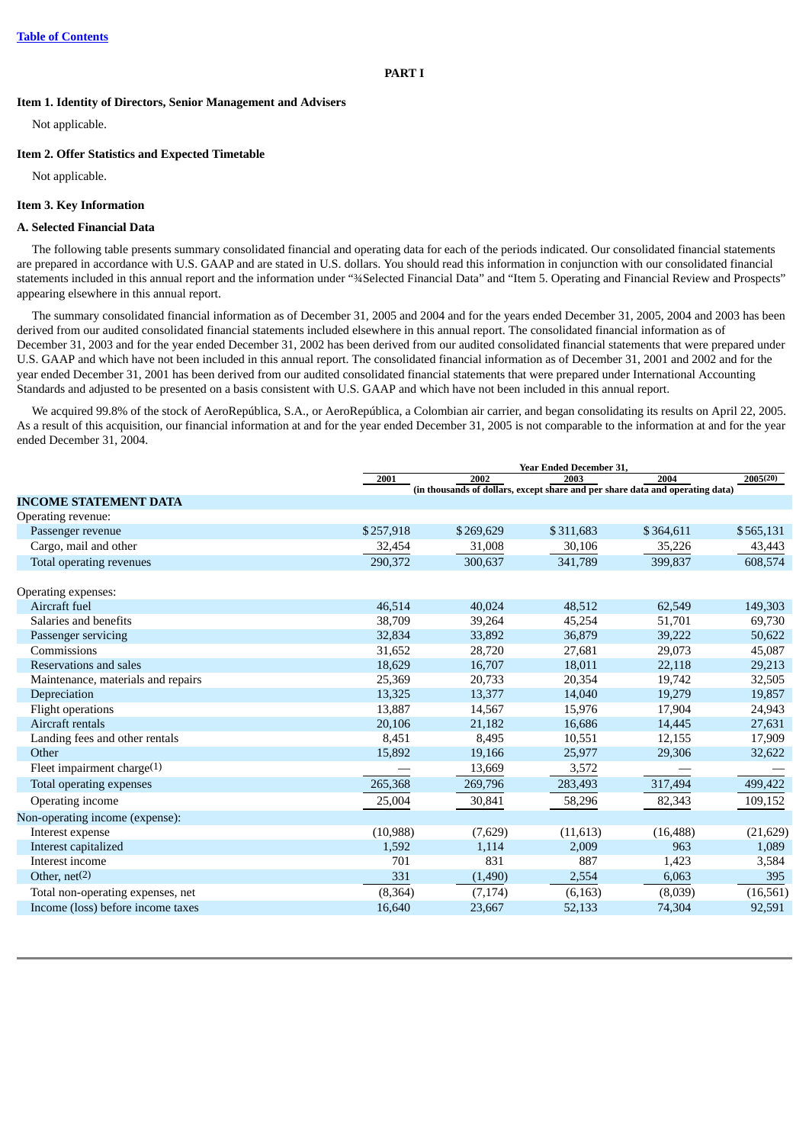<span id="page-7-0"></span>**Item 1. Identity of Directors, Senior Management and Advisers**

Not applicable.

### <span id="page-7-1"></span>**Item 2. Offer Statistics and Expected Timetable**

Not applicable.

## <span id="page-7-2"></span>**Item 3. Key Information**

#### **A. Selected Financial Data**

The following table presents summary consolidated financial and operating data for each of the periods indicated. Our consolidated financial statements are prepared in accordance with U.S. GAAP and are stated in U.S. dollars. You should read this information in conjunction with our consolidated financial statements included in this annual report and the information under "¾Selected Financial Data" and "Item 5. Operating and Financial Review and Prospects" appearing elsewhere in this annual report.

The summary consolidated financial information as of December 31, 2005 and 2004 and for the years ended December 31, 2005, 2004 and 2003 has been derived from our audited consolidated financial statements included elsewhere in this annual report. The consolidated financial information as of December 31, 2003 and for the year ended December 31, 2002 has been derived from our audited consolidated financial statements that were prepared under U.S. GAAP and which have not been included in this annual report. The consolidated financial information as of December 31, 2001 and 2002 and for the year ended December 31, 2001 has been derived from our audited consolidated financial statements that were prepared under International Accounting Standards and adjusted to be presented on a basis consistent with U.S. GAAP and which have not been included in this annual report.

We acquired 99.8% of the stock of AeroRepública, S.A., or AeroRepública, a Colombian air carrier, and began consolidating its results on April 22, 2005. As a result of this acquisition, our financial information at and for the year ended December 31, 2005 is not comparable to the information at and for the year ended December 31, 2004.

|                                    | 2001      | 2002      | Year Ended December 31,<br>2003 | 2004                                                                          | 2005(20)  |
|------------------------------------|-----------|-----------|---------------------------------|-------------------------------------------------------------------------------|-----------|
|                                    |           |           |                                 | (in thousands of dollars, except share and per share data and operating data) |           |
| <b>INCOME STATEMENT DATA</b>       |           |           |                                 |                                                                               |           |
| Operating revenue:                 |           |           |                                 |                                                                               |           |
| Passenger revenue                  | \$257,918 | \$269,629 | \$311,683                       | \$364,611                                                                     | \$565,131 |
| Cargo, mail and other              | 32,454    | 31,008    | 30,106                          | 35,226                                                                        | 43,443    |
| Total operating revenues           | 290,372   | 300,637   | 341,789                         | 399,837                                                                       | 608,574   |
| Operating expenses:                |           |           |                                 |                                                                               |           |
| Aircraft fuel                      | 46,514    | 40,024    | 48,512                          | 62,549                                                                        | 149,303   |
| Salaries and benefits              | 38,709    | 39,264    | 45,254                          | 51,701                                                                        | 69,730    |
| Passenger servicing                | 32,834    | 33,892    | 36,879                          | 39,222                                                                        | 50,622    |
| Commissions                        | 31,652    | 28,720    | 27,681                          | 29,073                                                                        | 45,087    |
| Reservations and sales             | 18,629    | 16,707    | 18,011                          | 22,118                                                                        | 29,213    |
| Maintenance, materials and repairs | 25,369    | 20,733    | 20,354                          | 19,742                                                                        | 32,505    |
| Depreciation                       | 13,325    | 13,377    | 14,040                          | 19,279                                                                        | 19,857    |
| <b>Flight operations</b>           | 13,887    | 14,567    | 15,976                          | 17,904                                                                        | 24,943    |
| Aircraft rentals                   | 20,106    | 21,182    | 16,686                          | 14,445                                                                        | 27,631    |
| Landing fees and other rentals     | 8,451     | 8,495     | 10,551                          | 12,155                                                                        | 17,909    |
| Other                              | 15,892    | 19,166    | 25,977                          | 29,306                                                                        | 32,622    |
| Fleet impairment charge(1)         |           | 13,669    | 3,572                           |                                                                               |           |
| Total operating expenses           | 265,368   | 269,796   | 283,493                         | 317,494                                                                       | 499,422   |
| Operating income                   | 25,004    | 30,841    | 58,296                          | 82,343                                                                        | 109,152   |
| Non-operating income (expense):    |           |           |                                 |                                                                               |           |
| Interest expense                   | (10, 988) | (7,629)   | (11, 613)                       | (16, 488)                                                                     | (21, 629) |
| Interest capitalized               | 1,592     | 1,114     | 2,009                           | 963                                                                           | 1,089     |
| Interest income                    | 701       | 831       | 887                             | 1,423                                                                         | 3,584     |
| Other, $net(2)$                    | 331       | (1,490)   | 2,554                           | 6,063                                                                         | 395       |
| Total non-operating expenses, net  | (8, 364)  | (7, 174)  | (6, 163)                        | (8,039)                                                                       | (16, 561) |
| Income (loss) before income taxes  | 16,640    | 23,667    | 52,133                          | 74,304                                                                        | 92,591    |
|                                    |           |           |                                 |                                                                               |           |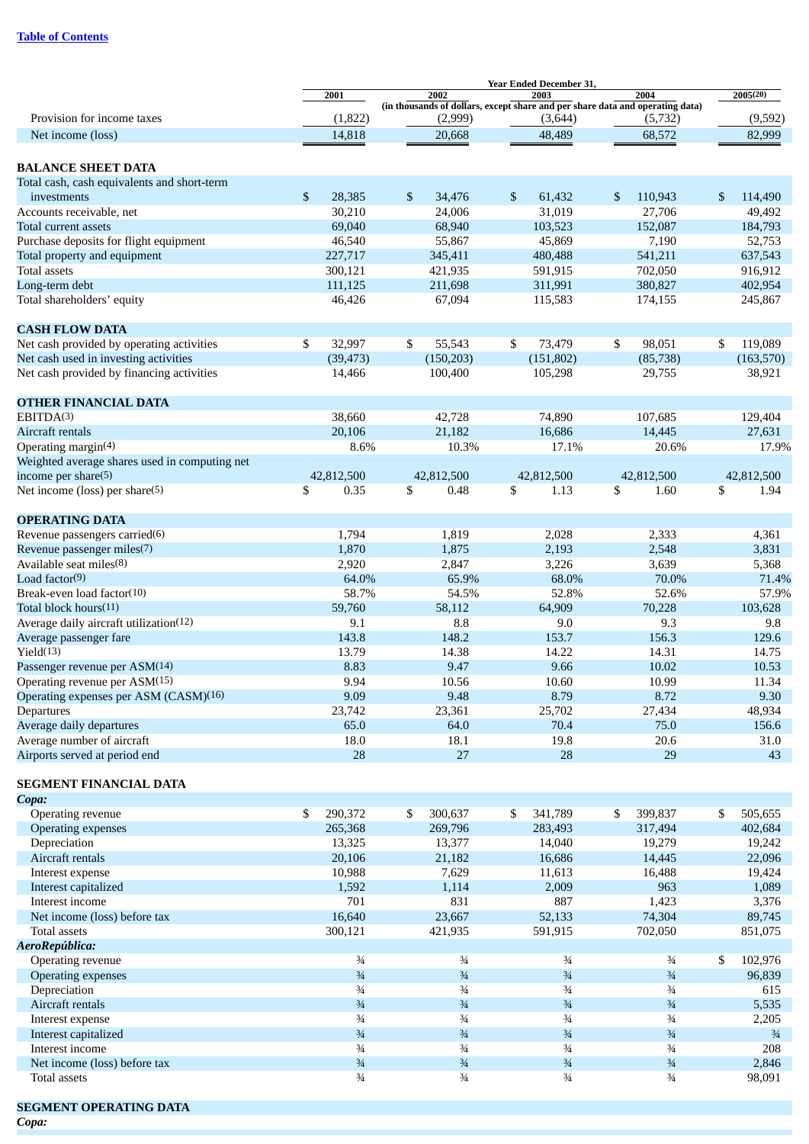|                                               | 2001                     | 2002                                                                                     | 2003          | 2004          | 2005(20)      |
|-----------------------------------------------|--------------------------|------------------------------------------------------------------------------------------|---------------|---------------|---------------|
| Provision for income taxes                    | (1,822)                  | (in thousands of dollars, except share and per share data and operating data)<br>(2,999) | (3,644)       | (5,732)       | (9,592)       |
| Net income (loss)                             | 14,818                   | 20,668                                                                                   | 48,489        | 68,572        | 82,999        |
|                                               |                          |                                                                                          |               |               |               |
| <b>BALANCE SHEET DATA</b>                     |                          |                                                                                          |               |               |               |
| Total cash, cash equivalents and short-term   |                          |                                                                                          |               |               |               |
| investments                                   | $\mathfrak{S}$<br>28,385 | \$<br>34,476                                                                             | \$<br>61,432  | \$<br>110,943 | \$<br>114,490 |
| Accounts receivable, net                      | 30,210                   | 24,006                                                                                   | 31,019        | 27,706        | 49,492        |
| Total current assets                          | 69,040                   | 68,940                                                                                   | 103,523       | 152,087       | 184,793       |
|                                               | 46,540                   | 55,867                                                                                   | 45,869        |               |               |
| Purchase deposits for flight equipment        | 227,717                  |                                                                                          |               | 7,190         | 52,753        |
| Total property and equipment                  |                          | 345,411                                                                                  | 480,488       | 541,211       | 637,543       |
| <b>Total assets</b>                           | 300,121                  | 421,935                                                                                  | 591,915       | 702,050       | 916,912       |
| Long-term debt                                | 111,125                  | 211,698                                                                                  | 311,991       | 380,827       | 402,954       |
| Total shareholders' equity                    | 46,426                   | 67,094                                                                                   | 115,583       | 174,155       | 245,867       |
| <b>CASH FLOW DATA</b>                         |                          |                                                                                          |               |               |               |
| Net cash provided by operating activities     | \$<br>32,997             | \$<br>55,543                                                                             | \$<br>73,479  | \$<br>98,051  | \$<br>119,089 |
| Net cash used in investing activities         | (39, 473)                | (150, 203)                                                                               | (151, 802)    | (85, 738)     | (163, 570)    |
| Net cash provided by financing activities     | 14,466                   | 100,400                                                                                  | 105,298       | 29,755        | 38,921        |
|                                               |                          |                                                                                          |               |               |               |
| <b>OTHER FINANCIAL DATA</b>                   |                          |                                                                                          |               |               |               |
| EBITDA(3)                                     | 38,660                   | 42,728                                                                                   | 74,890        | 107,685       | 129,404       |
| Aircraft rentals                              | 20,106                   | 21,182                                                                                   | 16,686        | 14,445        | 27,631        |
| Operating margin(4)                           | 8.6%                     | 10.3%                                                                                    | 17.1%         | 20.6%         | 17.9%         |
| Weighted average shares used in computing net |                          |                                                                                          |               |               |               |
| income per share(5)                           | 42,812,500               | 42,812,500                                                                               | 42,812,500    | 42,812,500    | 42,812,500    |
| Net income (loss) per share(5)                | \$<br>0.35               | \$<br>0.48                                                                               | \$<br>1.13    | \$<br>1.60    | \$<br>1.94    |
| <b>OPERATING DATA</b>                         |                          |                                                                                          |               |               |               |
| Revenue passengers carried(6)                 | 1,794                    | 1,819                                                                                    | 2,028         | 2,333         | 4,361         |
| Revenue passenger miles(7)                    | 1,870                    | 1,875                                                                                    | 2,193         | 2,548         | 3,831         |
| Available seat miles(8)                       | 2,920                    | 2,847                                                                                    | 3,226         | 3,639         | 5,368         |
| Load factor(9)                                | 64.0%                    | 65.9%                                                                                    | 68.0%         | 70.0%         | 71.4%         |
| Break-even load factor(10)                    | 58.7%                    | 54.5%                                                                                    | 52.8%         | 52.6%         | 57.9%         |
| Total block hours(11)                         | 59,760                   | 58,112                                                                                   | 64,909        | 70,228        | 103,628       |
| Average daily aircraft utilization(12)        | 9.1                      | 8.8                                                                                      | 9.0           | 9.3           | 9.8           |
| Average passenger fare                        | 143.8                    | 148.2                                                                                    | 153.7         | 156.3         | 129.6         |
| Yield(13)                                     | 13.79                    | 14.38                                                                                    | 14.22         | 14.31         | 14.75         |
| Passenger revenue per ASM(14)                 | 8.83                     | 9.47                                                                                     | 9.66          | 10.02         | 10.53         |
| Operating revenue per ASM(15)                 | 9.94                     | 10.56                                                                                    | 10.60         | 10.99         | 11.34         |
| Operating expenses per ASM (CASM)(16)         | 9.09                     | 9.48                                                                                     | 8.79          | 8.72          | 9.30          |
| Departures                                    | 23,742                   | 23,361                                                                                   | 25,702        | 27,434        | 48,934        |
| Average daily departures                      | 65.0                     | 64.0                                                                                     | 70.4          | 75.0          | 156.6         |
| Average number of aircraft                    | 18.0                     | 18.1                                                                                     | 19.8          | 20.6          | 31.0          |
| Airports served at period end                 | 28                       | 27                                                                                       | 28            | 29            | 43            |
|                                               |                          |                                                                                          |               |               |               |
| SEGMENT FINANCIAL DATA<br>Copa:               |                          |                                                                                          |               |               |               |
| Operating revenue                             | \$<br>290,372            | \$<br>300,637                                                                            | \$<br>341,789 | \$<br>399,837 | \$<br>505,655 |
| Operating expenses                            | 265,368                  | 269,796                                                                                  | 283,493       | 317,494       | 402,684       |
| Depreciation                                  | 13,325                   | 13,377                                                                                   | 14,040        | 19,279        | 19,242        |
| Aircraft rentals                              | 20,106                   | 21,182                                                                                   | 16,686        | 14,445        | 22,096        |
| Interest expense                              | 10,988                   | 7,629                                                                                    | 11,613        | 16,488        | 19,424        |
| Interest capitalized                          | 1,592                    | 1,114                                                                                    | 2,009         | 963           | 1,089         |
| Interest income                               | 701                      | 831                                                                                      | 887           | 1,423         | 3,376         |
|                                               | 16,640                   | 23,667                                                                                   | 52,133        | 74,304        | 89,745        |
| Net income (loss) before tax<br>Total assets  | 300,121                  | 421,935                                                                                  | 591,915       | 702,050       | 851,075       |
|                                               |                          |                                                                                          |               |               |               |
| AeroRepública:                                |                          |                                                                                          |               |               |               |
| Operating revenue                             | $\frac{3}{4}$            | $\frac{3}{4}$                                                                            | $\frac{3}{4}$ | $\frac{3}{4}$ | 102,976<br>\$ |
| Operating expenses                            | $\frac{3}{4}$            | $\frac{3}{4}$                                                                            | $\frac{3}{4}$ | $\frac{3}{4}$ | 96,839        |
| Depreciation                                  | $\frac{3}{4}$            | $\frac{3}{4}$                                                                            | $\frac{3}{4}$ | $\frac{3}{4}$ | 615           |
| Aircraft rentals                              | $\frac{3}{4}$            | $\frac{3}{4}$                                                                            | $\frac{3}{4}$ | $\frac{3}{4}$ | 5,535         |
| Interest expense                              | $\frac{3}{4}$            | $\frac{3}{4}$                                                                            | $\frac{3}{4}$ | $\frac{3}{4}$ | 2,205         |
| Interest capitalized                          | $\frac{3}{4}$            | $\frac{3}{4}$                                                                            | $\frac{3}{4}$ | $\frac{3}{4}$ | $\frac{3}{4}$ |
| Interest income                               | $\frac{3}{4}$            | $\frac{3}{4}$                                                                            | $\frac{3}{4}$ | $\frac{3}{4}$ | 208           |
| Net income (loss) before tax                  | $\frac{3}{4}$            | $\frac{3}{4}$                                                                            | $\frac{3}{4}$ | $\frac{3}{4}$ | 2,846         |
| Total assets                                  | $\frac{3}{4}$            | $\frac{3}{4}$                                                                            | $\frac{3}{4}$ | $\frac{3}{4}$ | 98,091        |

**SEGMENT OPERATING DATA**

*Copa:*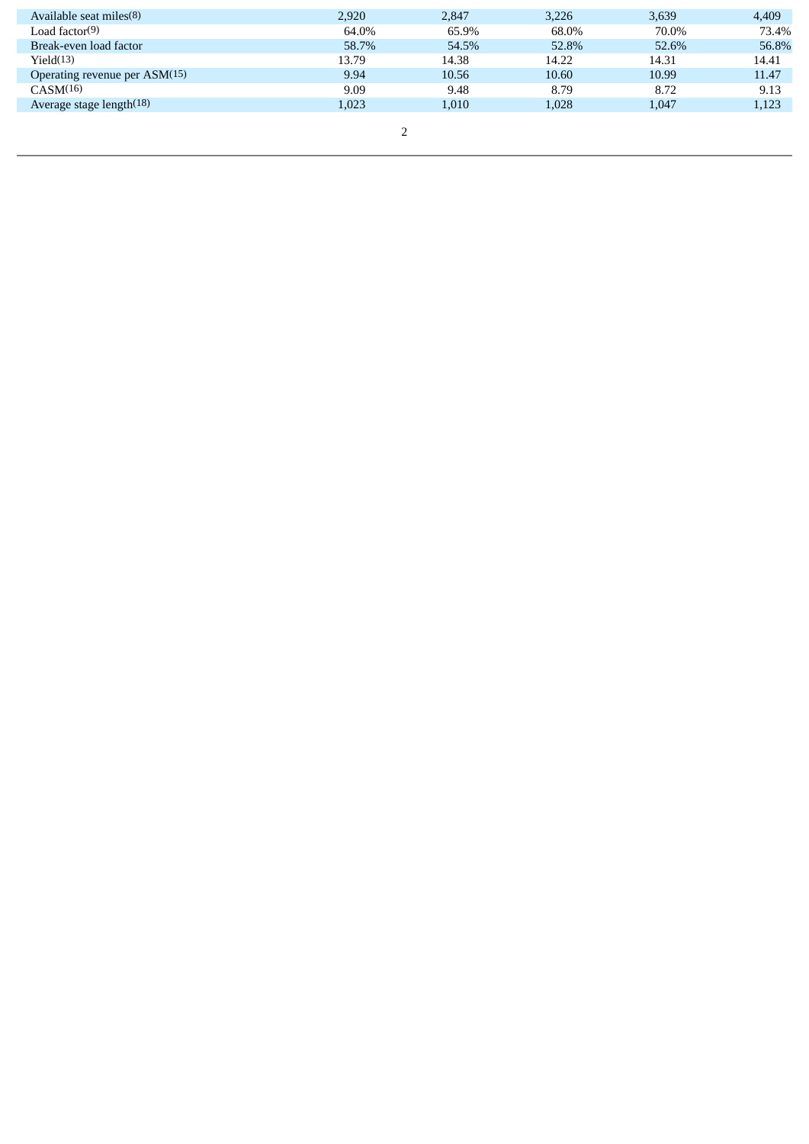| Available seat miles(8)       | 2.920 | 2.847 | 3.226 | 3,639 | 4,409 |
|-------------------------------|-------|-------|-------|-------|-------|
| Load factor(9)                | 64.0% | 65.9% | 68.0% | 70.0% | 73.4% |
| Break-even load factor        | 58.7% | 54.5% | 52.8% | 52.6% | 56.8% |
| Yield(13)                     | 13.79 | 14.38 | 14.22 | 14.31 | 14.41 |
| Operating revenue per ASM(15) | 9.94  | 10.56 | 10.60 | 10.99 | 11.47 |
| CASM(16)                      | 9.09  | 9.48  | 8.79  | 8.72  | 9.13  |
| Average stage length $(18)$   | 1.023 | 1,010 | 1,028 | 1,047 | 1,123 |
|                               |       |       |       |       |       |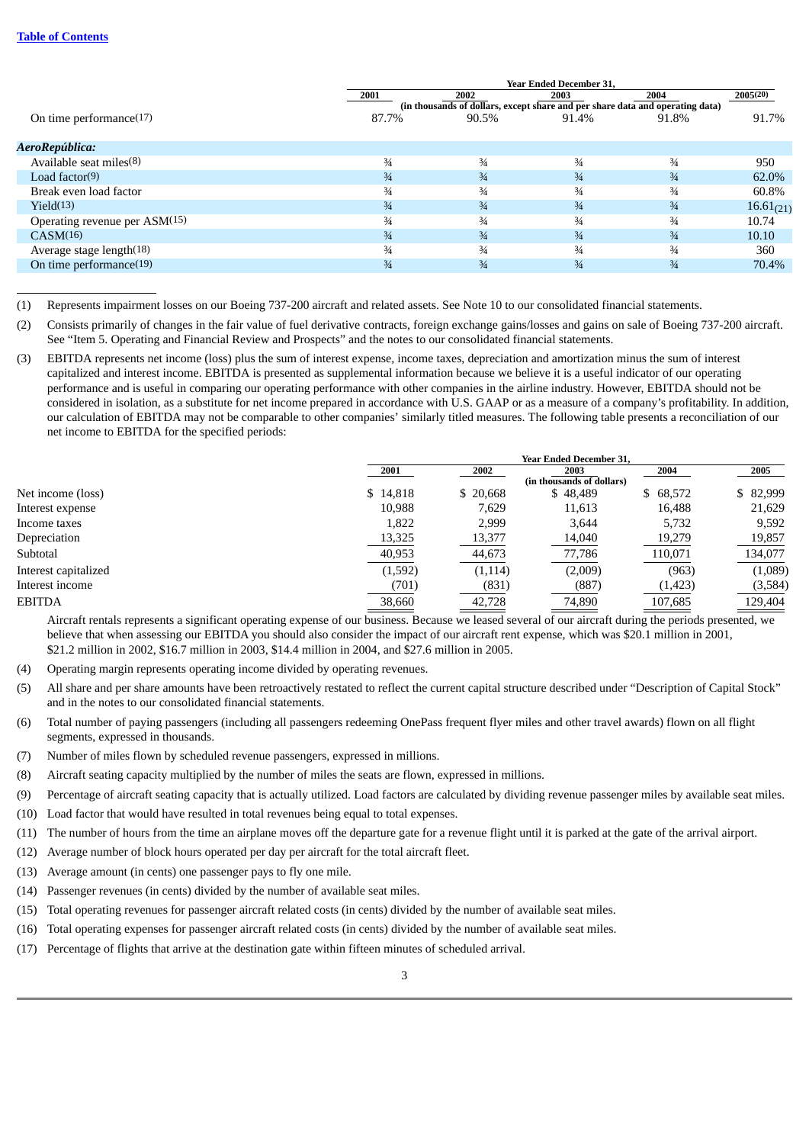|                               |               | <b>Year Ended December 31,</b>                                                |               |               |                |
|-------------------------------|---------------|-------------------------------------------------------------------------------|---------------|---------------|----------------|
|                               | 2001          | 2002                                                                          | 2003          | 2004          | 2005(20)       |
|                               |               | (in thousands of dollars, except share and per share data and operating data) |               |               |                |
| On time performance $(17)$    | 87.7%         | 90.5%                                                                         | 91.4%         | 91.8%         | 91.7%          |
|                               |               |                                                                               |               |               |                |
| AeroRepública:                |               |                                                                               |               |               |                |
| Available seat miles(8)       | $\frac{3}{4}$ | $\frac{3}{4}$                                                                 | $\frac{3}{4}$ | $\frac{3}{4}$ | 950            |
| Load factor $(9)$             | $\frac{3}{4}$ | $\frac{3}{4}$                                                                 | $\frac{3}{4}$ | $\frac{3}{4}$ | 62.0%          |
| Break even load factor        | $\frac{3}{4}$ | $\frac{3}{4}$                                                                 | $\frac{3}{4}$ | $\frac{3}{4}$ | 60.8%          |
| Yield(13)                     | $\frac{3}{4}$ | $\frac{3}{4}$                                                                 | $\frac{3}{4}$ | $\frac{3}{4}$ | $16.61_{(21)}$ |
| Operating revenue per ASM(15) | $\frac{3}{4}$ | $\frac{3}{4}$                                                                 | $\frac{3}{4}$ | $\frac{3}{4}$ | 10.74          |
| CASM(16)                      | $\frac{3}{4}$ | $\frac{3}{4}$                                                                 | $\frac{3}{4}$ | $\frac{3}{4}$ | 10.10          |
| Average stage length(18)      | $\frac{3}{4}$ | $\frac{3}{4}$                                                                 | $\frac{3}{4}$ | $\frac{3}{4}$ | 360            |
| On time performance(19)       | $\frac{3}{4}$ | $\frac{3}{4}$                                                                 | $\frac{3}{4}$ | $\frac{3}{4}$ | 70.4%          |
|                               |               |                                                                               |               |               |                |

<sup>(1)</sup> Represents impairment losses on our Boeing 737-200 aircraft and related assets. See Note 10 to our consolidated financial statements.

- (2) Consists primarily of changes in the fair value of fuel derivative contracts, foreign exchange gains/losses and gains on sale of Boeing 737-200 aircraft. See "Item 5. Operating and Financial Review and Prospects" and the notes to our consolidated financial statements.
- (3) EBITDA represents net income (loss) plus the sum of interest expense, income taxes, depreciation and amortization minus the sum of interest capitalized and interest income. EBITDA is presented as supplemental information because we believe it is a useful indicator of our operating performance and is useful in comparing our operating performance with other companies in the airline industry. However, EBITDA should not be considered in isolation, as a substitute for net income prepared in accordance with U.S. GAAP or as a measure of a company's profitability. In addition, our calculation of EBITDA may not be comparable to other companies' similarly titled measures. The following table presents a reconciliation of our net income to EBITDA for the specified periods:

|                      | <b>Year Ended December 31.</b> |          |                           |          |           |
|----------------------|--------------------------------|----------|---------------------------|----------|-----------|
|                      | 2001                           | 2002     | 2003                      | 2004     | 2005      |
|                      |                                |          | (in thousands of dollars) |          |           |
| Net income (loss)    | \$14,818                       | \$20,668 | \$48,489                  | \$68,572 | \$ 82,999 |
| Interest expense     | 10,988                         | 7,629    | 11,613                    | 16,488   | 21,629    |
| Income taxes         | 1,822                          | 2,999    | 3,644                     | 5,732    | 9,592     |
| Depreciation         | 13,325                         | 13,377   | 14,040                    | 19,279   | 19,857    |
| Subtotal             | 40,953                         | 44,673   | 77,786                    | 110,071  | 134,077   |
| Interest capitalized | (1,592)                        | (1, 114) | (2,009)                   | (963)    | (1,089)   |
| Interest income      | (701)                          | (831)    | (887)                     | (1, 423) | (3,584)   |
| <b>EBITDA</b>        | 38,660                         | 42,728   | 74,890                    | 107,685  | 129,404   |

Aircraft rentals represents a significant operating expense of our business. Because we leased several of our aircraft during the periods presented, we believe that when assessing our EBITDA you should also consider the impact of our aircraft rent expense, which was \$20.1 million in 2001, \$21.2 million in 2002, \$16.7 million in 2003, \$14.4 million in 2004, and \$27.6 million in 2005.

- (4) Operating margin represents operating income divided by operating revenues.
- (5) All share and per share amounts have been retroactively restated to reflect the current capital structure described under "Description of Capital Stock" and in the notes to our consolidated financial statements.
- (6) Total number of paying passengers (including all passengers redeeming OnePass frequent flyer miles and other travel awards) flown on all flight segments, expressed in thousands.
- (7) Number of miles flown by scheduled revenue passengers, expressed in millions.
- (8) Aircraft seating capacity multiplied by the number of miles the seats are flown, expressed in millions.
- (9) Percentage of aircraft seating capacity that is actually utilized. Load factors are calculated by dividing revenue passenger miles by available seat miles.
- (10) Load factor that would have resulted in total revenues being equal to total expenses.
- (11) The number of hours from the time an airplane moves off the departure gate for a revenue flight until it is parked at the gate of the arrival airport.
- (12) Average number of block hours operated per day per aircraft for the total aircraft fleet.
- (13) Average amount (in cents) one passenger pays to fly one mile.
- (14) Passenger revenues (in cents) divided by the number of available seat miles.
- (15) Total operating revenues for passenger aircraft related costs (in cents) divided by the number of available seat miles.
- (16) Total operating expenses for passenger aircraft related costs (in cents) divided by the number of available seat miles.
- (17) Percentage of flights that arrive at the destination gate within fifteen minutes of scheduled arrival.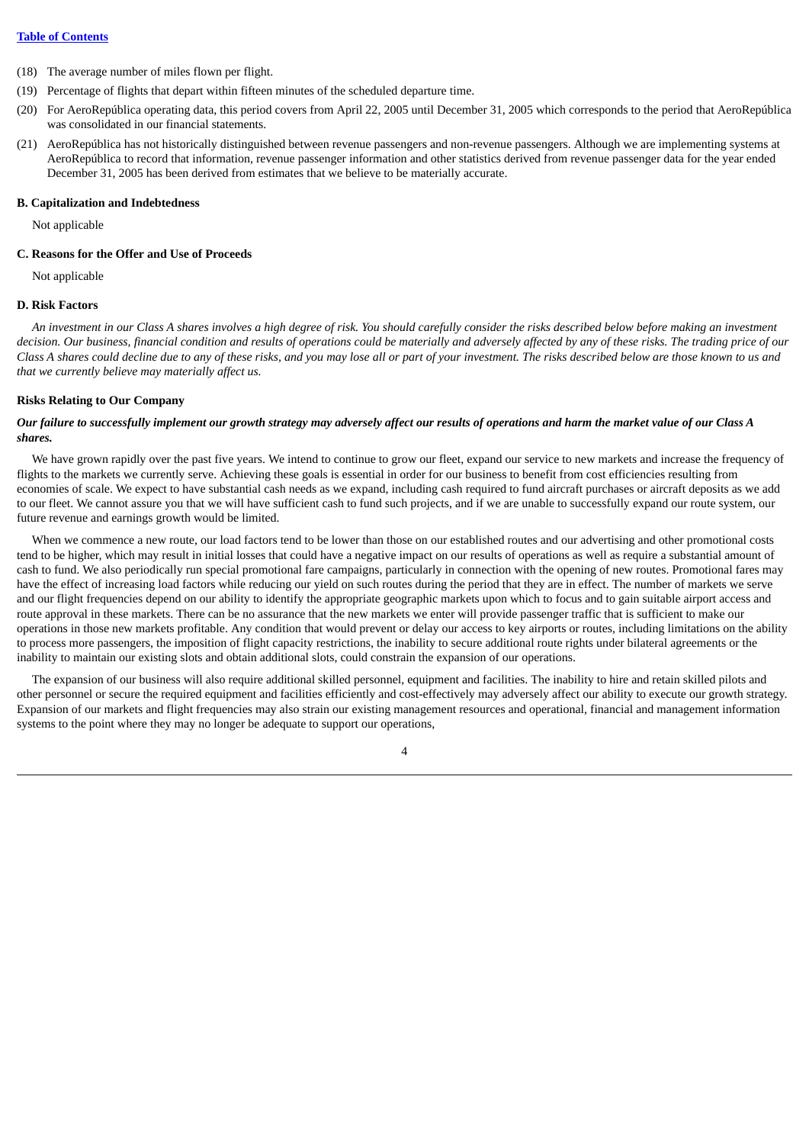- (18) The average number of miles flown per flight.
- (19) Percentage of flights that depart within fifteen minutes of the scheduled departure time.
- (20) For AeroRepública operating data, this period covers from April 22, 2005 until December 31, 2005 which corresponds to the period that AeroRepública was consolidated in our financial statements.
- (21) AeroRepública has not historically distinguished between revenue passengers and non-revenue passengers. Although we are implementing systems at AeroRepública to record that information, revenue passenger information and other statistics derived from revenue passenger data for the year ended December 31, 2005 has been derived from estimates that we believe to be materially accurate.

## **B. Capitalization and Indebtedness**

Not applicable

## **C. Reasons for the Offer and Use of Proceeds**

Not applicable

## **D. Risk Factors**

An investment in our Class A shares involves a high degree of risk. You should carefully consider the risks described below before making an investment decision. Our business, financial condition and results of operations could be materially and adversely affected by any of these risks. The trading price of our Class A shares could decline due to any of these risks, and you may lose all or part of your investment. The risks described below are those known to us and *that we currently believe may materially affect us.*

#### **Risks Relating to Our Company**

### Our failure to successfully implement our growth strategy may adversely affect our results of operations and harm the market value of our Class A *shares.*

We have grown rapidly over the past five years. We intend to continue to grow our fleet, expand our service to new markets and increase the frequency of flights to the markets we currently serve. Achieving these goals is essential in order for our business to benefit from cost efficiencies resulting from economies of scale. We expect to have substantial cash needs as we expand, including cash required to fund aircraft purchases or aircraft deposits as we add to our fleet. We cannot assure you that we will have sufficient cash to fund such projects, and if we are unable to successfully expand our route system, our future revenue and earnings growth would be limited.

When we commence a new route, our load factors tend to be lower than those on our established routes and our advertising and other promotional costs tend to be higher, which may result in initial losses that could have a negative impact on our results of operations as well as require a substantial amount of cash to fund. We also periodically run special promotional fare campaigns, particularly in connection with the opening of new routes. Promotional fares may have the effect of increasing load factors while reducing our yield on such routes during the period that they are in effect. The number of markets we serve and our flight frequencies depend on our ability to identify the appropriate geographic markets upon which to focus and to gain suitable airport access and route approval in these markets. There can be no assurance that the new markets we enter will provide passenger traffic that is sufficient to make our operations in those new markets profitable. Any condition that would prevent or delay our access to key airports or routes, including limitations on the ability to process more passengers, the imposition of flight capacity restrictions, the inability to secure additional route rights under bilateral agreements or the inability to maintain our existing slots and obtain additional slots, could constrain the expansion of our operations.

The expansion of our business will also require additional skilled personnel, equipment and facilities. The inability to hire and retain skilled pilots and other personnel or secure the required equipment and facilities efficiently and cost-effectively may adversely affect our ability to execute our growth strategy. Expansion of our markets and flight frequencies may also strain our existing management resources and operational, financial and management information systems to the point where they may no longer be adequate to support our operations,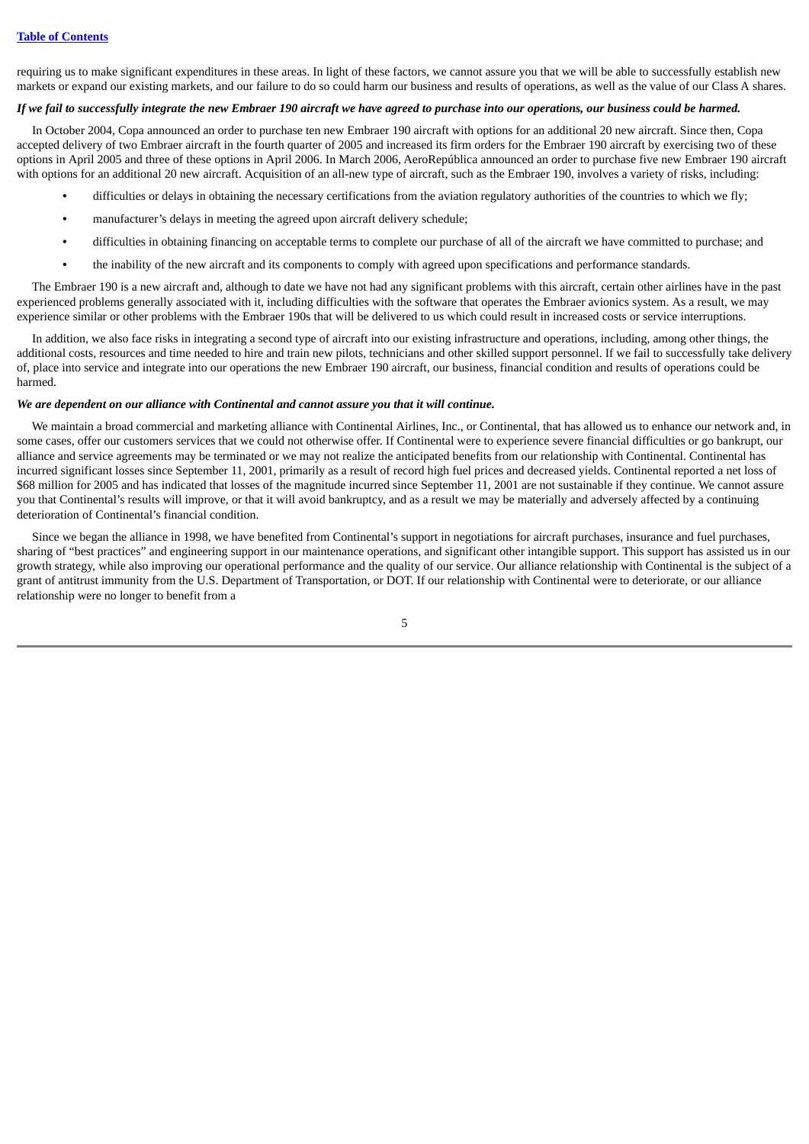requiring us to make significant expenditures in these areas. In light of these factors, we cannot assure you that we will be able to successfully establish new markets or expand our existing markets, and our failure to do so could harm our business and results of operations, as well as the value of our Class A shares.

#### If we fail to successfully integrate the new Embraer 190 aircraft we have agreed to purchase into our operations, our business could be harmed.

In October 2004, Copa announced an order to purchase ten new Embraer 190 aircraft with options for an additional 20 new aircraft. Since then, Copa accepted delivery of two Embraer aircraft in the fourth quarter of 2005 and increased its firm orders for the Embraer 190 aircraft by exercising two of these options in April 2005 and three of these options in April 2006. In March 2006, AeroRepública announced an order to purchase five new Embraer 190 aircraft with options for an additional 20 new aircraft. Acquisition of an all-new type of aircraft, such as the Embraer 190, involves a variety of risks, including:

- difficulties or delays in obtaining the necessary certifications from the aviation regulatory authorities of the countries to which we fly;
- **•** manufacturer's delays in meeting the agreed upon aircraft delivery schedule;
- **•** difficulties in obtaining financing on acceptable terms to complete our purchase of all of the aircraft we have committed to purchase; and
- **•** the inability of the new aircraft and its components to comply with agreed upon specifications and performance standards.

The Embraer 190 is a new aircraft and, although to date we have not had any significant problems with this aircraft, certain other airlines have in the past experienced problems generally associated with it, including difficulties with the software that operates the Embraer avionics system. As a result, we may experience similar or other problems with the Embraer 190s that will be delivered to us which could result in increased costs or service interruptions.

In addition, we also face risks in integrating a second type of aircraft into our existing infrastructure and operations, including, among other things, the additional costs, resources and time needed to hire and train new pilots, technicians and other skilled support personnel. If we fail to successfully take delivery of, place into service and integrate into our operations the new Embraer 190 aircraft, our business, financial condition and results of operations could be harmed.

#### *We are dependent on our alliance with Continental and cannot assure you that it will continue.*

We maintain a broad commercial and marketing alliance with Continental Airlines, Inc., or Continental, that has allowed us to enhance our network and, in some cases, offer our customers services that we could not otherwise offer. If Continental were to experience severe financial difficulties or go bankrupt, our alliance and service agreements may be terminated or we may not realize the anticipated benefits from our relationship with Continental. Continental has incurred significant losses since September 11, 2001, primarily as a result of record high fuel prices and decreased yields. Continental reported a net loss of \$68 million for 2005 and has indicated that losses of the magnitude incurred since September 11, 2001 are not sustainable if they continue. We cannot assure you that Continental's results will improve, or that it will avoid bankruptcy, and as a result we may be materially and adversely affected by a continuing deterioration of Continental's financial condition.

Since we began the alliance in 1998, we have benefited from Continental's support in negotiations for aircraft purchases, insurance and fuel purchases, sharing of "best practices" and engineering support in our maintenance operations, and significant other intangible support. This support has assisted us in our growth strategy, while also improving our operational performance and the quality of our service. Our alliance relationship with Continental is the subject of a grant of antitrust immunity from the U.S. Department of Transportation, or DOT. If our relationship with Continental were to deteriorate, or our alliance relationship were no longer to benefit from a

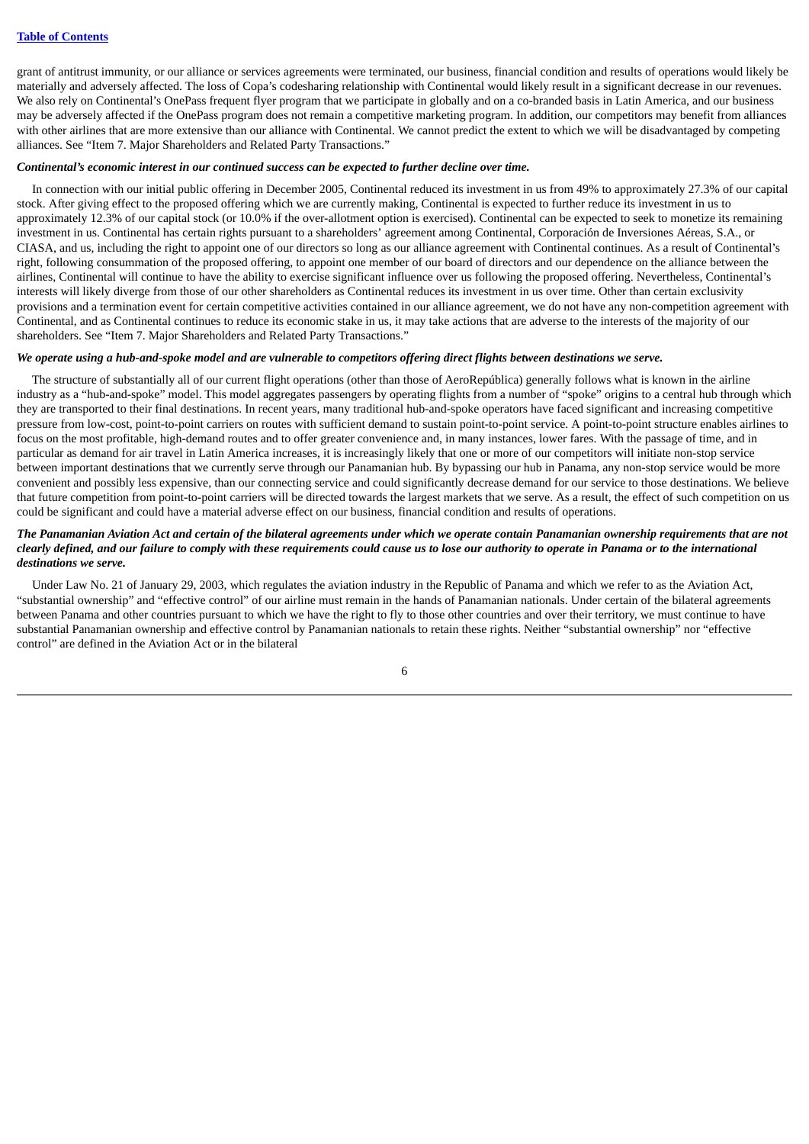grant of antitrust immunity, or our alliance or services agreements were terminated, our business, financial condition and results of operations would likely be materially and adversely affected. The loss of Copa's codesharing relationship with Continental would likely result in a significant decrease in our revenues. We also rely on Continental's OnePass frequent flyer program that we participate in globally and on a co-branded basis in Latin America, and our business may be adversely affected if the OnePass program does not remain a competitive marketing program. In addition, our competitors may benefit from alliances with other airlines that are more extensive than our alliance with Continental. We cannot predict the extent to which we will be disadvantaged by competing alliances. See "Item 7. Major Shareholders and Related Party Transactions."

#### *Continental's economic interest in our continued success can be expected to further decline over time.*

In connection with our initial public offering in December 2005, Continental reduced its investment in us from 49% to approximately 27.3% of our capital stock. After giving effect to the proposed offering which we are currently making, Continental is expected to further reduce its investment in us to approximately 12.3% of our capital stock (or 10.0% if the over-allotment option is exercised). Continental can be expected to seek to monetize its remaining investment in us. Continental has certain rights pursuant to a shareholders' agreement among Continental, Corporación de Inversiones Aéreas, S.A., or CIASA, and us, including the right to appoint one of our directors so long as our alliance agreement with Continental continues. As a result of Continental's right, following consummation of the proposed offering, to appoint one member of our board of directors and our dependence on the alliance between the airlines, Continental will continue to have the ability to exercise significant influence over us following the proposed offering. Nevertheless, Continental's interests will likely diverge from those of our other shareholders as Continental reduces its investment in us over time. Other than certain exclusivity provisions and a termination event for certain competitive activities contained in our alliance agreement, we do not have any non-competition agreement with Continental, and as Continental continues to reduce its economic stake in us, it may take actions that are adverse to the interests of the majority of our shareholders. See "Item 7. Major Shareholders and Related Party Transactions."

#### We operate using a hub-and-spoke model and are vulnerable to competitors offering direct flights between destinations we serve.

The structure of substantially all of our current flight operations (other than those of AeroRepública) generally follows what is known in the airline industry as a "hub-and-spoke" model. This model aggregates passengers by operating flights from a number of "spoke" origins to a central hub through which they are transported to their final destinations. In recent years, many traditional hub-and-spoke operators have faced significant and increasing competitive pressure from low-cost, point-to-point carriers on routes with sufficient demand to sustain point-to-point service. A point-to-point structure enables airlines to focus on the most profitable, high-demand routes and to offer greater convenience and, in many instances, lower fares. With the passage of time, and in particular as demand for air travel in Latin America increases, it is increasingly likely that one or more of our competitors will initiate non-stop service between important destinations that we currently serve through our Panamanian hub. By bypassing our hub in Panama, any non-stop service would be more convenient and possibly less expensive, than our connecting service and could significantly decrease demand for our service to those destinations. We believe that future competition from point-to-point carriers will be directed towards the largest markets that we serve. As a result, the effect of such competition on us could be significant and could have a material adverse effect on our business, financial condition and results of operations.

## The Panamanian Aviation Act and certain of the bilateral agreements under which we operate contain Panamanian ownership requirements that are not clearly defined, and our failure to comply with these requirements could cause us to lose our authority to operate in Panama or to the international *destinations we serve.*

Under Law No. 21 of January 29, 2003, which regulates the aviation industry in the Republic of Panama and which we refer to as the Aviation Act, "substantial ownership" and "effective control" of our airline must remain in the hands of Panamanian nationals. Under certain of the bilateral agreements between Panama and other countries pursuant to which we have the right to fly to those other countries and over their territory, we must continue to have substantial Panamanian ownership and effective control by Panamanian nationals to retain these rights. Neither "substantial ownership" nor "effective control" are defined in the Aviation Act or in the bilateral

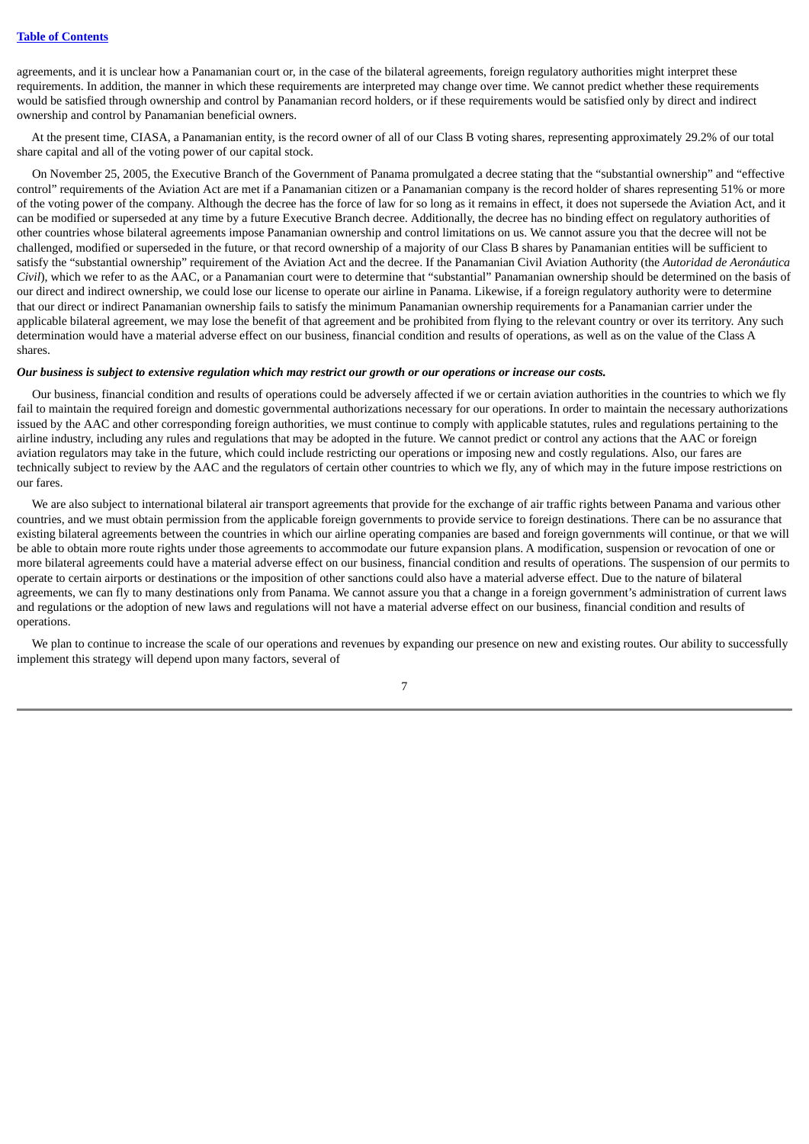agreements, and it is unclear how a Panamanian court or, in the case of the bilateral agreements, foreign regulatory authorities might interpret these requirements. In addition, the manner in which these requirements are interpreted may change over time. We cannot predict whether these requirements would be satisfied through ownership and control by Panamanian record holders, or if these requirements would be satisfied only by direct and indirect ownership and control by Panamanian beneficial owners.

At the present time, CIASA, a Panamanian entity, is the record owner of all of our Class B voting shares, representing approximately 29.2% of our total share capital and all of the voting power of our capital stock.

On November 25, 2005, the Executive Branch of the Government of Panama promulgated a decree stating that the "substantial ownership" and "effective control" requirements of the Aviation Act are met if a Panamanian citizen or a Panamanian company is the record holder of shares representing 51% or more of the voting power of the company. Although the decree has the force of law for so long as it remains in effect, it does not supersede the Aviation Act, and it can be modified or superseded at any time by a future Executive Branch decree. Additionally, the decree has no binding effect on regulatory authorities of other countries whose bilateral agreements impose Panamanian ownership and control limitations on us. We cannot assure you that the decree will not be challenged, modified or superseded in the future, or that record ownership of a majority of our Class B shares by Panamanian entities will be sufficient to satisfy the "substantial ownership" requirement of the Aviation Act and the decree. If the Panamanian Civil Aviation Authority (the *Autoridad de Aeronáutica Civil*), which we refer to as the AAC, or a Panamanian court were to determine that "substantial" Panamanian ownership should be determined on the basis of our direct and indirect ownership, we could lose our license to operate our airline in Panama. Likewise, if a foreign regulatory authority were to determine that our direct or indirect Panamanian ownership fails to satisfy the minimum Panamanian ownership requirements for a Panamanian carrier under the applicable bilateral agreement, we may lose the benefit of that agreement and be prohibited from flying to the relevant country or over its territory. Any such determination would have a material adverse effect on our business, financial condition and results of operations, as well as on the value of the Class A shares.

#### Our business is subject to extensive regulation which may restrict our growth or our operations or increase our costs.

Our business, financial condition and results of operations could be adversely affected if we or certain aviation authorities in the countries to which we fly fail to maintain the required foreign and domestic governmental authorizations necessary for our operations. In order to maintain the necessary authorizations issued by the AAC and other corresponding foreign authorities, we must continue to comply with applicable statutes, rules and regulations pertaining to the airline industry, including any rules and regulations that may be adopted in the future. We cannot predict or control any actions that the AAC or foreign aviation regulators may take in the future, which could include restricting our operations or imposing new and costly regulations. Also, our fares are technically subject to review by the AAC and the regulators of certain other countries to which we fly, any of which may in the future impose restrictions on our fares.

We are also subject to international bilateral air transport agreements that provide for the exchange of air traffic rights between Panama and various other countries, and we must obtain permission from the applicable foreign governments to provide service to foreign destinations. There can be no assurance that existing bilateral agreements between the countries in which our airline operating companies are based and foreign governments will continue, or that we will be able to obtain more route rights under those agreements to accommodate our future expansion plans. A modification, suspension or revocation of one or more bilateral agreements could have a material adverse effect on our business, financial condition and results of operations. The suspension of our permits to operate to certain airports or destinations or the imposition of other sanctions could also have a material adverse effect. Due to the nature of bilateral agreements, we can fly to many destinations only from Panama. We cannot assure you that a change in a foreign government's administration of current laws and regulations or the adoption of new laws and regulations will not have a material adverse effect on our business, financial condition and results of operations.

We plan to continue to increase the scale of our operations and revenues by expanding our presence on new and existing routes. Our ability to successfully implement this strategy will depend upon many factors, several of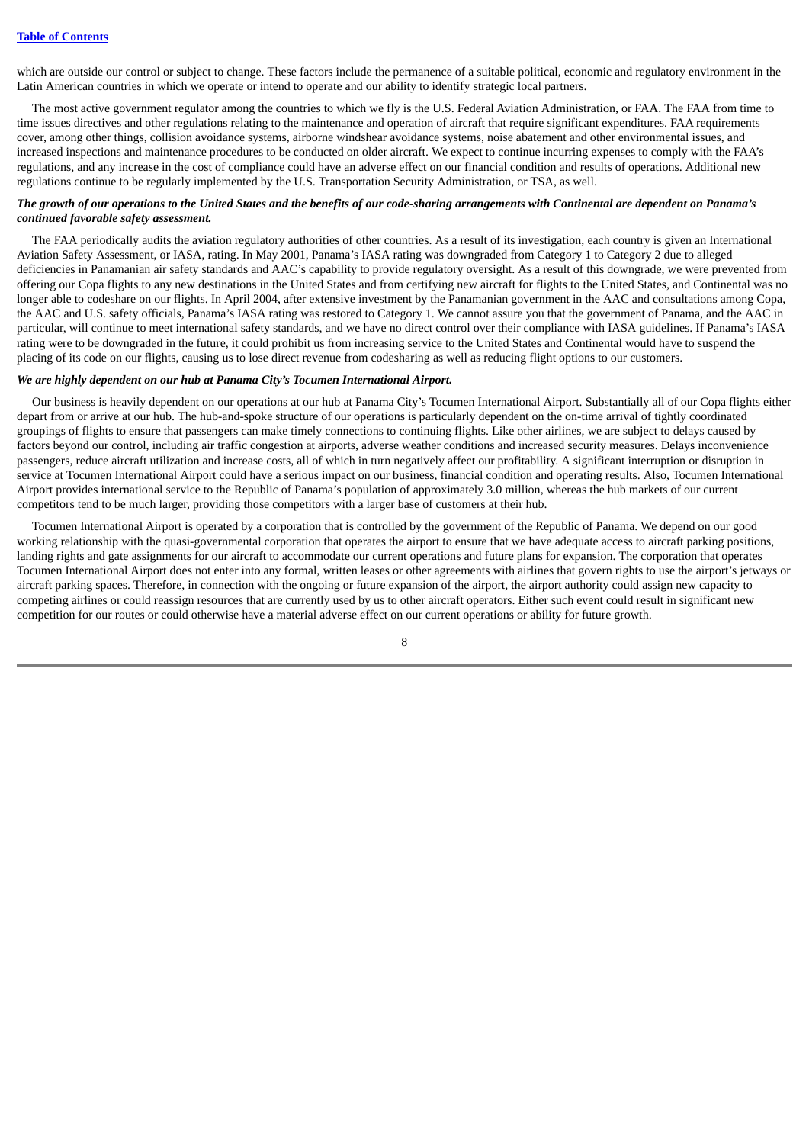which are outside our control or subject to change. These factors include the permanence of a suitable political, economic and regulatory environment in the Latin American countries in which we operate or intend to operate and our ability to identify strategic local partners.

The most active government regulator among the countries to which we fly is the U.S. Federal Aviation Administration, or FAA. The FAA from time to time issues directives and other regulations relating to the maintenance and operation of aircraft that require significant expenditures. FAA requirements cover, among other things, collision avoidance systems, airborne windshear avoidance systems, noise abatement and other environmental issues, and increased inspections and maintenance procedures to be conducted on older aircraft. We expect to continue incurring expenses to comply with the FAA's regulations, and any increase in the cost of compliance could have an adverse effect on our financial condition and results of operations. Additional new regulations continue to be regularly implemented by the U.S. Transportation Security Administration, or TSA, as well.

## The growth of our operations to the United States and the benefits of our code-sharing arrangements with Continental are dependent on Panama's *continued favorable safety assessment.*

The FAA periodically audits the aviation regulatory authorities of other countries. As a result of its investigation, each country is given an International Aviation Safety Assessment, or IASA, rating. In May 2001, Panama's IASA rating was downgraded from Category 1 to Category 2 due to alleged deficiencies in Panamanian air safety standards and AAC's capability to provide regulatory oversight. As a result of this downgrade, we were prevented from offering our Copa flights to any new destinations in the United States and from certifying new aircraft for flights to the United States, and Continental was no longer able to codeshare on our flights. In April 2004, after extensive investment by the Panamanian government in the AAC and consultations among Copa, the AAC and U.S. safety officials, Panama's IASA rating was restored to Category 1. We cannot assure you that the government of Panama, and the AAC in particular, will continue to meet international safety standards, and we have no direct control over their compliance with IASA guidelines. If Panama's IASA rating were to be downgraded in the future, it could prohibit us from increasing service to the United States and Continental would have to suspend the placing of its code on our flights, causing us to lose direct revenue from codesharing as well as reducing flight options to our customers.

#### *We are highly dependent on our hub at Panama City's Tocumen International Airport.*

Our business is heavily dependent on our operations at our hub at Panama City's Tocumen International Airport. Substantially all of our Copa flights either depart from or arrive at our hub. The hub-and-spoke structure of our operations is particularly dependent on the on-time arrival of tightly coordinated groupings of flights to ensure that passengers can make timely connections to continuing flights. Like other airlines, we are subject to delays caused by factors beyond our control, including air traffic congestion at airports, adverse weather conditions and increased security measures. Delays inconvenience passengers, reduce aircraft utilization and increase costs, all of which in turn negatively affect our profitability. A significant interruption or disruption in service at Tocumen International Airport could have a serious impact on our business, financial condition and operating results. Also, Tocumen International Airport provides international service to the Republic of Panama's population of approximately 3.0 million, whereas the hub markets of our current competitors tend to be much larger, providing those competitors with a larger base of customers at their hub.

Tocumen International Airport is operated by a corporation that is controlled by the government of the Republic of Panama. We depend on our good working relationship with the quasi-governmental corporation that operates the airport to ensure that we have adequate access to aircraft parking positions, landing rights and gate assignments for our aircraft to accommodate our current operations and future plans for expansion. The corporation that operates Tocumen International Airport does not enter into any formal, written leases or other agreements with airlines that govern rights to use the airport's jetways or aircraft parking spaces. Therefore, in connection with the ongoing or future expansion of the airport, the airport authority could assign new capacity to competing airlines or could reassign resources that are currently used by us to other aircraft operators. Either such event could result in significant new competition for our routes or could otherwise have a material adverse effect on our current operations or ability for future growth.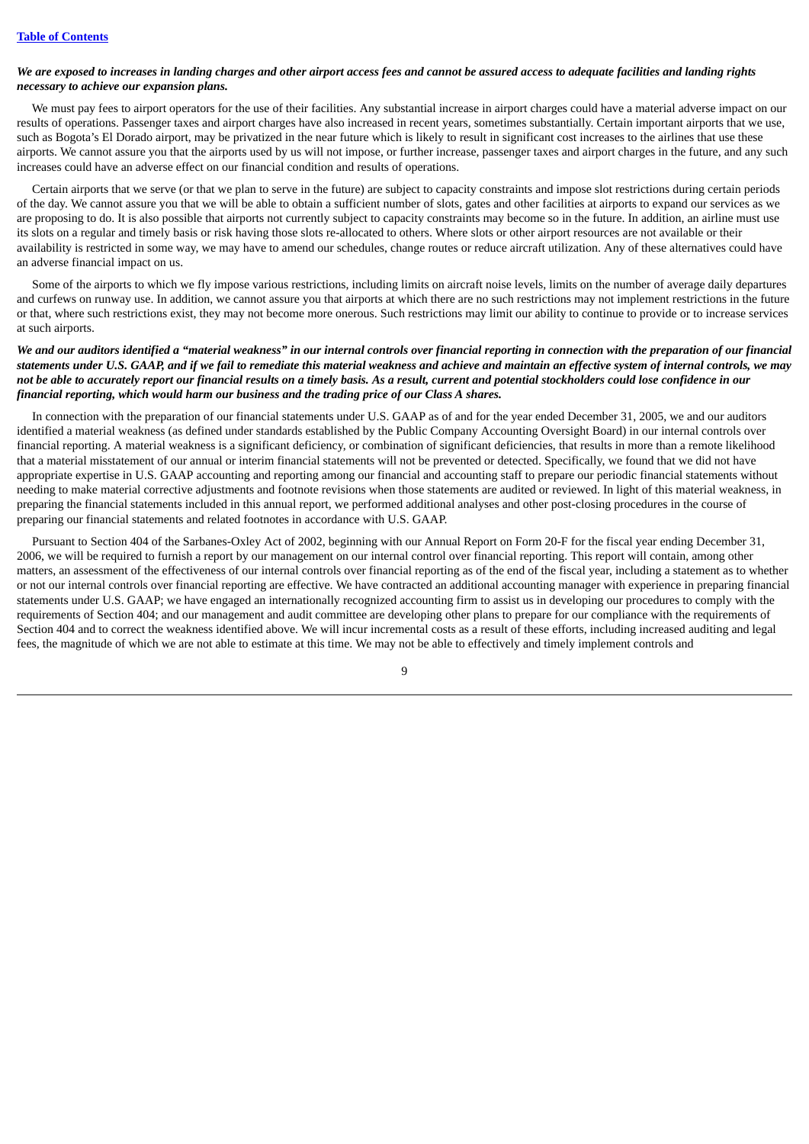## We are exposed to increases in landing charges and other airport access fees and cannot be assured access to adequate facilities and landing rights *necessary to achieve our expansion plans.*

We must pay fees to airport operators for the use of their facilities. Any substantial increase in airport charges could have a material adverse impact on our results of operations. Passenger taxes and airport charges have also increased in recent years, sometimes substantially. Certain important airports that we use, such as Bogota's El Dorado airport, may be privatized in the near future which is likely to result in significant cost increases to the airlines that use these airports. We cannot assure you that the airports used by us will not impose, or further increase, passenger taxes and airport charges in the future, and any such increases could have an adverse effect on our financial condition and results of operations.

Certain airports that we serve (or that we plan to serve in the future) are subject to capacity constraints and impose slot restrictions during certain periods of the day. We cannot assure you that we will be able to obtain a sufficient number of slots, gates and other facilities at airports to expand our services as we are proposing to do. It is also possible that airports not currently subject to capacity constraints may become so in the future. In addition, an airline must use its slots on a regular and timely basis or risk having those slots re-allocated to others. Where slots or other airport resources are not available or their availability is restricted in some way, we may have to amend our schedules, change routes or reduce aircraft utilization. Any of these alternatives could have an adverse financial impact on us.

Some of the airports to which we fly impose various restrictions, including limits on aircraft noise levels, limits on the number of average daily departures and curfews on runway use. In addition, we cannot assure you that airports at which there are no such restrictions may not implement restrictions in the future or that, where such restrictions exist, they may not become more onerous. Such restrictions may limit our ability to continue to provide or to increase services at such airports.

## We and our auditors identified a "material weakness" in our internal controls over financial reporting in connection with the preparation of our financial statements under U.S. GAAP, and if we fail to remediate this material weakness and achieve and maintain an effective system of internal controls, we may not be able to accurately report our financial results on a timely basis. As a result, current and potential stockholders could lose confidence in our *financial reporting, which would harm our business and the trading price of our Class A shares.*

In connection with the preparation of our financial statements under U.S. GAAP as of and for the year ended December 31, 2005, we and our auditors identified a material weakness (as defined under standards established by the Public Company Accounting Oversight Board) in our internal controls over financial reporting. A material weakness is a significant deficiency, or combination of significant deficiencies, that results in more than a remote likelihood that a material misstatement of our annual or interim financial statements will not be prevented or detected. Specifically, we found that we did not have appropriate expertise in U.S. GAAP accounting and reporting among our financial and accounting staff to prepare our periodic financial statements without needing to make material corrective adjustments and footnote revisions when those statements are audited or reviewed. In light of this material weakness, in preparing the financial statements included in this annual report, we performed additional analyses and other post-closing procedures in the course of preparing our financial statements and related footnotes in accordance with U.S. GAAP.

Pursuant to Section 404 of the Sarbanes-Oxley Act of 2002, beginning with our Annual Report on Form 20-F for the fiscal year ending December 31, 2006, we will be required to furnish a report by our management on our internal control over financial reporting. This report will contain, among other matters, an assessment of the effectiveness of our internal controls over financial reporting as of the end of the fiscal year, including a statement as to whether or not our internal controls over financial reporting are effective. We have contracted an additional accounting manager with experience in preparing financial statements under U.S. GAAP; we have engaged an internationally recognized accounting firm to assist us in developing our procedures to comply with the requirements of Section 404; and our management and audit committee are developing other plans to prepare for our compliance with the requirements of Section 404 and to correct the weakness identified above. We will incur incremental costs as a result of these efforts, including increased auditing and legal fees, the magnitude of which we are not able to estimate at this time. We may not be able to effectively and timely implement controls and

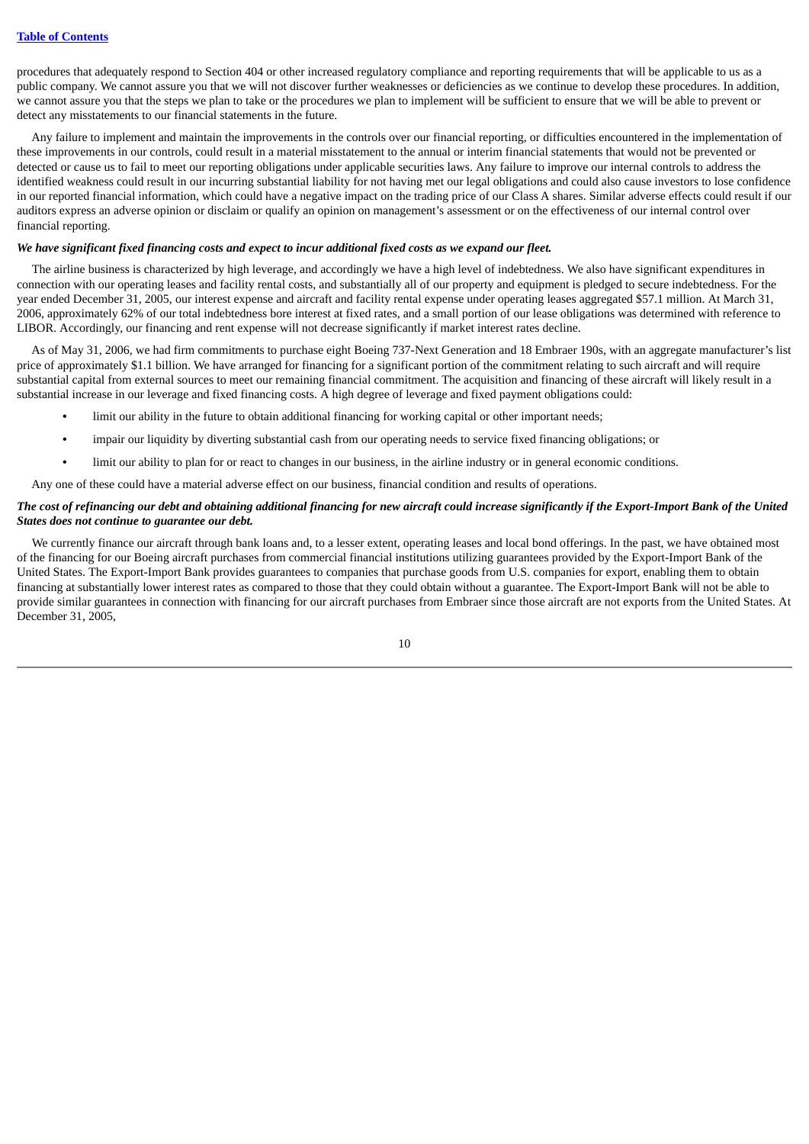procedures that adequately respond to Section 404 or other increased regulatory compliance and reporting requirements that will be applicable to us as a public company. We cannot assure you that we will not discover further weaknesses or deficiencies as we continue to develop these procedures. In addition, we cannot assure you that the steps we plan to take or the procedures we plan to implement will be sufficient to ensure that we will be able to prevent or detect any misstatements to our financial statements in the future.

Any failure to implement and maintain the improvements in the controls over our financial reporting, or difficulties encountered in the implementation of these improvements in our controls, could result in a material misstatement to the annual or interim financial statements that would not be prevented or detected or cause us to fail to meet our reporting obligations under applicable securities laws. Any failure to improve our internal controls to address the identified weakness could result in our incurring substantial liability for not having met our legal obligations and could also cause investors to lose confidence in our reported financial information, which could have a negative impact on the trading price of our Class A shares. Similar adverse effects could result if our auditors express an adverse opinion or disclaim or qualify an opinion on management's assessment or on the effectiveness of our internal control over financial reporting.

## We have significant fixed financing costs and expect to incur additional fixed costs as we expand our fleet.

The airline business is characterized by high leverage, and accordingly we have a high level of indebtedness. We also have significant expenditures in connection with our operating leases and facility rental costs, and substantially all of our property and equipment is pledged to secure indebtedness. For the year ended December 31, 2005, our interest expense and aircraft and facility rental expense under operating leases aggregated \$57.1 million. At March 31, 2006, approximately 62% of our total indebtedness bore interest at fixed rates, and a small portion of our lease obligations was determined with reference to LIBOR. Accordingly, our financing and rent expense will not decrease significantly if market interest rates decline.

As of May 31, 2006, we had firm commitments to purchase eight Boeing 737-Next Generation and 18 Embraer 190s, with an aggregate manufacturer's list price of approximately \$1.1 billion. We have arranged for financing for a significant portion of the commitment relating to such aircraft and will require substantial capital from external sources to meet our remaining financial commitment. The acquisition and financing of these aircraft will likely result in a substantial increase in our leverage and fixed financing costs. A high degree of leverage and fixed payment obligations could:

- **•** limit our ability in the future to obtain additional financing for working capital or other important needs;
- **•** impair our liquidity by diverting substantial cash from our operating needs to service fixed financing obligations; or
- **•** limit our ability to plan for or react to changes in our business, in the airline industry or in general economic conditions.

Any one of these could have a material adverse effect on our business, financial condition and results of operations.

## The cost of refinancing our debt and obtaining additional financing for new aircraft could increase significantly if the Export-Import Bank of the United *States does not continue to guarantee our debt.*

We currently finance our aircraft through bank loans and, to a lesser extent, operating leases and local bond offerings. In the past, we have obtained most of the financing for our Boeing aircraft purchases from commercial financial institutions utilizing guarantees provided by the Export-Import Bank of the United States. The Export-Import Bank provides guarantees to companies that purchase goods from U.S. companies for export, enabling them to obtain financing at substantially lower interest rates as compared to those that they could obtain without a guarantee. The Export-Import Bank will not be able to provide similar guarantees in connection with financing for our aircraft purchases from Embraer since those aircraft are not exports from the United States. At December 31, 2005,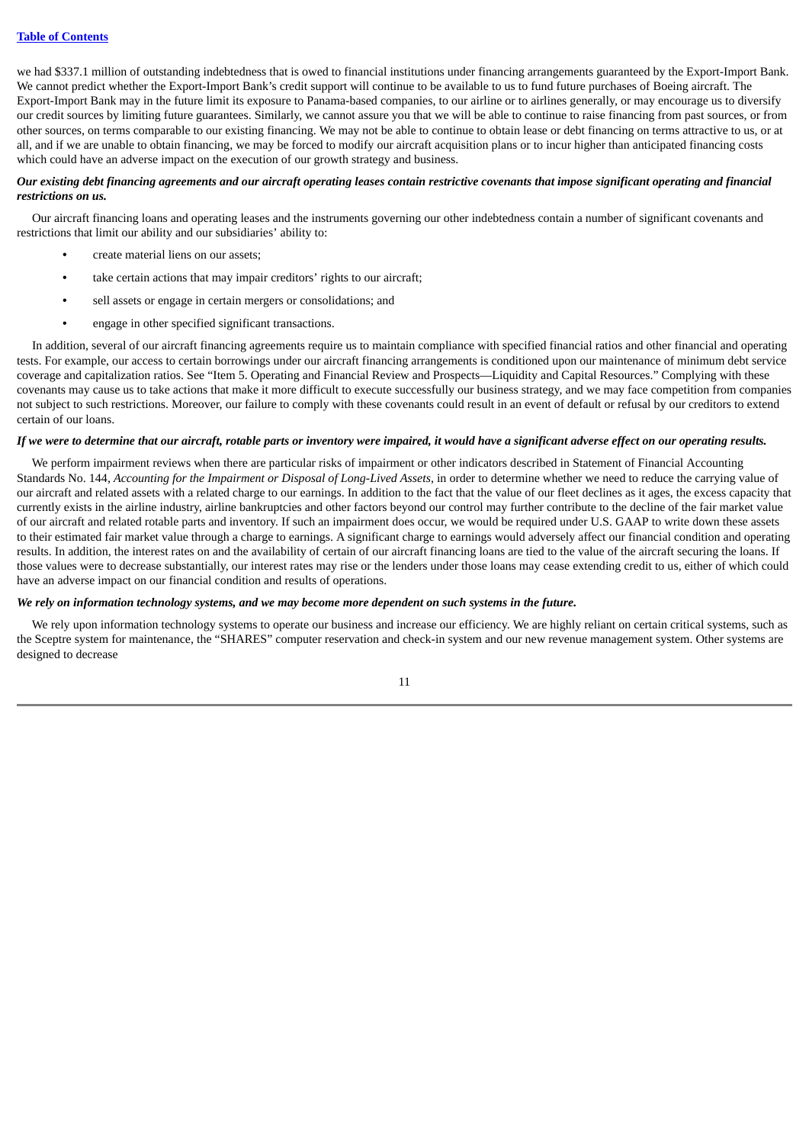we had \$337.1 million of outstanding indebtedness that is owed to financial institutions under financing arrangements guaranteed by the Export-Import Bank. We cannot predict whether the Export-Import Bank's credit support will continue to be available to us to fund future purchases of Boeing aircraft. The Export-Import Bank may in the future limit its exposure to Panama-based companies, to our airline or to airlines generally, or may encourage us to diversify our credit sources by limiting future guarantees. Similarly, we cannot assure you that we will be able to continue to raise financing from past sources, or from other sources, on terms comparable to our existing financing. We may not be able to continue to obtain lease or debt financing on terms attractive to us, or at all, and if we are unable to obtain financing, we may be forced to modify our aircraft acquisition plans or to incur higher than anticipated financing costs which could have an adverse impact on the execution of our growth strategy and business.

## Our existing debt financing agreements and our aircraft operating leases contain restrictive covenants that impose significant operating and financial *restrictions on us.*

Our aircraft financing loans and operating leases and the instruments governing our other indebtedness contain a number of significant covenants and restrictions that limit our ability and our subsidiaries' ability to:

- **•** create material liens on our assets;
- **•** take certain actions that may impair creditors' rights to our aircraft;
- **•** sell assets or engage in certain mergers or consolidations; and
- **•** engage in other specified significant transactions.

In addition, several of our aircraft financing agreements require us to maintain compliance with specified financial ratios and other financial and operating tests. For example, our access to certain borrowings under our aircraft financing arrangements is conditioned upon our maintenance of minimum debt service coverage and capitalization ratios. See "Item 5. Operating and Financial Review and Prospects—Liquidity and Capital Resources." Complying with these covenants may cause us to take actions that make it more difficult to execute successfully our business strategy, and we may face competition from companies not subject to such restrictions. Moreover, our failure to comply with these covenants could result in an event of default or refusal by our creditors to extend certain of our loans.

#### If we were to determine that our aircraft, rotable parts or inventory were impaired, it would have a significant adverse effect on our operating results.

We perform impairment reviews when there are particular risks of impairment or other indicators described in Statement of Financial Accounting Standards No. 144, *Accounting for the Impairment or Disposal of Long-Lived Assets*, in order to determine whether we need to reduce the carrying value of our aircraft and related assets with a related charge to our earnings. In addition to the fact that the value of our fleet declines as it ages, the excess capacity that currently exists in the airline industry, airline bankruptcies and other factors beyond our control may further contribute to the decline of the fair market value of our aircraft and related rotable parts and inventory. If such an impairment does occur, we would be required under U.S. GAAP to write down these assets to their estimated fair market value through a charge to earnings. A significant charge to earnings would adversely affect our financial condition and operating results. In addition, the interest rates on and the availability of certain of our aircraft financing loans are tied to the value of the aircraft securing the loans. If those values were to decrease substantially, our interest rates may rise or the lenders under those loans may cease extending credit to us, either of which could have an adverse impact on our financial condition and results of operations.

#### We rely on information technology systems, and we may become more dependent on such systems in the future.

We rely upon information technology systems to operate our business and increase our efficiency. We are highly reliant on certain critical systems, such as the Sceptre system for maintenance, the "SHARES" computer reservation and check-in system and our new revenue management system. Other systems are designed to decrease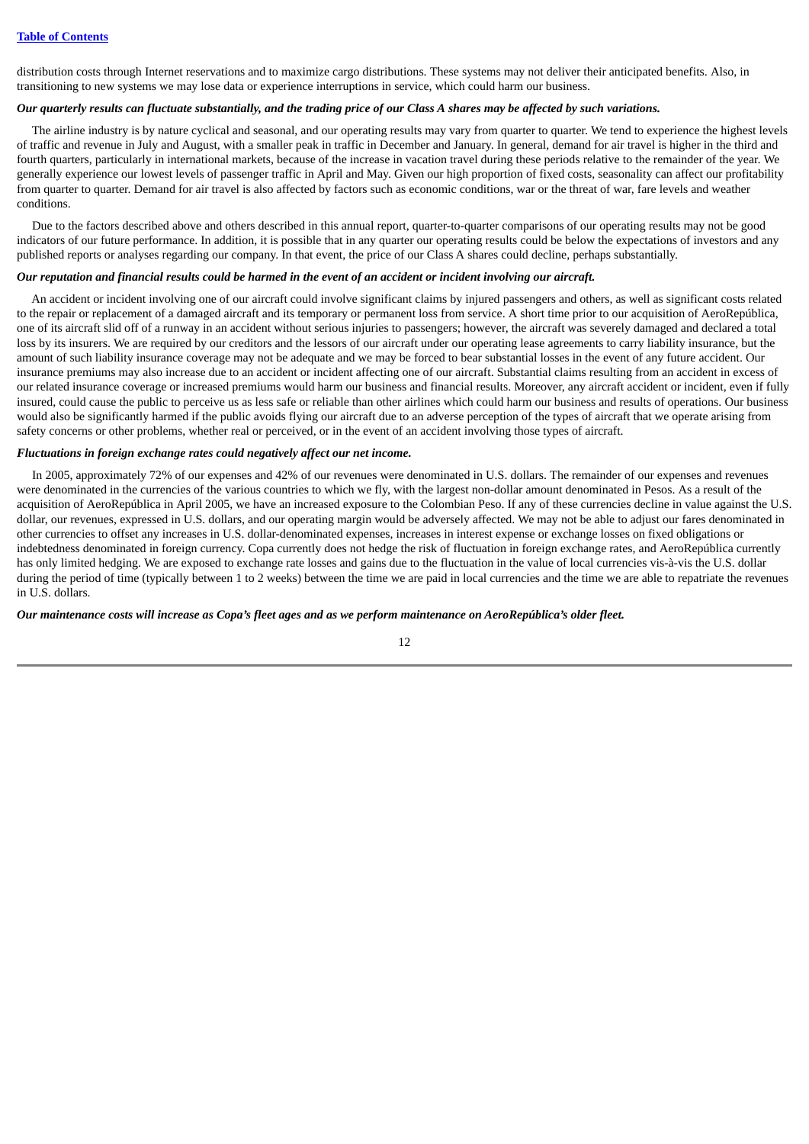distribution costs through Internet reservations and to maximize cargo distributions. These systems may not deliver their anticipated benefits. Also, in transitioning to new systems we may lose data or experience interruptions in service, which could harm our business.

## Our quarterly results can fluctuate substantially, and the trading price of our Class A shares may be affected by such variations.

The airline industry is by nature cyclical and seasonal, and our operating results may vary from quarter to quarter. We tend to experience the highest levels of traffic and revenue in July and August, with a smaller peak in traffic in December and January. In general, demand for air travel is higher in the third and fourth quarters, particularly in international markets, because of the increase in vacation travel during these periods relative to the remainder of the year. We generally experience our lowest levels of passenger traffic in April and May. Given our high proportion of fixed costs, seasonality can affect our profitability from quarter to quarter. Demand for air travel is also affected by factors such as economic conditions, war or the threat of war, fare levels and weather conditions.

Due to the factors described above and others described in this annual report, quarter-to-quarter comparisons of our operating results may not be good indicators of our future performance. In addition, it is possible that in any quarter our operating results could be below the expectations of investors and any published reports or analyses regarding our company. In that event, the price of our Class A shares could decline, perhaps substantially.

## Our reputation and financial results could be harmed in the event of an accident or incident involving our aircraft.

An accident or incident involving one of our aircraft could involve significant claims by injured passengers and others, as well as significant costs related to the repair or replacement of a damaged aircraft and its temporary or permanent loss from service. A short time prior to our acquisition of AeroRepública, one of its aircraft slid off of a runway in an accident without serious injuries to passengers; however, the aircraft was severely damaged and declared a total loss by its insurers. We are required by our creditors and the lessors of our aircraft under our operating lease agreements to carry liability insurance, but the amount of such liability insurance coverage may not be adequate and we may be forced to bear substantial losses in the event of any future accident. Our insurance premiums may also increase due to an accident or incident affecting one of our aircraft. Substantial claims resulting from an accident in excess of our related insurance coverage or increased premiums would harm our business and financial results. Moreover, any aircraft accident or incident, even if fully insured, could cause the public to perceive us as less safe or reliable than other airlines which could harm our business and results of operations. Our business would also be significantly harmed if the public avoids flying our aircraft due to an adverse perception of the types of aircraft that we operate arising from safety concerns or other problems, whether real or perceived, or in the event of an accident involving those types of aircraft.

### *Fluctuations in foreign exchange rates could negatively affect our net income.*

In 2005, approximately 72% of our expenses and 42% of our revenues were denominated in U.S. dollars. The remainder of our expenses and revenues were denominated in the currencies of the various countries to which we fly, with the largest non-dollar amount denominated in Pesos. As a result of the acquisition of AeroRepública in April 2005, we have an increased exposure to the Colombian Peso. If any of these currencies decline in value against the U.S. dollar, our revenues, expressed in U.S. dollars, and our operating margin would be adversely affected. We may not be able to adjust our fares denominated in other currencies to offset any increases in U.S. dollar-denominated expenses, increases in interest expense or exchange losses on fixed obligations or indebtedness denominated in foreign currency. Copa currently does not hedge the risk of fluctuation in foreign exchange rates, and AeroRepública currently has only limited hedging. We are exposed to exchange rate losses and gains due to the fluctuation in the value of local currencies vis-à-vis the U.S. dollar during the period of time (typically between 1 to 2 weeks) between the time we are paid in local currencies and the time we are able to repatriate the revenues in U.S. dollars.

Our maintenance costs will increase as Copa's fleet ages and as we perform maintenance on AeroRepública's older fleet.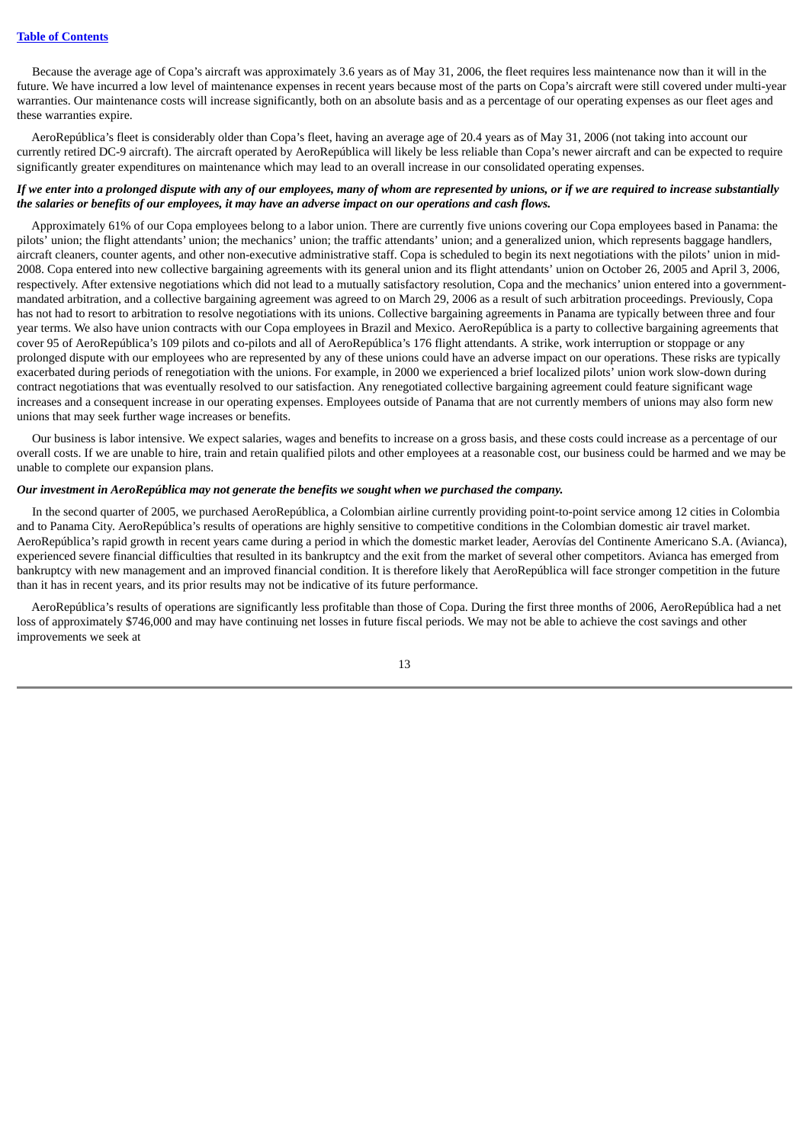Because the average age of Copa's aircraft was approximately 3.6 years as of May 31, 2006, the fleet requires less maintenance now than it will in the future. We have incurred a low level of maintenance expenses in recent years because most of the parts on Copa's aircraft were still covered under multi-year warranties. Our maintenance costs will increase significantly, both on an absolute basis and as a percentage of our operating expenses as our fleet ages and these warranties expire.

AeroRepública's fleet is considerably older than Copa's fleet, having an average age of 20.4 years as of May 31, 2006 (not taking into account our currently retired DC-9 aircraft). The aircraft operated by AeroRepública will likely be less reliable than Copa's newer aircraft and can be expected to require significantly greater expenditures on maintenance which may lead to an overall increase in our consolidated operating expenses.

## If we enter into a prolonged dispute with any of our employees, many of whom are represented by unions, or if we are required to increase substantially the salaries or benefits of our employees, it may have an adverse impact on our operations and cash flows.

Approximately 61% of our Copa employees belong to a labor union. There are currently five unions covering our Copa employees based in Panama: the pilots' union; the flight attendants' union; the mechanics' union; the traffic attendants' union; and a generalized union, which represents baggage handlers, aircraft cleaners, counter agents, and other non-executive administrative staff. Copa is scheduled to begin its next negotiations with the pilots' union in mid-2008. Copa entered into new collective bargaining agreements with its general union and its flight attendants' union on October 26, 2005 and April 3, 2006, respectively. After extensive negotiations which did not lead to a mutually satisfactory resolution, Copa and the mechanics' union entered into a governmentmandated arbitration, and a collective bargaining agreement was agreed to on March 29, 2006 as a result of such arbitration proceedings. Previously, Copa has not had to resort to arbitration to resolve negotiations with its unions. Collective bargaining agreements in Panama are typically between three and four year terms. We also have union contracts with our Copa employees in Brazil and Mexico. AeroRepública is a party to collective bargaining agreements that cover 95 of AeroRepública's 109 pilots and co-pilots and all of AeroRepública's 176 flight attendants. A strike, work interruption or stoppage or any prolonged dispute with our employees who are represented by any of these unions could have an adverse impact on our operations. These risks are typically exacerbated during periods of renegotiation with the unions. For example, in 2000 we experienced a brief localized pilots' union work slow-down during contract negotiations that was eventually resolved to our satisfaction. Any renegotiated collective bargaining agreement could feature significant wage increases and a consequent increase in our operating expenses. Employees outside of Panama that are not currently members of unions may also form new unions that may seek further wage increases or benefits.

Our business is labor intensive. We expect salaries, wages and benefits to increase on a gross basis, and these costs could increase as a percentage of our overall costs. If we are unable to hire, train and retain qualified pilots and other employees at a reasonable cost, our business could be harmed and we may be unable to complete our expansion plans.

## *Our investment in AeroRepública may not generate the benefits we sought when we purchased the company.*

In the second quarter of 2005, we purchased AeroRepública, a Colombian airline currently providing point-to-point service among 12 cities in Colombia and to Panama City. AeroRepública's results of operations are highly sensitive to competitive conditions in the Colombian domestic air travel market. AeroRepública's rapid growth in recent years came during a period in which the domestic market leader, Aerovías del Continente Americano S.A. (Avianca), experienced severe financial difficulties that resulted in its bankruptcy and the exit from the market of several other competitors. Avianca has emerged from bankruptcy with new management and an improved financial condition. It is therefore likely that AeroRepública will face stronger competition in the future than it has in recent years, and its prior results may not be indicative of its future performance.

AeroRepública's results of operations are significantly less profitable than those of Copa. During the first three months of 2006, AeroRepública had a net loss of approximately \$746,000 and may have continuing net losses in future fiscal periods. We may not be able to achieve the cost savings and other improvements we seek at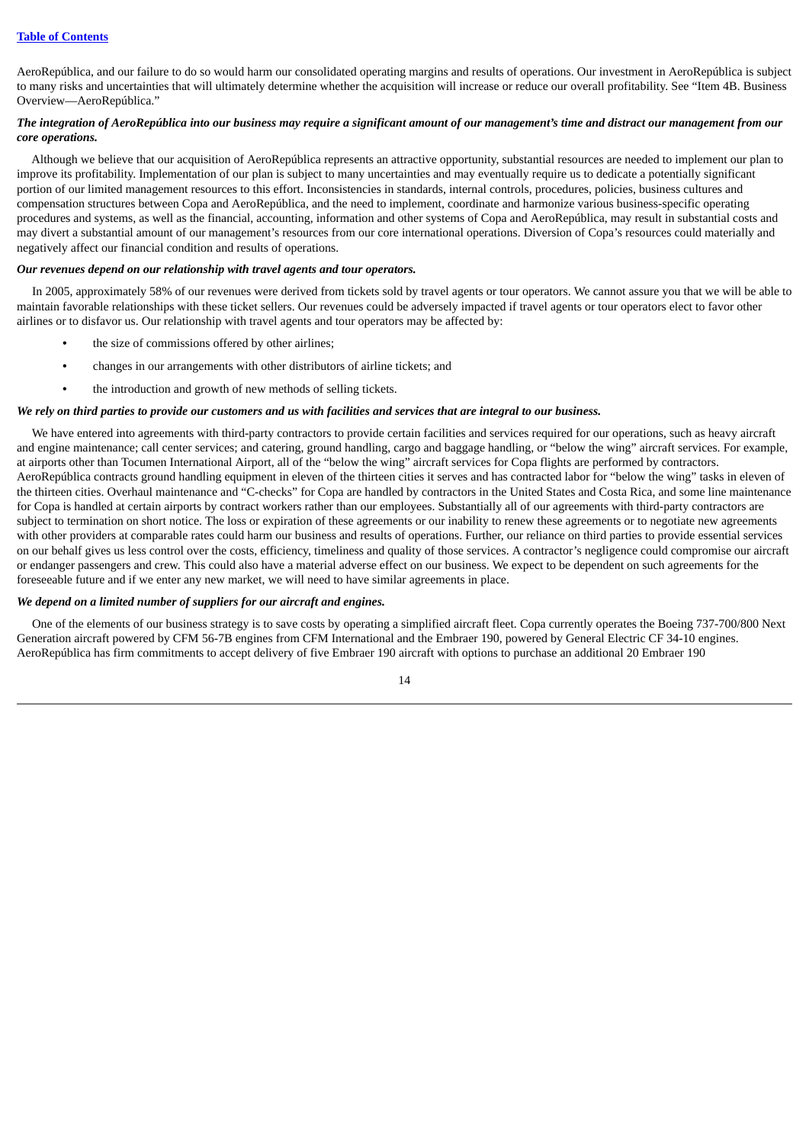AeroRepública, and our failure to do so would harm our consolidated operating margins and results of operations. Our investment in AeroRepública is subject to many risks and uncertainties that will ultimately determine whether the acquisition will increase or reduce our overall profitability. See "Item 4B. Business Overview—AeroRepública."

## The integration of AeroRepública into our business may require a significant amount of our management's time and distract our management from our *core operations.*

Although we believe that our acquisition of AeroRepública represents an attractive opportunity, substantial resources are needed to implement our plan to improve its profitability. Implementation of our plan is subject to many uncertainties and may eventually require us to dedicate a potentially significant portion of our limited management resources to this effort. Inconsistencies in standards, internal controls, procedures, policies, business cultures and compensation structures between Copa and AeroRepública, and the need to implement, coordinate and harmonize various business-specific operating procedures and systems, as well as the financial, accounting, information and other systems of Copa and AeroRepública, may result in substantial costs and may divert a substantial amount of our management's resources from our core international operations. Diversion of Copa's resources could materially and negatively affect our financial condition and results of operations.

## *Our revenues depend on our relationship with travel agents and tour operators.*

In 2005, approximately 58% of our revenues were derived from tickets sold by travel agents or tour operators. We cannot assure you that we will be able to maintain favorable relationships with these ticket sellers. Our revenues could be adversely impacted if travel agents or tour operators elect to favor other airlines or to disfavor us. Our relationship with travel agents and tour operators may be affected by:

- **•** the size of commissions offered by other airlines;
- **•** changes in our arrangements with other distributors of airline tickets; and
- **•** the introduction and growth of new methods of selling tickets.

## We rely on third parties to provide our customers and us with facilities and services that are integral to our business.

We have entered into agreements with third-party contractors to provide certain facilities and services required for our operations, such as heavy aircraft and engine maintenance; call center services; and catering, ground handling, cargo and baggage handling, or "below the wing" aircraft services. For example, at airports other than Tocumen International Airport, all of the "below the wing" aircraft services for Copa flights are performed by contractors. AeroRepública contracts ground handling equipment in eleven of the thirteen cities it serves and has contracted labor for "below the wing" tasks in eleven of the thirteen cities. Overhaul maintenance and "C-checks" for Copa are handled by contractors in the United States and Costa Rica, and some line maintenance for Copa is handled at certain airports by contract workers rather than our employees. Substantially all of our agreements with third-party contractors are subject to termination on short notice. The loss or expiration of these agreements or our inability to renew these agreements or to negotiate new agreements with other providers at comparable rates could harm our business and results of operations. Further, our reliance on third parties to provide essential services on our behalf gives us less control over the costs, efficiency, timeliness and quality of those services. A contractor's negligence could compromise our aircraft or endanger passengers and crew. This could also have a material adverse effect on our business. We expect to be dependent on such agreements for the foreseeable future and if we enter any new market, we will need to have similar agreements in place.

#### *We depend on a limited number of suppliers for our aircraft and engines.*

One of the elements of our business strategy is to save costs by operating a simplified aircraft fleet. Copa currently operates the Boeing 737-700/800 Next Generation aircraft powered by CFM 56-7B engines from CFM International and the Embraer 190, powered by General Electric CF 34-10 engines. AeroRepública has firm commitments to accept delivery of five Embraer 190 aircraft with options to purchase an additional 20 Embraer 190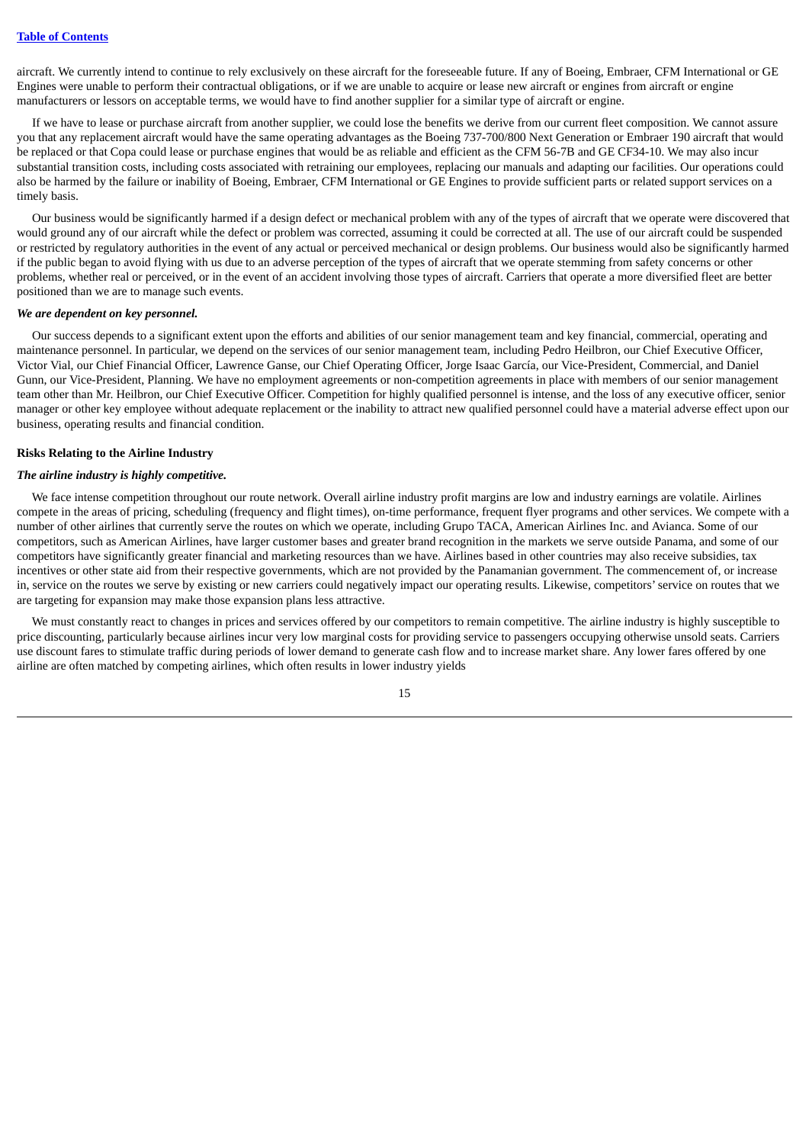aircraft. We currently intend to continue to rely exclusively on these aircraft for the foreseeable future. If any of Boeing, Embraer, CFM International or GE Engines were unable to perform their contractual obligations, or if we are unable to acquire or lease new aircraft or engines from aircraft or engine manufacturers or lessors on acceptable terms, we would have to find another supplier for a similar type of aircraft or engine.

If we have to lease or purchase aircraft from another supplier, we could lose the benefits we derive from our current fleet composition. We cannot assure you that any replacement aircraft would have the same operating advantages as the Boeing 737-700/800 Next Generation or Embraer 190 aircraft that would be replaced or that Copa could lease or purchase engines that would be as reliable and efficient as the CFM 56-7B and GE CF34-10. We may also incur substantial transition costs, including costs associated with retraining our employees, replacing our manuals and adapting our facilities. Our operations could also be harmed by the failure or inability of Boeing, Embraer, CFM International or GE Engines to provide sufficient parts or related support services on a timely basis.

Our business would be significantly harmed if a design defect or mechanical problem with any of the types of aircraft that we operate were discovered that would ground any of our aircraft while the defect or problem was corrected, assuming it could be corrected at all. The use of our aircraft could be suspended or restricted by regulatory authorities in the event of any actual or perceived mechanical or design problems. Our business would also be significantly harmed if the public began to avoid flying with us due to an adverse perception of the types of aircraft that we operate stemming from safety concerns or other problems, whether real or perceived, or in the event of an accident involving those types of aircraft. Carriers that operate a more diversified fleet are better positioned than we are to manage such events.

#### *We are dependent on key personnel.*

Our success depends to a significant extent upon the efforts and abilities of our senior management team and key financial, commercial, operating and maintenance personnel. In particular, we depend on the services of our senior management team, including Pedro Heilbron, our Chief Executive Officer, Victor Vial, our Chief Financial Officer, Lawrence Ganse, our Chief Operating Officer, Jorge Isaac García, our Vice-President, Commercial, and Daniel Gunn, our Vice-President, Planning. We have no employment agreements or non-competition agreements in place with members of our senior management team other than Mr. Heilbron, our Chief Executive Officer. Competition for highly qualified personnel is intense, and the loss of any executive officer, senior manager or other key employee without adequate replacement or the inability to attract new qualified personnel could have a material adverse effect upon our business, operating results and financial condition.

## **Risks Relating to the Airline Industry**

#### *The airline industry is highly competitive.*

We face intense competition throughout our route network. Overall airline industry profit margins are low and industry earnings are volatile. Airlines compete in the areas of pricing, scheduling (frequency and flight times), on-time performance, frequent flyer programs and other services. We compete with a number of other airlines that currently serve the routes on which we operate, including Grupo TACA, American Airlines Inc. and Avianca. Some of our competitors, such as American Airlines, have larger customer bases and greater brand recognition in the markets we serve outside Panama, and some of our competitors have significantly greater financial and marketing resources than we have. Airlines based in other countries may also receive subsidies, tax incentives or other state aid from their respective governments, which are not provided by the Panamanian government. The commencement of, or increase in, service on the routes we serve by existing or new carriers could negatively impact our operating results. Likewise, competitors'service on routes that we are targeting for expansion may make those expansion plans less attractive.

We must constantly react to changes in prices and services offered by our competitors to remain competitive. The airline industry is highly susceptible to price discounting, particularly because airlines incur very low marginal costs for providing service to passengers occupying otherwise unsold seats. Carriers use discount fares to stimulate traffic during periods of lower demand to generate cash flow and to increase market share. Any lower fares offered by one airline are often matched by competing airlines, which often results in lower industry yields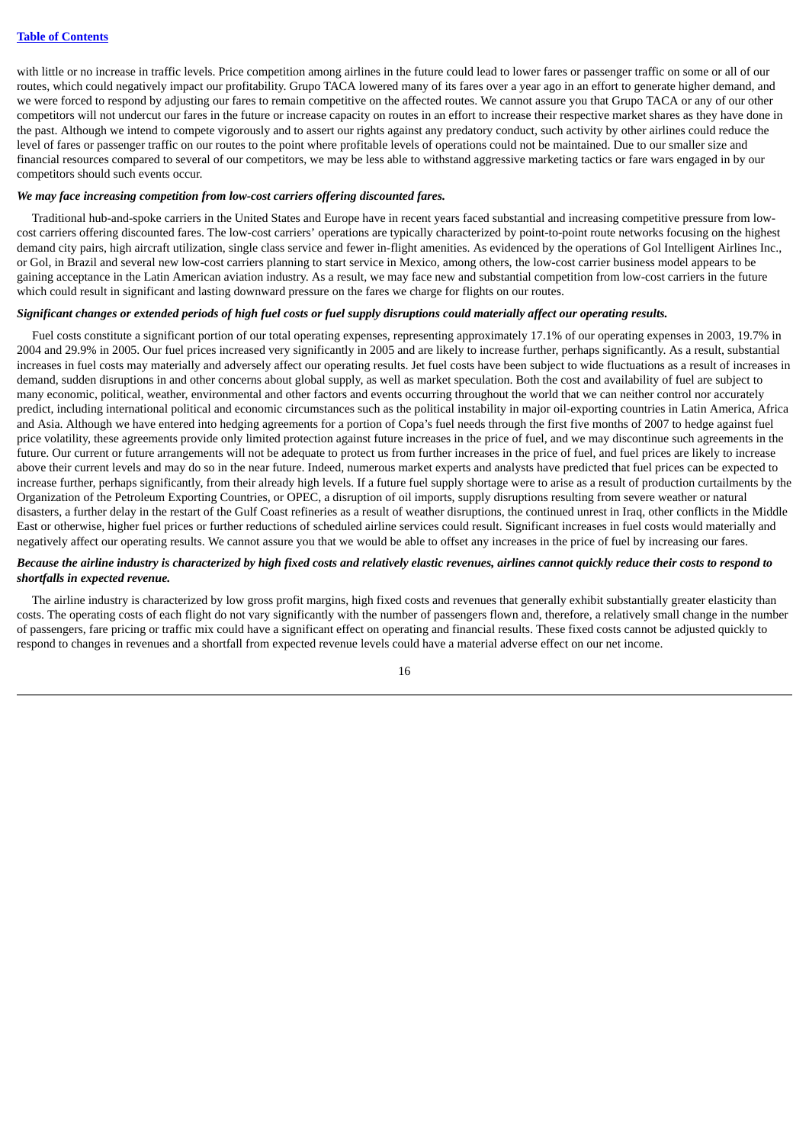with little or no increase in traffic levels. Price competition among airlines in the future could lead to lower fares or passenger traffic on some or all of our routes, which could negatively impact our profitability. Grupo TACA lowered many of its fares over a year ago in an effort to generate higher demand, and we were forced to respond by adjusting our fares to remain competitive on the affected routes. We cannot assure you that Grupo TACA or any of our other competitors will not undercut our fares in the future or increase capacity on routes in an effort to increase their respective market shares as they have done in the past. Although we intend to compete vigorously and to assert our rights against any predatory conduct, such activity by other airlines could reduce the level of fares or passenger traffic on our routes to the point where profitable levels of operations could not be maintained. Due to our smaller size and financial resources compared to several of our competitors, we may be less able to withstand aggressive marketing tactics or fare wars engaged in by our competitors should such events occur.

#### *We may face increasing competition from low-cost carriers offering discounted fares.*

Traditional hub-and-spoke carriers in the United States and Europe have in recent years faced substantial and increasing competitive pressure from lowcost carriers offering discounted fares. The low-cost carriers' operations are typically characterized by point-to-point route networks focusing on the highest demand city pairs, high aircraft utilization, single class service and fewer in-flight amenities. As evidenced by the operations of Gol Intelligent Airlines Inc., or Gol, in Brazil and several new low-cost carriers planning to start service in Mexico, among others, the low-cost carrier business model appears to be gaining acceptance in the Latin American aviation industry. As a result, we may face new and substantial competition from low-cost carriers in the future which could result in significant and lasting downward pressure on the fares we charge for flights on our routes.

## Significant changes or extended periods of high fuel costs or fuel supply disruptions could materially affect our operating results.

Fuel costs constitute a significant portion of our total operating expenses, representing approximately 17.1% of our operating expenses in 2003, 19.7% in 2004 and 29.9% in 2005. Our fuel prices increased very significantly in 2005 and are likely to increase further, perhaps significantly. As a result, substantial increases in fuel costs may materially and adversely affect our operating results. Jet fuel costs have been subject to wide fluctuations as a result of increases in demand, sudden disruptions in and other concerns about global supply, as well as market speculation. Both the cost and availability of fuel are subject to many economic, political, weather, environmental and other factors and events occurring throughout the world that we can neither control nor accurately predict, including international political and economic circumstances such as the political instability in major oil-exporting countries in Latin America, Africa and Asia. Although we have entered into hedging agreements for a portion of Copa's fuel needs through the first five months of 2007 to hedge against fuel price volatility, these agreements provide only limited protection against future increases in the price of fuel, and we may discontinue such agreements in the future. Our current or future arrangements will not be adequate to protect us from further increases in the price of fuel, and fuel prices are likely to increase above their current levels and may do so in the near future. Indeed, numerous market experts and analysts have predicted that fuel prices can be expected to increase further, perhaps significantly, from their already high levels. If a future fuel supply shortage were to arise as a result of production curtailments by the Organization of the Petroleum Exporting Countries, or OPEC, a disruption of oil imports, supply disruptions resulting from severe weather or natural disasters, a further delay in the restart of the Gulf Coast refineries as a result of weather disruptions, the continued unrest in Iraq, other conflicts in the Middle East or otherwise, higher fuel prices or further reductions of scheduled airline services could result. Significant increases in fuel costs would materially and negatively affect our operating results. We cannot assure you that we would be able to offset any increases in the price of fuel by increasing our fares.

#### Because the airline industry is characterized by high fixed costs and relatively elastic revenues, airlines cannot quickly reduce their costs to respond to *shortfalls in expected revenue.*

The airline industry is characterized by low gross profit margins, high fixed costs and revenues that generally exhibit substantially greater elasticity than costs. The operating costs of each flight do not vary significantly with the number of passengers flown and, therefore, a relatively small change in the number of passengers, fare pricing or traffic mix could have a significant effect on operating and financial results. These fixed costs cannot be adjusted quickly to respond to changes in revenues and a shortfall from expected revenue levels could have a material adverse effect on our net income.

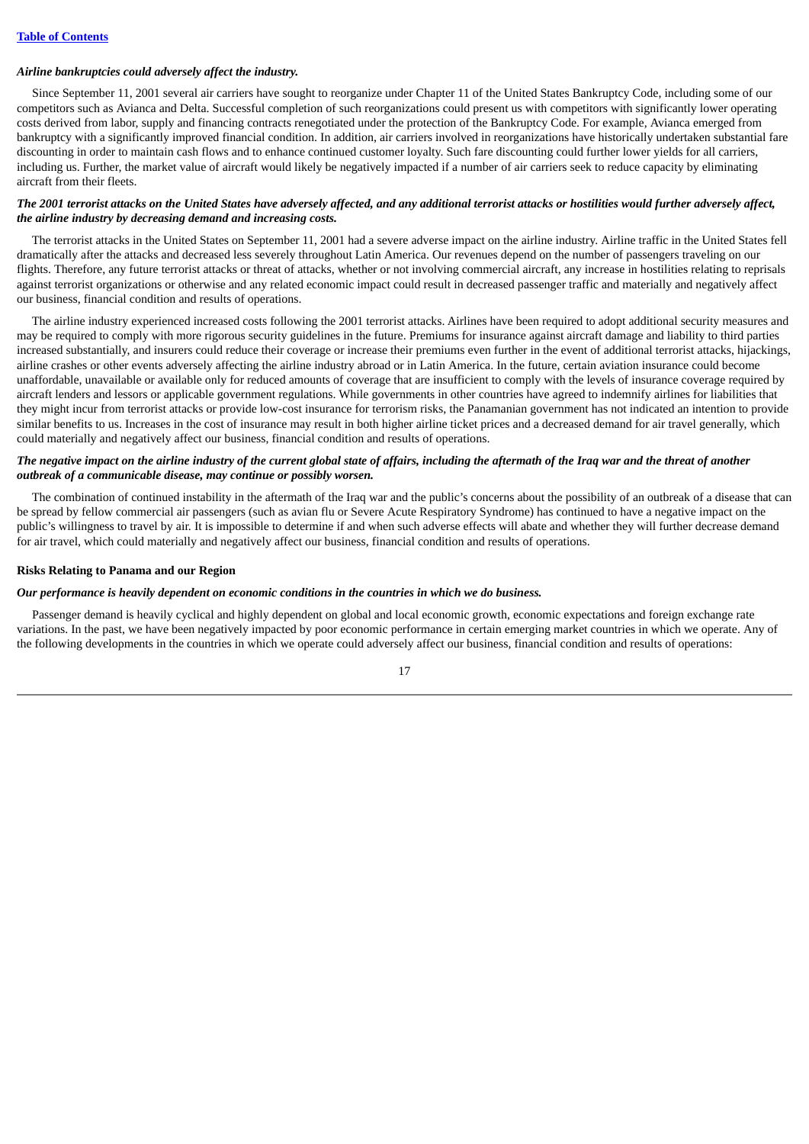#### *Airline bankruptcies could adversely affect the industry.*

Since September 11, 2001 several air carriers have sought to reorganize under Chapter 11 of the United States Bankruptcy Code, including some of our competitors such as Avianca and Delta. Successful completion of such reorganizations could present us with competitors with significantly lower operating costs derived from labor, supply and financing contracts renegotiated under the protection of the Bankruptcy Code. For example, Avianca emerged from bankruptcy with a significantly improved financial condition. In addition, air carriers involved in reorganizations have historically undertaken substantial fare discounting in order to maintain cash flows and to enhance continued customer loyalty. Such fare discounting could further lower yields for all carriers, including us. Further, the market value of aircraft would likely be negatively impacted if a number of air carriers seek to reduce capacity by eliminating aircraft from their fleets.

## The 2001 terrorist attacks on the United States have adversely affected, and any additional terrorist attacks or hostilities would further adversely affect, *the airline industry by decreasing demand and increasing costs.*

The terrorist attacks in the United States on September 11, 2001 had a severe adverse impact on the airline industry. Airline traffic in the United States fell dramatically after the attacks and decreased less severely throughout Latin America. Our revenues depend on the number of passengers traveling on our flights. Therefore, any future terrorist attacks or threat of attacks, whether or not involving commercial aircraft, any increase in hostilities relating to reprisals against terrorist organizations or otherwise and any related economic impact could result in decreased passenger traffic and materially and negatively affect our business, financial condition and results of operations.

The airline industry experienced increased costs following the 2001 terrorist attacks. Airlines have been required to adopt additional security measures and may be required to comply with more rigorous security guidelines in the future. Premiums for insurance against aircraft damage and liability to third parties increased substantially, and insurers could reduce their coverage or increase their premiums even further in the event of additional terrorist attacks, hijackings, airline crashes or other events adversely affecting the airline industry abroad or in Latin America. In the future, certain aviation insurance could become unaffordable, unavailable or available only for reduced amounts of coverage that are insufficient to comply with the levels of insurance coverage required by aircraft lenders and lessors or applicable government regulations. While governments in other countries have agreed to indemnify airlines for liabilities that they might incur from terrorist attacks or provide low-cost insurance for terrorism risks, the Panamanian government has not indicated an intention to provide similar benefits to us. Increases in the cost of insurance may result in both higher airline ticket prices and a decreased demand for air travel generally, which could materially and negatively affect our business, financial condition and results of operations.

## The negative impact on the airline industry of the current global state of affairs, including the aftermath of the Iraq war and the threat of another *outbreak of a communicable disease, may continue or possibly worsen.*

The combination of continued instability in the aftermath of the Iraq war and the public's concerns about the possibility of an outbreak of a disease that can be spread by fellow commercial air passengers (such as avian flu or Severe Acute Respiratory Syndrome) has continued to have a negative impact on the public's willingness to travel by air. It is impossible to determine if and when such adverse effects will abate and whether they will further decrease demand for air travel, which could materially and negatively affect our business, financial condition and results of operations.

#### **Risks Relating to Panama and our Region**

#### *Our performance is heavily dependent on economic conditions in the countries in which we do business.*

Passenger demand is heavily cyclical and highly dependent on global and local economic growth, economic expectations and foreign exchange rate variations. In the past, we have been negatively impacted by poor economic performance in certain emerging market countries in which we operate. Any of the following developments in the countries in which we operate could adversely affect our business, financial condition and results of operations:

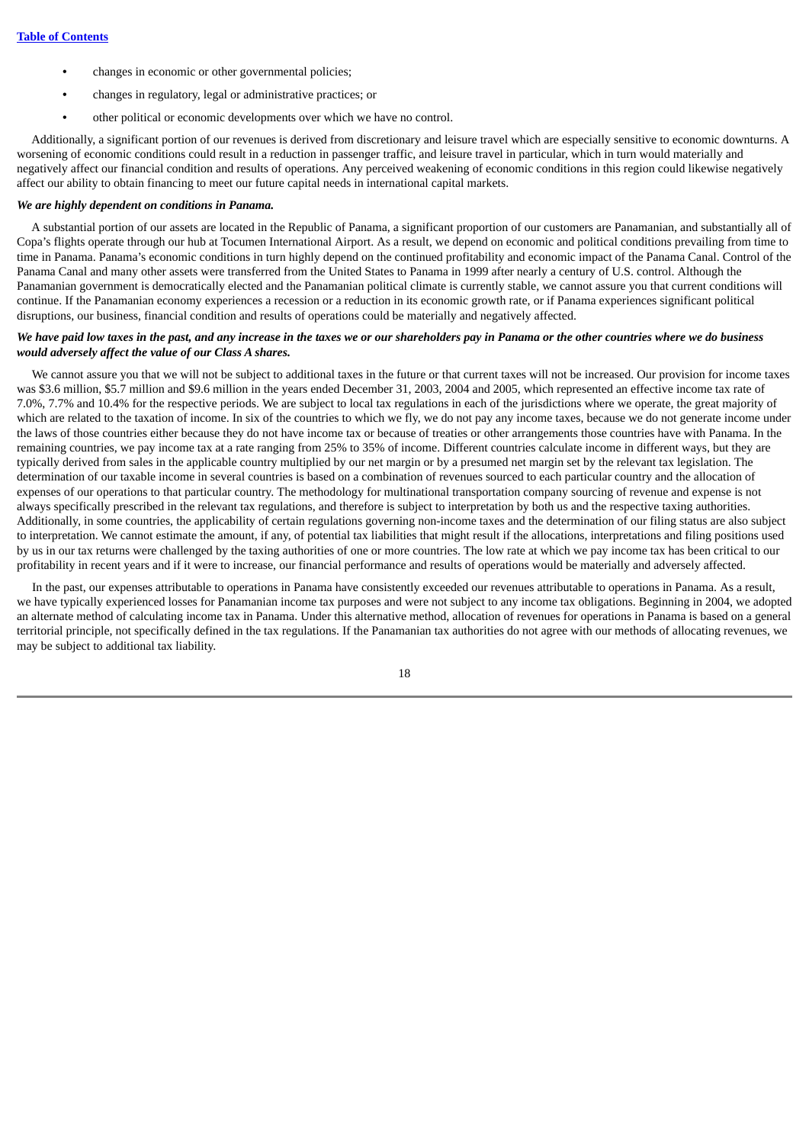- **•** changes in economic or other governmental policies;
- **•** changes in regulatory, legal or administrative practices; or
- **•** other political or economic developments over which we have no control.

Additionally, a significant portion of our revenues is derived from discretionary and leisure travel which are especially sensitive to economic downturns. A worsening of economic conditions could result in a reduction in passenger traffic, and leisure travel in particular, which in turn would materially and negatively affect our financial condition and results of operations. Any perceived weakening of economic conditions in this region could likewise negatively affect our ability to obtain financing to meet our future capital needs in international capital markets.

### *We are highly dependent on conditions in Panama.*

A substantial portion of our assets are located in the Republic of Panama, a significant proportion of our customers are Panamanian, and substantially all of Copa's flights operate through our hub at Tocumen International Airport. As a result, we depend on economic and political conditions prevailing from time to time in Panama. Panama's economic conditions in turn highly depend on the continued profitability and economic impact of the Panama Canal. Control of the Panama Canal and many other assets were transferred from the United States to Panama in 1999 after nearly a century of U.S. control. Although the Panamanian government is democratically elected and the Panamanian political climate is currently stable, we cannot assure you that current conditions will continue. If the Panamanian economy experiences a recession or a reduction in its economic growth rate, or if Panama experiences significant political disruptions, our business, financial condition and results of operations could be materially and negatively affected.

## We have paid low taxes in the past, and any increase in the taxes we or our shareholders pay in Panama or the other countries where we do business *would adversely affect the value of our Class A shares.*

We cannot assure you that we will not be subject to additional taxes in the future or that current taxes will not be increased. Our provision for income taxes was \$3.6 million, \$5.7 million and \$9.6 million in the years ended December 31, 2003, 2004 and 2005, which represented an effective income tax rate of 7.0%, 7.7% and 10.4% for the respective periods. We are subject to local tax regulations in each of the jurisdictions where we operate, the great majority of which are related to the taxation of income. In six of the countries to which we fly, we do not pay any income taxes, because we do not generate income under the laws of those countries either because they do not have income tax or because of treaties or other arrangements those countries have with Panama. In the remaining countries, we pay income tax at a rate ranging from 25% to 35% of income. Different countries calculate income in different ways, but they are typically derived from sales in the applicable country multiplied by our net margin or by a presumed net margin set by the relevant tax legislation. The determination of our taxable income in several countries is based on a combination of revenues sourced to each particular country and the allocation of expenses of our operations to that particular country. The methodology for multinational transportation company sourcing of revenue and expense is not always specifically prescribed in the relevant tax regulations, and therefore is subject to interpretation by both us and the respective taxing authorities. Additionally, in some countries, the applicability of certain regulations governing non-income taxes and the determination of our filing status are also subject to interpretation. We cannot estimate the amount, if any, of potential tax liabilities that might result if the allocations, interpretations and filing positions used by us in our tax returns were challenged by the taxing authorities of one or more countries. The low rate at which we pay income tax has been critical to our profitability in recent years and if it were to increase, our financial performance and results of operations would be materially and adversely affected.

In the past, our expenses attributable to operations in Panama have consistently exceeded our revenues attributable to operations in Panama. As a result, we have typically experienced losses for Panamanian income tax purposes and were not subject to any income tax obligations. Beginning in 2004, we adopted an alternate method of calculating income tax in Panama. Under this alternative method, allocation of revenues for operations in Panama is based on a general territorial principle, not specifically defined in the tax regulations. If the Panamanian tax authorities do not agree with our methods of allocating revenues, we may be subject to additional tax liability.

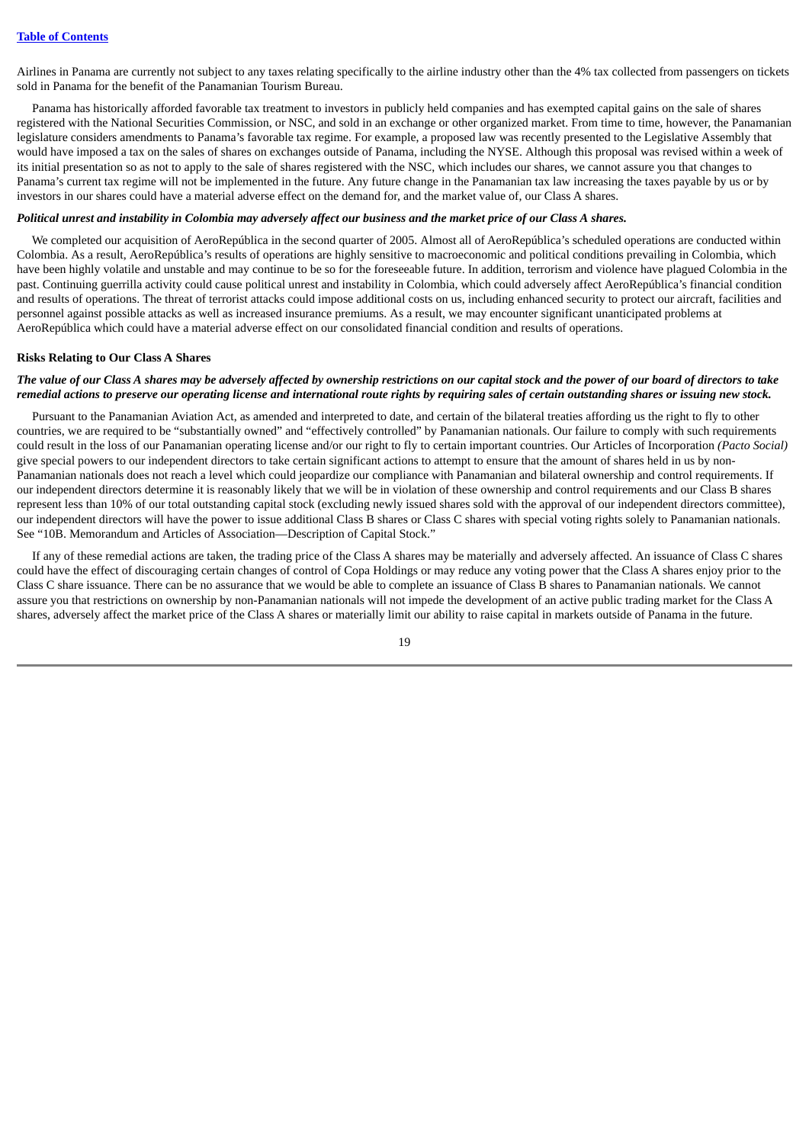Airlines in Panama are currently not subject to any taxes relating specifically to the airline industry other than the 4% tax collected from passengers on tickets sold in Panama for the benefit of the Panamanian Tourism Bureau.

Panama has historically afforded favorable tax treatment to investors in publicly held companies and has exempted capital gains on the sale of shares registered with the National Securities Commission, or NSC, and sold in an exchange or other organized market. From time to time, however, the Panamanian legislature considers amendments to Panama's favorable tax regime. For example, a proposed law was recently presented to the Legislative Assembly that would have imposed a tax on the sales of shares on exchanges outside of Panama, including the NYSE. Although this proposal was revised within a week of its initial presentation so as not to apply to the sale of shares registered with the NSC, which includes our shares, we cannot assure you that changes to Panama's current tax regime will not be implemented in the future. Any future change in the Panamanian tax law increasing the taxes payable by us or by investors in our shares could have a material adverse effect on the demand for, and the market value of, our Class A shares.

## Political unrest and instability in Colombia may adversely affect our business and the market price of our Class A shares.

We completed our acquisition of AeroRepública in the second quarter of 2005. Almost all of AeroRepública's scheduled operations are conducted within Colombia. As a result, AeroRepública's results of operations are highly sensitive to macroeconomic and political conditions prevailing in Colombia, which have been highly volatile and unstable and may continue to be so for the foreseeable future. In addition, terrorism and violence have plagued Colombia in the past. Continuing guerrilla activity could cause political unrest and instability in Colombia, which could adversely affect AeroRepública's financial condition and results of operations. The threat of terrorist attacks could impose additional costs on us, including enhanced security to protect our aircraft, facilities and personnel against possible attacks as well as increased insurance premiums. As a result, we may encounter significant unanticipated problems at AeroRepública which could have a material adverse effect on our consolidated financial condition and results of operations.

#### **Risks Relating to Our Class A Shares**

## The value of our Class A shares may be adversely affected by ownership restrictions on our capital stock and the power of our board of directors to take remedial actions to preserve our operating license and international route rights by requiring sales of certain outstanding shares or issuing new stock.

Pursuant to the Panamanian Aviation Act, as amended and interpreted to date, and certain of the bilateral treaties affording us the right to fly to other countries, we are required to be "substantially owned" and "effectively controlled" by Panamanian nationals. Our failure to comply with such requirements could result in the loss of our Panamanian operating license and/or our right to fly to certain important countries. Our Articles of Incorporation *(Pacto Social)* give special powers to our independent directors to take certain significant actions to attempt to ensure that the amount of shares held in us by non-Panamanian nationals does not reach a level which could jeopardize our compliance with Panamanian and bilateral ownership and control requirements. If our independent directors determine it is reasonably likely that we will be in violation of these ownership and control requirements and our Class B shares represent less than 10% of our total outstanding capital stock (excluding newly issued shares sold with the approval of our independent directors committee), our independent directors will have the power to issue additional Class B shares or Class C shares with special voting rights solely to Panamanian nationals. See "10B. Memorandum and Articles of Association—Description of Capital Stock."

If any of these remedial actions are taken, the trading price of the Class A shares may be materially and adversely affected. An issuance of Class C shares could have the effect of discouraging certain changes of control of Copa Holdings or may reduce any voting power that the Class A shares enjoy prior to the Class C share issuance. There can be no assurance that we would be able to complete an issuance of Class B shares to Panamanian nationals. We cannot assure you that restrictions on ownership by non-Panamanian nationals will not impede the development of an active public trading market for the Class A shares, adversely affect the market price of the Class A shares or materially limit our ability to raise capital in markets outside of Panama in the future.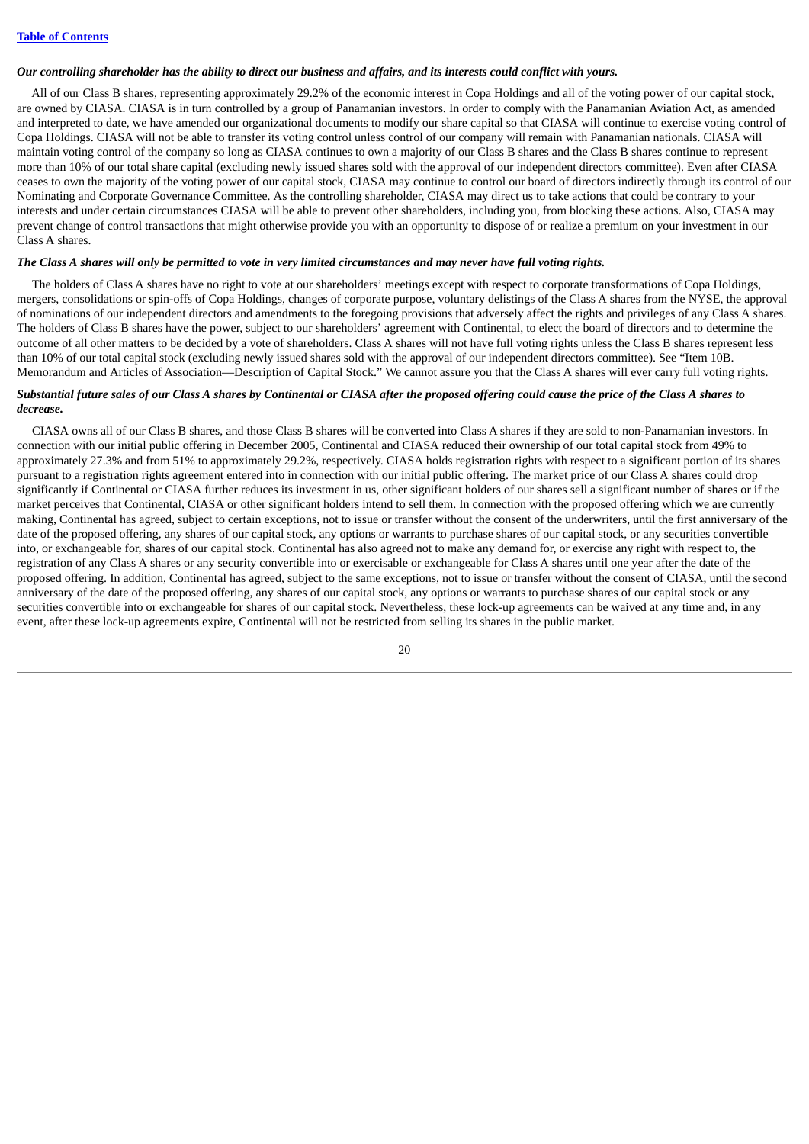#### Our controlling shareholder has the ability to direct our business and affairs, and its interests could conflict with yours.

All of our Class B shares, representing approximately 29.2% of the economic interest in Copa Holdings and all of the voting power of our capital stock, are owned by CIASA. CIASA is in turn controlled by a group of Panamanian investors. In order to comply with the Panamanian Aviation Act, as amended and interpreted to date, we have amended our organizational documents to modify our share capital so that CIASA will continue to exercise voting control of Copa Holdings. CIASA will not be able to transfer its voting control unless control of our company will remain with Panamanian nationals. CIASA will maintain voting control of the company so long as CIASA continues to own a majority of our Class B shares and the Class B shares continue to represent more than 10% of our total share capital (excluding newly issued shares sold with the approval of our independent directors committee). Even after CIASA ceases to own the majority of the voting power of our capital stock, CIASA may continue to control our board of directors indirectly through its control of our Nominating and Corporate Governance Committee. As the controlling shareholder, CIASA may direct us to take actions that could be contrary to your interests and under certain circumstances CIASA will be able to prevent other shareholders, including you, from blocking these actions. Also, CIASA may prevent change of control transactions that might otherwise provide you with an opportunity to dispose of or realize a premium on your investment in our Class A shares.

## The Class A shares will only be permitted to vote in very limited circumstances and may never have full voting rights.

The holders of Class A shares have no right to vote at our shareholders' meetings except with respect to corporate transformations of Copa Holdings, mergers, consolidations or spin-offs of Copa Holdings, changes of corporate purpose, voluntary delistings of the Class A shares from the NYSE, the approval of nominations of our independent directors and amendments to the foregoing provisions that adversely affect the rights and privileges of any Class A shares. The holders of Class B shares have the power, subject to our shareholders' agreement with Continental, to elect the board of directors and to determine the outcome of all other matters to be decided by a vote of shareholders. Class A shares will not have full voting rights unless the Class B shares represent less than 10% of our total capital stock (excluding newly issued shares sold with the approval of our independent directors committee). See "Item 10B. Memorandum and Articles of Association—Description of Capital Stock." We cannot assure you that the Class A shares will ever carry full voting rights.

## Substantial future sales of our Class A shares by Continental or CIASA after the proposed offering could cause the price of the Class A shares to *decrease.*

CIASA owns all of our Class B shares, and those Class B shares will be converted into Class A shares if they are sold to non-Panamanian investors. In connection with our initial public offering in December 2005, Continental and CIASA reduced their ownership of our total capital stock from 49% to approximately 27.3% and from 51% to approximately 29.2%, respectively. CIASA holds registration rights with respect to a significant portion of its shares pursuant to a registration rights agreement entered into in connection with our initial public offering. The market price of our Class A shares could drop significantly if Continental or CIASA further reduces its investment in us, other significant holders of our shares sell a significant number of shares or if the market perceives that Continental, CIASA or other significant holders intend to sell them. In connection with the proposed offering which we are currently making, Continental has agreed, subject to certain exceptions, not to issue or transfer without the consent of the underwriters, until the first anniversary of the date of the proposed offering, any shares of our capital stock, any options or warrants to purchase shares of our capital stock, or any securities convertible into, or exchangeable for, shares of our capital stock. Continental has also agreed not to make any demand for, or exercise any right with respect to, the registration of any Class A shares or any security convertible into or exercisable or exchangeable for Class A shares until one year after the date of the proposed offering. In addition, Continental has agreed, subject to the same exceptions, not to issue or transfer without the consent of CIASA, until the second anniversary of the date of the proposed offering, any shares of our capital stock, any options or warrants to purchase shares of our capital stock or any securities convertible into or exchangeable for shares of our capital stock. Nevertheless, these lock-up agreements can be waived at any time and, in any event, after these lock-up agreements expire, Continental will not be restricted from selling its shares in the public market.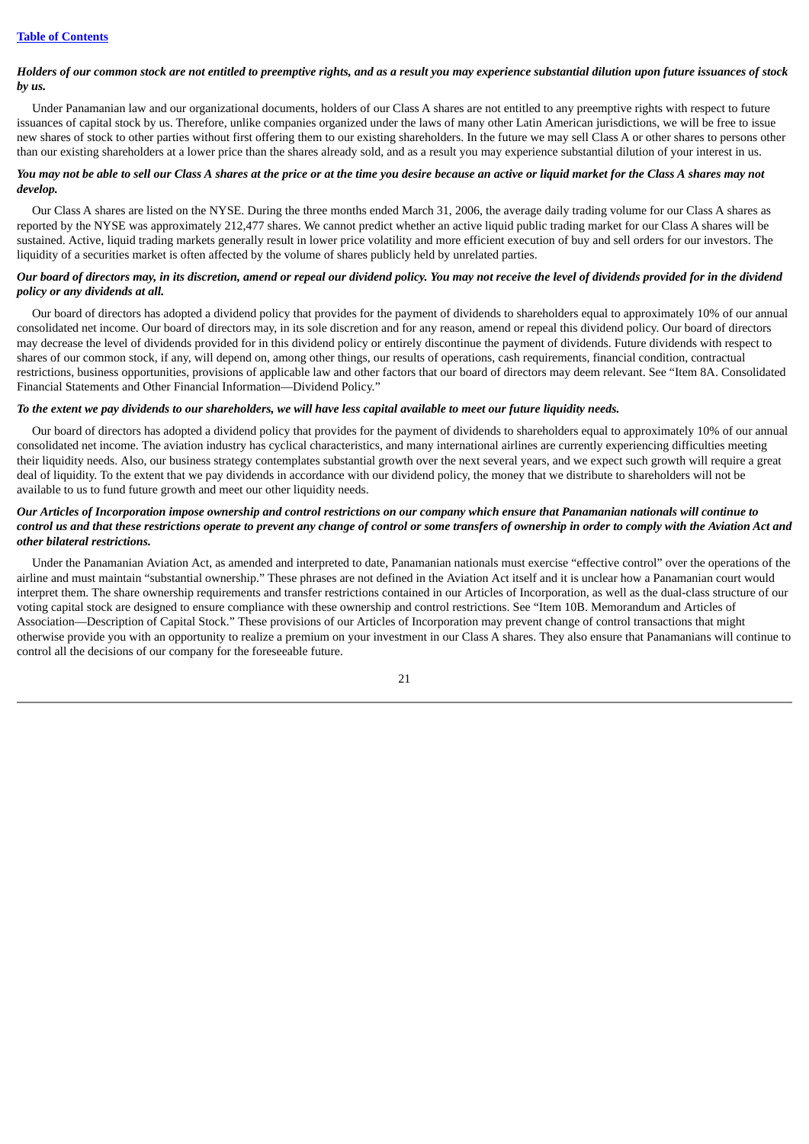## Holders of our common stock are not entitled to preemptive rights, and as a result you may experience substantial dilution upon future issuances of stock *by us.*

Under Panamanian law and our organizational documents, holders of our Class A shares are not entitled to any preemptive rights with respect to future issuances of capital stock by us. Therefore, unlike companies organized under the laws of many other Latin American jurisdictions, we will be free to issue new shares of stock to other parties without first offering them to our existing shareholders. In the future we may sell Class A or other shares to persons other than our existing shareholders at a lower price than the shares already sold, and as a result you may experience substantial dilution of your interest in us.

## You may not be able to sell our Class A shares at the price or at the time you desire because an active or liquid market for the Class A shares may not *develop.*

Our Class A shares are listed on the NYSE. During the three months ended March 31, 2006, the average daily trading volume for our Class A shares as reported by the NYSE was approximately 212,477 shares. We cannot predict whether an active liquid public trading market for our Class A shares will be sustained. Active, liquid trading markets generally result in lower price volatility and more efficient execution of buy and sell orders for our investors. The liquidity of a securities market is often affected by the volume of shares publicly held by unrelated parties.

## Our board of directors may, in its discretion, amend or repeal our dividend policy. You may not receive the level of dividends provided for in the dividend *policy or any dividends at all.*

Our board of directors has adopted a dividend policy that provides for the payment of dividends to shareholders equal to approximately 10% of our annual consolidated net income. Our board of directors may, in its sole discretion and for any reason, amend or repeal this dividend policy. Our board of directors may decrease the level of dividends provided for in this dividend policy or entirely discontinue the payment of dividends. Future dividends with respect to shares of our common stock, if any, will depend on, among other things, our results of operations, cash requirements, financial condition, contractual restrictions, business opportunities, provisions of applicable law and other factors that our board of directors may deem relevant. See "Item 8A. Consolidated Financial Statements and Other Financial Information—Dividend Policy."

## To the extent we pay dividends to our shareholders, we will have less capital available to meet our future liquidity needs.

Our board of directors has adopted a dividend policy that provides for the payment of dividends to shareholders equal to approximately 10% of our annual consolidated net income. The aviation industry has cyclical characteristics, and many international airlines are currently experiencing difficulties meeting their liquidity needs. Also, our business strategy contemplates substantial growth over the next several years, and we expect such growth will require a great deal of liquidity. To the extent that we pay dividends in accordance with our dividend policy, the money that we distribute to shareholders will not be available to us to fund future growth and meet our other liquidity needs.

## Our Articles of Incorporation impose ownership and control restrictions on our company which ensure that Panamanian nationals will continue to control us and that these restrictions operate to prevent any change of control or some transfers of ownership in order to comply with the Aviation Act and *other bilateral restrictions.*

Under the Panamanian Aviation Act, as amended and interpreted to date, Panamanian nationals must exercise "effective control" over the operations of the airline and must maintain "substantial ownership." These phrases are not defined in the Aviation Act itself and it is unclear how a Panamanian court would interpret them. The share ownership requirements and transfer restrictions contained in our Articles of Incorporation, as well as the dual-class structure of our voting capital stock are designed to ensure compliance with these ownership and control restrictions. See "Item 10B. Memorandum and Articles of Association—Description of Capital Stock." These provisions of our Articles of Incorporation may prevent change of control transactions that might otherwise provide you with an opportunity to realize a premium on your investment in our Class A shares. They also ensure that Panamanians will continue to control all the decisions of our company for the foreseeable future.

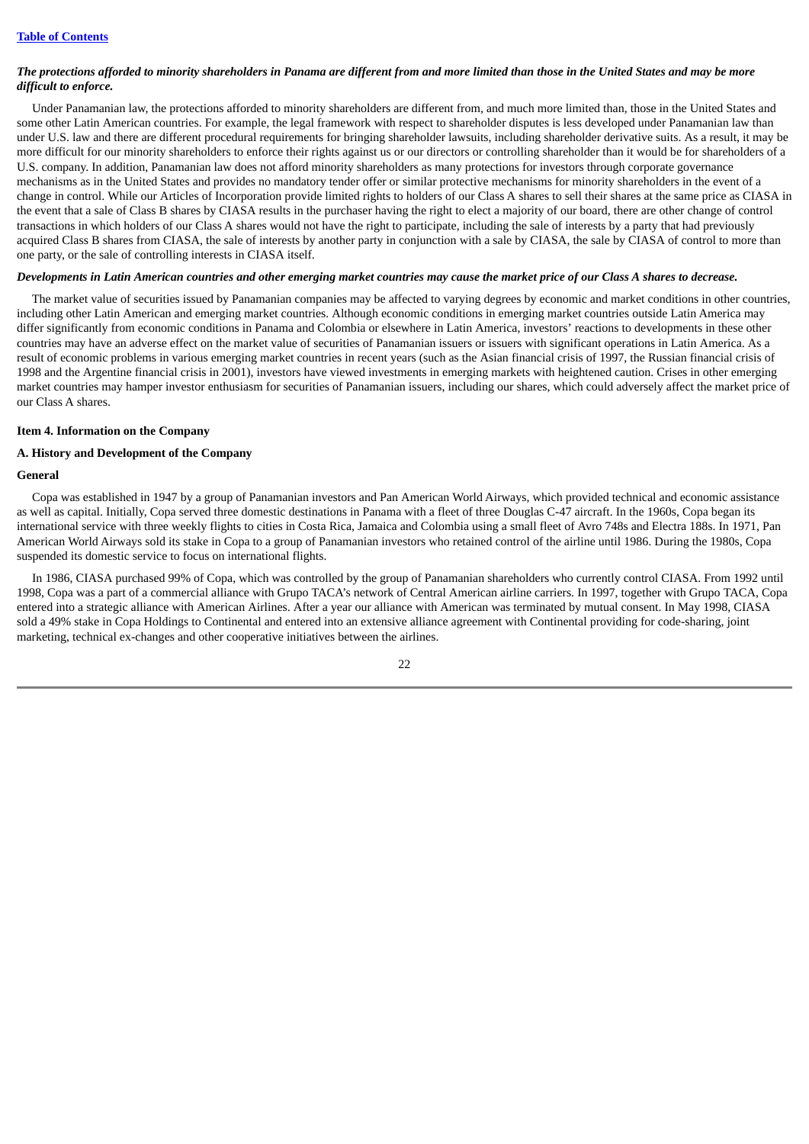## The protections afforded to minority shareholders in Panama are different from and more limited than those in the United States and may be more *difficult to enforce.*

Under Panamanian law, the protections afforded to minority shareholders are different from, and much more limited than, those in the United States and some other Latin American countries. For example, the legal framework with respect to shareholder disputes is less developed under Panamanian law than under U.S. law and there are different procedural requirements for bringing shareholder lawsuits, including shareholder derivative suits. As a result, it may be more difficult for our minority shareholders to enforce their rights against us or our directors or controlling shareholder than it would be for shareholders of a U.S. company. In addition, Panamanian law does not afford minority shareholders as many protections for investors through corporate governance mechanisms as in the United States and provides no mandatory tender offer or similar protective mechanisms for minority shareholders in the event of a change in control. While our Articles of Incorporation provide limited rights to holders of our Class A shares to sell their shares at the same price as CIASA in the event that a sale of Class B shares by CIASA results in the purchaser having the right to elect a majority of our board, there are other change of control transactions in which holders of our Class A shares would not have the right to participate, including the sale of interests by a party that had previously acquired Class B shares from CIASA, the sale of interests by another party in conjunction with a sale by CIASA, the sale by CIASA of control to more than one party, or the sale of controlling interests in CIASA itself.

#### Developments in Latin American countries and other emerging market countries may cause the market price of our Class A shares to decrease.

The market value of securities issued by Panamanian companies may be affected to varying degrees by economic and market conditions in other countries, including other Latin American and emerging market countries. Although economic conditions in emerging market countries outside Latin America may differ significantly from economic conditions in Panama and Colombia or elsewhere in Latin America, investors' reactions to developments in these other countries may have an adverse effect on the market value of securities of Panamanian issuers or issuers with significant operations in Latin America. As a result of economic problems in various emerging market countries in recent years (such as the Asian financial crisis of 1997, the Russian financial crisis of 1998 and the Argentine financial crisis in 2001), investors have viewed investments in emerging markets with heightened caution. Crises in other emerging market countries may hamper investor enthusiasm for securities of Panamanian issuers, including our shares, which could adversely affect the market price of our Class A shares.

#### <span id="page-29-0"></span>**Item 4. Information on the Company**

## **A. History and Development of the Company**

## **General**

Copa was established in 1947 by a group of Panamanian investors and Pan American World Airways, which provided technical and economic assistance as well as capital. Initially, Copa served three domestic destinations in Panama with a fleet of three Douglas C-47 aircraft. In the 1960s, Copa began its international service with three weekly flights to cities in Costa Rica, Jamaica and Colombia using a small fleet of Avro 748s and Electra 188s. In 1971, Pan American World Airways sold its stake in Copa to a group of Panamanian investors who retained control of the airline until 1986. During the 1980s, Copa suspended its domestic service to focus on international flights.

In 1986, CIASA purchased 99% of Copa, which was controlled by the group of Panamanian shareholders who currently control CIASA. From 1992 until 1998, Copa was a part of a commercial alliance with Grupo TACA's network of Central American airline carriers. In 1997, together with Grupo TACA, Copa entered into a strategic alliance with American Airlines. After a year our alliance with American was terminated by mutual consent. In May 1998, CIASA sold a 49% stake in Copa Holdings to Continental and entered into an extensive alliance agreement with Continental providing for code-sharing, joint marketing, technical ex-changes and other cooperative initiatives between the airlines.

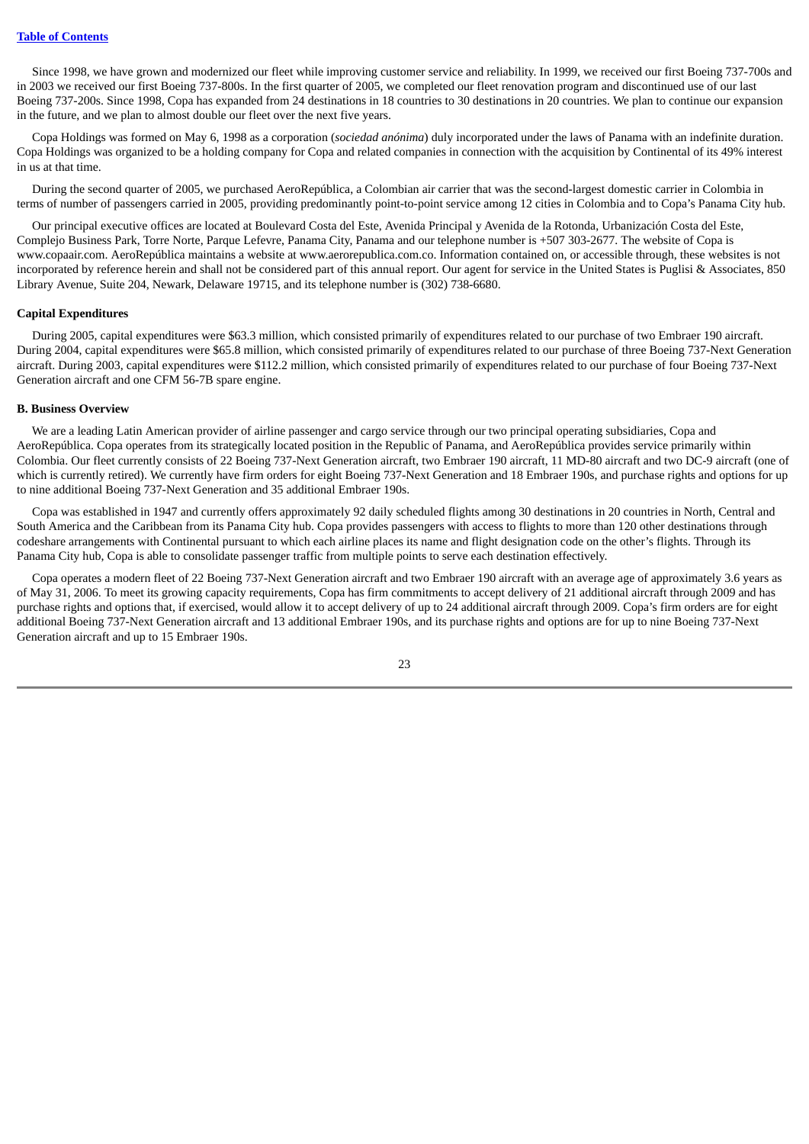Since 1998, we have grown and modernized our fleet while improving customer service and reliability. In 1999, we received our first Boeing 737-700s and in 2003 we received our first Boeing 737-800s. In the first quarter of 2005, we completed our fleet renovation program and discontinued use of our last Boeing 737-200s. Since 1998, Copa has expanded from 24 destinations in 18 countries to 30 destinations in 20 countries. We plan to continue our expansion in the future, and we plan to almost double our fleet over the next five years.

Copa Holdings was formed on May 6, 1998 as a corporation (*sociedad anónima*) duly incorporated under the laws of Panama with an indefinite duration. Copa Holdings was organized to be a holding company for Copa and related companies in connection with the acquisition by Continental of its 49% interest in us at that time.

During the second quarter of 2005, we purchased AeroRepública, a Colombian air carrier that was the second-largest domestic carrier in Colombia in terms of number of passengers carried in 2005, providing predominantly point-to-point service among 12 cities in Colombia and to Copa's Panama City hub.

Our principal executive offices are located at Boulevard Costa del Este, Avenida Principal y Avenida de la Rotonda, Urbanización Costa del Este, Complejo Business Park, Torre Norte, Parque Lefevre, Panama City, Panama and our telephone number is +507 303-2677. The website of Copa is www.copaair.com. AeroRepública maintains a website at www.aerorepublica.com.co. Information contained on, or accessible through, these websites is not incorporated by reference herein and shall not be considered part of this annual report. Our agent for service in the United States is Puglisi & Associates, 850 Library Avenue, Suite 204, Newark, Delaware 19715, and its telephone number is (302) 738-6680.

## **Capital Expenditures**

During 2005, capital expenditures were \$63.3 million, which consisted primarily of expenditures related to our purchase of two Embraer 190 aircraft. During 2004, capital expenditures were \$65.8 million, which consisted primarily of expenditures related to our purchase of three Boeing 737-Next Generation aircraft. During 2003, capital expenditures were \$112.2 million, which consisted primarily of expenditures related to our purchase of four Boeing 737-Next Generation aircraft and one CFM 56-7B spare engine.

### **B. Business Overview**

We are a leading Latin American provider of airline passenger and cargo service through our two principal operating subsidiaries, Copa and AeroRepública. Copa operates from its strategically located position in the Republic of Panama, and AeroRepública provides service primarily within Colombia. Our fleet currently consists of 22 Boeing 737-Next Generation aircraft, two Embraer 190 aircraft, 11 MD-80 aircraft and two DC-9 aircraft (one of which is currently retired). We currently have firm orders for eight Boeing 737-Next Generation and 18 Embraer 190s, and purchase rights and options for up to nine additional Boeing 737-Next Generation and 35 additional Embraer 190s.

Copa was established in 1947 and currently offers approximately 92 daily scheduled flights among 30 destinations in 20 countries in North, Central and South America and the Caribbean from its Panama City hub. Copa provides passengers with access to flights to more than 120 other destinations through codeshare arrangements with Continental pursuant to which each airline places its name and flight designation code on the other's flights. Through its Panama City hub, Copa is able to consolidate passenger traffic from multiple points to serve each destination effectively.

Copa operates a modern fleet of 22 Boeing 737-Next Generation aircraft and two Embraer 190 aircraft with an average age of approximately 3.6 years as of May 31, 2006. To meet its growing capacity requirements, Copa has firm commitments to accept delivery of 21 additional aircraft through 2009 and has purchase rights and options that, if exercised, would allow it to accept delivery of up to 24 additional aircraft through 2009. Copa's firm orders are for eight additional Boeing 737-Next Generation aircraft and 13 additional Embraer 190s, and its purchase rights and options are for up to nine Boeing 737-Next Generation aircraft and up to 15 Embraer 190s.

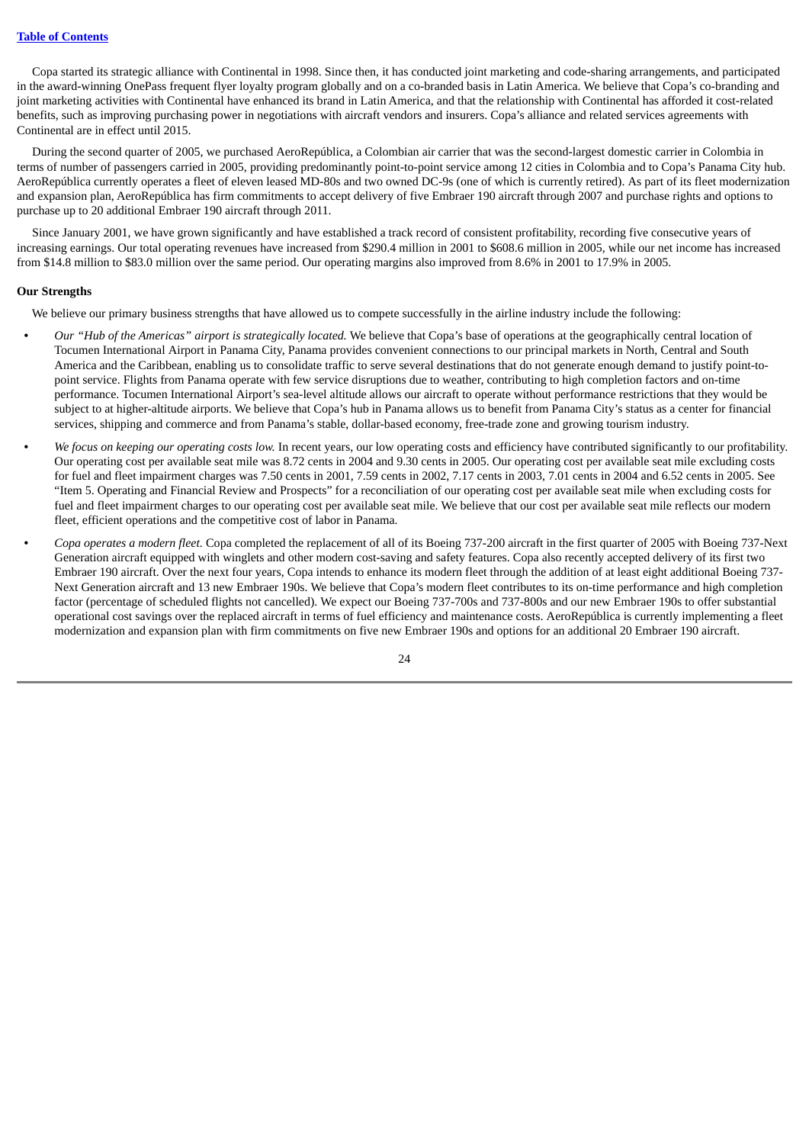Copa started its strategic alliance with Continental in 1998. Since then, it has conducted joint marketing and code-sharing arrangements, and participated in the award-winning OnePass frequent flyer loyalty program globally and on a co-branded basis in Latin America. We believe that Copa's co-branding and joint marketing activities with Continental have enhanced its brand in Latin America, and that the relationship with Continental has afforded it cost-related benefits, such as improving purchasing power in negotiations with aircraft vendors and insurers. Copa's alliance and related services agreements with Continental are in effect until 2015.

During the second quarter of 2005, we purchased AeroRepública, a Colombian air carrier that was the second-largest domestic carrier in Colombia in terms of number of passengers carried in 2005, providing predominantly point-to-point service among 12 cities in Colombia and to Copa's Panama City hub. AeroRepública currently operates a fleet of eleven leased MD-80s and two owned DC-9s (one of which is currently retired). As part of its fleet modernization and expansion plan, AeroRepública has firm commitments to accept delivery of five Embraer 190 aircraft through 2007 and purchase rights and options to purchase up to 20 additional Embraer 190 aircraft through 2011.

Since January 2001, we have grown significantly and have established a track record of consistent profitability, recording five consecutive years of increasing earnings. Our total operating revenues have increased from \$290.4 million in 2001 to \$608.6 million in 2005, while our net income has increased from \$14.8 million to \$83.0 million over the same period. Our operating margins also improved from 8.6% in 2001 to 17.9% in 2005.

#### **Our Strengths**

We believe our primary business strengths that have allowed us to compete successfully in the airline industry include the following:

- **•** *Our "Hub of the Americas" airport is strategically located.* We believe that Copa's base of operations at the geographically central location of Tocumen International Airport in Panama City, Panama provides convenient connections to our principal markets in North, Central and South America and the Caribbean, enabling us to consolidate traffic to serve several destinations that do not generate enough demand to justify point-topoint service. Flights from Panama operate with few service disruptions due to weather, contributing to high completion factors and on-time performance. Tocumen International Airport's sea-level altitude allows our aircraft to operate without performance restrictions that they would be subject to at higher-altitude airports. We believe that Copa's hub in Panama allows us to benefit from Panama City's status as a center for financial services, shipping and commerce and from Panama's stable, dollar-based economy, free-trade zone and growing tourism industry.
- **•** *We focus on keeping our operating costs low.* In recent years, our low operating costs and efficiency have contributed significantly to our profitability. Our operating cost per available seat mile was 8.72 cents in 2004 and 9.30 cents in 2005. Our operating cost per available seat mile excluding costs for fuel and fleet impairment charges was 7.50 cents in 2001, 7.59 cents in 2002, 7.17 cents in 2003, 7.01 cents in 2004 and 6.52 cents in 2005. See "Item 5. Operating and Financial Review and Prospects" for a reconciliation of our operating cost per available seat mile when excluding costs for fuel and fleet impairment charges to our operating cost per available seat mile. We believe that our cost per available seat mile reflects our modern fleet, efficient operations and the competitive cost of labor in Panama.
- **•** *Copa operates a modern fleet.* Copa completed the replacement of all of its Boeing 737-200 aircraft in the first quarter of 2005 with Boeing 737-Next Generation aircraft equipped with winglets and other modern cost-saving and safety features. Copa also recently accepted delivery of its first two Embraer 190 aircraft. Over the next four years, Copa intends to enhance its modern fleet through the addition of at least eight additional Boeing 737- Next Generation aircraft and 13 new Embraer 190s. We believe that Copa's modern fleet contributes to its on-time performance and high completion factor (percentage of scheduled flights not cancelled). We expect our Boeing 737-700s and 737-800s and our new Embraer 190s to offer substantial operational cost savings over the replaced aircraft in terms of fuel efficiency and maintenance costs. AeroRepública is currently implementing a fleet modernization and expansion plan with firm commitments on five new Embraer 190s and options for an additional 20 Embraer 190 aircraft.

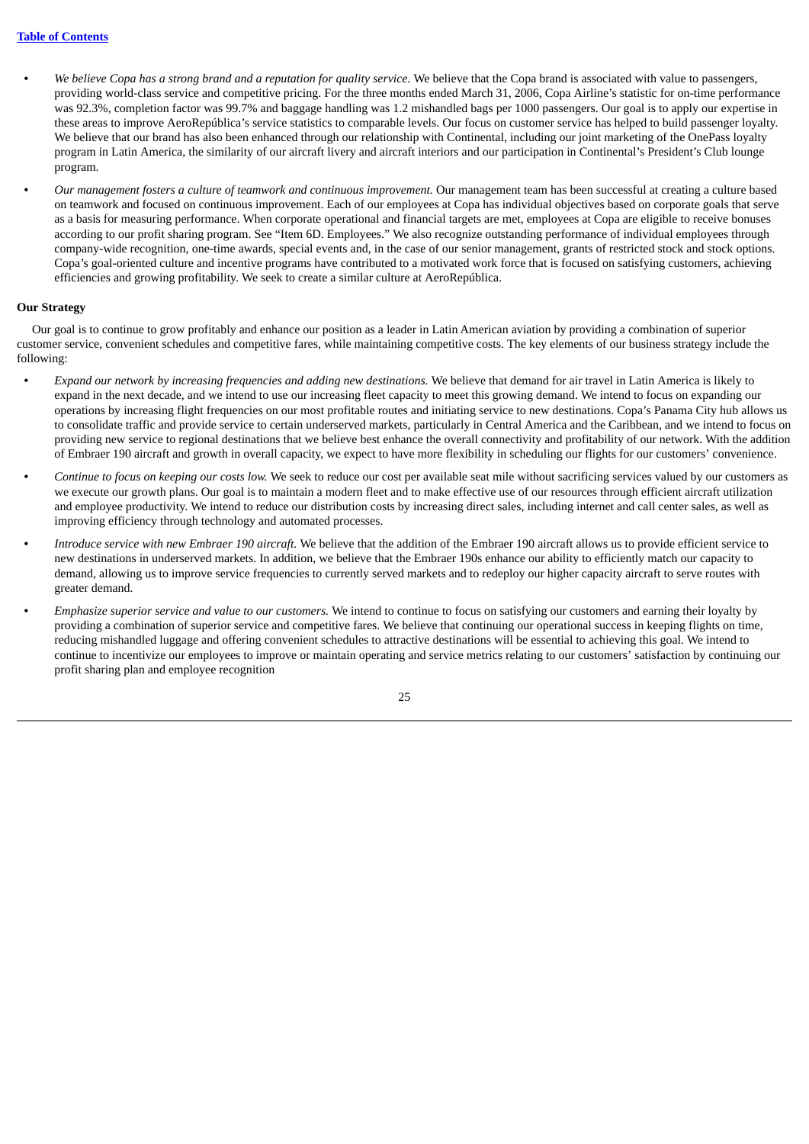- We believe Copa has a strong brand and a reputation for quality service. We believe that the Copa brand is associated with value to passengers, providing world-class service and competitive pricing. For the three months ended March 31, 2006, Copa Airline's statistic for on-time performance was 92.3%, completion factor was 99.7% and baggage handling was 1.2 mishandled bags per 1000 passengers. Our goal is to apply our expertise in these areas to improve AeroRepública's service statistics to comparable levels. Our focus on customer service has helped to build passenger loyalty. We believe that our brand has also been enhanced through our relationship with Continental, including our joint marketing of the OnePass loyalty program in Latin America, the similarity of our aircraft livery and aircraft interiors and our participation in Continental's President's Club lounge program.
- **•** *Our management fosters a culture of teamwork and continuous improvement.* Our management team has been successful at creating a culture based on teamwork and focused on continuous improvement. Each of our employees at Copa has individual objectives based on corporate goals that serve as a basis for measuring performance. When corporate operational and financial targets are met, employees at Copa are eligible to receive bonuses according to our profit sharing program. See "Item 6D. Employees." We also recognize outstanding performance of individual employees through company-wide recognition, one-time awards, special events and, in the case of our senior management, grants of restricted stock and stock options. Copa's goal-oriented culture and incentive programs have contributed to a motivated work force that is focused on satisfying customers, achieving efficiencies and growing profitability. We seek to create a similar culture at AeroRepública.

## **Our Strategy**

Our goal is to continue to grow profitably and enhance our position as a leader in Latin American aviation by providing a combination of superior customer service, convenient schedules and competitive fares, while maintaining competitive costs. The key elements of our business strategy include the following:

- **•** *Expand our network by increasing frequencies and adding new destinations.* We believe that demand for air travel in Latin America is likely to expand in the next decade, and we intend to use our increasing fleet capacity to meet this growing demand. We intend to focus on expanding our operations by increasing flight frequencies on our most profitable routes and initiating service to new destinations. Copa's Panama City hub allows us to consolidate traffic and provide service to certain underserved markets, particularly in Central America and the Caribbean, and we intend to focus on providing new service to regional destinations that we believe best enhance the overall connectivity and profitability of our network. With the addition of Embraer 190 aircraft and growth in overall capacity, we expect to have more flexibility in scheduling our flights for our customers' convenience.
- **•** *Continue to focus on keeping our costs low.* We seek to reduce our cost per available seat mile without sacrificing services valued by our customers as we execute our growth plans. Our goal is to maintain a modern fleet and to make effective use of our resources through efficient aircraft utilization and employee productivity. We intend to reduce our distribution costs by increasing direct sales, including internet and call center sales, as well as improving efficiency through technology and automated processes.
- **•** *Introduce service with new Embraer 190 aircraft.* We believe that the addition of the Embraer 190 aircraft allows us to provide efficient service to new destinations in underserved markets. In addition, we believe that the Embraer 190s enhance our ability to efficiently match our capacity to demand, allowing us to improve service frequencies to currently served markets and to redeploy our higher capacity aircraft to serve routes with greater demand.
- **•** *Emphasize superior service and value to our customers.* We intend to continue to focus on satisfying our customers and earning their loyalty by providing a combination of superior service and competitive fares. We believe that continuing our operational success in keeping flights on time, reducing mishandled luggage and offering convenient schedules to attractive destinations will be essential to achieving this goal. We intend to continue to incentivize our employees to improve or maintain operating and service metrics relating to our customers' satisfaction by continuing our profit sharing plan and employee recognition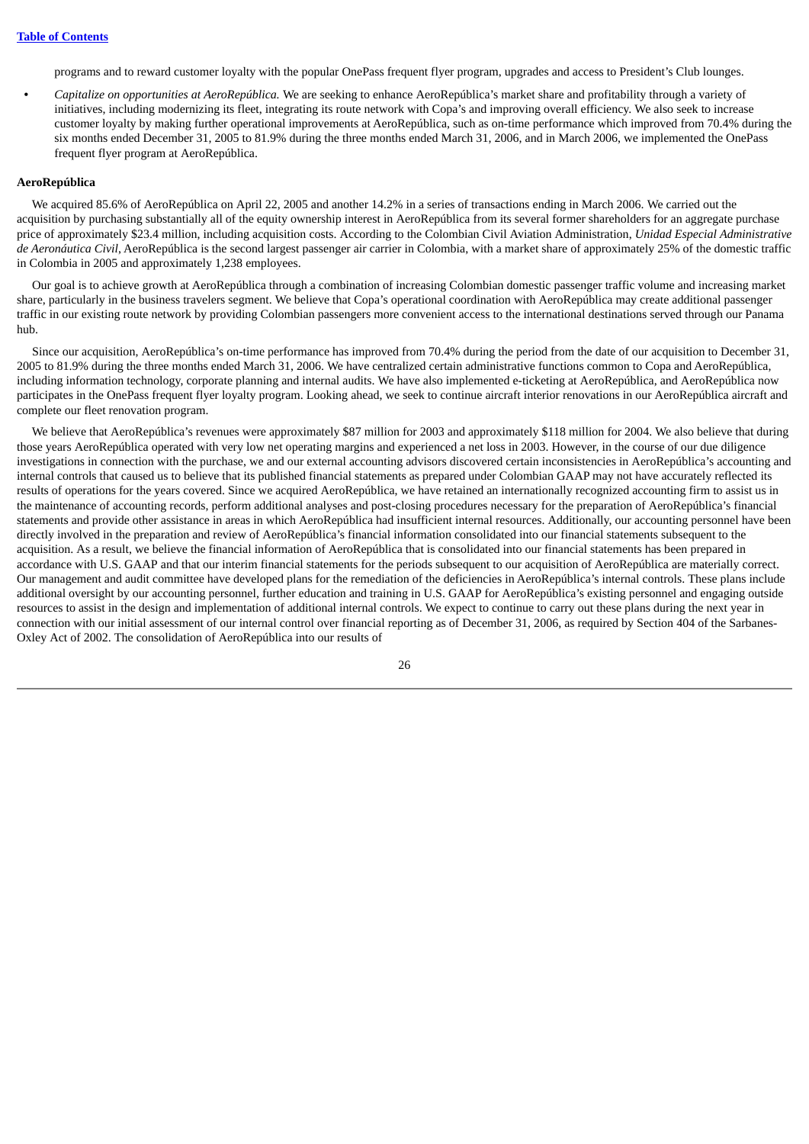programs and to reward customer loyalty with the popular OnePass frequent flyer program, upgrades and access to President's Club lounges.

**•** *Capitalize on opportunities at AeroRepública.* We are seeking to enhance AeroRepública's market share and profitability through a variety of initiatives, including modernizing its fleet, integrating its route network with Copa's and improving overall efficiency. We also seek to increase customer loyalty by making further operational improvements at AeroRepública, such as on-time performance which improved from 70.4% during the six months ended December 31, 2005 to 81.9% during the three months ended March 31, 2006, and in March 2006, we implemented the OnePass frequent flyer program at AeroRepública.

#### **AeroRepública**

We acquired 85.6% of AeroRepública on April 22, 2005 and another 14.2% in a series of transactions ending in March 2006. We carried out the acquisition by purchasing substantially all of the equity ownership interest in AeroRepública from its several former shareholders for an aggregate purchase price of approximately \$23.4 million, including acquisition costs. According to the Colombian Civil Aviation Administration, *Unidad Especial Administrative de Aeronáutica Civil*, AeroRepública is the second largest passenger air carrier in Colombia, with a market share of approximately 25% of the domestic traffic in Colombia in 2005 and approximately 1,238 employees.

Our goal is to achieve growth at AeroRepública through a combination of increasing Colombian domestic passenger traffic volume and increasing market share, particularly in the business travelers segment. We believe that Copa's operational coordination with AeroRepública may create additional passenger traffic in our existing route network by providing Colombian passengers more convenient access to the international destinations served through our Panama hub.

Since our acquisition, AeroRepública's on-time performance has improved from 70.4% during the period from the date of our acquisition to December 31, 2005 to 81.9% during the three months ended March 31, 2006. We have centralized certain administrative functions common to Copa and AeroRepública, including information technology, corporate planning and internal audits. We have also implemented e-ticketing at AeroRepública, and AeroRepública now participates in the OnePass frequent flyer loyalty program. Looking ahead, we seek to continue aircraft interior renovations in our AeroRepública aircraft and complete our fleet renovation program.

We believe that AeroRepública's revenues were approximately \$87 million for 2003 and approximately \$118 million for 2004. We also believe that during those years AeroRepública operated with very low net operating margins and experienced a net loss in 2003. However, in the course of our due diligence investigations in connection with the purchase, we and our external accounting advisors discovered certain inconsistencies in AeroRepública's accounting and internal controls that caused us to believe that its published financial statements as prepared under Colombian GAAP may not have accurately reflected its results of operations for the years covered. Since we acquired AeroRepública, we have retained an internationally recognized accounting firm to assist us in the maintenance of accounting records, perform additional analyses and post-closing procedures necessary for the preparation of AeroRepública's financial statements and provide other assistance in areas in which AeroRepública had insufficient internal resources. Additionally, our accounting personnel have been directly involved in the preparation and review of AeroRepública's financial information consolidated into our financial statements subsequent to the acquisition. As a result, we believe the financial information of AeroRepública that is consolidated into our financial statements has been prepared in accordance with U.S. GAAP and that our interim financial statements for the periods subsequent to our acquisition of AeroRepública are materially correct. Our management and audit committee have developed plans for the remediation of the deficiencies in AeroRepública's internal controls. These plans include additional oversight by our accounting personnel, further education and training in U.S. GAAP for AeroRepública's existing personnel and engaging outside resources to assist in the design and implementation of additional internal controls. We expect to continue to carry out these plans during the next year in connection with our initial assessment of our internal control over financial reporting as of December 31, 2006, as required by Section 404 of the Sarbanes-Oxley Act of 2002. The consolidation of AeroRepública into our results of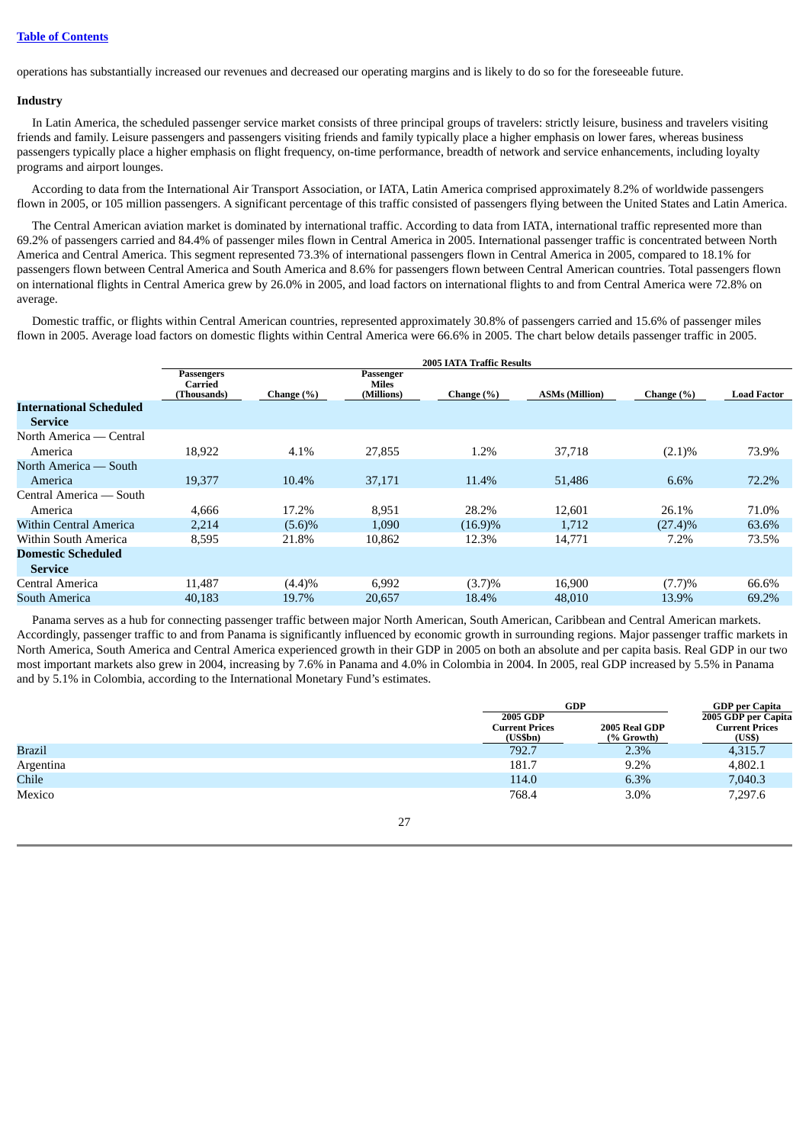operations has substantially increased our revenues and decreased our operating margins and is likely to do so for the foreseeable future.

## **Industry**

In Latin America, the scheduled passenger service market consists of three principal groups of travelers: strictly leisure, business and travelers visiting friends and family. Leisure passengers and passengers visiting friends and family typically place a higher emphasis on lower fares, whereas business passengers typically place a higher emphasis on flight frequency, on-time performance, breadth of network and service enhancements, including loyalty programs and airport lounges.

According to data from the International Air Transport Association, or IATA, Latin America comprised approximately 8.2% of worldwide passengers flown in 2005, or 105 million passengers. A significant percentage of this traffic consisted of passengers flying between the United States and Latin America.

The Central American aviation market is dominated by international traffic. According to data from IATA, international traffic represented more than 69.2% of passengers carried and 84.4% of passenger miles flown in Central America in 2005. International passenger traffic is concentrated between North America and Central America. This segment represented 73.3% of international passengers flown in Central America in 2005, compared to 18.1% for passengers flown between Central America and South America and 8.6% for passengers flown between Central American countries. Total passengers flown on international flights in Central America grew by 26.0% in 2005, and load factors on international flights to and from Central America were 72.8% on average.

Domestic traffic, or flights within Central American countries, represented approximately 30.8% of passengers carried and 15.6% of passenger miles flown in 2005. Average load factors on domestic flights within Central America were 66.6% in 2005. The chart below details passenger traffic in 2005.

|                                                  | 2005 IATA Traffic Results            |            |                                  |            |                       |            |                    |
|--------------------------------------------------|--------------------------------------|------------|----------------------------------|------------|-----------------------|------------|--------------------|
|                                                  | Passengers<br>Carried<br>(Thousands) | Change (%) | Passenger<br>Miles<br>(Millions) | Change (%) | <b>ASMs (Million)</b> | Change (%) | <b>Load Factor</b> |
| <b>International Scheduled</b><br><b>Service</b> |                                      |            |                                  |            |                       |            |                    |
| North America — Central<br>America               | 18,922                               | 4.1%       | 27,855                           | 1.2%       | 37,718                | $(2.1)\%$  | 73.9%              |
| North America — South<br>America                 | 19,377                               | 10.4%      | 37,171                           | 11.4%      | 51,486                | 6.6%       | 72.2%              |
| Central America — South<br>America               | 4,666                                | 17.2%      | 8,951                            | 28.2%      | 12,601                | 26.1%      | 71.0%              |
| <b>Within Central America</b>                    | 2,214                                | $(5.6)\%$  | 1,090                            | $(16.9)\%$ | 1,712                 | $(27.4)\%$ | 63.6%              |
| Within South America                             | 8,595                                | 21.8%      | 10,862                           | 12.3%      | 14,771                | 7.2%       | 73.5%              |
| <b>Domestic Scheduled</b><br><b>Service</b>      |                                      |            |                                  |            |                       |            |                    |
| Central America                                  | 11.487                               | (4.4)%     | 6,992                            | (3.7)%     | 16,900                | (7.7)%     | 66.6%              |
| South America                                    | 40.183                               | 19.7%      | 20,657                           | 18.4%      | 48,010                | 13.9%      | 69.2%              |

Panama serves as a hub for connecting passenger traffic between major North American, South American, Caribbean and Central American markets. Accordingly, passenger traffic to and from Panama is significantly influenced by economic growth in surrounding regions. Major passenger traffic markets in North America, South America and Central America experienced growth in their GDP in 2005 on both an absolute and per capita basis. Real GDP in our two most important markets also grew in 2004, increasing by 7.6% in Panama and 4.0% in Colombia in 2004. In 2005, real GDP increased by 5.5% in Panama and by 5.1% in Colombia, according to the International Monetary Fund's estimates.

|              |                                              | <b>GDP</b>                  |                                                        |  |
|--------------|----------------------------------------------|-----------------------------|--------------------------------------------------------|--|
|              | 2005 GDP<br><b>Current Prices</b><br>(US5bn) | 2005 Real GDP<br>(% Growth) | 2005 GDP per Capita<br><b>Current Prices</b><br>(US\$) |  |
| Brazil       | 792.7                                        | 2.3%                        | 4,315.7                                                |  |
| Argentina    | 181.7                                        | 9.2%                        | 4,802.1                                                |  |
| <b>Chile</b> | 114.0                                        | 6.3%                        | 7,040.3                                                |  |
| Mexico       | 768.4                                        | 3.0%                        | 7,297.6                                                |  |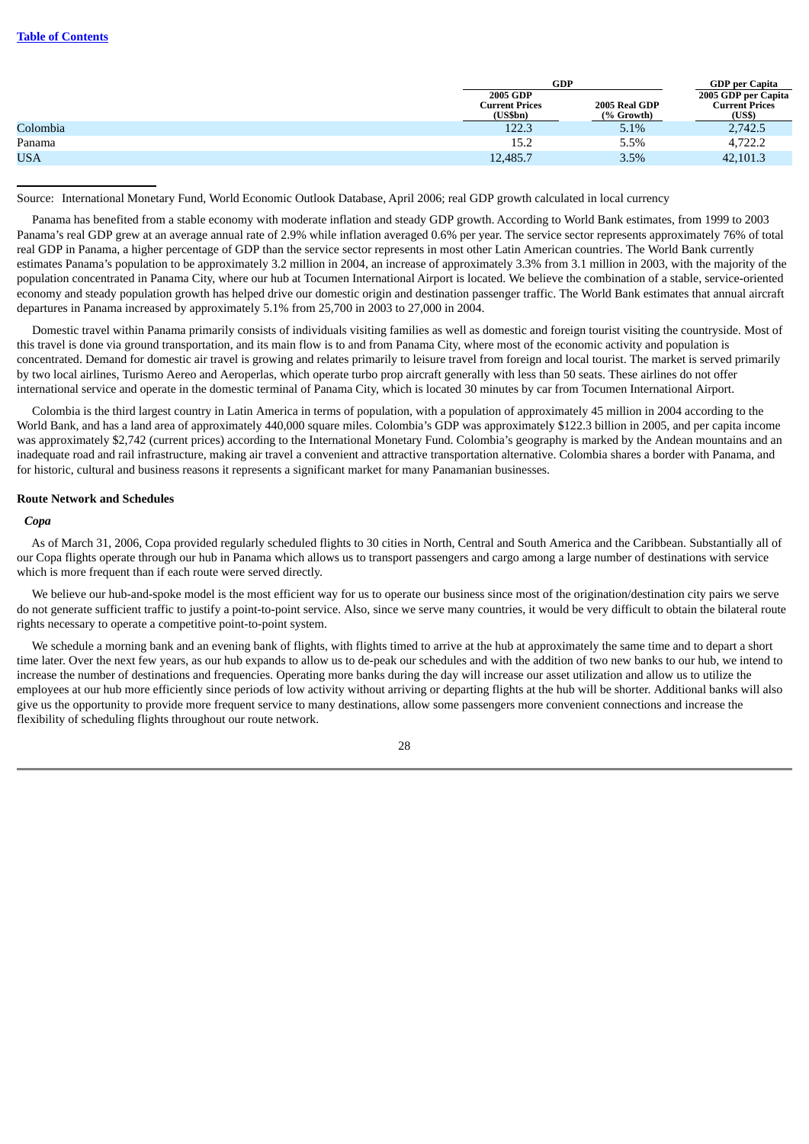|            |                                               | <b>GDP</b>                  |                                                        |  |
|------------|-----------------------------------------------|-----------------------------|--------------------------------------------------------|--|
|            | 2005 GDP<br><b>Current Prices</b><br>(US\$bn) | 2005 Real GDP<br>(% Growth) | 2005 GDP per Capita<br><b>Current Prices</b><br>(US\$) |  |
| Colombia   | 122.3                                         | 5.1%                        | 2,742.5                                                |  |
| Panama     | 15.2                                          | 5.5%                        | 4,722.2                                                |  |
| <b>USA</b> | 12,485.7                                      | 3.5%                        | 42,101.3                                               |  |

Source: International Monetary Fund, World Economic Outlook Database, April 2006; real GDP growth calculated in local currency

Panama has benefited from a stable economy with moderate inflation and steady GDP growth. According to World Bank estimates, from 1999 to 2003 Panama's real GDP grew at an average annual rate of 2.9% while inflation averaged 0.6% per year. The service sector represents approximately 76% of total real GDP in Panama, a higher percentage of GDP than the service sector represents in most other Latin American countries. The World Bank currently estimates Panama's population to be approximately 3.2 million in 2004, an increase of approximately 3.3% from 3.1 million in 2003, with the majority of the population concentrated in Panama City, where our hub at Tocumen International Airport is located. We believe the combination of a stable, service-oriented economy and steady population growth has helped drive our domestic origin and destination passenger traffic. The World Bank estimates that annual aircraft departures in Panama increased by approximately 5.1% from 25,700 in 2003 to 27,000 in 2004.

Domestic travel within Panama primarily consists of individuals visiting families as well as domestic and foreign tourist visiting the countryside. Most of this travel is done via ground transportation, and its main flow is to and from Panama City, where most of the economic activity and population is concentrated. Demand for domestic air travel is growing and relates primarily to leisure travel from foreign and local tourist. The market is served primarily by two local airlines, Turismo Aereo and Aeroperlas, which operate turbo prop aircraft generally with less than 50 seats. These airlines do not offer international service and operate in the domestic terminal of Panama City, which is located 30 minutes by car from Tocumen International Airport.

Colombia is the third largest country in Latin America in terms of population, with a population of approximately 45 million in 2004 according to the World Bank, and has a land area of approximately 440,000 square miles. Colombia's GDP was approximately \$122.3 billion in 2005, and per capita income was approximately \$2,742 (current prices) according to the International Monetary Fund. Colombia's geography is marked by the Andean mountains and an inadequate road and rail infrastructure, making air travel a convenient and attractive transportation alternative. Colombia shares a border with Panama, and for historic, cultural and business reasons it represents a significant market for many Panamanian businesses.

## **Route Network and Schedules**

## *Copa*

As of March 31, 2006, Copa provided regularly scheduled flights to 30 cities in North, Central and South America and the Caribbean. Substantially all of our Copa flights operate through our hub in Panama which allows us to transport passengers and cargo among a large number of destinations with service which is more frequent than if each route were served directly.

We believe our hub-and-spoke model is the most efficient way for us to operate our business since most of the origination/destination city pairs we serve do not generate sufficient traffic to justify a point-to-point service. Also, since we serve many countries, it would be very difficult to obtain the bilateral route rights necessary to operate a competitive point-to-point system.

We schedule a morning bank and an evening bank of flights, with flights timed to arrive at the hub at approximately the same time and to depart a short time later. Over the next few years, as our hub expands to allow us to de-peak our schedules and with the addition of two new banks to our hub, we intend to increase the number of destinations and frequencies. Operating more banks during the day will increase our asset utilization and allow us to utilize the employees at our hub more efficiently since periods of low activity without arriving or departing flights at the hub will be shorter. Additional banks will also give us the opportunity to provide more frequent service to many destinations, allow some passengers more convenient connections and increase the flexibility of scheduling flights throughout our route network.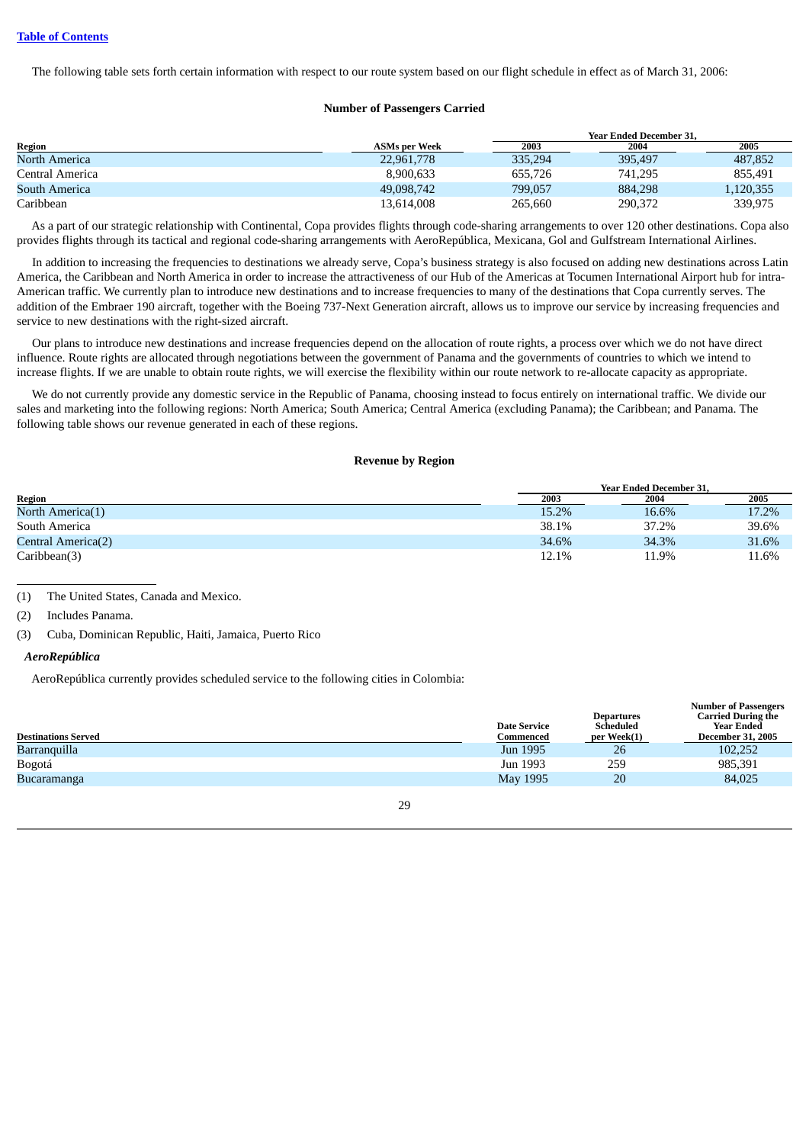The following table sets forth certain information with respect to our route system based on our flight schedule in effect as of March 31, 2006:

## **Number of Passengers Carried**

|                 |               |         | <b>Year Ended December 31.</b> |           |
|-----------------|---------------|---------|--------------------------------|-----------|
| Region          | ASMs per Week | 2003    | 2004                           | 2005      |
| North America   | 22,961,778    | 335.294 | 395.497                        | 487,852   |
| Central America | 8.900.633     | 655.726 | 741,295                        | 855.491   |
| South America   | 49,098,742    | 799.057 | 884,298                        | 1,120,355 |
| Caribbean       | 13.614.008    | 265,660 | 290,372                        | 339,975   |

As a part of our strategic relationship with Continental, Copa provides flights through code-sharing arrangements to over 120 other destinations. Copa also provides flights through its tactical and regional code-sharing arrangements with AeroRepública, Mexicana, Gol and Gulfstream International Airlines.

In addition to increasing the frequencies to destinations we already serve, Copa's business strategy is also focused on adding new destinations across Latin America, the Caribbean and North America in order to increase the attractiveness of our Hub of the Americas at Tocumen International Airport hub for intra-American traffic. We currently plan to introduce new destinations and to increase frequencies to many of the destinations that Copa currently serves. The addition of the Embraer 190 aircraft, together with the Boeing 737-Next Generation aircraft, allows us to improve our service by increasing frequencies and service to new destinations with the right-sized aircraft.

Our plans to introduce new destinations and increase frequencies depend on the allocation of route rights, a process over which we do not have direct influence. Route rights are allocated through negotiations between the government of Panama and the governments of countries to which we intend to increase flights. If we are unable to obtain route rights, we will exercise the flexibility within our route network to re-allocate capacity as appropriate.

We do not currently provide any domestic service in the Republic of Panama, choosing instead to focus entirely on international traffic. We divide our sales and marketing into the following regions: North America; South America; Central America (excluding Panama); the Caribbean; and Panama. The following table shows our revenue generated in each of these regions.

## **Revenue by Region**

|                    | <b>Year Ended December 31.</b> |       |       |  |
|--------------------|--------------------------------|-------|-------|--|
| <b>Region</b>      | 2003                           | 2004  | 2005  |  |
| North America(1)   | 15.2%                          | 16.6% | 17.2% |  |
| South America      | 38.1%                          | 37.2% | 39.6% |  |
| Central America(2) | 34.6%                          | 34.3% | 31.6% |  |
| Caribbean(3)       | 12.1%                          | 11.9% | 11.6% |  |

(1) The United States, Canada and Mexico.

## *AeroRepública*

AeroRepública currently provides scheduled service to the following cities in Colombia:

| <b>Destinations Served</b> |    | <b>Date Service</b><br>Commenced | <b>Departures</b><br>Scheduled<br>per Week(1) | Number of Passengers<br><b>Carried During the</b><br>Year Ended<br><b>December 31, 2005</b> |
|----------------------------|----|----------------------------------|-----------------------------------------------|---------------------------------------------------------------------------------------------|
| Barranquilla               |    | Jun 1995                         | 26                                            | 102,252                                                                                     |
| Bogotá                     |    | Jun 1993                         | 259                                           | 985,391                                                                                     |
| Bucaramanga                |    | May 1995                         | 20                                            | 84,025                                                                                      |
|                            | 29 |                                  |                                               |                                                                                             |

**Number of Passengers**

<sup>(2)</sup> Includes Panama.

<sup>(3)</sup> Cuba, Dominican Republic, Haiti, Jamaica, Puerto Rico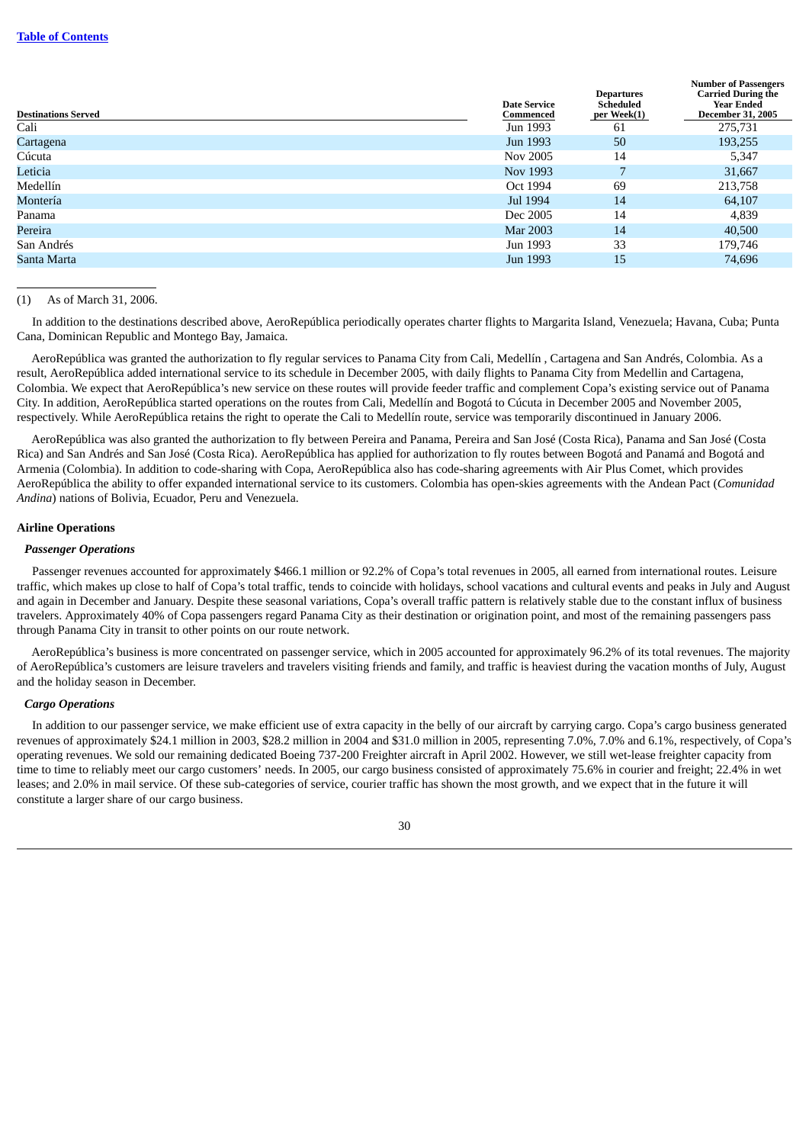| <b>Destinations Served</b> | <b>Date Service</b><br>Commenced | <b>Departures</b><br>Scheduled<br>per Week(1) | <b>Number of Passengers</b><br><b>Carried During the</b><br><b>Year Ended</b><br><b>December 31, 2005</b> |
|----------------------------|----------------------------------|-----------------------------------------------|-----------------------------------------------------------------------------------------------------------|
| Cali                       | Jun 1993                         | 61                                            | 275,731                                                                                                   |
| Cartagena                  | Jun 1993                         | 50                                            | 193,255                                                                                                   |
| Cúcuta                     | Nov 2005                         | 14                                            | 5,347                                                                                                     |
| Leticia                    | Nov 1993                         |                                               | 31,667                                                                                                    |
| Medellín                   | Oct 1994                         | 69                                            | 213,758                                                                                                   |
| Montería                   | Jul 1994                         | 14                                            | 64,107                                                                                                    |
| Panama                     | Dec 2005                         | 14                                            | 4,839                                                                                                     |
| Pereira                    | Mar 2003                         | 14                                            | 40,500                                                                                                    |
| San Andrés                 | Jun 1993                         | 33                                            | 179,746                                                                                                   |
| Santa Marta                | Jun 1993                         | 15                                            | 74,696                                                                                                    |

## (1) As of March 31, 2006.

In addition to the destinations described above, AeroRepública periodically operates charter flights to Margarita Island, Venezuela; Havana, Cuba; Punta Cana, Dominican Republic and Montego Bay, Jamaica.

AeroRepública was granted the authorization to fly regular services to Panama City from Cali, Medellín , Cartagena and San Andrés, Colombia. As a result, AeroRepública added international service to its schedule in December 2005, with daily flights to Panama City from Medellin and Cartagena, Colombia. We expect that AeroRepública's new service on these routes will provide feeder traffic and complement Copa's existing service out of Panama City. In addition, AeroRepública started operations on the routes from Cali, Medellín and Bogotá to Cúcuta in December 2005 and November 2005, respectively. While AeroRepública retains the right to operate the Cali to Medellín route, service was temporarily discontinued in January 2006.

AeroRepública was also granted the authorization to fly between Pereira and Panama, Pereira and San José (Costa Rica), Panama and San José (Costa Rica) and San Andrés and San José (Costa Rica). AeroRepública has applied for authorization to fly routes between Bogotá and Panamá and Bogotá and Armenia (Colombia). In addition to code-sharing with Copa, AeroRepública also has code-sharing agreements with Air Plus Comet, which provides AeroRepública the ability to offer expanded international service to its customers. Colombia has open-skies agreements with the Andean Pact (*Comunidad Andina*) nations of Bolivia, Ecuador, Peru and Venezuela.

## **Airline Operations**

### *Passenger Operations*

Passenger revenues accounted for approximately \$466.1 million or 92.2% of Copa's total revenues in 2005, all earned from international routes. Leisure traffic, which makes up close to half of Copa's total traffic, tends to coincide with holidays, school vacations and cultural events and peaks in July and August and again in December and January. Despite these seasonal variations, Copa's overall traffic pattern is relatively stable due to the constant influx of business travelers. Approximately 40% of Copa passengers regard Panama City as their destination or origination point, and most of the remaining passengers pass through Panama City in transit to other points on our route network.

AeroRepública's business is more concentrated on passenger service, which in 2005 accounted for approximately 96.2% of its total revenues. The majority of AeroRepública's customers are leisure travelers and travelers visiting friends and family, and traffic is heaviest during the vacation months of July, August and the holiday season in December.

## *Cargo Operations*

In addition to our passenger service, we make efficient use of extra capacity in the belly of our aircraft by carrying cargo. Copa's cargo business generated revenues of approximately \$24.1 million in 2003, \$28.2 million in 2004 and \$31.0 million in 2005, representing 7.0%, 7.0% and 6.1%, respectively, of Copa's operating revenues. We sold our remaining dedicated Boeing 737-200 Freighter aircraft in April 2002. However, we still wet-lease freighter capacity from time to time to reliably meet our cargo customers' needs. In 2005, our cargo business consisted of approximately 75.6% in courier and freight; 22.4% in wet leases; and 2.0% in mail service. Of these sub-categories of service, courier traffic has shown the most growth, and we expect that in the future it will constitute a larger share of our cargo business.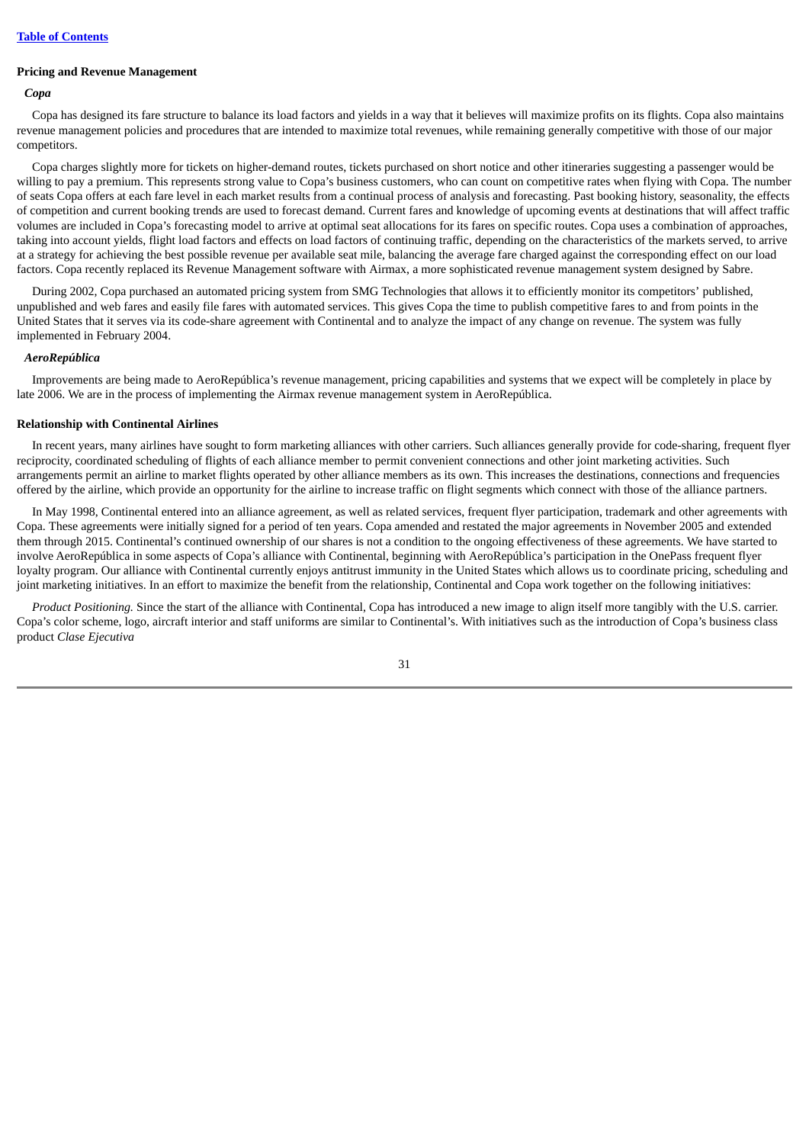### **Pricing and Revenue Management**

## *Copa*

Copa has designed its fare structure to balance its load factors and yields in a way that it believes will maximize profits on its flights. Copa also maintains revenue management policies and procedures that are intended to maximize total revenues, while remaining generally competitive with those of our major competitors.

Copa charges slightly more for tickets on higher-demand routes, tickets purchased on short notice and other itineraries suggesting a passenger would be willing to pay a premium. This represents strong value to Copa's business customers, who can count on competitive rates when flying with Copa. The number of seats Copa offers at each fare level in each market results from a continual process of analysis and forecasting. Past booking history, seasonality, the effects of competition and current booking trends are used to forecast demand. Current fares and knowledge of upcoming events at destinations that will affect traffic volumes are included in Copa's forecasting model to arrive at optimal seat allocations for its fares on specific routes. Copa uses a combination of approaches, taking into account yields, flight load factors and effects on load factors of continuing traffic, depending on the characteristics of the markets served, to arrive at a strategy for achieving the best possible revenue per available seat mile, balancing the average fare charged against the corresponding effect on our load factors. Copa recently replaced its Revenue Management software with Airmax, a more sophisticated revenue management system designed by Sabre.

During 2002, Copa purchased an automated pricing system from SMG Technologies that allows it to efficiently monitor its competitors' published, unpublished and web fares and easily file fares with automated services. This gives Copa the time to publish competitive fares to and from points in the United States that it serves via its code-share agreement with Continental and to analyze the impact of any change on revenue. The system was fully implemented in February 2004.

### *AeroRepública*

Improvements are being made to AeroRepública's revenue management, pricing capabilities and systems that we expect will be completely in place by late 2006. We are in the process of implementing the Airmax revenue management system in AeroRepública.

## **Relationship with Continental Airlines**

In recent years, many airlines have sought to form marketing alliances with other carriers. Such alliances generally provide for code-sharing, frequent flyer reciprocity, coordinated scheduling of flights of each alliance member to permit convenient connections and other joint marketing activities. Such arrangements permit an airline to market flights operated by other alliance members as its own. This increases the destinations, connections and frequencies offered by the airline, which provide an opportunity for the airline to increase traffic on flight segments which connect with those of the alliance partners.

In May 1998, Continental entered into an alliance agreement, as well as related services, frequent flyer participation, trademark and other agreements with Copa. These agreements were initially signed for a period of ten years. Copa amended and restated the major agreements in November 2005 and extended them through 2015. Continental's continued ownership of our shares is not a condition to the ongoing effectiveness of these agreements. We have started to involve AeroRepública in some aspects of Copa's alliance with Continental, beginning with AeroRepública's participation in the OnePass frequent flyer loyalty program. Our alliance with Continental currently enjoys antitrust immunity in the United States which allows us to coordinate pricing, scheduling and joint marketing initiatives. In an effort to maximize the benefit from the relationship, Continental and Copa work together on the following initiatives:

*Product Positioning.* Since the start of the alliance with Continental, Copa has introduced a new image to align itself more tangibly with the U.S. carrier. Copa's color scheme, logo, aircraft interior and staff uniforms are similar to Continental's. With initiatives such as the introduction of Copa's business class product *Clase Ejecutiva*

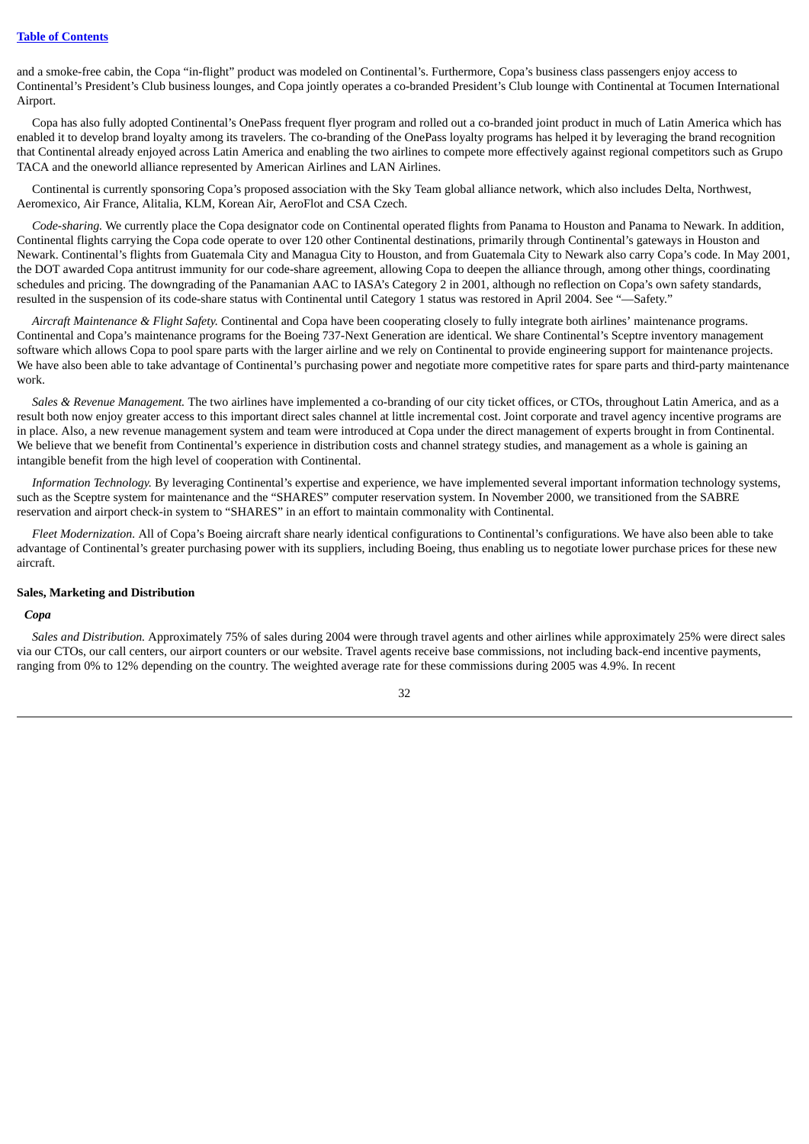and a smoke-free cabin, the Copa "in-flight" product was modeled on Continental's. Furthermore, Copa's business class passengers enjoy access to Continental's President's Club business lounges, and Copa jointly operates a co-branded President's Club lounge with Continental at Tocumen International Airport.

Copa has also fully adopted Continental's OnePass frequent flyer program and rolled out a co-branded joint product in much of Latin America which has enabled it to develop brand loyalty among its travelers. The co-branding of the OnePass loyalty programs has helped it by leveraging the brand recognition that Continental already enjoyed across Latin America and enabling the two airlines to compete more effectively against regional competitors such as Grupo TACA and the oneworld alliance represented by American Airlines and LAN Airlines.

Continental is currently sponsoring Copa's proposed association with the Sky Team global alliance network, which also includes Delta, Northwest, Aeromexico, Air France, Alitalia, KLM, Korean Air, AeroFlot and CSA Czech.

*Code-sharing.* We currently place the Copa designator code on Continental operated flights from Panama to Houston and Panama to Newark. In addition, Continental flights carrying the Copa code operate to over 120 other Continental destinations, primarily through Continental's gateways in Houston and Newark. Continental's flights from Guatemala City and Managua City to Houston, and from Guatemala City to Newark also carry Copa's code. In May 2001, the DOT awarded Copa antitrust immunity for our code-share agreement, allowing Copa to deepen the alliance through, among other things, coordinating schedules and pricing. The downgrading of the Panamanian AAC to IASA's Category 2 in 2001, although no reflection on Copa's own safety standards, resulted in the suspension of its code-share status with Continental until Category 1 status was restored in April 2004. See "—Safety."

*Aircraft Maintenance & Flight Safety.* Continental and Copa have been cooperating closely to fully integrate both airlines' maintenance programs. Continental and Copa's maintenance programs for the Boeing 737-Next Generation are identical. We share Continental's Sceptre inventory management software which allows Copa to pool spare parts with the larger airline and we rely on Continental to provide engineering support for maintenance projects. We have also been able to take advantage of Continental's purchasing power and negotiate more competitive rates for spare parts and third-party maintenance work.

*Sales & Revenue Management.* The two airlines have implemented a co-branding of our city ticket offices, or CTOs, throughout Latin America, and as a result both now enjoy greater access to this important direct sales channel at little incremental cost. Joint corporate and travel agency incentive programs are in place. Also, a new revenue management system and team were introduced at Copa under the direct management of experts brought in from Continental. We believe that we benefit from Continental's experience in distribution costs and channel strategy studies, and management as a whole is gaining an intangible benefit from the high level of cooperation with Continental.

*Information Technology.* By leveraging Continental's expertise and experience, we have implemented several important information technology systems, such as the Sceptre system for maintenance and the "SHARES" computer reservation system. In November 2000, we transitioned from the SABRE reservation and airport check-in system to "SHARES" in an effort to maintain commonality with Continental.

*Fleet Modernization.* All of Copa's Boeing aircraft share nearly identical configurations to Continental's configurations. We have also been able to take advantage of Continental's greater purchasing power with its suppliers, including Boeing, thus enabling us to negotiate lower purchase prices for these new aircraft.

## **Sales, Marketing and Distribution**

# *Copa*

*Sales and Distribution.* Approximately 75% of sales during 2004 were through travel agents and other airlines while approximately 25% were direct sales via our CTOs, our call centers, our airport counters or our website. Travel agents receive base commissions, not including back-end incentive payments, ranging from 0% to 12% depending on the country. The weighted average rate for these commissions during 2005 was 4.9%. In recent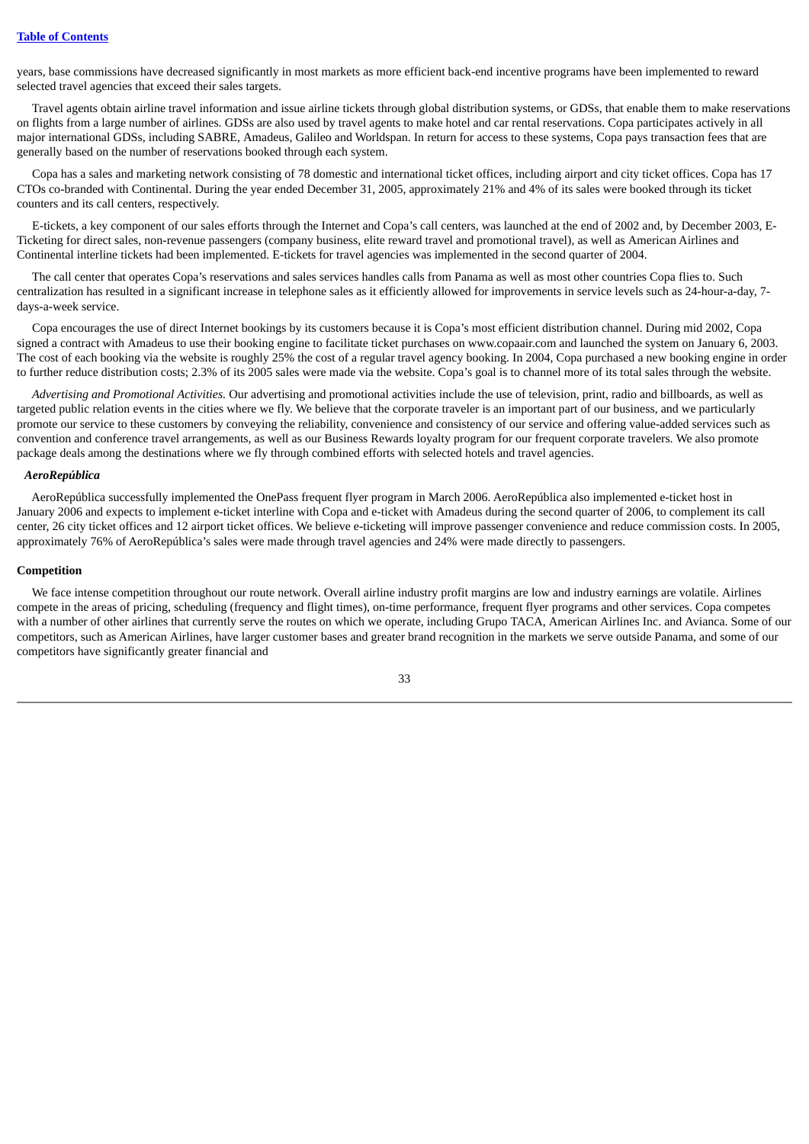years, base commissions have decreased significantly in most markets as more efficient back-end incentive programs have been implemented to reward selected travel agencies that exceed their sales targets.

Travel agents obtain airline travel information and issue airline tickets through global distribution systems, or GDSs, that enable them to make reservations on flights from a large number of airlines. GDSs are also used by travel agents to make hotel and car rental reservations. Copa participates actively in all major international GDSs, including SABRE, Amadeus, Galileo and Worldspan. In return for access to these systems, Copa pays transaction fees that are generally based on the number of reservations booked through each system.

Copa has a sales and marketing network consisting of 78 domestic and international ticket offices, including airport and city ticket offices. Copa has 17 CTOs co-branded with Continental. During the year ended December 31, 2005, approximately 21% and 4% of its sales were booked through its ticket counters and its call centers, respectively.

E-tickets, a key component of our sales efforts through the Internet and Copa's call centers, was launched at the end of 2002 and, by December 2003, E-Ticketing for direct sales, non-revenue passengers (company business, elite reward travel and promotional travel), as well as American Airlines and Continental interline tickets had been implemented. E-tickets for travel agencies was implemented in the second quarter of 2004.

The call center that operates Copa's reservations and sales services handles calls from Panama as well as most other countries Copa flies to. Such centralization has resulted in a significant increase in telephone sales as it efficiently allowed for improvements in service levels such as 24-hour-a-day, 7 days-a-week service.

Copa encourages the use of direct Internet bookings by its customers because it is Copa's most efficient distribution channel. During mid 2002, Copa signed a contract with Amadeus to use their booking engine to facilitate ticket purchases on www.copaair.com and launched the system on January 6, 2003. The cost of each booking via the website is roughly 25% the cost of a regular travel agency booking. In 2004, Copa purchased a new booking engine in order to further reduce distribution costs; 2.3% of its 2005 sales were made via the website. Copa's goal is to channel more of its total sales through the website.

*Advertising and Promotional Activities.* Our advertising and promotional activities include the use of television, print, radio and billboards, as well as targeted public relation events in the cities where we fly. We believe that the corporate traveler is an important part of our business, and we particularly promote our service to these customers by conveying the reliability, convenience and consistency of our service and offering value-added services such as convention and conference travel arrangements, as well as our Business Rewards loyalty program for our frequent corporate travelers. We also promote package deals among the destinations where we fly through combined efforts with selected hotels and travel agencies.

### *AeroRepública*

AeroRepública successfully implemented the OnePass frequent flyer program in March 2006. AeroRepública also implemented e-ticket host in January 2006 and expects to implement e-ticket interline with Copa and e-ticket with Amadeus during the second quarter of 2006, to complement its call center, 26 city ticket offices and 12 airport ticket offices. We believe e-ticketing will improve passenger convenience and reduce commission costs. In 2005, approximately 76% of AeroRepública's sales were made through travel agencies and 24% were made directly to passengers.

## **Competition**

We face intense competition throughout our route network. Overall airline industry profit margins are low and industry earnings are volatile. Airlines compete in the areas of pricing, scheduling (frequency and flight times), on-time performance, frequent flyer programs and other services. Copa competes with a number of other airlines that currently serve the routes on which we operate, including Grupo TACA, American Airlines Inc. and Avianca. Some of our competitors, such as American Airlines, have larger customer bases and greater brand recognition in the markets we serve outside Panama, and some of our competitors have significantly greater financial and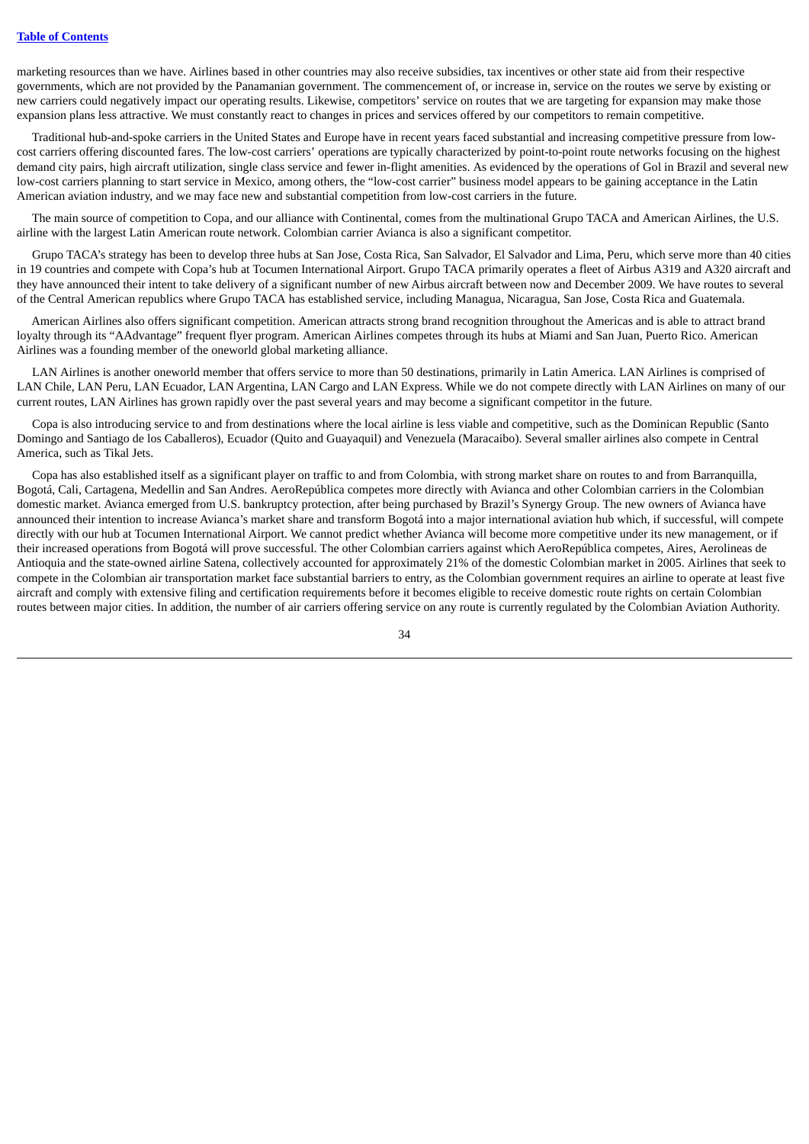marketing resources than we have. Airlines based in other countries may also receive subsidies, tax incentives or other state aid from their respective governments, which are not provided by the Panamanian government. The commencement of, or increase in, service on the routes we serve by existing or new carriers could negatively impact our operating results. Likewise, competitors' service on routes that we are targeting for expansion may make those expansion plans less attractive. We must constantly react to changes in prices and services offered by our competitors to remain competitive.

Traditional hub-and-spoke carriers in the United States and Europe have in recent years faced substantial and increasing competitive pressure from lowcost carriers offering discounted fares. The low-cost carriers' operations are typically characterized by point-to-point route networks focusing on the highest demand city pairs, high aircraft utilization, single class service and fewer in-flight amenities. As evidenced by the operations of Gol in Brazil and several new low-cost carriers planning to start service in Mexico, among others, the "low-cost carrier" business model appears to be gaining acceptance in the Latin American aviation industry, and we may face new and substantial competition from low-cost carriers in the future.

The main source of competition to Copa, and our alliance with Continental, comes from the multinational Grupo TACA and American Airlines, the U.S. airline with the largest Latin American route network. Colombian carrier Avianca is also a significant competitor.

Grupo TACA's strategy has been to develop three hubs at San Jose, Costa Rica, San Salvador, El Salvador and Lima, Peru, which serve more than 40 cities in 19 countries and compete with Copa's hub at Tocumen International Airport. Grupo TACA primarily operates a fleet of Airbus A319 and A320 aircraft and they have announced their intent to take delivery of a significant number of new Airbus aircraft between now and December 2009. We have routes to several of the Central American republics where Grupo TACA has established service, including Managua, Nicaragua, San Jose, Costa Rica and Guatemala.

American Airlines also offers significant competition. American attracts strong brand recognition throughout the Americas and is able to attract brand loyalty through its "AAdvantage" frequent flyer program. American Airlines competes through its hubs at Miami and San Juan, Puerto Rico. American Airlines was a founding member of the oneworld global marketing alliance.

LAN Airlines is another oneworld member that offers service to more than 50 destinations, primarily in Latin America. LAN Airlines is comprised of LAN Chile, LAN Peru, LAN Ecuador, LAN Argentina, LAN Cargo and LAN Express. While we do not compete directly with LAN Airlines on many of our current routes, LAN Airlines has grown rapidly over the past several years and may become a significant competitor in the future.

Copa is also introducing service to and from destinations where the local airline is less viable and competitive, such as the Dominican Republic (Santo Domingo and Santiago de los Caballeros), Ecuador (Quito and Guayaquil) and Venezuela (Maracaibo). Several smaller airlines also compete in Central America, such as Tikal Jets.

Copa has also established itself as a significant player on traffic to and from Colombia, with strong market share on routes to and from Barranquilla, Bogotá, Cali, Cartagena, Medellin and San Andres. AeroRepública competes more directly with Avianca and other Colombian carriers in the Colombian domestic market. Avianca emerged from U.S. bankruptcy protection, after being purchased by Brazil's Synergy Group. The new owners of Avianca have announced their intention to increase Avianca's market share and transform Bogotá into a major international aviation hub which, if successful, will compete directly with our hub at Tocumen International Airport. We cannot predict whether Avianca will become more competitive under its new management, or if their increased operations from Bogotá will prove successful. The other Colombian carriers against which AeroRepública competes, Aires, Aerolineas de Antioquia and the state-owned airline Satena, collectively accounted for approximately 21% of the domestic Colombian market in 2005. Airlines that seek to compete in the Colombian air transportation market face substantial barriers to entry, as the Colombian government requires an airline to operate at least five aircraft and comply with extensive filing and certification requirements before it becomes eligible to receive domestic route rights on certain Colombian routes between major cities. In addition, the number of air carriers offering service on any route is currently regulated by the Colombian Aviation Authority.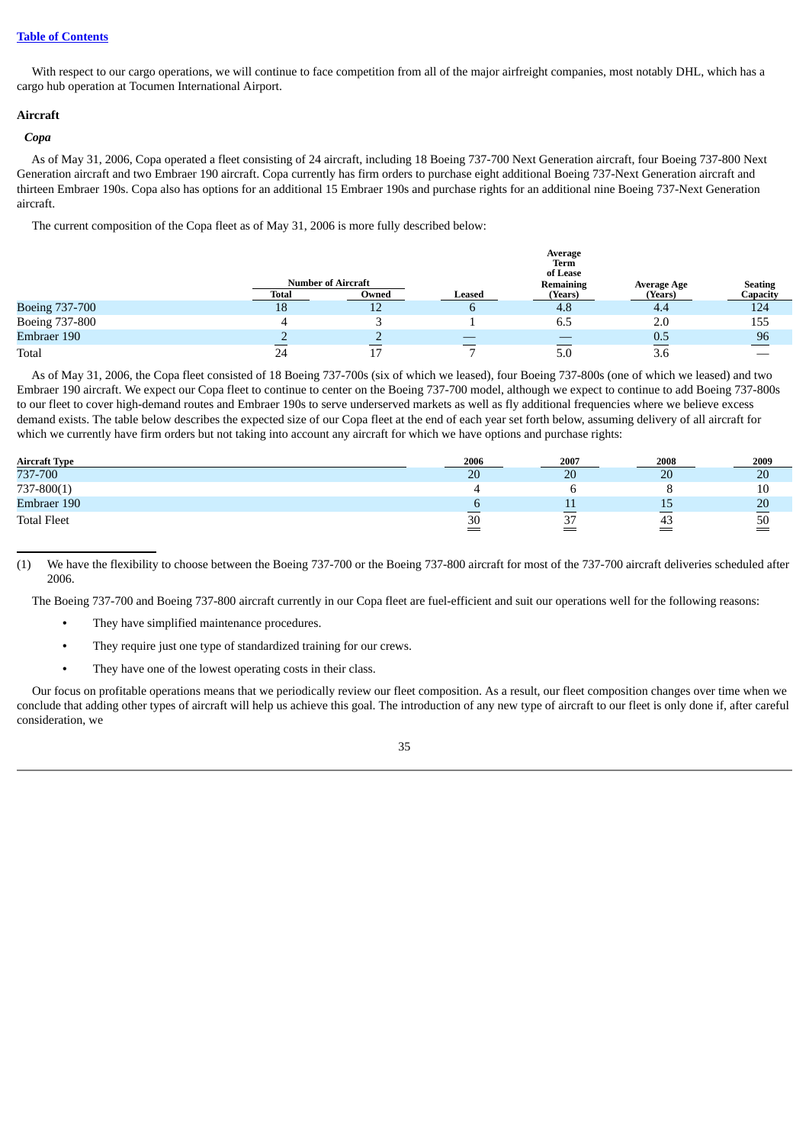## **Table of [Contents](#page-3-0)**

With respect to our cargo operations, we will continue to face competition from all of the major airfreight companies, most notably DHL, which has a cargo hub operation at Tocumen International Airport.

# **Aircraft**

## *Copa*

As of May 31, 2006, Copa operated a fleet consisting of 24 aircraft, including 18 Boeing 737-700 Next Generation aircraft, four Boeing 737-800 Next Generation aircraft and two Embraer 190 aircraft. Copa currently has firm orders to purchase eight additional Boeing 737-Next Generation aircraft and thirteen Embraer 190s. Copa also has options for an additional 15 Embraer 190s and purchase rights for an additional nine Boeing 737-Next Generation aircraft.

The current composition of the Copa fleet as of May 31, 2006 is more fully described below:

|                | Average<br>Term<br>of Lease        |       |               |                      |                               |                            |
|----------------|------------------------------------|-------|---------------|----------------------|-------------------------------|----------------------------|
|                | <b>Number of Aircraft</b><br>Total | Owned | <b>Leased</b> | Remaining<br>(Years) | <b>Average Age</b><br>(Years) | <b>Seating</b><br>Capacity |
| Boeing 737-700 | 18                                 | ᅩ     |               | 4.8                  | 4.4                           | 124                        |
| Boeing 737-800 |                                    |       |               | 6.5                  | 2.0                           | 155                        |
| Embraer 190    |                                    |       |               |                      | 0.5                           | 96                         |
| Total          | 24                                 |       |               | 5.0                  | 3.6                           |                            |

As of May 31, 2006, the Copa fleet consisted of 18 Boeing 737-700s (six of which we leased), four Boeing 737-800s (one of which we leased) and two Embraer 190 aircraft. We expect our Copa fleet to continue to center on the Boeing 737-700 model, although we expect to continue to add Boeing 737-800s to our fleet to cover high-demand routes and Embraer 190s to serve underserved markets as well as fly additional frequencies where we believe excess demand exists. The table below describes the expected size of our Copa fleet at the end of each year set forth below, assuming delivery of all aircraft for which we currently have firm orders but not taking into account any aircraft for which we have options and purchase rights:

| <b>Aircraft Type</b> | 2006 | 2007             | 2008         | 2009          |
|----------------------|------|------------------|--------------|---------------|
| 737-700              | 20   | 20               | 20           | 20            |
| $737 - 800(1)$       |      |                  |              | 10            |
| Embraer 190          |      | --               | ᅩ            | 20            |
| <b>Total Fleet</b>   | 30   | _<br>n m<br>ر ر_ | $\sim$<br>43 | __<br>50<br>= |

(1) We have the flexibility to choose between the Boeing 737-700 or the Boeing 737-800 aircraft for most of the 737-700 aircraft deliveries scheduled after 2006.

The Boeing 737-700 and Boeing 737-800 aircraft currently in our Copa fleet are fuel-efficient and suit our operations well for the following reasons:

- **•** They have simplified maintenance procedures.
- **•** They require just one type of standardized training for our crews.
- **•** They have one of the lowest operating costs in their class.

Our focus on profitable operations means that we periodically review our fleet composition. As a result, our fleet composition changes over time when we conclude that adding other types of aircraft will help us achieve this goal. The introduction of any new type of aircraft to our fleet is only done if, after careful consideration, we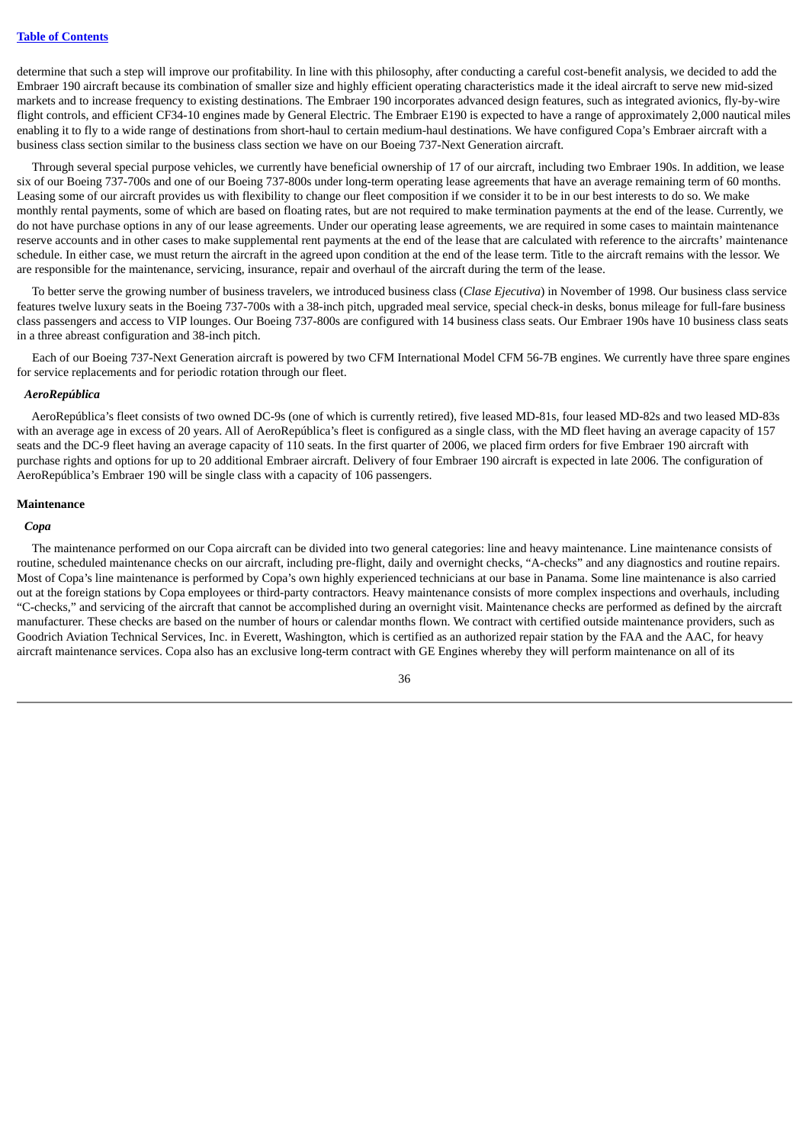determine that such a step will improve our profitability. In line with this philosophy, after conducting a careful cost-benefit analysis, we decided to add the Embraer 190 aircraft because its combination of smaller size and highly efficient operating characteristics made it the ideal aircraft to serve new mid-sized markets and to increase frequency to existing destinations. The Embraer 190 incorporates advanced design features, such as integrated avionics, fly-by-wire flight controls, and efficient CF34-10 engines made by General Electric. The Embraer E190 is expected to have a range of approximately 2,000 nautical miles enabling it to fly to a wide range of destinations from short-haul to certain medium-haul destinations. We have configured Copa's Embraer aircraft with a business class section similar to the business class section we have on our Boeing 737-Next Generation aircraft.

Through several special purpose vehicles, we currently have beneficial ownership of 17 of our aircraft, including two Embraer 190s. In addition, we lease six of our Boeing 737-700s and one of our Boeing 737-800s under long-term operating lease agreements that have an average remaining term of 60 months. Leasing some of our aircraft provides us with flexibility to change our fleet composition if we consider it to be in our best interests to do so. We make monthly rental payments, some of which are based on floating rates, but are not required to make termination payments at the end of the lease. Currently, we do not have purchase options in any of our lease agreements. Under our operating lease agreements, we are required in some cases to maintain maintenance reserve accounts and in other cases to make supplemental rent payments at the end of the lease that are calculated with reference to the aircrafts' maintenance schedule. In either case, we must return the aircraft in the agreed upon condition at the end of the lease term. Title to the aircraft remains with the lessor. We are responsible for the maintenance, servicing, insurance, repair and overhaul of the aircraft during the term of the lease.

To better serve the growing number of business travelers, we introduced business class (*Clase Ejecutiva*) in November of 1998. Our business class service features twelve luxury seats in the Boeing 737-700s with a 38-inch pitch, upgraded meal service, special check-in desks, bonus mileage for full-fare business class passengers and access to VIP lounges. Our Boeing 737-800s are configured with 14 business class seats. Our Embraer 190s have 10 business class seats in a three abreast configuration and 38-inch pitch.

Each of our Boeing 737-Next Generation aircraft is powered by two CFM International Model CFM 56-7B engines. We currently have three spare engines for service replacements and for periodic rotation through our fleet.

#### *AeroRepública*

AeroRepública's fleet consists of two owned DC-9s (one of which is currently retired), five leased MD-81s, four leased MD-82s and two leased MD-83s with an average age in excess of 20 years. All of AeroRepública's fleet is configured as a single class, with the MD fleet having an average capacity of 157 seats and the DC-9 fleet having an average capacity of 110 seats. In the first quarter of 2006, we placed firm orders for five Embraer 190 aircraft with purchase rights and options for up to 20 additional Embraer aircraft. Delivery of four Embraer 190 aircraft is expected in late 2006. The configuration of AeroRepública's Embraer 190 will be single class with a capacity of 106 passengers.

### **Maintenance**

## *Copa*

The maintenance performed on our Copa aircraft can be divided into two general categories: line and heavy maintenance. Line maintenance consists of routine, scheduled maintenance checks on our aircraft, including pre-flight, daily and overnight checks, "A-checks" and any diagnostics and routine repairs. Most of Copa's line maintenance is performed by Copa's own highly experienced technicians at our base in Panama. Some line maintenance is also carried out at the foreign stations by Copa employees or third-party contractors. Heavy maintenance consists of more complex inspections and overhauls, including "C-checks," and servicing of the aircraft that cannot be accomplished during an overnight visit. Maintenance checks are performed as defined by the aircraft manufacturer. These checks are based on the number of hours or calendar months flown. We contract with certified outside maintenance providers, such as Goodrich Aviation Technical Services, Inc. in Everett, Washington, which is certified as an authorized repair station by the FAA and the AAC, for heavy aircraft maintenance services. Copa also has an exclusive long-term contract with GE Engines whereby they will perform maintenance on all of its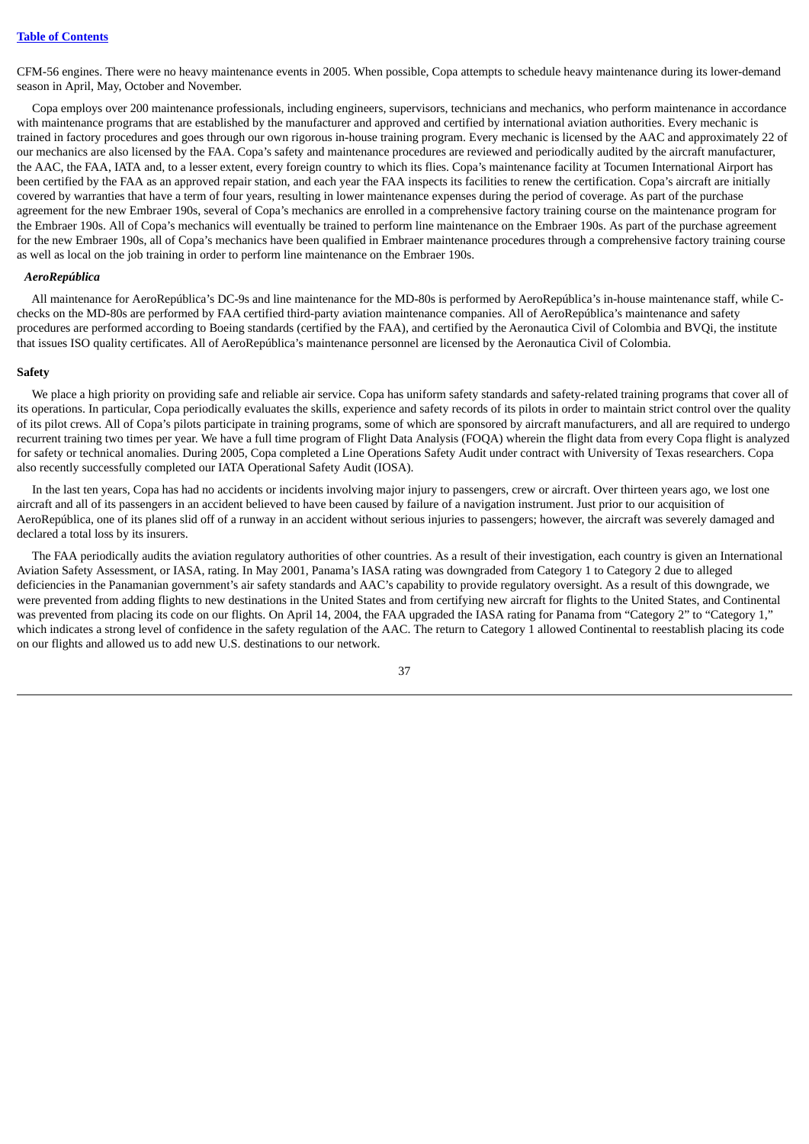CFM-56 engines. There were no heavy maintenance events in 2005. When possible, Copa attempts to schedule heavy maintenance during its lower-demand season in April, May, October and November.

Copa employs over 200 maintenance professionals, including engineers, supervisors, technicians and mechanics, who perform maintenance in accordance with maintenance programs that are established by the manufacturer and approved and certified by international aviation authorities. Every mechanic is trained in factory procedures and goes through our own rigorous in-house training program. Every mechanic is licensed by the AAC and approximately 22 of our mechanics are also licensed by the FAA. Copa's safety and maintenance procedures are reviewed and periodically audited by the aircraft manufacturer, the AAC, the FAA, IATA and, to a lesser extent, every foreign country to which its flies. Copa's maintenance facility at Tocumen International Airport has been certified by the FAA as an approved repair station, and each year the FAA inspects its facilities to renew the certification. Copa's aircraft are initially covered by warranties that have a term of four years, resulting in lower maintenance expenses during the period of coverage. As part of the purchase agreement for the new Embraer 190s, several of Copa's mechanics are enrolled in a comprehensive factory training course on the maintenance program for the Embraer 190s. All of Copa's mechanics will eventually be trained to perform line maintenance on the Embraer 190s. As part of the purchase agreement for the new Embraer 190s, all of Copa's mechanics have been qualified in Embraer maintenance procedures through a comprehensive factory training course as well as local on the job training in order to perform line maintenance on the Embraer 190s.

#### *AeroRepública*

All maintenance for AeroRepública's DC-9s and line maintenance for the MD-80s is performed by AeroRepública's in-house maintenance staff, while Cchecks on the MD-80s are performed by FAA certified third-party aviation maintenance companies. All of AeroRepública's maintenance and safety procedures are performed according to Boeing standards (certified by the FAA), and certified by the Aeronautica Civil of Colombia and BVQi, the institute that issues ISO quality certificates. All of AeroRepública's maintenance personnel are licensed by the Aeronautica Civil of Colombia.

### **Safety**

We place a high priority on providing safe and reliable air service. Copa has uniform safety standards and safety-related training programs that cover all of its operations. In particular, Copa periodically evaluates the skills, experience and safety records of its pilots in order to maintain strict control over the quality of its pilot crews. All of Copa's pilots participate in training programs, some of which are sponsored by aircraft manufacturers, and all are required to undergo recurrent training two times per year. We have a full time program of Flight Data Analysis (FOQA) wherein the flight data from every Copa flight is analyzed for safety or technical anomalies. During 2005, Copa completed a Line Operations Safety Audit under contract with University of Texas researchers. Copa also recently successfully completed our IATA Operational Safety Audit (IOSA).

In the last ten years, Copa has had no accidents or incidents involving major injury to passengers, crew or aircraft. Over thirteen years ago, we lost one aircraft and all of its passengers in an accident believed to have been caused by failure of a navigation instrument. Just prior to our acquisition of AeroRepública, one of its planes slid off of a runway in an accident without serious injuries to passengers; however, the aircraft was severely damaged and declared a total loss by its insurers.

The FAA periodically audits the aviation regulatory authorities of other countries. As a result of their investigation, each country is given an International Aviation Safety Assessment, or IASA, rating. In May 2001, Panama's IASA rating was downgraded from Category 1 to Category 2 due to alleged deficiencies in the Panamanian government's air safety standards and AAC's capability to provide regulatory oversight. As a result of this downgrade, we were prevented from adding flights to new destinations in the United States and from certifying new aircraft for flights to the United States, and Continental was prevented from placing its code on our flights. On April 14, 2004, the FAA upgraded the IASA rating for Panama from "Category 2" to "Category 1," which indicates a strong level of confidence in the safety regulation of the AAC. The return to Category 1 allowed Continental to reestablish placing its code on our flights and allowed us to add new U.S. destinations to our network.

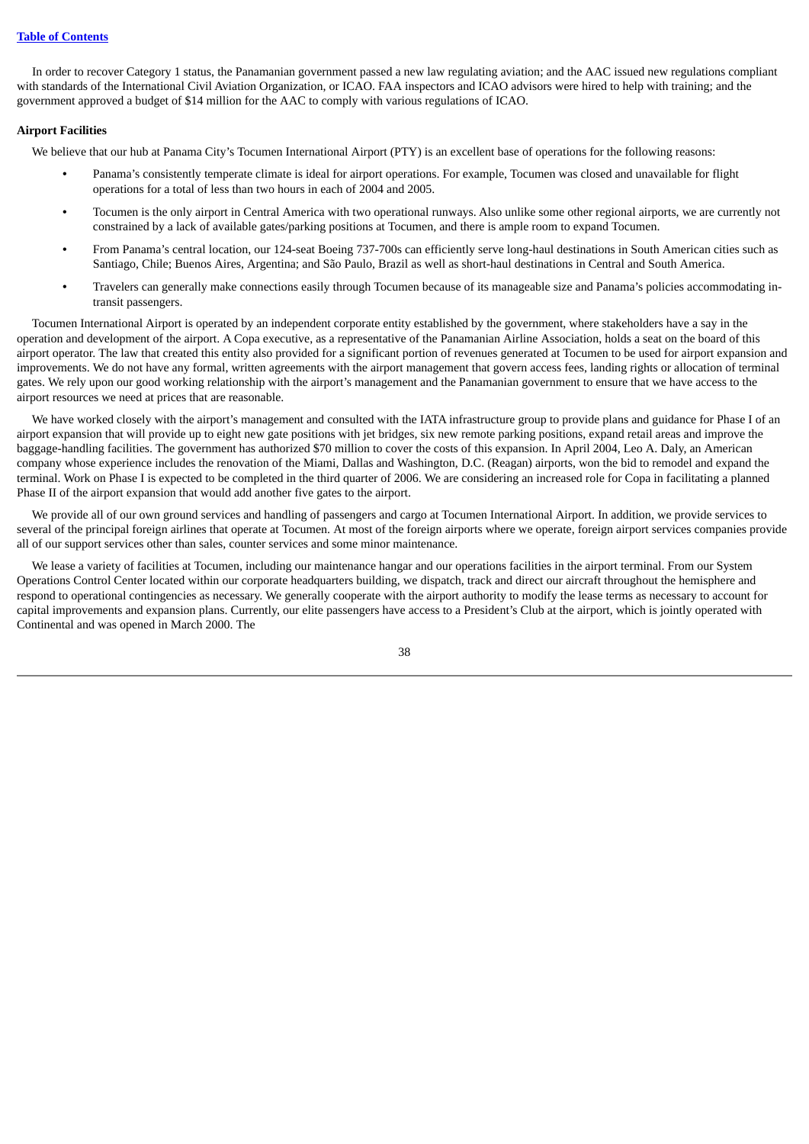In order to recover Category 1 status, the Panamanian government passed a new law regulating aviation; and the AAC issued new regulations compliant with standards of the International Civil Aviation Organization, or ICAO. FAA inspectors and ICAO advisors were hired to help with training; and the government approved a budget of \$14 million for the AAC to comply with various regulations of ICAO.

# **Airport Facilities**

We believe that our hub at Panama City's Tocumen International Airport (PTY) is an excellent base of operations for the following reasons:

- **•** Panama's consistently temperate climate is ideal for airport operations. For example, Tocumen was closed and unavailable for flight operations for a total of less than two hours in each of 2004 and 2005.
- **•** Tocumen is the only airport in Central America with two operational runways. Also unlike some other regional airports, we are currently not constrained by a lack of available gates/parking positions at Tocumen, and there is ample room to expand Tocumen.
- **•** From Panama's central location, our 124-seat Boeing 737-700s can efficiently serve long-haul destinations in South American cities such as Santiago, Chile; Buenos Aires, Argentina; and São Paulo, Brazil as well as short-haul destinations in Central and South America.
- **•** Travelers can generally make connections easily through Tocumen because of its manageable size and Panama's policies accommodating intransit passengers.

Tocumen International Airport is operated by an independent corporate entity established by the government, where stakeholders have a say in the operation and development of the airport. A Copa executive, as a representative of the Panamanian Airline Association, holds a seat on the board of this airport operator. The law that created this entity also provided for a significant portion of revenues generated at Tocumen to be used for airport expansion and improvements. We do not have any formal, written agreements with the airport management that govern access fees, landing rights or allocation of terminal gates. We rely upon our good working relationship with the airport's management and the Panamanian government to ensure that we have access to the airport resources we need at prices that are reasonable.

We have worked closely with the airport's management and consulted with the IATA infrastructure group to provide plans and guidance for Phase I of an airport expansion that will provide up to eight new gate positions with jet bridges, six new remote parking positions, expand retail areas and improve the baggage-handling facilities. The government has authorized \$70 million to cover the costs of this expansion. In April 2004, Leo A. Daly, an American company whose experience includes the renovation of the Miami, Dallas and Washington, D.C. (Reagan) airports, won the bid to remodel and expand the terminal. Work on Phase I is expected to be completed in the third quarter of 2006. We are considering an increased role for Copa in facilitating a planned Phase II of the airport expansion that would add another five gates to the airport.

We provide all of our own ground services and handling of passengers and cargo at Tocumen International Airport. In addition, we provide services to several of the principal foreign airlines that operate at Tocumen. At most of the foreign airports where we operate, foreign airport services companies provide all of our support services other than sales, counter services and some minor maintenance.

We lease a variety of facilities at Tocumen, including our maintenance hangar and our operations facilities in the airport terminal. From our System Operations Control Center located within our corporate headquarters building, we dispatch, track and direct our aircraft throughout the hemisphere and respond to operational contingencies as necessary. We generally cooperate with the airport authority to modify the lease terms as necessary to account for capital improvements and expansion plans. Currently, our elite passengers have access to a President's Club at the airport, which is jointly operated with Continental and was opened in March 2000. The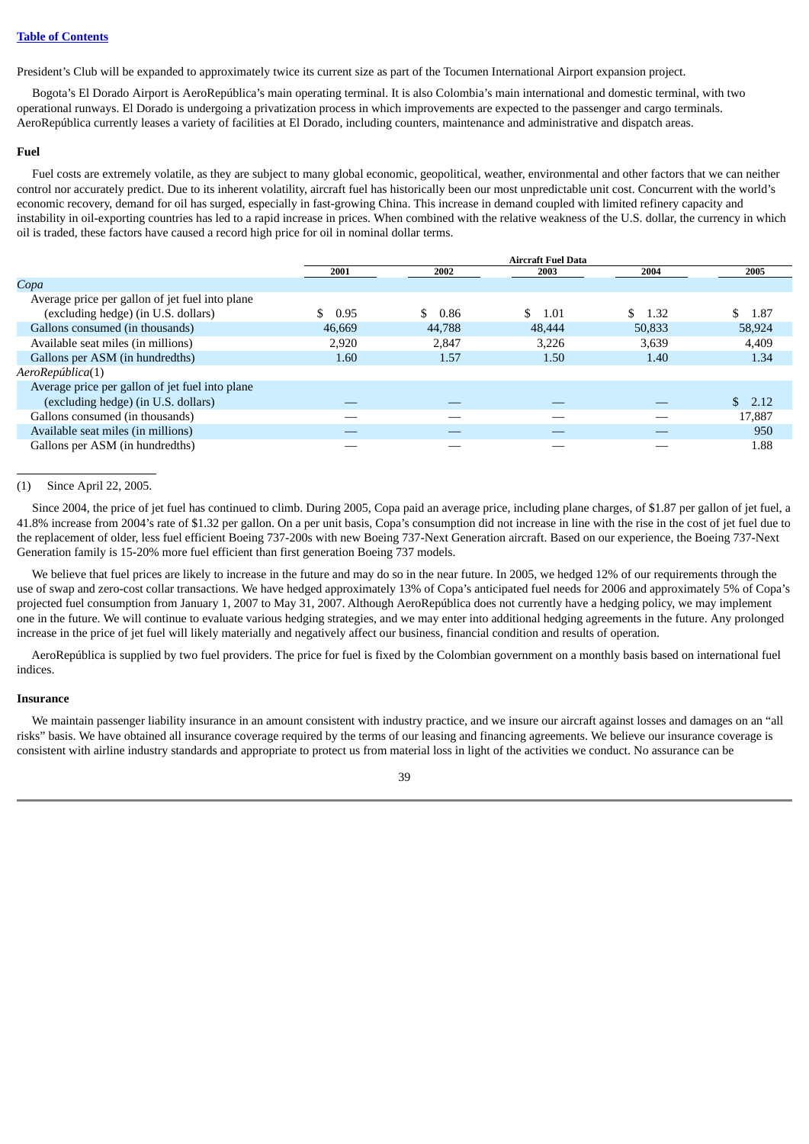President's Club will be expanded to approximately twice its current size as part of the Tocumen International Airport expansion project.

Bogota's El Dorado Airport is AeroRepública's main operating terminal. It is also Colombia's main international and domestic terminal, with two operational runways. El Dorado is undergoing a privatization process in which improvements are expected to the passenger and cargo terminals. AeroRepública currently leases a variety of facilities at El Dorado, including counters, maintenance and administrative and dispatch areas.

## **Fuel**

Fuel costs are extremely volatile, as they are subject to many global economic, geopolitical, weather, environmental and other factors that we can neither control nor accurately predict. Due to its inherent volatility, aircraft fuel has historically been our most unpredictable unit cost. Concurrent with the world's economic recovery, demand for oil has surged, especially in fast-growing China. This increase in demand coupled with limited refinery capacity and instability in oil-exporting countries has led to a rapid increase in prices. When combined with the relative weakness of the U.S. dollar, the currency in which oil is traded, these factors have caused a record high price for oil in nominal dollar terms.

|                                                 |        |            | <b>Aircraft Fuel Data</b> |               |                      |
|-------------------------------------------------|--------|------------|---------------------------|---------------|----------------------|
|                                                 | 2001   | 2002       | 2003                      | 2004          | 2005                 |
| Copa                                            |        |            |                           |               |                      |
| Average price per gallon of jet fuel into plane |        |            |                           |               |                      |
| (excluding hedge) (in U.S. dollars)             | 0.95   | \$<br>0.86 | \$<br>1.01                | \$.<br>- 1.32 | \$.<br>1.87          |
| Gallons consumed (in thousands)                 | 46,669 | 44,788     | 48,444                    | 50,833        | 58,924               |
| Available seat miles (in millions)              | 2.920  | 2,847      | 3.226                     | 3,639         | 4,409                |
| Gallons per ASM (in hundredths)                 | 1.60   | 1.57       | 1.50                      | 1.40          | 1.34                 |
| AeroRepública(1)                                |        |            |                           |               |                      |
| Average price per gallon of jet fuel into plane |        |            |                           |               |                      |
| (excluding hedge) (in U.S. dollars)             |        |            |                           |               | $\mathbb{S}$<br>2.12 |
| Gallons consumed (in thousands)                 |        |            |                           |               | 17,887               |
| Available seat miles (in millions)              |        |            |                           |               | 950                  |
| Gallons per ASM (in hundredths)                 |        |            |                           |               | 1.88                 |

# (1) Since April 22, 2005.

Since 2004, the price of jet fuel has continued to climb. During 2005, Copa paid an average price, including plane charges, of \$1.87 per gallon of jet fuel, a 41.8% increase from 2004's rate of \$1.32 per gallon. On a per unit basis, Copa's consumption did not increase in line with the rise in the cost of jet fuel due to the replacement of older, less fuel efficient Boeing 737-200s with new Boeing 737-Next Generation aircraft. Based on our experience, the Boeing 737-Next Generation family is 15-20% more fuel efficient than first generation Boeing 737 models.

We believe that fuel prices are likely to increase in the future and may do so in the near future. In 2005, we hedged 12% of our requirements through the use of swap and zero-cost collar transactions. We have hedged approximately 13% of Copa's anticipated fuel needs for 2006 and approximately 5% of Copa's projected fuel consumption from January 1, 2007 to May 31, 2007. Although AeroRepública does not currently have a hedging policy, we may implement one in the future. We will continue to evaluate various hedging strategies, and we may enter into additional hedging agreements in the future. Any prolonged increase in the price of jet fuel will likely materially and negatively affect our business, financial condition and results of operation.

AeroRepública is supplied by two fuel providers. The price for fuel is fixed by the Colombian government on a monthly basis based on international fuel indices.

## **Insurance**

We maintain passenger liability insurance in an amount consistent with industry practice, and we insure our aircraft against losses and damages on an "all risks" basis. We have obtained all insurance coverage required by the terms of our leasing and financing agreements. We believe our insurance coverage is consistent with airline industry standards and appropriate to protect us from material loss in light of the activities we conduct. No assurance can be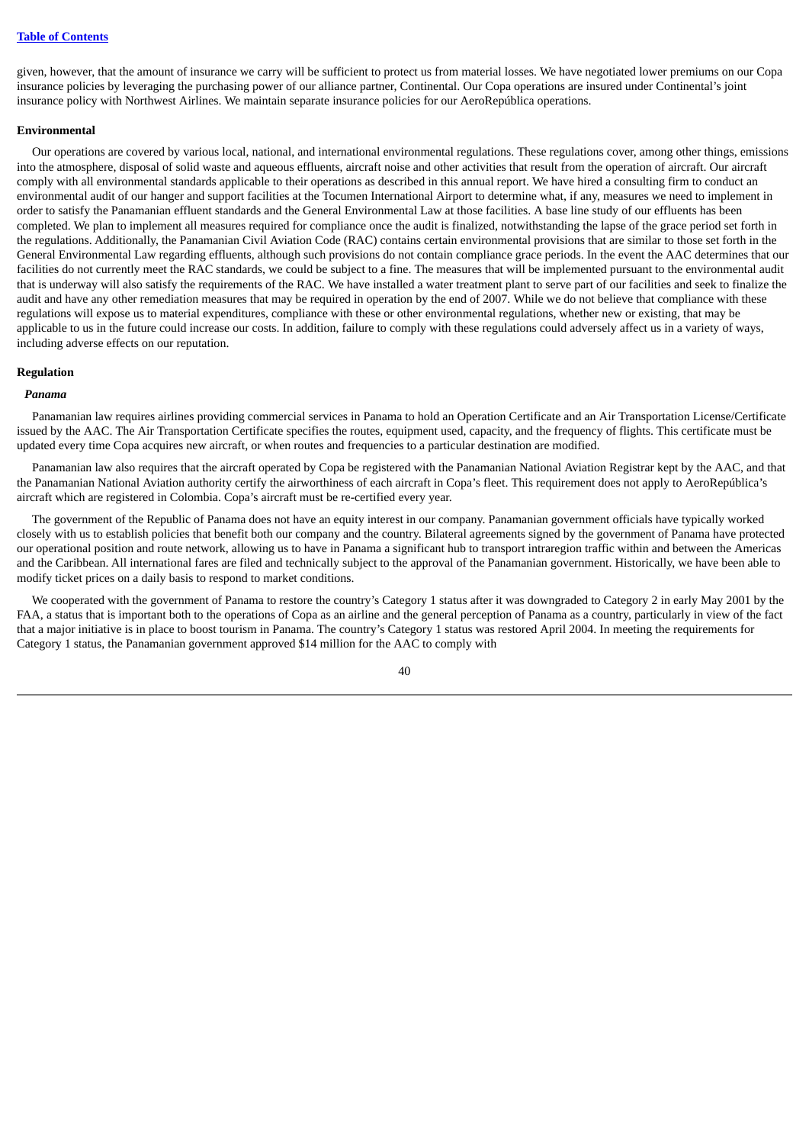given, however, that the amount of insurance we carry will be sufficient to protect us from material losses. We have negotiated lower premiums on our Copa insurance policies by leveraging the purchasing power of our alliance partner, Continental. Our Copa operations are insured under Continental's joint insurance policy with Northwest Airlines. We maintain separate insurance policies for our AeroRepública operations.

## **Environmental**

Our operations are covered by various local, national, and international environmental regulations. These regulations cover, among other things, emissions into the atmosphere, disposal of solid waste and aqueous effluents, aircraft noise and other activities that result from the operation of aircraft. Our aircraft comply with all environmental standards applicable to their operations as described in this annual report. We have hired a consulting firm to conduct an environmental audit of our hanger and support facilities at the Tocumen International Airport to determine what, if any, measures we need to implement in order to satisfy the Panamanian effluent standards and the General Environmental Law at those facilities. A base line study of our effluents has been completed. We plan to implement all measures required for compliance once the audit is finalized, notwithstanding the lapse of the grace period set forth in the regulations. Additionally, the Panamanian Civil Aviation Code (RAC) contains certain environmental provisions that are similar to those set forth in the General Environmental Law regarding effluents, although such provisions do not contain compliance grace periods. In the event the AAC determines that our facilities do not currently meet the RAC standards, we could be subject to a fine. The measures that will be implemented pursuant to the environmental audit that is underway will also satisfy the requirements of the RAC. We have installed a water treatment plant to serve part of our facilities and seek to finalize the audit and have any other remediation measures that may be required in operation by the end of 2007. While we do not believe that compliance with these regulations will expose us to material expenditures, compliance with these or other environmental regulations, whether new or existing, that may be applicable to us in the future could increase our costs. In addition, failure to comply with these regulations could adversely affect us in a variety of ways, including adverse effects on our reputation.

### **Regulation**

## *Panama*

Panamanian law requires airlines providing commercial services in Panama to hold an Operation Certificate and an Air Transportation License/Certificate issued by the AAC. The Air Transportation Certificate specifies the routes, equipment used, capacity, and the frequency of flights. This certificate must be updated every time Copa acquires new aircraft, or when routes and frequencies to a particular destination are modified.

Panamanian law also requires that the aircraft operated by Copa be registered with the Panamanian National Aviation Registrar kept by the AAC, and that the Panamanian National Aviation authority certify the airworthiness of each aircraft in Copa's fleet. This requirement does not apply to AeroRepública's aircraft which are registered in Colombia. Copa's aircraft must be re-certified every year.

The government of the Republic of Panama does not have an equity interest in our company. Panamanian government officials have typically worked closely with us to establish policies that benefit both our company and the country. Bilateral agreements signed by the government of Panama have protected our operational position and route network, allowing us to have in Panama a significant hub to transport intraregion traffic within and between the Americas and the Caribbean. All international fares are filed and technically subject to the approval of the Panamanian government. Historically, we have been able to modify ticket prices on a daily basis to respond to market conditions.

We cooperated with the government of Panama to restore the country's Category 1 status after it was downgraded to Category 2 in early May 2001 by the FAA, a status that is important both to the operations of Copa as an airline and the general perception of Panama as a country, particularly in view of the fact that a major initiative is in place to boost tourism in Panama. The country's Category 1 status was restored April 2004. In meeting the requirements for Category 1 status, the Panamanian government approved \$14 million for the AAC to comply with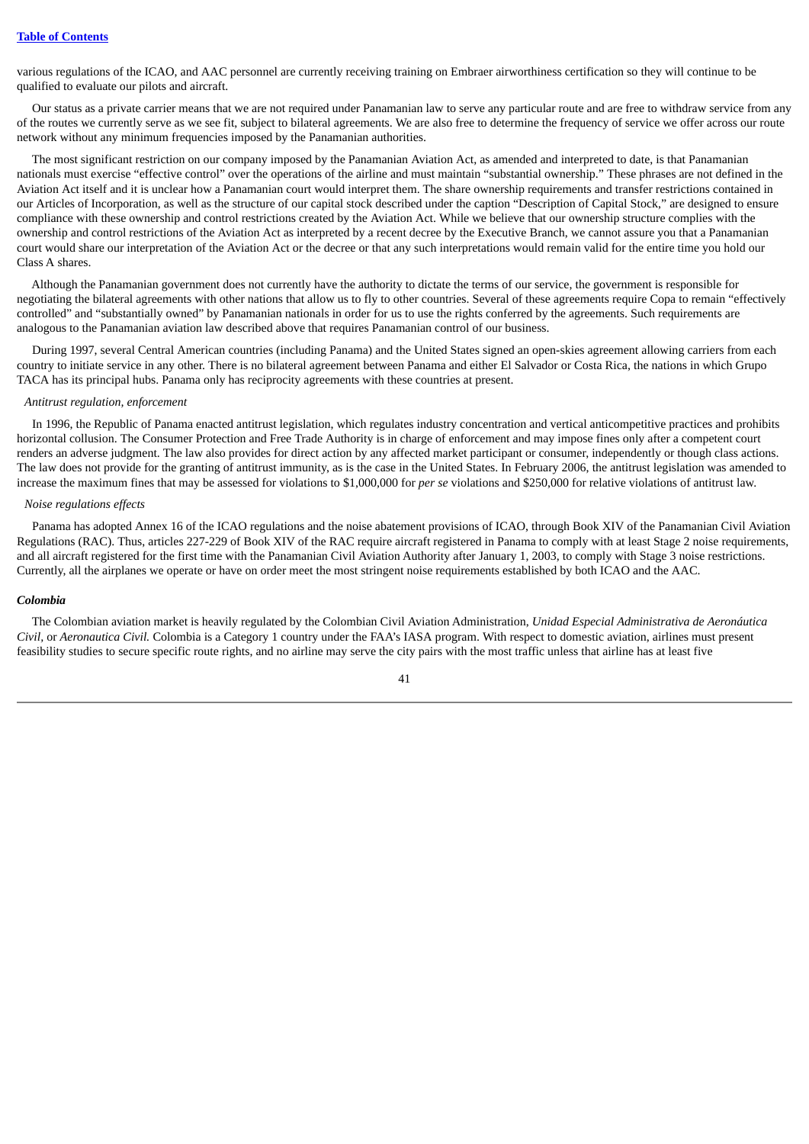various regulations of the ICAO, and AAC personnel are currently receiving training on Embraer airworthiness certification so they will continue to be qualified to evaluate our pilots and aircraft.

Our status as a private carrier means that we are not required under Panamanian law to serve any particular route and are free to withdraw service from any of the routes we currently serve as we see fit, subject to bilateral agreements. We are also free to determine the frequency of service we offer across our route network without any minimum frequencies imposed by the Panamanian authorities.

The most significant restriction on our company imposed by the Panamanian Aviation Act, as amended and interpreted to date, is that Panamanian nationals must exercise "effective control" over the operations of the airline and must maintain "substantial ownership." These phrases are not defined in the Aviation Act itself and it is unclear how a Panamanian court would interpret them. The share ownership requirements and transfer restrictions contained in our Articles of Incorporation, as well as the structure of our capital stock described under the caption "Description of Capital Stock," are designed to ensure compliance with these ownership and control restrictions created by the Aviation Act. While we believe that our ownership structure complies with the ownership and control restrictions of the Aviation Act as interpreted by a recent decree by the Executive Branch, we cannot assure you that a Panamanian court would share our interpretation of the Aviation Act or the decree or that any such interpretations would remain valid for the entire time you hold our Class A shares.

Although the Panamanian government does not currently have the authority to dictate the terms of our service, the government is responsible for negotiating the bilateral agreements with other nations that allow us to fly to other countries. Several of these agreements require Copa to remain "effectively controlled" and "substantially owned" by Panamanian nationals in order for us to use the rights conferred by the agreements. Such requirements are analogous to the Panamanian aviation law described above that requires Panamanian control of our business.

During 1997, several Central American countries (including Panama) and the United States signed an open-skies agreement allowing carriers from each country to initiate service in any other. There is no bilateral agreement between Panama and either El Salvador or Costa Rica, the nations in which Grupo TACA has its principal hubs. Panama only has reciprocity agreements with these countries at present.

## *Antitrust regulation, enforcement*

In 1996, the Republic of Panama enacted antitrust legislation, which regulates industry concentration and vertical anticompetitive practices and prohibits horizontal collusion. The Consumer Protection and Free Trade Authority is in charge of enforcement and may impose fines only after a competent court renders an adverse judgment. The law also provides for direct action by any affected market participant or consumer, independently or though class actions. The law does not provide for the granting of antitrust immunity, as is the case in the United States. In February 2006, the antitrust legislation was amended to increase the maximum fines that may be assessed for violations to \$1,000,000 for *per se* violations and \$250,000 for relative violations of antitrust law.

# *Noise regulations effects*

Panama has adopted Annex 16 of the ICAO regulations and the noise abatement provisions of ICAO, through Book XIV of the Panamanian Civil Aviation Regulations (RAC). Thus, articles 227-229 of Book XIV of the RAC require aircraft registered in Panama to comply with at least Stage 2 noise requirements, and all aircraft registered for the first time with the Panamanian Civil Aviation Authority after January 1, 2003, to comply with Stage 3 noise restrictions. Currently, all the airplanes we operate or have on order meet the most stringent noise requirements established by both ICAO and the AAC.

#### *Colombia*

The Colombian aviation market is heavily regulated by the Colombian Civil Aviation Administration, *Unidad Especial Administrativa de Aeronáutica Civil,* or *Aeronautica Civil.* Colombia is a Category 1 country under the FAA's IASA program. With respect to domestic aviation, airlines must present feasibility studies to secure specific route rights, and no airline may serve the city pairs with the most traffic unless that airline has at least five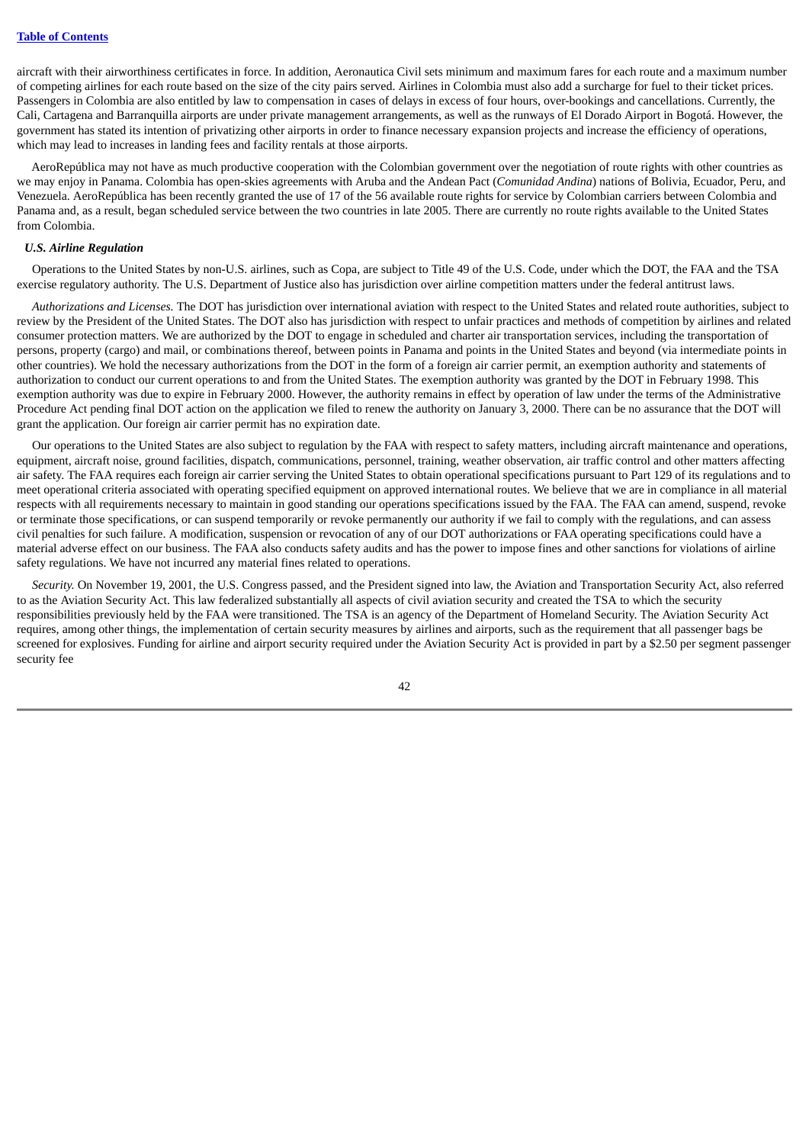aircraft with their airworthiness certificates in force. In addition, Aeronautica Civil sets minimum and maximum fares for each route and a maximum number of competing airlines for each route based on the size of the city pairs served. Airlines in Colombia must also add a surcharge for fuel to their ticket prices. Passengers in Colombia are also entitled by law to compensation in cases of delays in excess of four hours, over-bookings and cancellations. Currently, the Cali, Cartagena and Barranquilla airports are under private management arrangements, as well as the runways of El Dorado Airport in Bogotá. However, the government has stated its intention of privatizing other airports in order to finance necessary expansion projects and increase the efficiency of operations, which may lead to increases in landing fees and facility rentals at those airports.

AeroRepública may not have as much productive cooperation with the Colombian government over the negotiation of route rights with other countries as we may enjoy in Panama. Colombia has open-skies agreements with Aruba and the Andean Pact (*Comunidad Andina*) nations of Bolivia, Ecuador, Peru, and Venezuela. AeroRepública has been recently granted the use of 17 of the 56 available route rights for service by Colombian carriers between Colombia and Panama and, as a result, began scheduled service between the two countries in late 2005. There are currently no route rights available to the United States from Colombia.

## *U.S. Airline Regulation*

Operations to the United States by non-U.S. airlines, such as Copa, are subject to Title 49 of the U.S. Code, under which the DOT, the FAA and the TSA exercise regulatory authority. The U.S. Department of Justice also has jurisdiction over airline competition matters under the federal antitrust laws.

*Authorizations and Licenses.* The DOT has jurisdiction over international aviation with respect to the United States and related route authorities, subject to review by the President of the United States. The DOT also has jurisdiction with respect to unfair practices and methods of competition by airlines and related consumer protection matters. We are authorized by the DOT to engage in scheduled and charter air transportation services, including the transportation of persons, property (cargo) and mail, or combinations thereof, between points in Panama and points in the United States and beyond (via intermediate points in other countries). We hold the necessary authorizations from the DOT in the form of a foreign air carrier permit, an exemption authority and statements of authorization to conduct our current operations to and from the United States. The exemption authority was granted by the DOT in February 1998. This exemption authority was due to expire in February 2000. However, the authority remains in effect by operation of law under the terms of the Administrative Procedure Act pending final DOT action on the application we filed to renew the authority on January 3, 2000. There can be no assurance that the DOT will grant the application. Our foreign air carrier permit has no expiration date.

Our operations to the United States are also subject to regulation by the FAA with respect to safety matters, including aircraft maintenance and operations, equipment, aircraft noise, ground facilities, dispatch, communications, personnel, training, weather observation, air traffic control and other matters affecting air safety. The FAA requires each foreign air carrier serving the United States to obtain operational specifications pursuant to Part 129 of its regulations and to meet operational criteria associated with operating specified equipment on approved international routes. We believe that we are in compliance in all material respects with all requirements necessary to maintain in good standing our operations specifications issued by the FAA. The FAA can amend, suspend, revoke or terminate those specifications, or can suspend temporarily or revoke permanently our authority if we fail to comply with the regulations, and can assess civil penalties for such failure. A modification, suspension or revocation of any of our DOT authorizations or FAA operating specifications could have a material adverse effect on our business. The FAA also conducts safety audits and has the power to impose fines and other sanctions for violations of airline safety regulations. We have not incurred any material fines related to operations.

*Security.* On November 19, 2001, the U.S. Congress passed, and the President signed into law, the Aviation and Transportation Security Act, also referred to as the Aviation Security Act. This law federalized substantially all aspects of civil aviation security and created the TSA to which the security responsibilities previously held by the FAA were transitioned. The TSA is an agency of the Department of Homeland Security. The Aviation Security Act requires, among other things, the implementation of certain security measures by airlines and airports, such as the requirement that all passenger bags be screened for explosives. Funding for airline and airport security required under the Aviation Security Act is provided in part by a \$2.50 per segment passenger security fee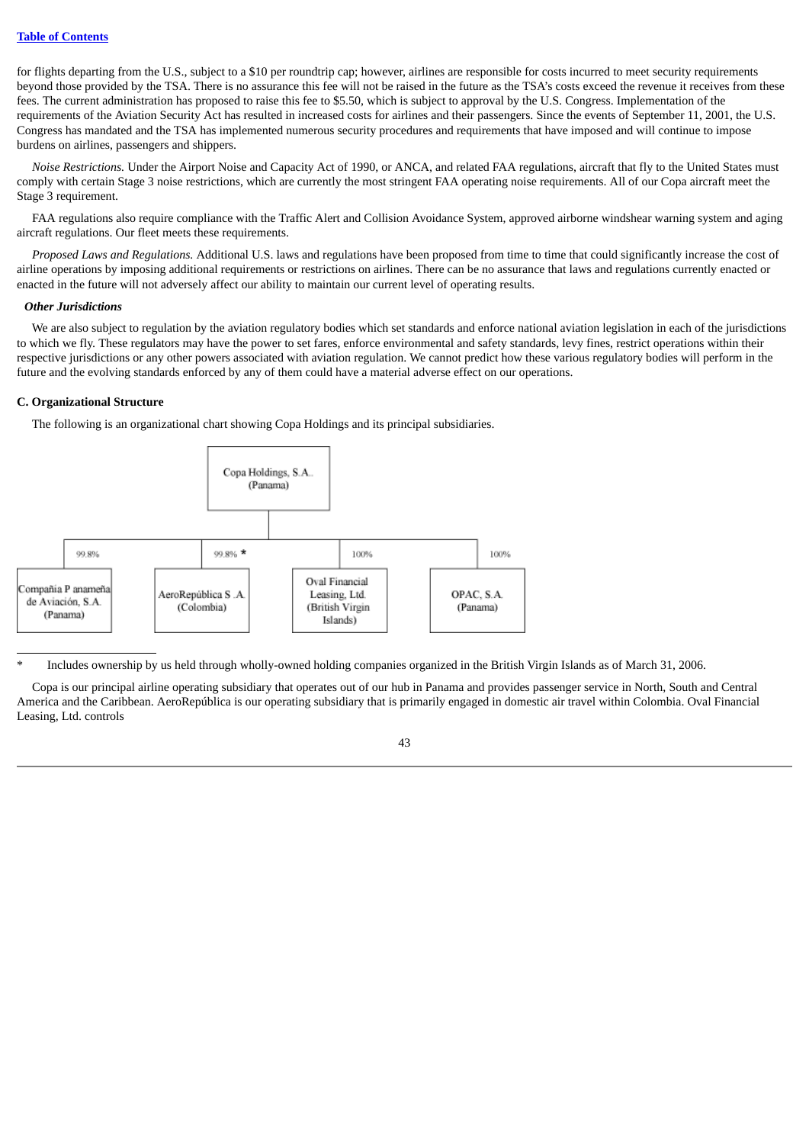for flights departing from the U.S., subject to a \$10 per roundtrip cap; however, airlines are responsible for costs incurred to meet security requirements beyond those provided by the TSA. There is no assurance this fee will not be raised in the future as the TSA's costs exceed the revenue it receives from these fees. The current administration has proposed to raise this fee to \$5.50, which is subject to approval by the U.S. Congress. Implementation of the requirements of the Aviation Security Act has resulted in increased costs for airlines and their passengers. Since the events of September 11, 2001, the U.S. Congress has mandated and the TSA has implemented numerous security procedures and requirements that have imposed and will continue to impose burdens on airlines, passengers and shippers.

*Noise Restrictions.* Under the Airport Noise and Capacity Act of 1990, or ANCA, and related FAA regulations, aircraft that fly to the United States must comply with certain Stage 3 noise restrictions, which are currently the most stringent FAA operating noise requirements. All of our Copa aircraft meet the Stage 3 requirement.

FAA regulations also require compliance with the Traffic Alert and Collision Avoidance System, approved airborne windshear warning system and aging aircraft regulations. Our fleet meets these requirements.

*Proposed Laws and Regulations.* Additional U.S. laws and regulations have been proposed from time to time that could significantly increase the cost of airline operations by imposing additional requirements or restrictions on airlines. There can be no assurance that laws and regulations currently enacted or enacted in the future will not adversely affect our ability to maintain our current level of operating results.

## *Other Jurisdictions*

We are also subject to regulation by the aviation regulatory bodies which set standards and enforce national aviation legislation in each of the jurisdictions to which we fly. These regulators may have the power to set fares, enforce environmental and safety standards, levy fines, restrict operations within their respective jurisdictions or any other powers associated with aviation regulation. We cannot predict how these various regulatory bodies will perform in the future and the evolving standards enforced by any of them could have a material adverse effect on our operations.

## **C. Organizational Structure**





\* Includes ownership by us held through wholly-owned holding companies organized in the British Virgin Islands as of March 31, 2006.

Copa is our principal airline operating subsidiary that operates out of our hub in Panama and provides passenger service in North, South and Central America and the Caribbean. AeroRepública is our operating subsidiary that is primarily engaged in domestic air travel within Colombia. Oval Financial Leasing, Ltd. controls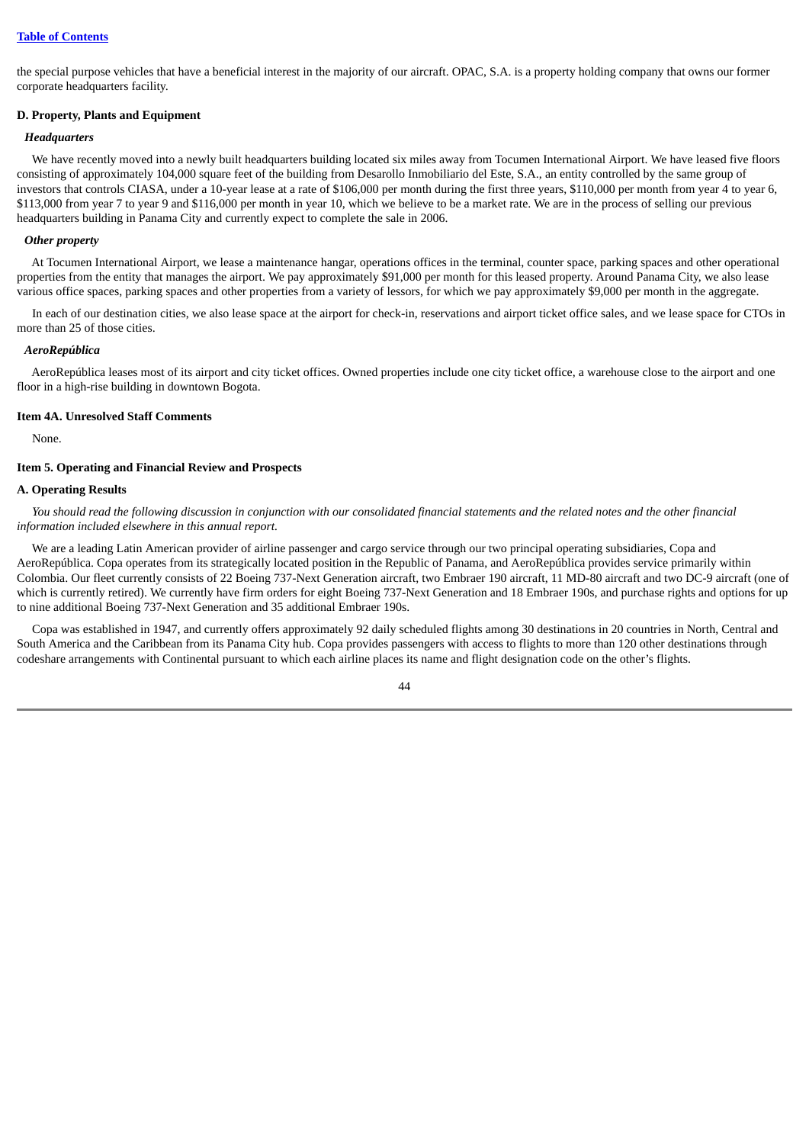the special purpose vehicles that have a beneficial interest in the majority of our aircraft. OPAC, S.A. is a property holding company that owns our former corporate headquarters facility.

# **D. Property, Plants and Equipment**

## *Headquarters*

We have recently moved into a newly built headquarters building located six miles away from Tocumen International Airport. We have leased five floors consisting of approximately 104,000 square feet of the building from Desarollo Inmobiliario del Este, S.A., an entity controlled by the same group of investors that controls CIASA, under a 10-year lease at a rate of \$106,000 per month during the first three years, \$110,000 per month from year 4 to year 6, \$113,000 from year 7 to year 9 and \$116,000 per month in year 10, which we believe to be a market rate. We are in the process of selling our previous headquarters building in Panama City and currently expect to complete the sale in 2006.

## *Other property*

At Tocumen International Airport, we lease a maintenance hangar, operations offices in the terminal, counter space, parking spaces and other operational properties from the entity that manages the airport. We pay approximately \$91,000 per month for this leased property. Around Panama City, we also lease various office spaces, parking spaces and other properties from a variety of lessors, for which we pay approximately \$9,000 per month in the aggregate.

In each of our destination cities, we also lease space at the airport for check-in, reservations and airport ticket office sales, and we lease space for CTOs in more than 25 of those cities.

## *AeroRepública*

AeroRepública leases most of its airport and city ticket offices. Owned properties include one city ticket office, a warehouse close to the airport and one floor in a high-rise building in downtown Bogota.

## **Item 4A. Unresolved Staff Comments**

None.

# **Item 5. Operating and Financial Review and Prospects**

## **A. Operating Results**

You should read the following discussion in conjunction with our consolidated financial statements and the related notes and the other financial *information included elsewhere in this annual report.*

We are a leading Latin American provider of airline passenger and cargo service through our two principal operating subsidiaries, Copa and AeroRepública. Copa operates from its strategically located position in the Republic of Panama, and AeroRepública provides service primarily within Colombia. Our fleet currently consists of 22 Boeing 737-Next Generation aircraft, two Embraer 190 aircraft, 11 MD-80 aircraft and two DC-9 aircraft (one of which is currently retired). We currently have firm orders for eight Boeing 737-Next Generation and 18 Embraer 190s, and purchase rights and options for up to nine additional Boeing 737-Next Generation and 35 additional Embraer 190s.

Copa was established in 1947, and currently offers approximately 92 daily scheduled flights among 30 destinations in 20 countries in North, Central and South America and the Caribbean from its Panama City hub. Copa provides passengers with access to flights to more than 120 other destinations through codeshare arrangements with Continental pursuant to which each airline places its name and flight designation code on the other's flights.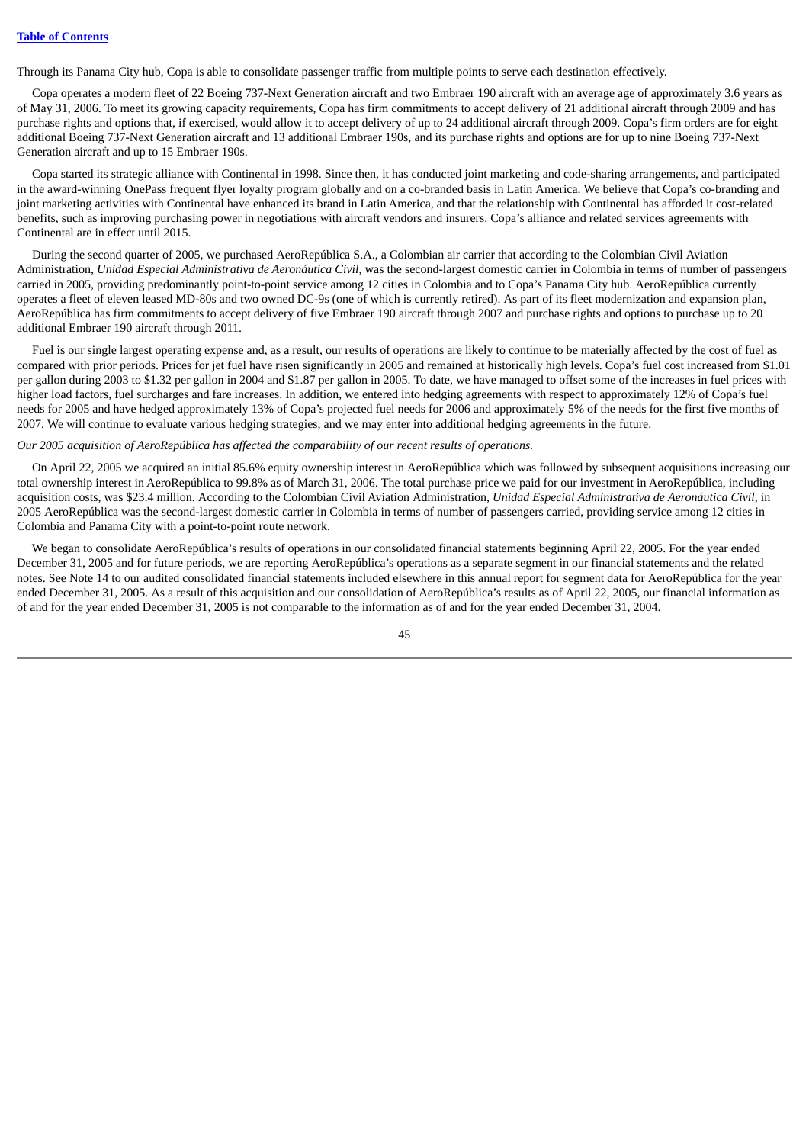Through its Panama City hub, Copa is able to consolidate passenger traffic from multiple points to serve each destination effectively.

Copa operates a modern fleet of 22 Boeing 737-Next Generation aircraft and two Embraer 190 aircraft with an average age of approximately 3.6 years as of May 31, 2006. To meet its growing capacity requirements, Copa has firm commitments to accept delivery of 21 additional aircraft through 2009 and has purchase rights and options that, if exercised, would allow it to accept delivery of up to 24 additional aircraft through 2009. Copa's firm orders are for eight additional Boeing 737-Next Generation aircraft and 13 additional Embraer 190s, and its purchase rights and options are for up to nine Boeing 737-Next Generation aircraft and up to 15 Embraer 190s.

Copa started its strategic alliance with Continental in 1998. Since then, it has conducted joint marketing and code-sharing arrangements, and participated in the award-winning OnePass frequent flyer loyalty program globally and on a co-branded basis in Latin America. We believe that Copa's co-branding and joint marketing activities with Continental have enhanced its brand in Latin America, and that the relationship with Continental has afforded it cost-related benefits, such as improving purchasing power in negotiations with aircraft vendors and insurers. Copa's alliance and related services agreements with Continental are in effect until 2015.

During the second quarter of 2005, we purchased AeroRepública S.A., a Colombian air carrier that according to the Colombian Civil Aviation Administration, *Unidad Especial Administrativa de Aeronáutica Civil*, was the second-largest domestic carrier in Colombia in terms of number of passengers carried in 2005, providing predominantly point-to-point service among 12 cities in Colombia and to Copa's Panama City hub. AeroRepública currently operates a fleet of eleven leased MD-80s and two owned DC-9s (one of which is currently retired). As part of its fleet modernization and expansion plan, AeroRepública has firm commitments to accept delivery of five Embraer 190 aircraft through 2007 and purchase rights and options to purchase up to 20 additional Embraer 190 aircraft through 2011.

Fuel is our single largest operating expense and, as a result, our results of operations are likely to continue to be materially affected by the cost of fuel as compared with prior periods. Prices for jet fuel have risen significantly in 2005 and remained at historically high levels. Copa's fuel cost increased from \$1.01 per gallon during 2003 to \$1.32 per gallon in 2004 and \$1.87 per gallon in 2005. To date, we have managed to offset some of the increases in fuel prices with higher load factors, fuel surcharges and fare increases. In addition, we entered into hedging agreements with respect to approximately 12% of Copa's fuel needs for 2005 and have hedged approximately 13% of Copa's projected fuel needs for 2006 and approximately 5% of the needs for the first five months of 2007. We will continue to evaluate various hedging strategies, and we may enter into additional hedging agreements in the future.

# *Our 2005 acquisition of AeroRepública has affected the comparability of our recent results of operations.*

On April 22, 2005 we acquired an initial 85.6% equity ownership interest in AeroRepública which was followed by subsequent acquisitions increasing our total ownership interest in AeroRepública to 99.8% as of March 31, 2006. The total purchase price we paid for our investment in AeroRepública, including acquisition costs, was \$23.4 million. According to the Colombian Civil Aviation Administration, *Unidad Especial Administrativa de Aeronáutica Civil*, in 2005 AeroRepública was the second-largest domestic carrier in Colombia in terms of number of passengers carried, providing service among 12 cities in Colombia and Panama City with a point-to-point route network.

We began to consolidate AeroRepública's results of operations in our consolidated financial statements beginning April 22, 2005. For the year ended December 31, 2005 and for future periods, we are reporting AeroRepública's operations as a separate segment in our financial statements and the related notes. See Note 14 to our audited consolidated financial statements included elsewhere in this annual report for segment data for AeroRepública for the year ended December 31, 2005. As a result of this acquisition and our consolidation of AeroRepública's results as of April 22, 2005, our financial information as of and for the year ended December 31, 2005 is not comparable to the information as of and for the year ended December 31, 2004.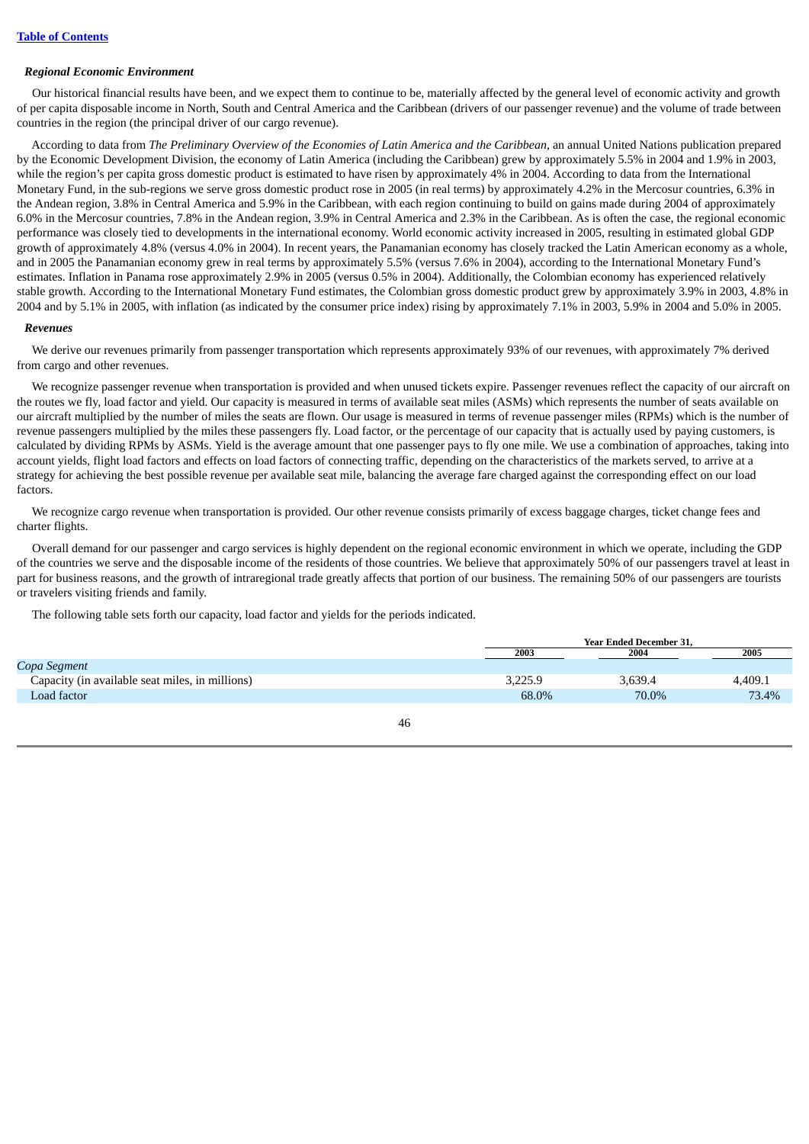## *Regional Economic Environment*

Our historical financial results have been, and we expect them to continue to be, materially affected by the general level of economic activity and growth of per capita disposable income in North, South and Central America and the Caribbean (drivers of our passenger revenue) and the volume of trade between countries in the region (the principal driver of our cargo revenue).

According to data from The Preliminary Overview of the Economies of Latin America and the Caribbean, an annual United Nations publication prepared by the Economic Development Division, the economy of Latin America (including the Caribbean) grew by approximately 5.5% in 2004 and 1.9% in 2003, while the region's per capita gross domestic product is estimated to have risen by approximately 4% in 2004. According to data from the International Monetary Fund, in the sub-regions we serve gross domestic product rose in 2005 (in real terms) by approximately 4.2% in the Mercosur countries, 6.3% in the Andean region, 3.8% in Central America and 5.9% in the Caribbean, with each region continuing to build on gains made during 2004 of approximately 6.0% in the Mercosur countries, 7.8% in the Andean region, 3.9% in Central America and 2.3% in the Caribbean. As is often the case, the regional economic performance was closely tied to developments in the international economy. World economic activity increased in 2005, resulting in estimated global GDP growth of approximately 4.8% (versus 4.0% in 2004). In recent years, the Panamanian economy has closely tracked the Latin American economy as a whole, and in 2005 the Panamanian economy grew in real terms by approximately 5.5% (versus 7.6% in 2004), according to the International Monetary Fund's estimates. Inflation in Panama rose approximately 2.9% in 2005 (versus 0.5% in 2004). Additionally, the Colombian economy has experienced relatively stable growth. According to the International Monetary Fund estimates, the Colombian gross domestic product grew by approximately 3.9% in 2003, 4.8% in 2004 and by 5.1% in 2005, with inflation (as indicated by the consumer price index) rising by approximately 7.1% in 2003, 5.9% in 2004 and 5.0% in 2005.

### *Revenues*

We derive our revenues primarily from passenger transportation which represents approximately 93% of our revenues, with approximately 7% derived from cargo and other revenues.

We recognize passenger revenue when transportation is provided and when unused tickets expire. Passenger revenues reflect the capacity of our aircraft on the routes we fly, load factor and yield. Our capacity is measured in terms of available seat miles (ASMs) which represents the number of seats available on our aircraft multiplied by the number of miles the seats are flown. Our usage is measured in terms of revenue passenger miles (RPMs) which is the number of revenue passengers multiplied by the miles these passengers fly. Load factor, or the percentage of our capacity that is actually used by paying customers, is calculated by dividing RPMs by ASMs. Yield is the average amount that one passenger pays to fly one mile. We use a combination of approaches, taking into account yields, flight load factors and effects on load factors of connecting traffic, depending on the characteristics of the markets served, to arrive at a strategy for achieving the best possible revenue per available seat mile, balancing the average fare charged against the corresponding effect on our load factors.

We recognize cargo revenue when transportation is provided. Our other revenue consists primarily of excess baggage charges, ticket change fees and charter flights.

Overall demand for our passenger and cargo services is highly dependent on the regional economic environment in which we operate, including the GDP of the countries we serve and the disposable income of the residents of those countries. We believe that approximately 50% of our passengers travel at least in part for business reasons, and the growth of intraregional trade greatly affects that portion of our business. The remaining 50% of our passengers are tourists or travelers visiting friends and family.

The following table sets forth our capacity, load factor and yields for the periods indicated.

|                                                 |         | <b>Year Ended December 31.</b> |         |  |
|-------------------------------------------------|---------|--------------------------------|---------|--|
|                                                 | 2003    | 2004                           | 2005    |  |
| Copa Segment                                    |         |                                |         |  |
| Capacity (in available seat miles, in millions) | 3,225.9 | 3.639.4                        | 4,409.1 |  |
| Load factor                                     | 68.0%   | 70.0%                          | 73.4%   |  |
|                                                 |         |                                |         |  |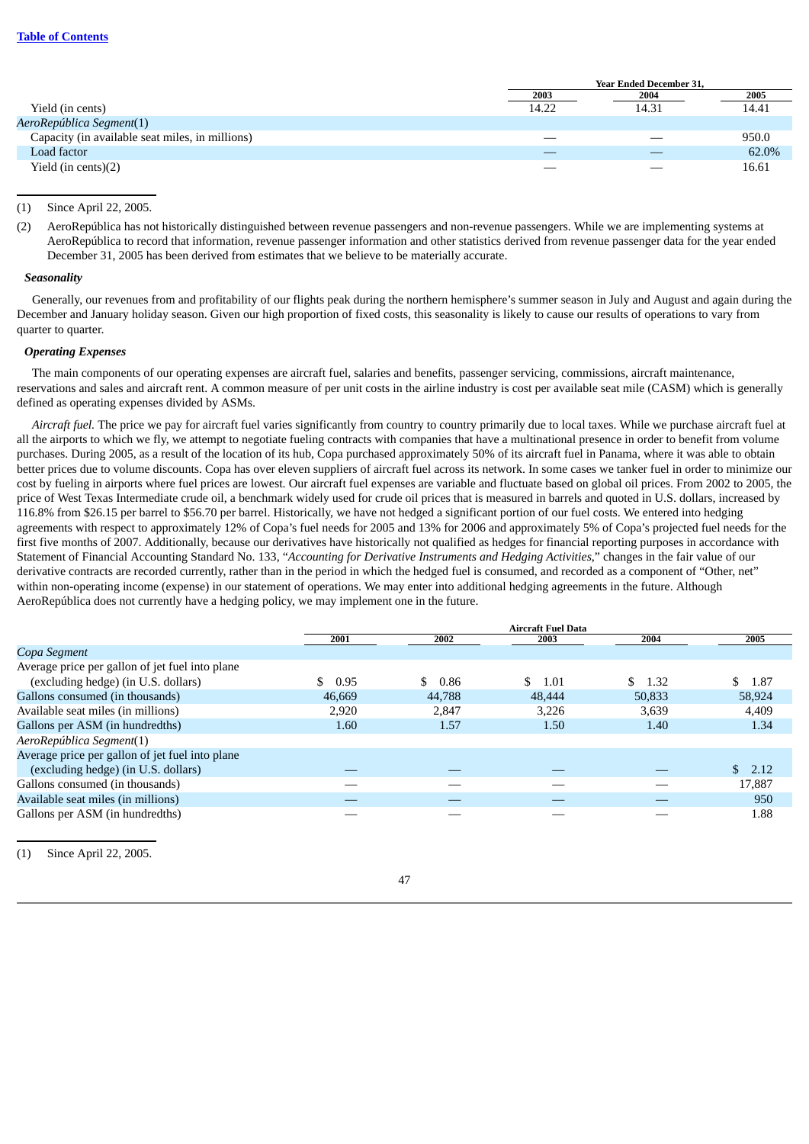|                                                 | <b>Year Ended December 31,</b> |       |       |
|-------------------------------------------------|--------------------------------|-------|-------|
|                                                 | 2003                           | 2004  | 2005  |
| Yield (in cents)                                | 14.22                          | 14.31 | 14.41 |
| AeroRepública Segment(1)                        |                                |       |       |
| Capacity (in available seat miles, in millions) |                                |       | 950.0 |
| Load factor                                     |                                |       | 62.0% |
| Yield (in cents) $(2)$                          |                                |       | 16.61 |
|                                                 |                                |       |       |

## (1) Since April 22, 2005.

(2) AeroRepública has not historically distinguished between revenue passengers and non-revenue passengers. While we are implementing systems at AeroRepública to record that information, revenue passenger information and other statistics derived from revenue passenger data for the year ended December 31, 2005 has been derived from estimates that we believe to be materially accurate.

### *Seasonality*

Generally, our revenues from and profitability of our flights peak during the northern hemisphere's summer season in July and August and again during the December and January holiday season. Given our high proportion of fixed costs, this seasonality is likely to cause our results of operations to vary from quarter to quarter.

## *Operating Expenses*

The main components of our operating expenses are aircraft fuel, salaries and benefits, passenger servicing, commissions, aircraft maintenance, reservations and sales and aircraft rent. A common measure of per unit costs in the airline industry is cost per available seat mile (CASM) which is generally defined as operating expenses divided by ASMs.

*Aircraft fuel.* The price we pay for aircraft fuel varies significantly from country to country primarily due to local taxes. While we purchase aircraft fuel at all the airports to which we fly, we attempt to negotiate fueling contracts with companies that have a multinational presence in order to benefit from volume purchases. During 2005, as a result of the location of its hub, Copa purchased approximately 50% of its aircraft fuel in Panama, where it was able to obtain better prices due to volume discounts. Copa has over eleven suppliers of aircraft fuel across its network. In some cases we tanker fuel in order to minimize our cost by fueling in airports where fuel prices are lowest. Our aircraft fuel expenses are variable and fluctuate based on global oil prices. From 2002 to 2005, the price of West Texas Intermediate crude oil, a benchmark widely used for crude oil prices that is measured in barrels and quoted in U.S. dollars, increased by 116.8% from \$26.15 per barrel to \$56.70 per barrel. Historically, we have not hedged a significant portion of our fuel costs. We entered into hedging agreements with respect to approximately 12% of Copa's fuel needs for 2005 and 13% for 2006 and approximately 5% of Copa's projected fuel needs for the first five months of 2007. Additionally, because our derivatives have historically not qualified as hedges for financial reporting purposes in accordance with Statement of Financial Accounting Standard No. 133, "*Accounting for Derivative Instruments and Hedging Activities*," changes in the fair value of our derivative contracts are recorded currently, rather than in the period in which the hedged fuel is consumed, and recorded as a component of "Other, net" within non-operating income (expense) in our statement of operations. We may enter into additional hedging agreements in the future. Although AeroRepública does not currently have a hedging policy, we may implement one in the future.

|                                                 | <b>Aircraft Fuel Data</b> |            |            |        |              |
|-------------------------------------------------|---------------------------|------------|------------|--------|--------------|
|                                                 | 2001                      | 2002       | 2003       | 2004   | 2005         |
| Copa Segment                                    |                           |            |            |        |              |
| Average price per gallon of jet fuel into plane |                           |            |            |        |              |
| (excluding hedge) (in U.S. dollars)             | \$.<br>0.95               | \$<br>0.86 | \$<br>1.01 | \$1.32 | S.<br>- 1.87 |
| Gallons consumed (in thousands)                 | 46,669                    | 44,788     | 48,444     | 50,833 | 58,924       |
| Available seat miles (in millions)              | 2,920                     | 2,847      | 3,226      | 3,639  | 4,409        |
| Gallons per ASM (in hundredths)                 | 1.60                      | 1.57       | 1.50       | 1.40   | 1.34         |
| AeroRepública Segment(1)                        |                           |            |            |        |              |
| Average price per gallon of jet fuel into plane |                           |            |            |        |              |
| (excluding hedge) (in U.S. dollars)             |                           |            |            |        | \$2.12       |
| Gallons consumed (in thousands)                 |                           |            |            |        | 17,887       |
| Available seat miles (in millions)              |                           |            |            |        | 950          |
| Gallons per ASM (in hundredths)                 |                           |            |            |        | 1.88         |

Since April 22, 2005.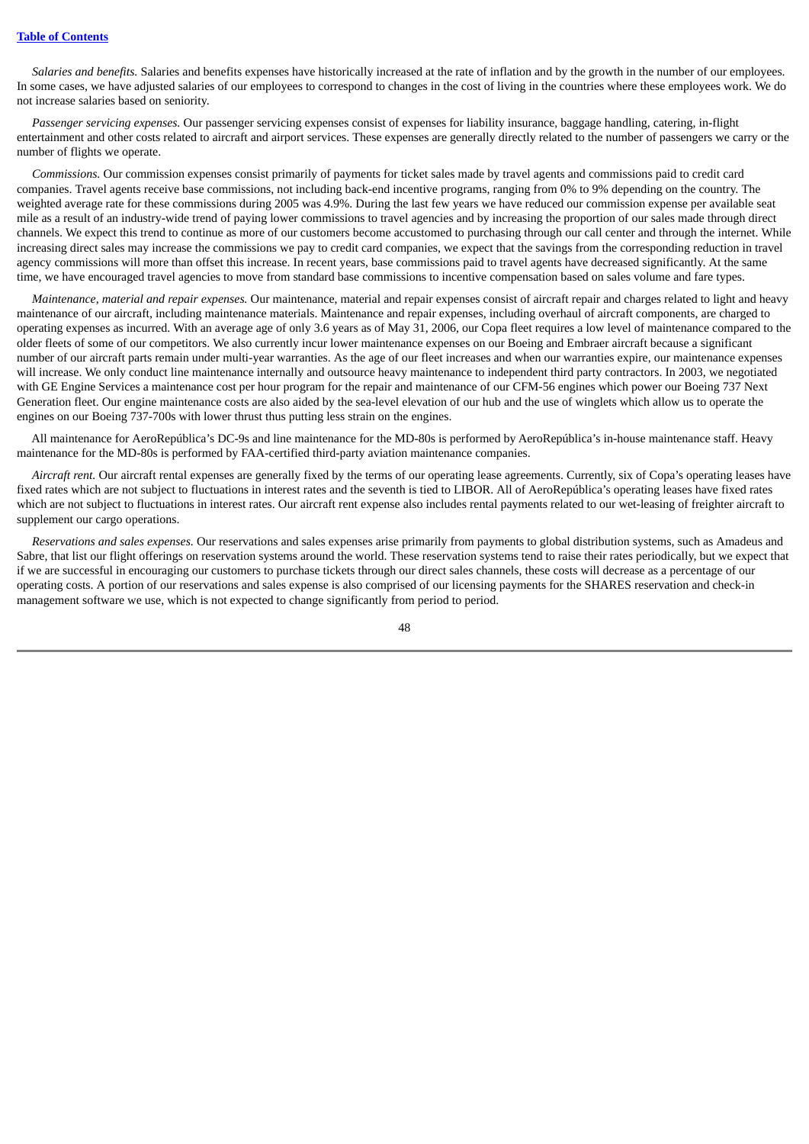*Salaries and benefits.* Salaries and benefits expenses have historically increased at the rate of inflation and by the growth in the number of our employees. In some cases, we have adjusted salaries of our employees to correspond to changes in the cost of living in the countries where these employees work. We do not increase salaries based on seniority.

*Passenger servicing expenses.* Our passenger servicing expenses consist of expenses for liability insurance, baggage handling, catering, in-flight entertainment and other costs related to aircraft and airport services. These expenses are generally directly related to the number of passengers we carry or the number of flights we operate.

*Commissions.* Our commission expenses consist primarily of payments for ticket sales made by travel agents and commissions paid to credit card companies. Travel agents receive base commissions, not including back-end incentive programs, ranging from 0% to 9% depending on the country. The weighted average rate for these commissions during 2005 was 4.9%. During the last few years we have reduced our commission expense per available seat mile as a result of an industry-wide trend of paying lower commissions to travel agencies and by increasing the proportion of our sales made through direct channels. We expect this trend to continue as more of our customers become accustomed to purchasing through our call center and through the internet. While increasing direct sales may increase the commissions we pay to credit card companies, we expect that the savings from the corresponding reduction in travel agency commissions will more than offset this increase. In recent years, base commissions paid to travel agents have decreased significantly. At the same time, we have encouraged travel agencies to move from standard base commissions to incentive compensation based on sales volume and fare types.

*Maintenance, material and repair expenses.* Our maintenance, material and repair expenses consist of aircraft repair and charges related to light and heavy maintenance of our aircraft, including maintenance materials. Maintenance and repair expenses, including overhaul of aircraft components, are charged to operating expenses as incurred. With an average age of only 3.6 years as of May 31, 2006, our Copa fleet requires a low level of maintenance compared to the older fleets of some of our competitors. We also currently incur lower maintenance expenses on our Boeing and Embraer aircraft because a significant number of our aircraft parts remain under multi-year warranties. As the age of our fleet increases and when our warranties expire, our maintenance expenses will increase. We only conduct line maintenance internally and outsource heavy maintenance to independent third party contractors. In 2003, we negotiated with GE Engine Services a maintenance cost per hour program for the repair and maintenance of our CFM-56 engines which power our Boeing 737 Next Generation fleet. Our engine maintenance costs are also aided by the sea-level elevation of our hub and the use of winglets which allow us to operate the engines on our Boeing 737-700s with lower thrust thus putting less strain on the engines.

All maintenance for AeroRepública's DC-9s and line maintenance for the MD-80s is performed by AeroRepública's in-house maintenance staff. Heavy maintenance for the MD-80s is performed by FAA-certified third-party aviation maintenance companies.

*Aircraft rent.* Our aircraft rental expenses are generally fixed by the terms of our operating lease agreements. Currently, six of Copa's operating leases have fixed rates which are not subject to fluctuations in interest rates and the seventh is tied to LIBOR. All of AeroRepública's operating leases have fixed rates which are not subject to fluctuations in interest rates. Our aircraft rent expense also includes rental payments related to our wet-leasing of freighter aircraft to supplement our cargo operations.

*Reservations and sales expenses.* Our reservations and sales expenses arise primarily from payments to global distribution systems, such as Amadeus and Sabre, that list our flight offerings on reservation systems around the world. These reservation systems tend to raise their rates periodically, but we expect that if we are successful in encouraging our customers to purchase tickets through our direct sales channels, these costs will decrease as a percentage of our operating costs. A portion of our reservations and sales expense is also comprised of our licensing payments for the SHARES reservation and check-in management software we use, which is not expected to change significantly from period to period.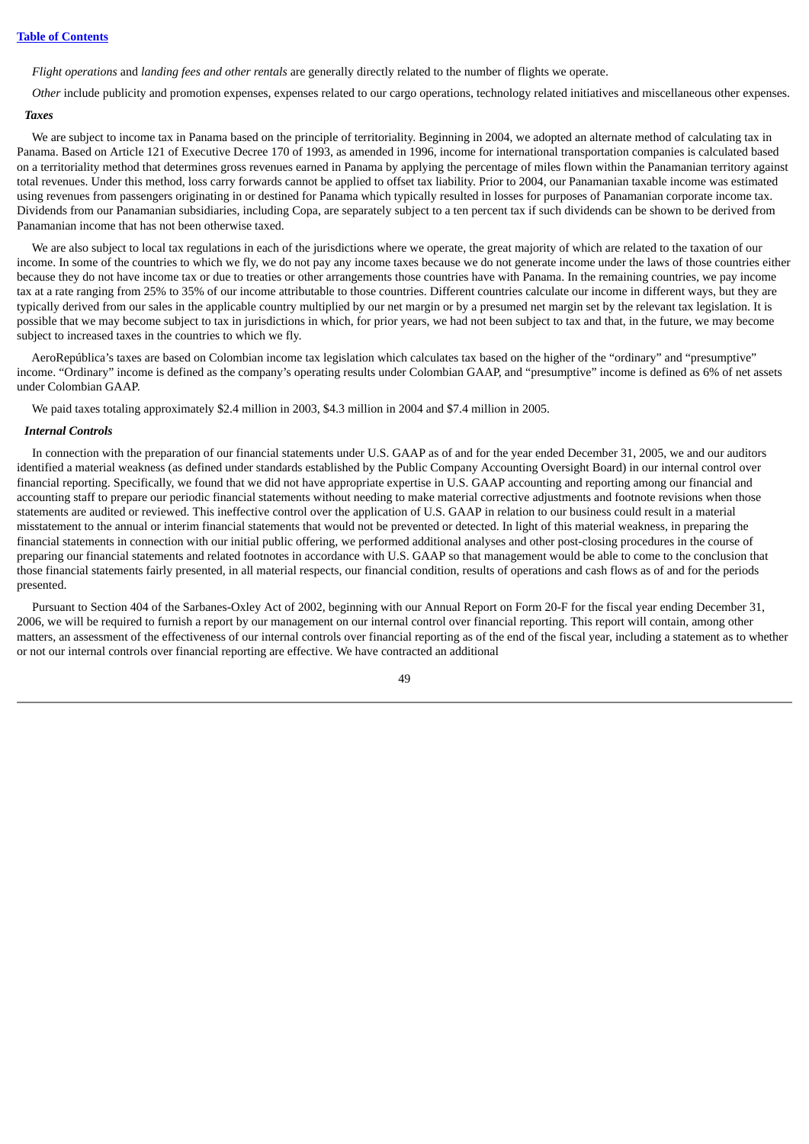### **Table of [Contents](#page-3-0)**

*Flight operations* and *landing fees and other rentals* are generally directly related to the number of flights we operate.

*Other* include publicity and promotion expenses, expenses related to our cargo operations, technology related initiatives and miscellaneous other expenses.

## *Taxes*

We are subject to income tax in Panama based on the principle of territoriality. Beginning in 2004, we adopted an alternate method of calculating tax in Panama. Based on Article 121 of Executive Decree 170 of 1993, as amended in 1996, income for international transportation companies is calculated based on a territoriality method that determines gross revenues earned in Panama by applying the percentage of miles flown within the Panamanian territory against total revenues. Under this method, loss carry forwards cannot be applied to offset tax liability. Prior to 2004, our Panamanian taxable income was estimated using revenues from passengers originating in or destined for Panama which typically resulted in losses for purposes of Panamanian corporate income tax. Dividends from our Panamanian subsidiaries, including Copa, are separately subject to a ten percent tax if such dividends can be shown to be derived from Panamanian income that has not been otherwise taxed.

We are also subject to local tax regulations in each of the jurisdictions where we operate, the great majority of which are related to the taxation of our income. In some of the countries to which we fly, we do not pay any income taxes because we do not generate income under the laws of those countries either because they do not have income tax or due to treaties or other arrangements those countries have with Panama. In the remaining countries, we pay income tax at a rate ranging from 25% to 35% of our income attributable to those countries. Different countries calculate our income in different ways, but they are typically derived from our sales in the applicable country multiplied by our net margin or by a presumed net margin set by the relevant tax legislation. It is possible that we may become subject to tax in jurisdictions in which, for prior years, we had not been subject to tax and that, in the future, we may become subject to increased taxes in the countries to which we fly.

AeroRepública's taxes are based on Colombian income tax legislation which calculates tax based on the higher of the "ordinary" and "presumptive" income. "Ordinary" income is defined as the company's operating results under Colombian GAAP, and "presumptive" income is defined as 6% of net assets under Colombian GAAP.

We paid taxes totaling approximately \$2.4 million in 2003, \$4.3 million in 2004 and \$7.4 million in 2005.

## *Internal Controls*

In connection with the preparation of our financial statements under U.S. GAAP as of and for the year ended December 31, 2005, we and our auditors identified a material weakness (as defined under standards established by the Public Company Accounting Oversight Board) in our internal control over financial reporting. Specifically, we found that we did not have appropriate expertise in U.S. GAAP accounting and reporting among our financial and accounting staff to prepare our periodic financial statements without needing to make material corrective adjustments and footnote revisions when those statements are audited or reviewed. This ineffective control over the application of U.S. GAAP in relation to our business could result in a material misstatement to the annual or interim financial statements that would not be prevented or detected. In light of this material weakness, in preparing the financial statements in connection with our initial public offering, we performed additional analyses and other post-closing procedures in the course of preparing our financial statements and related footnotes in accordance with U.S. GAAP so that management would be able to come to the conclusion that those financial statements fairly presented, in all material respects, our financial condition, results of operations and cash flows as of and for the periods presented.

Pursuant to Section 404 of the Sarbanes-Oxley Act of 2002, beginning with our Annual Report on Form 20-F for the fiscal year ending December 31, 2006, we will be required to furnish a report by our management on our internal control over financial reporting. This report will contain, among other matters, an assessment of the effectiveness of our internal controls over financial reporting as of the end of the fiscal year, including a statement as to whether or not our internal controls over financial reporting are effective. We have contracted an additional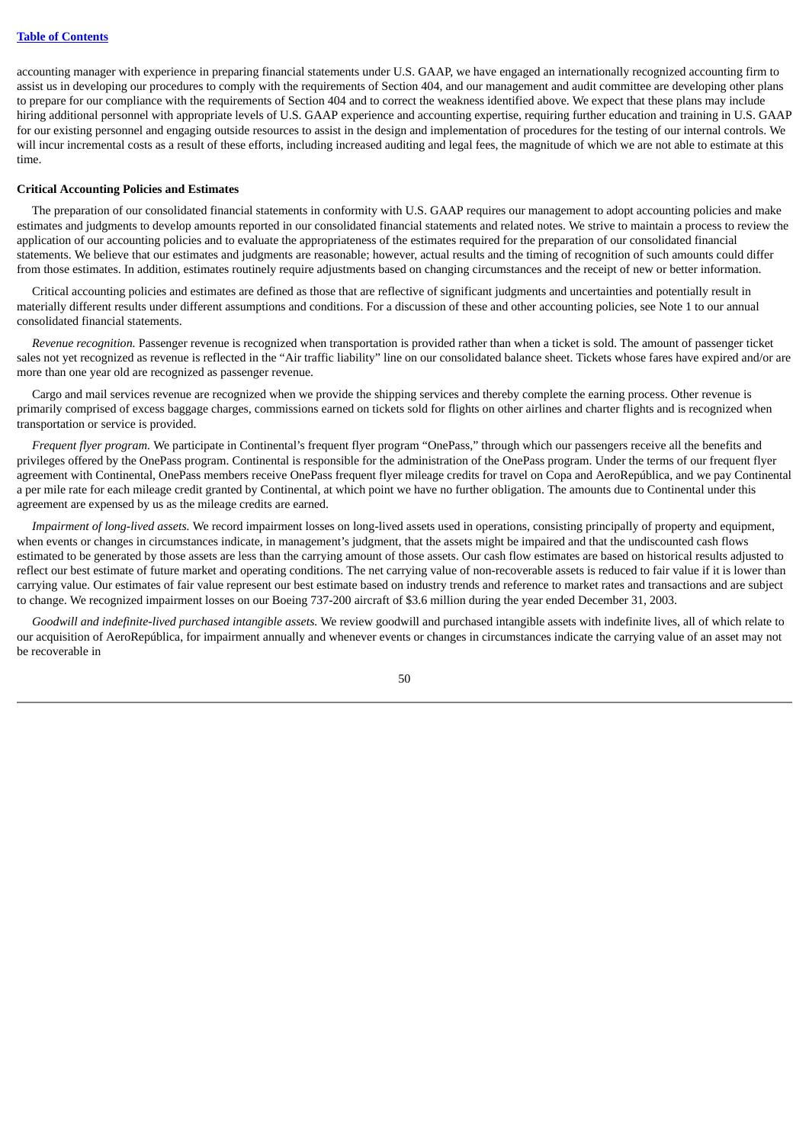accounting manager with experience in preparing financial statements under U.S. GAAP, we have engaged an internationally recognized accounting firm to assist us in developing our procedures to comply with the requirements of Section 404, and our management and audit committee are developing other plans to prepare for our compliance with the requirements of Section 404 and to correct the weakness identified above. We expect that these plans may include hiring additional personnel with appropriate levels of U.S. GAAP experience and accounting expertise, requiring further education and training in U.S. GAAP for our existing personnel and engaging outside resources to assist in the design and implementation of procedures for the testing of our internal controls. We will incur incremental costs as a result of these efforts, including increased auditing and legal fees, the magnitude of which we are not able to estimate at this time.

### **Critical Accounting Policies and Estimates**

The preparation of our consolidated financial statements in conformity with U.S. GAAP requires our management to adopt accounting policies and make estimates and judgments to develop amounts reported in our consolidated financial statements and related notes. We strive to maintain a process to review the application of our accounting policies and to evaluate the appropriateness of the estimates required for the preparation of our consolidated financial statements. We believe that our estimates and judgments are reasonable; however, actual results and the timing of recognition of such amounts could differ from those estimates. In addition, estimates routinely require adjustments based on changing circumstances and the receipt of new or better information.

Critical accounting policies and estimates are defined as those that are reflective of significant judgments and uncertainties and potentially result in materially different results under different assumptions and conditions. For a discussion of these and other accounting policies, see Note 1 to our annual consolidated financial statements.

*Revenue recognition.* Passenger revenue is recognized when transportation is provided rather than when a ticket is sold. The amount of passenger ticket sales not yet recognized as revenue is reflected in the "Air traffic liability" line on our consolidated balance sheet. Tickets whose fares have expired and/or are more than one year old are recognized as passenger revenue.

Cargo and mail services revenue are recognized when we provide the shipping services and thereby complete the earning process. Other revenue is primarily comprised of excess baggage charges, commissions earned on tickets sold for flights on other airlines and charter flights and is recognized when transportation or service is provided.

*Frequent flyer program.* We participate in Continental's frequent flyer program "OnePass," through which our passengers receive all the benefits and privileges offered by the OnePass program. Continental is responsible for the administration of the OnePass program. Under the terms of our frequent flyer agreement with Continental, OnePass members receive OnePass frequent flyer mileage credits for travel on Copa and AeroRepública, and we pay Continental a per mile rate for each mileage credit granted by Continental, at which point we have no further obligation. The amounts due to Continental under this agreement are expensed by us as the mileage credits are earned.

*Impairment of long-lived assets.* We record impairment losses on long-lived assets used in operations, consisting principally of property and equipment, when events or changes in circumstances indicate, in management's judgment, that the assets might be impaired and that the undiscounted cash flows estimated to be generated by those assets are less than the carrying amount of those assets. Our cash flow estimates are based on historical results adjusted to reflect our best estimate of future market and operating conditions. The net carrying value of non-recoverable assets is reduced to fair value if it is lower than carrying value. Our estimates of fair value represent our best estimate based on industry trends and reference to market rates and transactions and are subject to change. We recognized impairment losses on our Boeing 737-200 aircraft of \$3.6 million during the year ended December 31, 2003.

*Goodwill and indefinite-lived purchased intangible assets.* We review goodwill and purchased intangible assets with indefinite lives, all of which relate to our acquisition of AeroRepública, for impairment annually and whenever events or changes in circumstances indicate the carrying value of an asset may not be recoverable in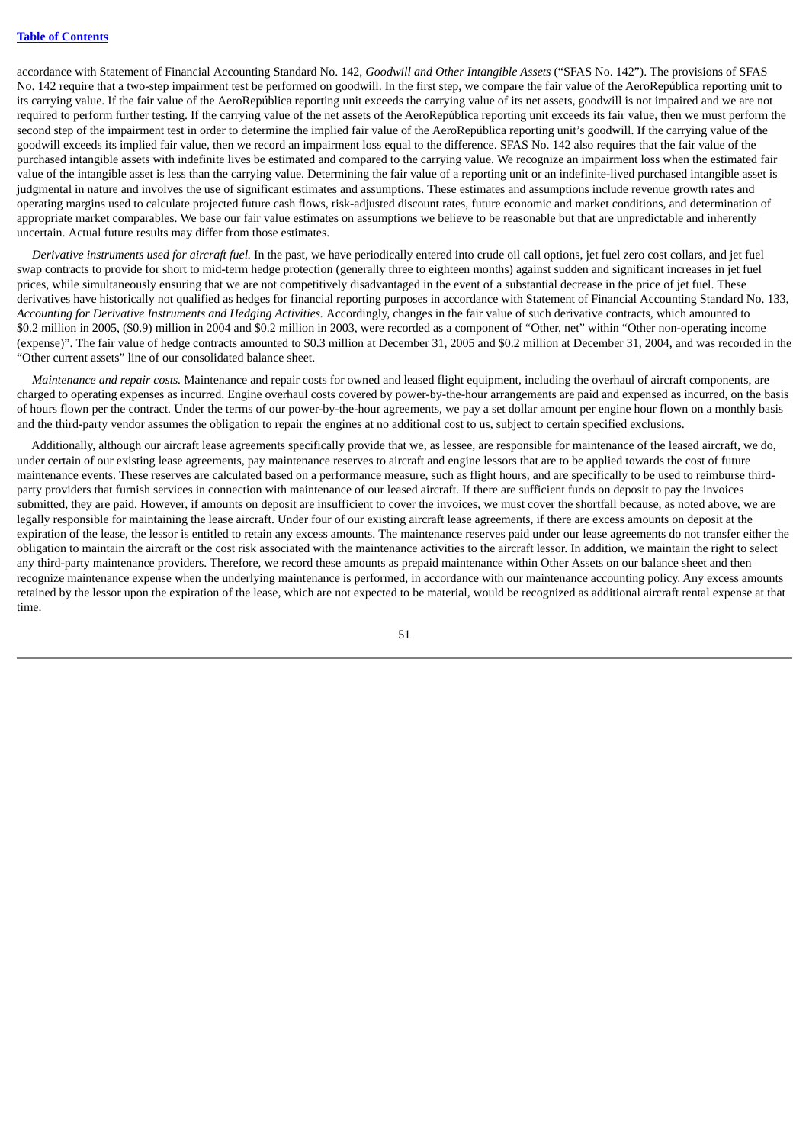accordance with Statement of Financial Accounting Standard No. 142, *Goodwill and Other Intangible Assets* ("SFAS No. 142"). The provisions of SFAS No. 142 require that a two-step impairment test be performed on goodwill. In the first step, we compare the fair value of the AeroRepública reporting unit to its carrying value. If the fair value of the AeroRepública reporting unit exceeds the carrying value of its net assets, goodwill is not impaired and we are not required to perform further testing. If the carrying value of the net assets of the AeroRepública reporting unit exceeds its fair value, then we must perform the second step of the impairment test in order to determine the implied fair value of the AeroRepública reporting unit's goodwill. If the carrying value of the goodwill exceeds its implied fair value, then we record an impairment loss equal to the difference. SFAS No. 142 also requires that the fair value of the purchased intangible assets with indefinite lives be estimated and compared to the carrying value. We recognize an impairment loss when the estimated fair value of the intangible asset is less than the carrying value. Determining the fair value of a reporting unit or an indefinite-lived purchased intangible asset is judgmental in nature and involves the use of significant estimates and assumptions. These estimates and assumptions include revenue growth rates and operating margins used to calculate projected future cash flows, risk-adjusted discount rates, future economic and market conditions, and determination of appropriate market comparables. We base our fair value estimates on assumptions we believe to be reasonable but that are unpredictable and inherently uncertain. Actual future results may differ from those estimates.

*Derivative instruments used for aircraft fuel.* In the past, we have periodically entered into crude oil call options, jet fuel zero cost collars, and jet fuel swap contracts to provide for short to mid-term hedge protection (generally three to eighteen months) against sudden and significant increases in jet fuel prices, while simultaneously ensuring that we are not competitively disadvantaged in the event of a substantial decrease in the price of jet fuel. These derivatives have historically not qualified as hedges for financial reporting purposes in accordance with Statement of Financial Accounting Standard No. 133, *Accounting for Derivative Instruments and Hedging Activities.* Accordingly, changes in the fair value of such derivative contracts, which amounted to \$0.2 million in 2005, (\$0.9) million in 2004 and \$0.2 million in 2003, were recorded as a component of "Other, net" within "Other non-operating income (expense)". The fair value of hedge contracts amounted to \$0.3 million at December 31, 2005 and \$0.2 million at December 31, 2004, and was recorded in the "Other current assets" line of our consolidated balance sheet.

*Maintenance and repair costs.* Maintenance and repair costs for owned and leased flight equipment, including the overhaul of aircraft components, are charged to operating expenses as incurred. Engine overhaul costs covered by power-by-the-hour arrangements are paid and expensed as incurred, on the basis of hours flown per the contract. Under the terms of our power-by-the-hour agreements, we pay a set dollar amount per engine hour flown on a monthly basis and the third-party vendor assumes the obligation to repair the engines at no additional cost to us, subject to certain specified exclusions.

Additionally, although our aircraft lease agreements specifically provide that we, as lessee, are responsible for maintenance of the leased aircraft, we do, under certain of our existing lease agreements, pay maintenance reserves to aircraft and engine lessors that are to be applied towards the cost of future maintenance events. These reserves are calculated based on a performance measure, such as flight hours, and are specifically to be used to reimburse thirdparty providers that furnish services in connection with maintenance of our leased aircraft. If there are sufficient funds on deposit to pay the invoices submitted, they are paid. However, if amounts on deposit are insufficient to cover the invoices, we must cover the shortfall because, as noted above, we are legally responsible for maintaining the lease aircraft. Under four of our existing aircraft lease agreements, if there are excess amounts on deposit at the expiration of the lease, the lessor is entitled to retain any excess amounts. The maintenance reserves paid under our lease agreements do not transfer either the obligation to maintain the aircraft or the cost risk associated with the maintenance activities to the aircraft lessor. In addition, we maintain the right to select any third-party maintenance providers. Therefore, we record these amounts as prepaid maintenance within Other Assets on our balance sheet and then recognize maintenance expense when the underlying maintenance is performed, in accordance with our maintenance accounting policy. Any excess amounts retained by the lessor upon the expiration of the lease, which are not expected to be material, would be recognized as additional aircraft rental expense at that time.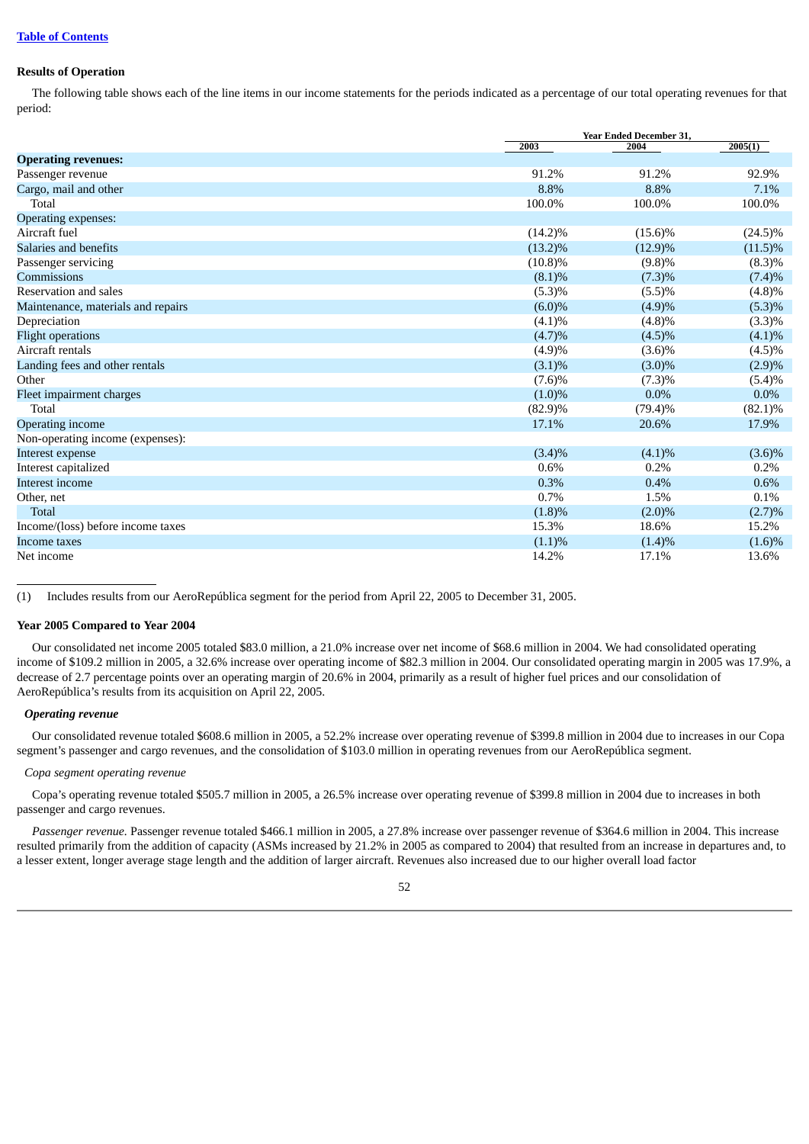# **Results of Operation**

The following table shows each of the line items in our income statements for the periods indicated as a percentage of our total operating revenues for that period:

|                                    |            | Year Ended December 31, |            |  |  |
|------------------------------------|------------|-------------------------|------------|--|--|
|                                    | 2003       | 2004                    | 2005(1)    |  |  |
| <b>Operating revenues:</b>         |            |                         |            |  |  |
| Passenger revenue                  | 91.2%      | 91.2%                   | 92.9%      |  |  |
| Cargo, mail and other              | 8.8%       | 8.8%                    | 7.1%       |  |  |
| Total                              | 100.0%     | 100.0%                  | 100.0%     |  |  |
| Operating expenses:                |            |                         |            |  |  |
| Aircraft fuel                      | $(14.2)\%$ | $(15.6)\%$              | $(24.5)\%$ |  |  |
| Salaries and benefits              | $(13.2)\%$ | $(12.9)\%$              | $(11.5)\%$ |  |  |
| Passenger servicing                | $(10.8)\%$ | (9.8)%                  | $(8.3)\%$  |  |  |
| Commissions                        | $(8.1)\%$  | $(7.3)\%$               | $(7.4)\%$  |  |  |
| Reservation and sales              | (5.3)%     | (5.5)%                  | (4.8)%     |  |  |
| Maintenance, materials and repairs | $(6.0)\%$  | (4.9)%                  | (5.3)%     |  |  |
| Depreciation                       | (4.1)%     | (4.8)%                  | $(3.3)\%$  |  |  |
| <b>Flight operations</b>           | (4.7)%     | $(4.5)\%$               | $(4.1)\%$  |  |  |
| Aircraft rentals                   | (4.9)%     | $(3.6)\%$               | $(4.5)\%$  |  |  |
| Landing fees and other rentals     | $(3.1)\%$  | $(3.0)\%$               | (2.9)%     |  |  |
| Other                              | (7.6)%     | $(7.3)\%$               | (5.4)%     |  |  |
| Fleet impairment charges           | $(1.0)\%$  | $0.0\%$                 | $0.0\%$    |  |  |
| Total                              | $(82.9)\%$ | $(79.4)\%$              | $(82.1)\%$ |  |  |
| Operating income                   | 17.1%      | 20.6%                   | 17.9%      |  |  |
| Non-operating income (expenses):   |            |                         |            |  |  |
| Interest expense                   | $(3.4)\%$  | $(4.1)\%$               | $(3.6)\%$  |  |  |
| Interest capitalized               | 0.6%       | 0.2%                    | 0.2%       |  |  |
| Interest income                    | 0.3%       | 0.4%                    | 0.6%       |  |  |
| Other, net                         | 0.7%       | 1.5%                    | 0.1%       |  |  |
| <b>Total</b>                       | $(1.8)\%$  | $(2.0)\%$               | (2.7)%     |  |  |
| Income/(loss) before income taxes  | 15.3%      | 18.6%                   | 15.2%      |  |  |
| Income taxes                       | $(1.1)\%$  | $(1.4)\%$               | $(1.6)\%$  |  |  |
| Net income                         | 14.2%      | 17.1%                   | 13.6%      |  |  |

(1) Includes results from our AeroRepública segment for the period from April 22, 2005 to December 31, 2005.

## **Year 2005 Compared to Year 2004**

Our consolidated net income 2005 totaled \$83.0 million, a 21.0% increase over net income of \$68.6 million in 2004. We had consolidated operating income of \$109.2 million in 2005, a 32.6% increase over operating income of \$82.3 million in 2004. Our consolidated operating margin in 2005 was 17.9%, a decrease of 2.7 percentage points over an operating margin of 20.6% in 2004, primarily as a result of higher fuel prices and our consolidation of AeroRepública's results from its acquisition on April 22, 2005.

## *Operating revenue*

Our consolidated revenue totaled \$608.6 million in 2005, a 52.2% increase over operating revenue of \$399.8 million in 2004 due to increases in our Copa segment's passenger and cargo revenues, and the consolidation of \$103.0 million in operating revenues from our AeroRepública segment.

## *Copa segment operating revenue*

Copa's operating revenue totaled \$505.7 million in 2005, a 26.5% increase over operating revenue of \$399.8 million in 2004 due to increases in both passenger and cargo revenues.

*Passenger revenue.* Passenger revenue totaled \$466.1 million in 2005, a 27.8% increase over passenger revenue of \$364.6 million in 2004. This increase resulted primarily from the addition of capacity (ASMs increased by 21.2% in 2005 as compared to 2004) that resulted from an increase in departures and, to a lesser extent, longer average stage length and the addition of larger aircraft. Revenues also increased due to our higher overall load factor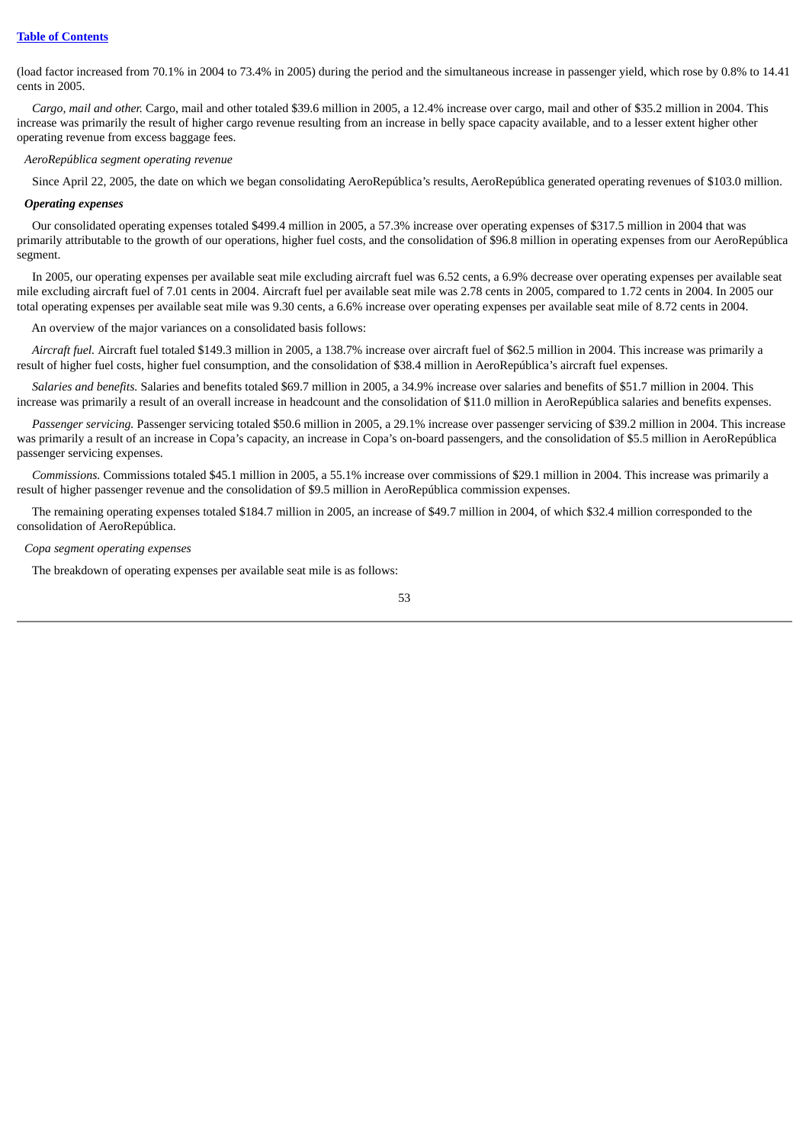(load factor increased from 70.1% in 2004 to 73.4% in 2005) during the period and the simultaneous increase in passenger yield, which rose by 0.8% to 14.41 cents in 2005.

*Cargo, mail and other.* Cargo, mail and other totaled \$39.6 million in 2005, a 12.4% increase over cargo, mail and other of \$35.2 million in 2004. This increase was primarily the result of higher cargo revenue resulting from an increase in belly space capacity available, and to a lesser extent higher other operating revenue from excess baggage fees.

### *AeroRepública segment operating revenue*

Since April 22, 2005, the date on which we began consolidating AeroRepública's results, AeroRepública generated operating revenues of \$103.0 million.

## *Operating expenses*

Our consolidated operating expenses totaled \$499.4 million in 2005, a 57.3% increase over operating expenses of \$317.5 million in 2004 that was primarily attributable to the growth of our operations, higher fuel costs, and the consolidation of \$96.8 million in operating expenses from our AeroRepública segment.

In 2005, our operating expenses per available seat mile excluding aircraft fuel was 6.52 cents, a 6.9% decrease over operating expenses per available seat mile excluding aircraft fuel of 7.01 cents in 2004. Aircraft fuel per available seat mile was 2.78 cents in 2005, compared to 1.72 cents in 2004. In 2005 our total operating expenses per available seat mile was 9.30 cents, a 6.6% increase over operating expenses per available seat mile of 8.72 cents in 2004.

An overview of the major variances on a consolidated basis follows:

*Aircraft fuel.* Aircraft fuel totaled \$149.3 million in 2005, a 138.7% increase over aircraft fuel of \$62.5 million in 2004. This increase was primarily a result of higher fuel costs, higher fuel consumption, and the consolidation of \$38.4 million in AeroRepública's aircraft fuel expenses.

*Salaries and benefits.* Salaries and benefits totaled \$69.7 million in 2005, a 34.9% increase over salaries and benefits of \$51.7 million in 2004. This increase was primarily a result of an overall increase in headcount and the consolidation of \$11.0 million in AeroRepública salaries and benefits expenses.

*Passenger servicing.* Passenger servicing totaled \$50.6 million in 2005, a 29.1% increase over passenger servicing of \$39.2 million in 2004. This increase was primarily a result of an increase in Copa's capacity, an increase in Copa's on-board passengers, and the consolidation of \$5.5 million in AeroRepública passenger servicing expenses.

*Commissions.* Commissions totaled \$45.1 million in 2005, a 55.1% increase over commissions of \$29.1 million in 2004. This increase was primarily a result of higher passenger revenue and the consolidation of \$9.5 million in AeroRepública commission expenses.

The remaining operating expenses totaled \$184.7 million in 2005, an increase of \$49.7 million in 2004, of which \$32.4 million corresponded to the consolidation of AeroRepública.

### *Copa segment operating expenses*

The breakdown of operating expenses per available seat mile is as follows: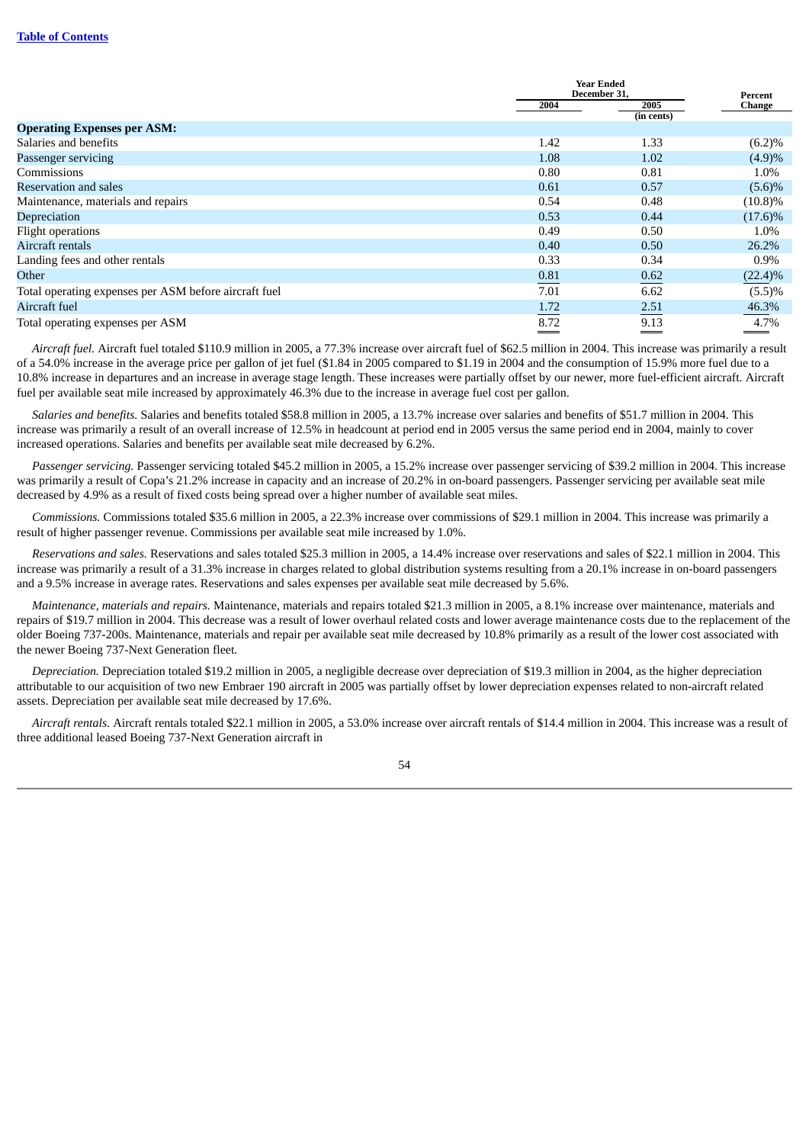|                                                       |      | <b>Year Ended</b><br>December 31. |                   |
|-------------------------------------------------------|------|-----------------------------------|-------------------|
|                                                       | 2004 | 2005                              | Percent<br>Change |
|                                                       |      | (in cents)                        |                   |
| <b>Operating Expenses per ASM:</b>                    |      |                                   |                   |
| Salaries and benefits                                 | 1.42 | 1.33                              | (6.2)%            |
| Passenger servicing                                   | 1.08 | 1.02                              | (4.9)%            |
| Commissions                                           | 0.80 | 0.81                              | 1.0%              |
| <b>Reservation and sales</b>                          | 0.61 | 0.57                              | $(5.6)\%$         |
| Maintenance, materials and repairs                    | 0.54 | 0.48                              | $(10.8)\%$        |
| Depreciation                                          | 0.53 | 0.44                              | $(17.6)\%$        |
| Flight operations                                     | 0.49 | 0.50                              | 1.0%              |
| Aircraft rentals                                      | 0.40 | 0.50                              | 26.2%             |
| Landing fees and other rentals                        | 0.33 | 0.34                              | $0.9\%$           |
| Other                                                 | 0.81 | 0.62                              | $(22.4)\%$        |
| Total operating expenses per ASM before aircraft fuel | 7.01 | 6.62                              | (5.5)%            |
| Aircraft fuel                                         | 1.72 | 2.51                              | 46.3%             |
| Total operating expenses per ASM                      | 8.72 | 9.13                              | 4.7%              |

*Aircraft fuel.* Aircraft fuel totaled \$110.9 million in 2005, a 77.3% increase over aircraft fuel of \$62.5 million in 2004. This increase was primarily a result of a 54.0% increase in the average price per gallon of jet fuel (\$1.84 in 2005 compared to \$1.19 in 2004 and the consumption of 15.9% more fuel due to a 10.8% increase in departures and an increase in average stage length. These increases were partially offset by our newer, more fuel-efficient aircraft. Aircraft fuel per available seat mile increased by approximately 46.3% due to the increase in average fuel cost per gallon.

*Salaries and benefits.* Salaries and benefits totaled \$58.8 million in 2005, a 13.7% increase over salaries and benefits of \$51.7 million in 2004. This increase was primarily a result of an overall increase of 12.5% in headcount at period end in 2005 versus the same period end in 2004, mainly to cover increased operations. Salaries and benefits per available seat mile decreased by 6.2%.

*Passenger servicing.* Passenger servicing totaled \$45.2 million in 2005, a 15.2% increase over passenger servicing of \$39.2 million in 2004. This increase was primarily a result of Copa's 21.2% increase in capacity and an increase of 20.2% in on-board passengers. Passenger servicing per available seat mile decreased by 4.9% as a result of fixed costs being spread over a higher number of available seat miles.

*Commissions.* Commissions totaled \$35.6 million in 2005, a 22.3% increase over commissions of \$29.1 million in 2004. This increase was primarily a result of higher passenger revenue. Commissions per available seat mile increased by 1.0%.

*Reservations and sales.* Reservations and sales totaled \$25.3 million in 2005, a 14.4% increase over reservations and sales of \$22.1 million in 2004. This increase was primarily a result of a 31.3% increase in charges related to global distribution systems resulting from a 20.1% increase in on-board passengers and a 9.5% increase in average rates. Reservations and sales expenses per available seat mile decreased by 5.6%.

*Maintenance, materials and repairs.* Maintenance, materials and repairs totaled \$21.3 million in 2005, a 8.1% increase over maintenance, materials and repairs of \$19.7 million in 2004. This decrease was a result of lower overhaul related costs and lower average maintenance costs due to the replacement of the older Boeing 737-200s. Maintenance, materials and repair per available seat mile decreased by 10.8% primarily as a result of the lower cost associated with the newer Boeing 737-Next Generation fleet.

*Depreciation.* Depreciation totaled \$19.2 million in 2005, a negligible decrease over depreciation of \$19.3 million in 2004, as the higher depreciation attributable to our acquisition of two new Embraer 190 aircraft in 2005 was partially offset by lower depreciation expenses related to non-aircraft related assets. Depreciation per available seat mile decreased by 17.6%.

*Aircraft rentals.* Aircraft rentals totaled \$22.1 million in 2005, a 53.0% increase over aircraft rentals of \$14.4 million in 2004. This increase was a result of three additional leased Boeing 737-Next Generation aircraft in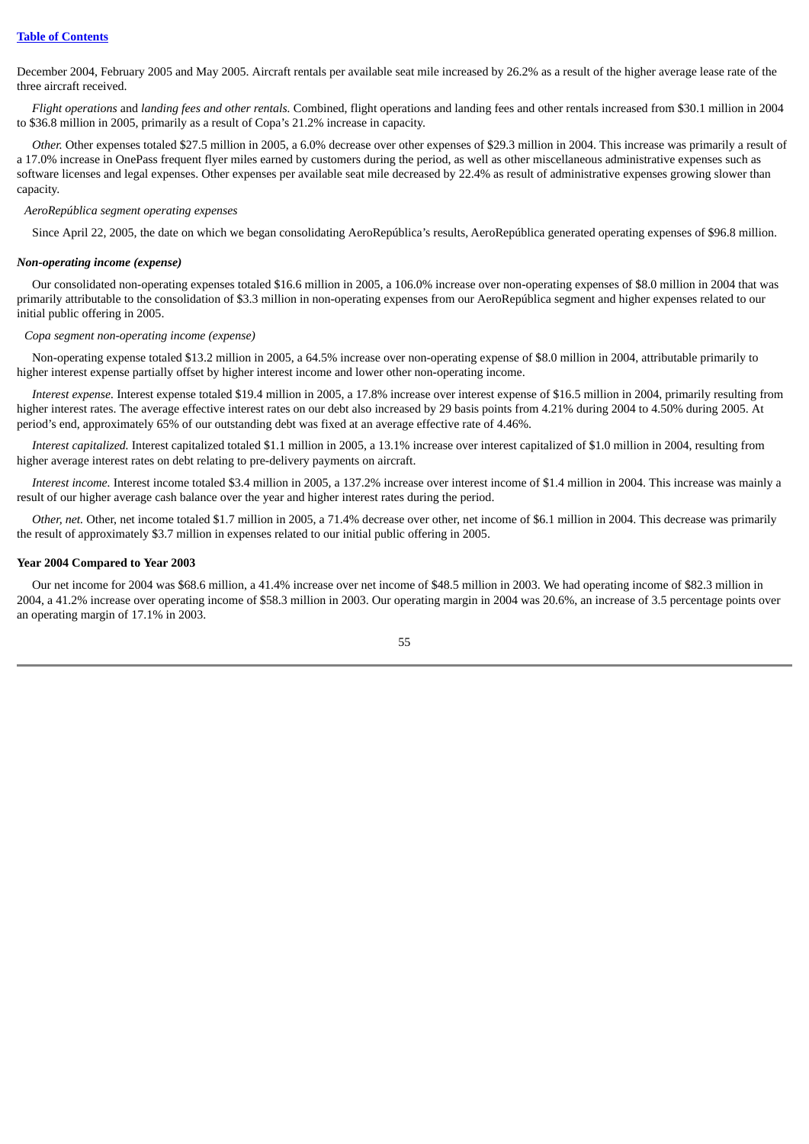December 2004, February 2005 and May 2005. Aircraft rentals per available seat mile increased by 26.2% as a result of the higher average lease rate of the three aircraft received.

*Flight operations* and *landing fees and other rentals.* Combined, flight operations and landing fees and other rentals increased from \$30.1 million in 2004 to \$36.8 million in 2005, primarily as a result of Copa's 21.2% increase in capacity.

*Other.* Other expenses totaled \$27.5 million in 2005, a 6.0% decrease over other expenses of \$29.3 million in 2004. This increase was primarily a result of a 17.0% increase in OnePass frequent flyer miles earned by customers during the period, as well as other miscellaneous administrative expenses such as software licenses and legal expenses. Other expenses per available seat mile decreased by 22.4% as result of administrative expenses growing slower than capacity.

*AeroRepública segment operating expenses*

Since April 22, 2005, the date on which we began consolidating AeroRepública's results, AeroRepública generated operating expenses of \$96.8 million.

### *Non-operating income (expense)*

Our consolidated non-operating expenses totaled \$16.6 million in 2005, a 106.0% increase over non-operating expenses of \$8.0 million in 2004 that was primarily attributable to the consolidation of \$3.3 million in non-operating expenses from our AeroRepública segment and higher expenses related to our initial public offering in 2005.

## *Copa segment non-operating income (expense)*

Non-operating expense totaled \$13.2 million in 2005, a 64.5% increase over non-operating expense of \$8.0 million in 2004, attributable primarily to higher interest expense partially offset by higher interest income and lower other non-operating income.

*Interest expense.* Interest expense totaled \$19.4 million in 2005, a 17.8% increase over interest expense of \$16.5 million in 2004, primarily resulting from higher interest rates. The average effective interest rates on our debt also increased by 29 basis points from 4.21% during 2004 to 4.50% during 2005. At period's end, approximately 65% of our outstanding debt was fixed at an average effective rate of 4.46%.

*Interest capitalized.* Interest capitalized totaled \$1.1 million in 2005, a 13.1% increase over interest capitalized of \$1.0 million in 2004, resulting from higher average interest rates on debt relating to pre-delivery payments on aircraft.

*Interest income.* Interest income totaled \$3.4 million in 2005, a 137.2% increase over interest income of \$1.4 million in 2004. This increase was mainly a result of our higher average cash balance over the year and higher interest rates during the period.

*Other, net.* Other, net income totaled \$1.7 million in 2005, a 71.4% decrease over other, net income of \$6.1 million in 2004. This decrease was primarily the result of approximately \$3.7 million in expenses related to our initial public offering in 2005.

### **Year 2004 Compared to Year 2003**

Our net income for 2004 was \$68.6 million, a 41.4% increase over net income of \$48.5 million in 2003. We had operating income of \$82.3 million in 2004, a 41.2% increase over operating income of \$58.3 million in 2003. Our operating margin in 2004 was 20.6%, an increase of 3.5 percentage points over an operating margin of 17.1% in 2003.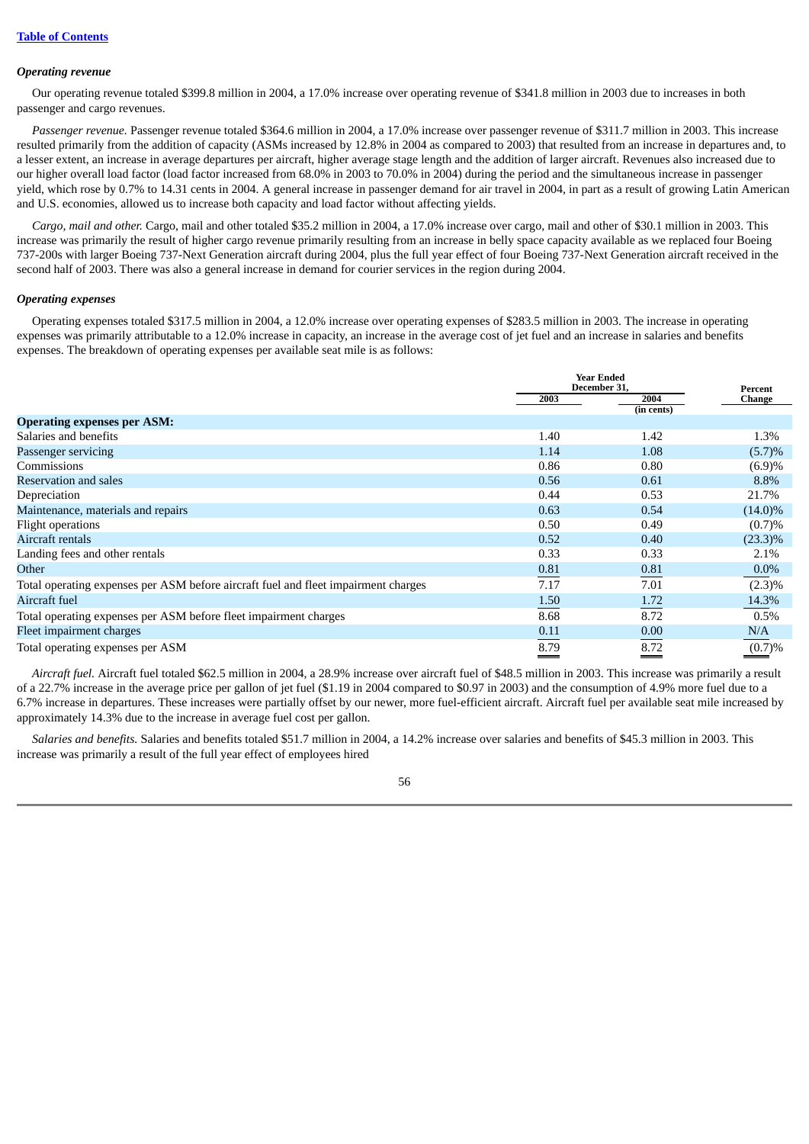## *Operating revenue*

Our operating revenue totaled \$399.8 million in 2004, a 17.0% increase over operating revenue of \$341.8 million in 2003 due to increases in both passenger and cargo revenues.

*Passenger revenue.* Passenger revenue totaled \$364.6 million in 2004, a 17.0% increase over passenger revenue of \$311.7 million in 2003. This increase resulted primarily from the addition of capacity (ASMs increased by 12.8% in 2004 as compared to 2003) that resulted from an increase in departures and, to a lesser extent, an increase in average departures per aircraft, higher average stage length and the addition of larger aircraft. Revenues also increased due to our higher overall load factor (load factor increased from 68.0% in 2003 to 70.0% in 2004) during the period and the simultaneous increase in passenger yield, which rose by 0.7% to 14.31 cents in 2004. A general increase in passenger demand for air travel in 2004, in part as a result of growing Latin American and U.S. economies, allowed us to increase both capacity and load factor without affecting yields.

*Cargo, mail and other.* Cargo, mail and other totaled \$35.2 million in 2004, a 17.0% increase over cargo, mail and other of \$30.1 million in 2003. This increase was primarily the result of higher cargo revenue primarily resulting from an increase in belly space capacity available as we replaced four Boeing 737-200s with larger Boeing 737-Next Generation aircraft during 2004, plus the full year effect of four Boeing 737-Next Generation aircraft received in the second half of 2003. There was also a general increase in demand for courier services in the region during 2004.

## *Operating expenses*

Operating expenses totaled \$317.5 million in 2004, a 12.0% increase over operating expenses of \$283.5 million in 2003. The increase in operating expenses was primarily attributable to a 12.0% increase in capacity, an increase in the average cost of jet fuel and an increase in salaries and benefits expenses. The breakdown of operating expenses per available seat mile is as follows:

|                                                                                    |      | <b>Year Ended</b>    |                          |
|------------------------------------------------------------------------------------|------|----------------------|--------------------------|
|                                                                                    | 2003 | December 31,<br>2004 | Percent<br><b>Change</b> |
|                                                                                    |      | (in cents)           |                          |
| <b>Operating expenses per ASM:</b>                                                 |      |                      |                          |
| Salaries and benefits                                                              | 1.40 | 1.42                 | 1.3%                     |
| Passenger servicing                                                                | 1.14 | 1.08                 | (5.7)%                   |
| Commissions                                                                        | 0.86 | 0.80                 | (6.9)%                   |
| Reservation and sales                                                              | 0.56 | 0.61                 | 8.8%                     |
| Depreciation                                                                       | 0.44 | 0.53                 | 21.7%                    |
| Maintenance, materials and repairs                                                 | 0.63 | 0.54                 | $(14.0)\%$               |
| Flight operations                                                                  | 0.50 | 0.49                 | (0.7)%                   |
| Aircraft rentals                                                                   | 0.52 | 0.40                 | $(23.3)\%$               |
| Landing fees and other rentals                                                     | 0.33 | 0.33                 | 2.1%                     |
| Other                                                                              | 0.81 | 0.81                 | $0.0\%$                  |
| Total operating expenses per ASM before aircraft fuel and fleet impairment charges | 7.17 | 7.01                 | $(2.3)\%$                |
| Aircraft fuel                                                                      | 1.50 | 1.72                 | 14.3%                    |
| Total operating expenses per ASM before fleet impairment charges                   | 8.68 | 8.72                 | 0.5%                     |
| Fleet impairment charges                                                           | 0.11 | 0.00                 | N/A                      |
| Total operating expenses per ASM                                                   | 8.79 | 8.72                 | (0.7)%                   |

*Aircraft fuel.* Aircraft fuel totaled \$62.5 million in 2004, a 28.9% increase over aircraft fuel of \$48.5 million in 2003. This increase was primarily a result of a 22.7% increase in the average price per gallon of jet fuel (\$1.19 in 2004 compared to \$0.97 in 2003) and the consumption of 4.9% more fuel due to a 6.7% increase in departures. These increases were partially offset by our newer, more fuel-efficient aircraft. Aircraft fuel per available seat mile increased by approximately 14.3% due to the increase in average fuel cost per gallon.

*Salaries and benefits.* Salaries and benefits totaled \$51.7 million in 2004, a 14.2% increase over salaries and benefits of \$45.3 million in 2003. This increase was primarily a result of the full year effect of employees hired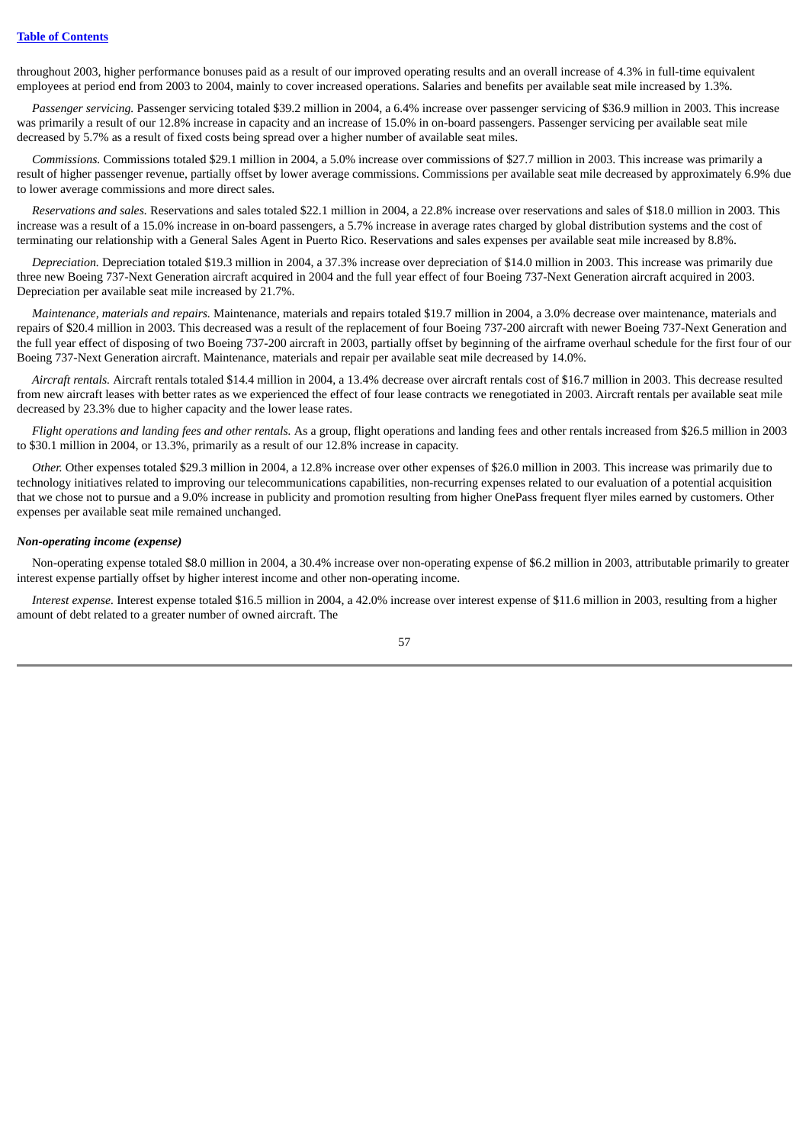throughout 2003, higher performance bonuses paid as a result of our improved operating results and an overall increase of 4.3% in full-time equivalent employees at period end from 2003 to 2004, mainly to cover increased operations. Salaries and benefits per available seat mile increased by 1.3%.

*Passenger servicing.* Passenger servicing totaled \$39.2 million in 2004, a 6.4% increase over passenger servicing of \$36.9 million in 2003. This increase was primarily a result of our 12.8% increase in capacity and an increase of 15.0% in on-board passengers. Passenger servicing per available seat mile decreased by 5.7% as a result of fixed costs being spread over a higher number of available seat miles.

*Commissions.* Commissions totaled \$29.1 million in 2004, a 5.0% increase over commissions of \$27.7 million in 2003. This increase was primarily a result of higher passenger revenue, partially offset by lower average commissions. Commissions per available seat mile decreased by approximately 6.9% due to lower average commissions and more direct sales.

*Reservations and sales.* Reservations and sales totaled \$22.1 million in 2004, a 22.8% increase over reservations and sales of \$18.0 million in 2003. This increase was a result of a 15.0% increase in on-board passengers, a 5.7% increase in average rates charged by global distribution systems and the cost of terminating our relationship with a General Sales Agent in Puerto Rico. Reservations and sales expenses per available seat mile increased by 8.8%.

*Depreciation.* Depreciation totaled \$19.3 million in 2004, a 37.3% increase over depreciation of \$14.0 million in 2003. This increase was primarily due three new Boeing 737-Next Generation aircraft acquired in 2004 and the full year effect of four Boeing 737-Next Generation aircraft acquired in 2003. Depreciation per available seat mile increased by 21.7%.

*Maintenance, materials and repairs.* Maintenance, materials and repairs totaled \$19.7 million in 2004, a 3.0% decrease over maintenance, materials and repairs of \$20.4 million in 2003. This decreased was a result of the replacement of four Boeing 737-200 aircraft with newer Boeing 737-Next Generation and the full year effect of disposing of two Boeing 737-200 aircraft in 2003, partially offset by beginning of the airframe overhaul schedule for the first four of our Boeing 737-Next Generation aircraft. Maintenance, materials and repair per available seat mile decreased by 14.0%.

*Aircraft rentals.* Aircraft rentals totaled \$14.4 million in 2004, a 13.4% decrease over aircraft rentals cost of \$16.7 million in 2003. This decrease resulted from new aircraft leases with better rates as we experienced the effect of four lease contracts we renegotiated in 2003. Aircraft rentals per available seat mile decreased by 23.3% due to higher capacity and the lower lease rates.

*Flight operations and landing fees and other rentals.* As a group, flight operations and landing fees and other rentals increased from \$26.5 million in 2003 to \$30.1 million in 2004, or 13.3%, primarily as a result of our 12.8% increase in capacity.

*Other.* Other expenses totaled \$29.3 million in 2004, a 12.8% increase over other expenses of \$26.0 million in 2003. This increase was primarily due to technology initiatives related to improving our telecommunications capabilities, non-recurring expenses related to our evaluation of a potential acquisition that we chose not to pursue and a 9.0% increase in publicity and promotion resulting from higher OnePass frequent flyer miles earned by customers. Other expenses per available seat mile remained unchanged.

## *Non-operating income (expense)*

Non-operating expense totaled \$8.0 million in 2004, a 30.4% increase over non-operating expense of \$6.2 million in 2003, attributable primarily to greater interest expense partially offset by higher interest income and other non-operating income.

*Interest expense.* Interest expense totaled \$16.5 million in 2004, a 42.0% increase over interest expense of \$11.6 million in 2003, resulting from a higher amount of debt related to a greater number of owned aircraft. The

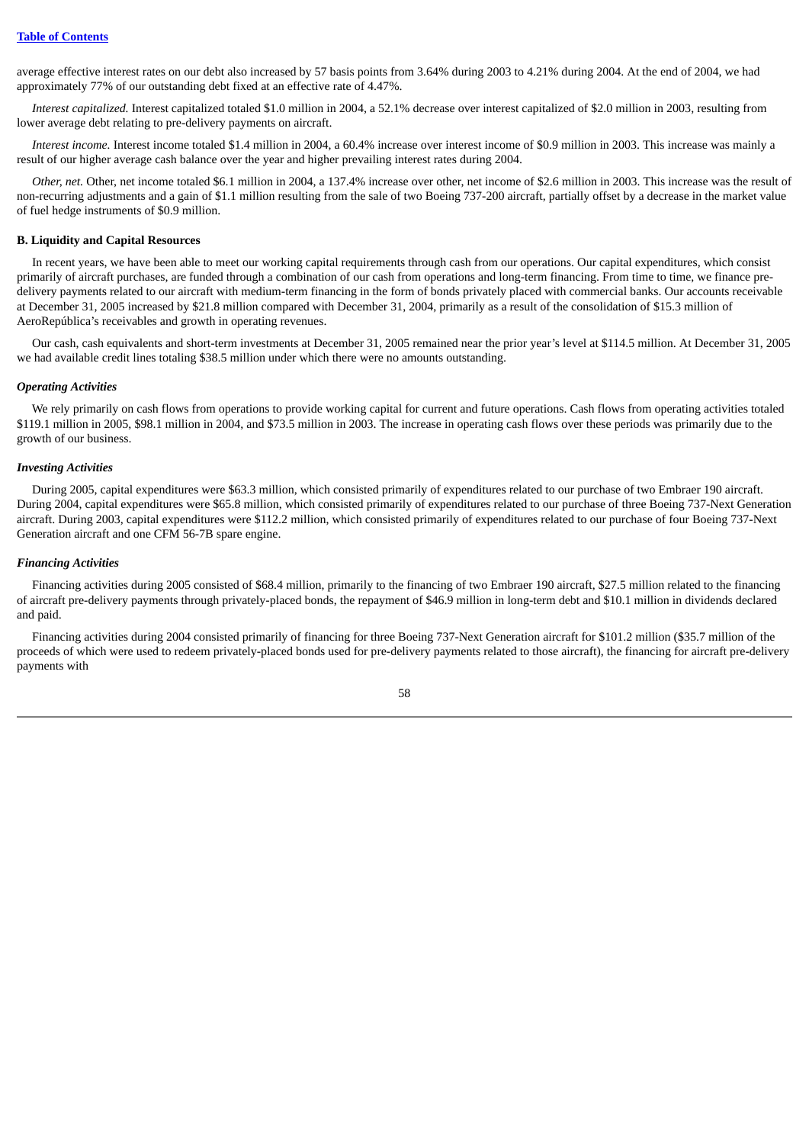average effective interest rates on our debt also increased by 57 basis points from 3.64% during 2003 to 4.21% during 2004. At the end of 2004, we had approximately 77% of our outstanding debt fixed at an effective rate of 4.47%.

*Interest capitalized.* Interest capitalized totaled \$1.0 million in 2004, a 52.1% decrease over interest capitalized of \$2.0 million in 2003, resulting from lower average debt relating to pre-delivery payments on aircraft.

*Interest income.* Interest income totaled \$1.4 million in 2004, a 60.4% increase over interest income of \$0.9 million in 2003. This increase was mainly a result of our higher average cash balance over the year and higher prevailing interest rates during 2004.

*Other, net.* Other, net income totaled \$6.1 million in 2004, a 137.4% increase over other, net income of \$2.6 million in 2003. This increase was the result of non-recurring adjustments and a gain of \$1.1 million resulting from the sale of two Boeing 737-200 aircraft, partially offset by a decrease in the market value of fuel hedge instruments of \$0.9 million.

### **B. Liquidity and Capital Resources**

In recent years, we have been able to meet our working capital requirements through cash from our operations. Our capital expenditures, which consist primarily of aircraft purchases, are funded through a combination of our cash from operations and long-term financing. From time to time, we finance predelivery payments related to our aircraft with medium-term financing in the form of bonds privately placed with commercial banks. Our accounts receivable at December 31, 2005 increased by \$21.8 million compared with December 31, 2004, primarily as a result of the consolidation of \$15.3 million of AeroRepública's receivables and growth in operating revenues.

Our cash, cash equivalents and short-term investments at December 31, 2005 remained near the prior year's level at \$114.5 million. At December 31, 2005 we had available credit lines totaling \$38.5 million under which there were no amounts outstanding.

#### *Operating Activities*

We rely primarily on cash flows from operations to provide working capital for current and future operations. Cash flows from operating activities totaled \$119.1 million in 2005, \$98.1 million in 2004, and \$73.5 million in 2003. The increase in operating cash flows over these periods was primarily due to the growth of our business.

## *Investing Activities*

During 2005, capital expenditures were \$63.3 million, which consisted primarily of expenditures related to our purchase of two Embraer 190 aircraft. During 2004, capital expenditures were \$65.8 million, which consisted primarily of expenditures related to our purchase of three Boeing 737-Next Generation aircraft. During 2003, capital expenditures were \$112.2 million, which consisted primarily of expenditures related to our purchase of four Boeing 737-Next Generation aircraft and one CFM 56-7B spare engine.

### *Financing Activities*

Financing activities during 2005 consisted of \$68.4 million, primarily to the financing of two Embraer 190 aircraft, \$27.5 million related to the financing of aircraft pre-delivery payments through privately-placed bonds, the repayment of \$46.9 million in long-term debt and \$10.1 million in dividends declared and paid.

Financing activities during 2004 consisted primarily of financing for three Boeing 737-Next Generation aircraft for \$101.2 million (\$35.7 million of the proceeds of which were used to redeem privately-placed bonds used for pre-delivery payments related to those aircraft), the financing for aircraft pre-delivery payments with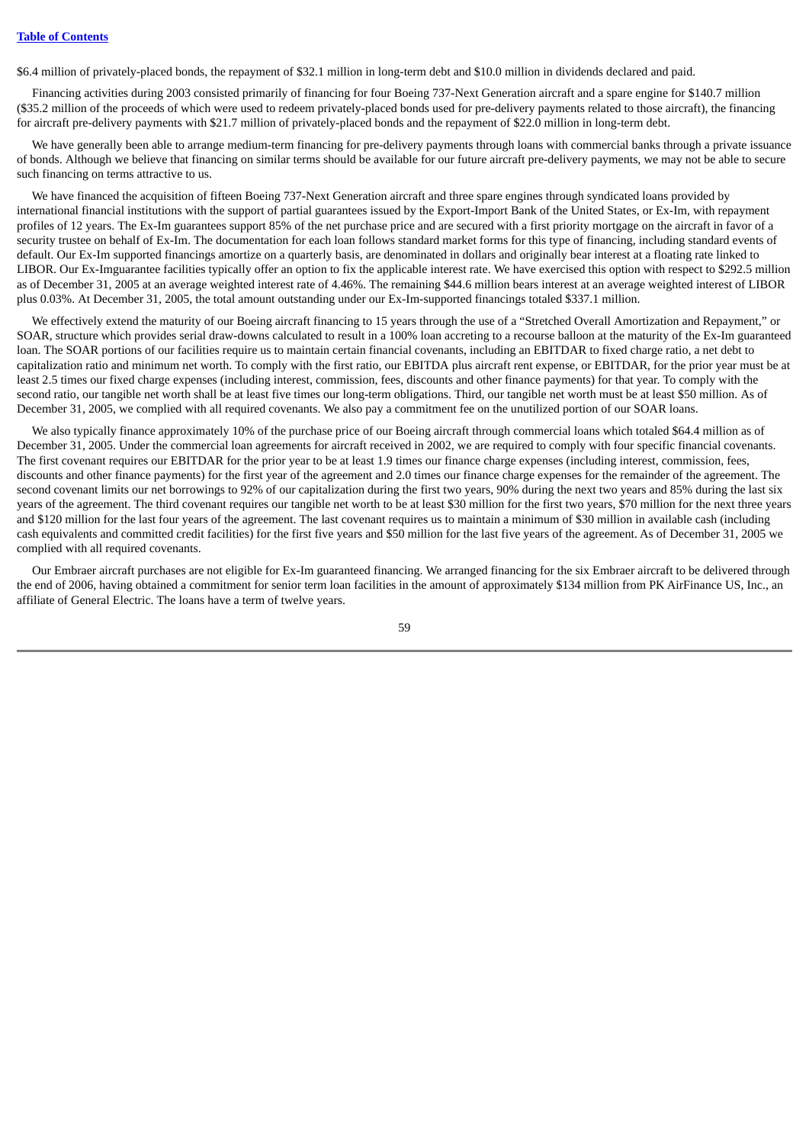\$6.4 million of privately-placed bonds, the repayment of \$32.1 million in long-term debt and \$10.0 million in dividends declared and paid.

Financing activities during 2003 consisted primarily of financing for four Boeing 737-Next Generation aircraft and a spare engine for \$140.7 million (\$35.2 million of the proceeds of which were used to redeem privately-placed bonds used for pre-delivery payments related to those aircraft), the financing for aircraft pre-delivery payments with \$21.7 million of privately-placed bonds and the repayment of \$22.0 million in long-term debt.

We have generally been able to arrange medium-term financing for pre-delivery payments through loans with commercial banks through a private issuance of bonds. Although we believe that financing on similar terms should be available for our future aircraft pre-delivery payments, we may not be able to secure such financing on terms attractive to us.

We have financed the acquisition of fifteen Boeing 737-Next Generation aircraft and three spare engines through syndicated loans provided by international financial institutions with the support of partial guarantees issued by the Export-Import Bank of the United States, or Ex-Im, with repayment profiles of 12 years. The Ex-Im guarantees support 85% of the net purchase price and are secured with a first priority mortgage on the aircraft in favor of a security trustee on behalf of Ex-Im. The documentation for each loan follows standard market forms for this type of financing, including standard events of default. Our Ex-Im supported financings amortize on a quarterly basis, are denominated in dollars and originally bear interest at a floating rate linked to LIBOR. Our Ex-Imguarantee facilities typically offer an option to fix the applicable interest rate. We have exercised this option with respect to \$292.5 million as of December 31, 2005 at an average weighted interest rate of 4.46%. The remaining \$44.6 million bears interest at an average weighted interest of LIBOR plus 0.03%. At December 31, 2005, the total amount outstanding under our Ex-Im-supported financings totaled \$337.1 million.

We effectively extend the maturity of our Boeing aircraft financing to 15 years through the use of a "Stretched Overall Amortization and Repayment," or SOAR, structure which provides serial draw-downs calculated to result in a 100% loan accreting to a recourse balloon at the maturity of the Ex-Im guaranteed loan. The SOAR portions of our facilities require us to maintain certain financial covenants, including an EBITDAR to fixed charge ratio, a net debt to capitalization ratio and minimum net worth. To comply with the first ratio, our EBITDA plus aircraft rent expense, or EBITDAR, for the prior year must be at least 2.5 times our fixed charge expenses (including interest, commission, fees, discounts and other finance payments) for that year. To comply with the second ratio, our tangible net worth shall be at least five times our long-term obligations. Third, our tangible net worth must be at least \$50 million. As of December 31, 2005, we complied with all required covenants. We also pay a commitment fee on the unutilized portion of our SOAR loans.

We also typically finance approximately 10% of the purchase price of our Boeing aircraft through commercial loans which totaled \$64.4 million as of December 31, 2005. Under the commercial loan agreements for aircraft received in 2002, we are required to comply with four specific financial covenants. The first covenant requires our EBITDAR for the prior year to be at least 1.9 times our finance charge expenses (including interest, commission, fees, discounts and other finance payments) for the first year of the agreement and 2.0 times our finance charge expenses for the remainder of the agreement. The second covenant limits our net borrowings to 92% of our capitalization during the first two years, 90% during the next two years and 85% during the last six years of the agreement. The third covenant requires our tangible net worth to be at least \$30 million for the first two years, \$70 million for the next three years and \$120 million for the last four years of the agreement. The last covenant requires us to maintain a minimum of \$30 million in available cash (including cash equivalents and committed credit facilities) for the first five years and \$50 million for the last five years of the agreement. As of December 31, 2005 we complied with all required covenants.

Our Embraer aircraft purchases are not eligible for Ex-Im guaranteed financing. We arranged financing for the six Embraer aircraft to be delivered through the end of 2006, having obtained a commitment for senior term loan facilities in the amount of approximately \$134 million from PK AirFinance US, Inc., an affiliate of General Electric. The loans have a term of twelve years.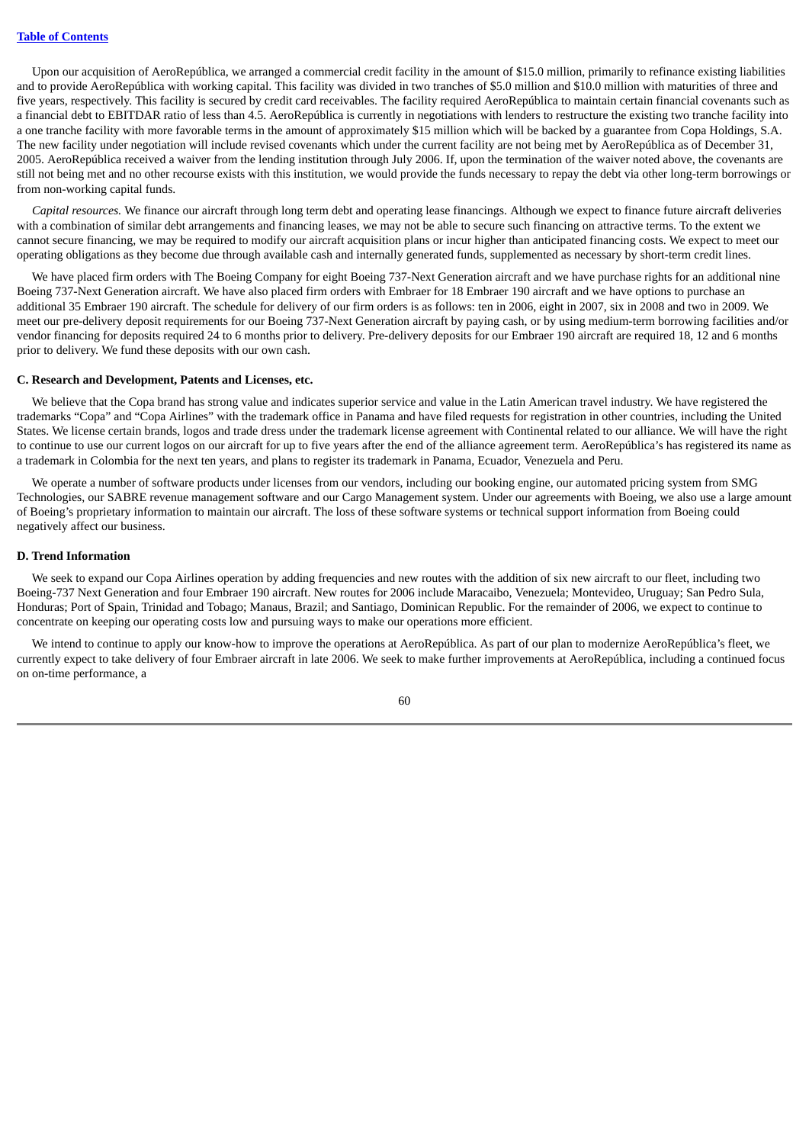Upon our acquisition of AeroRepública, we arranged a commercial credit facility in the amount of \$15.0 million, primarily to refinance existing liabilities and to provide AeroRepública with working capital. This facility was divided in two tranches of \$5.0 million and \$10.0 million with maturities of three and five years, respectively. This facility is secured by credit card receivables. The facility required AeroRepública to maintain certain financial covenants such as a financial debt to EBITDAR ratio of less than 4.5. AeroRepública is currently in negotiations with lenders to restructure the existing two tranche facility into a one tranche facility with more favorable terms in the amount of approximately \$15 million which will be backed by a guarantee from Copa Holdings, S.A. The new facility under negotiation will include revised covenants which under the current facility are not being met by AeroRepública as of December 31, 2005. AeroRepública received a waiver from the lending institution through July 2006. If, upon the termination of the waiver noted above, the covenants are still not being met and no other recourse exists with this institution, we would provide the funds necessary to repay the debt via other long-term borrowings or from non-working capital funds.

*Capital resources.* We finance our aircraft through long term debt and operating lease financings. Although we expect to finance future aircraft deliveries with a combination of similar debt arrangements and financing leases, we may not be able to secure such financing on attractive terms. To the extent we cannot secure financing, we may be required to modify our aircraft acquisition plans or incur higher than anticipated financing costs. We expect to meet our operating obligations as they become due through available cash and internally generated funds, supplemented as necessary by short-term credit lines.

We have placed firm orders with The Boeing Company for eight Boeing 737-Next Generation aircraft and we have purchase rights for an additional nine Boeing 737-Next Generation aircraft. We have also placed firm orders with Embraer for 18 Embraer 190 aircraft and we have options to purchase an additional 35 Embraer 190 aircraft. The schedule for delivery of our firm orders is as follows: ten in 2006, eight in 2007, six in 2008 and two in 2009. We meet our pre-delivery deposit requirements for our Boeing 737-Next Generation aircraft by paying cash, or by using medium-term borrowing facilities and/or vendor financing for deposits required 24 to 6 months prior to delivery. Pre-delivery deposits for our Embraer 190 aircraft are required 18, 12 and 6 months prior to delivery. We fund these deposits with our own cash.

## **C. Research and Development, Patents and Licenses, etc.**

We believe that the Copa brand has strong value and indicates superior service and value in the Latin American travel industry. We have registered the trademarks "Copa" and "Copa Airlines" with the trademark office in Panama and have filed requests for registration in other countries, including the United States. We license certain brands, logos and trade dress under the trademark license agreement with Continental related to our alliance. We will have the right to continue to use our current logos on our aircraft for up to five years after the end of the alliance agreement term. AeroRepública's has registered its name as a trademark in Colombia for the next ten years, and plans to register its trademark in Panama, Ecuador, Venezuela and Peru.

We operate a number of software products under licenses from our vendors, including our booking engine, our automated pricing system from SMG Technologies, our SABRE revenue management software and our Cargo Management system. Under our agreements with Boeing, we also use a large amount of Boeing's proprietary information to maintain our aircraft. The loss of these software systems or technical support information from Boeing could negatively affect our business.

## **D. Trend Information**

We seek to expand our Copa Airlines operation by adding frequencies and new routes with the addition of six new aircraft to our fleet, including two Boeing-737 Next Generation and four Embraer 190 aircraft. New routes for 2006 include Maracaibo, Venezuela; Montevideo, Uruguay; San Pedro Sula, Honduras; Port of Spain, Trinidad and Tobago; Manaus, Brazil; and Santiago, Dominican Republic. For the remainder of 2006, we expect to continue to concentrate on keeping our operating costs low and pursuing ways to make our operations more efficient.

We intend to continue to apply our know-how to improve the operations at AeroRepública. As part of our plan to modernize AeroRepública's fleet, we currently expect to take delivery of four Embraer aircraft in late 2006. We seek to make further improvements at AeroRepública, including a continued focus on on-time performance, a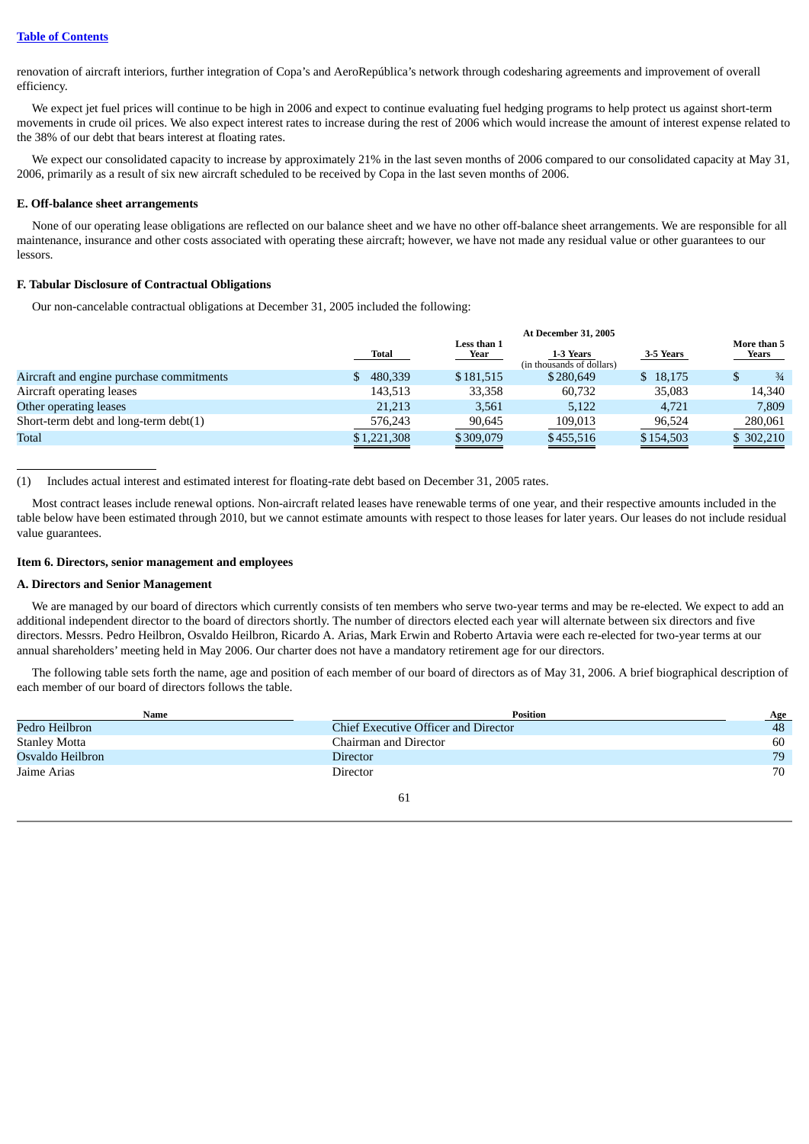renovation of aircraft interiors, further integration of Copa's and AeroRepública's network through codesharing agreements and improvement of overall efficiency.

We expect jet fuel prices will continue to be high in 2006 and expect to continue evaluating fuel hedging programs to help protect us against short-term movements in crude oil prices. We also expect interest rates to increase during the rest of 2006 which would increase the amount of interest expense related to the 38% of our debt that bears interest at floating rates.

We expect our consolidated capacity to increase by approximately 21% in the last seven months of 2006 compared to our consolidated capacity at May 31, 2006, primarily as a result of six new aircraft scheduled to be received by Copa in the last seven months of 2006.

## **E. Off-balance sheet arrangements**

None of our operating lease obligations are reflected on our balance sheet and we have no other off-balance sheet arrangements. We are responsible for all maintenance, insurance and other costs associated with operating these aircraft; however, we have not made any residual value or other guarantees to our lessors.

# **F. Tabular Disclosure of Contractual Obligations**

Our non-cancelable contractual obligations at December 31, 2005 included the following:

| <b>At December 31, 2005</b> |                     |                                        |           |                      |
|-----------------------------|---------------------|----------------------------------------|-----------|----------------------|
| Total                       | Less than 1<br>Year | 1-3 Years<br>(in thousands of dollars) | 3-5 Years | More than 5<br>Years |
| 480,339                     | \$181,515           | \$280,649                              | \$ 18,175 | $\frac{3}{4}$        |
| 143,513                     | 33,358              | 60,732                                 | 35,083    | 14,340               |
| 21,213                      | 3,561               | 5,122                                  | 4.721     | 7,809                |
| 576,243                     | 90,645              | 109,013                                | 96,524    | 280,061              |
| \$1,221,308<br>_______      | \$309,079           | \$455,516                              | \$154,503 | \$ 302,210           |
|                             |                     |                                        |           |                      |

(1) Includes actual interest and estimated interest for floating-rate debt based on December 31, 2005 rates.

Most contract leases include renewal options. Non-aircraft related leases have renewable terms of one year, and their respective amounts included in the table below have been estimated through 2010, but we cannot estimate amounts with respect to those leases for later years. Our leases do not include residual value guarantees.

## **Item 6. Directors, senior management and employees**

## **A. Directors and Senior Management**

We are managed by our board of directors which currently consists of ten members who serve two-year terms and may be re-elected. We expect to add an additional independent director to the board of directors shortly. The number of directors elected each year will alternate between six directors and five directors. Messrs. Pedro Heilbron, Osvaldo Heilbron, Ricardo A. Arias, Mark Erwin and Roberto Artavia were each re-elected for two-year terms at our annual shareholders' meeting held in May 2006. Our charter does not have a mandatory retirement age for our directors.

The following table sets forth the name, age and position of each member of our board of directors as of May 31, 2006. A brief biographical description of each member of our board of directors follows the table.

| Name                 | <b>Position</b>                      | Age |
|----------------------|--------------------------------------|-----|
| Pedro Heilbron       | Chief Executive Officer and Director | 48  |
| <b>Stanley Motta</b> | Chairman and Director                | 60  |
| Osvaldo Heilbron     | <b>Director</b>                      | 79  |
| Jaime Arias          | Director                             | 70  |
|                      | 61                                   |     |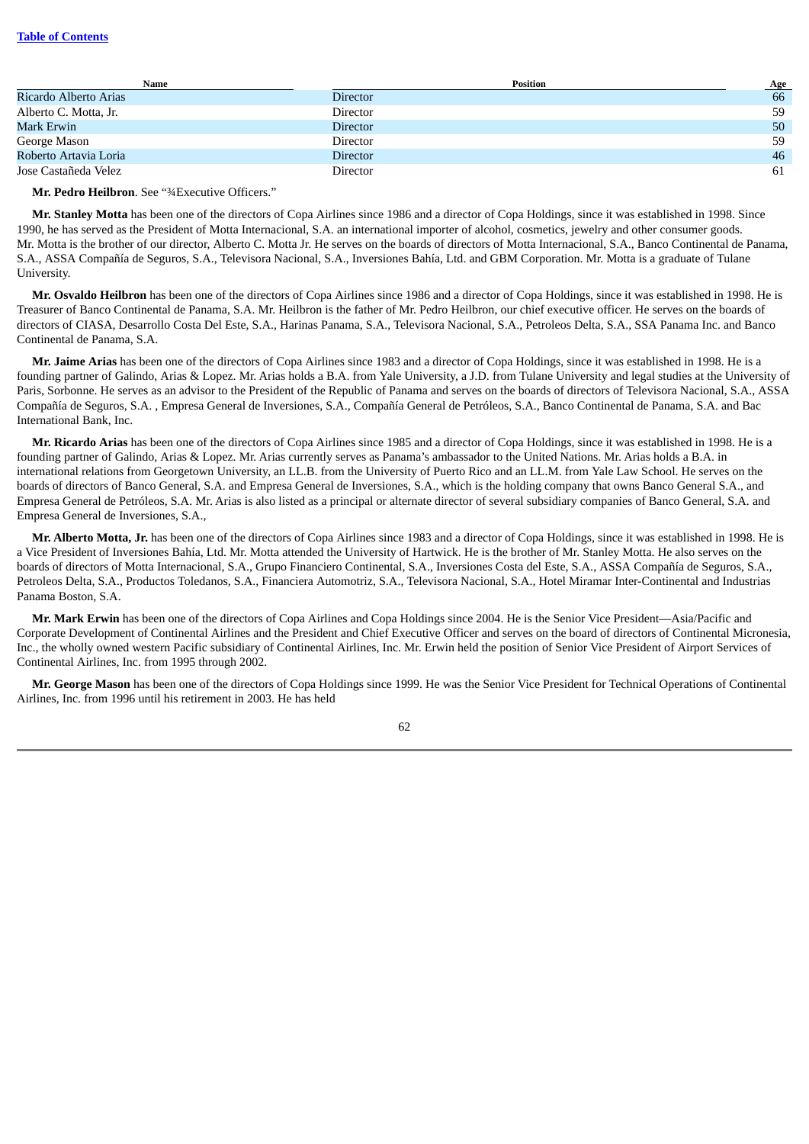## **Table of [Contents](#page-3-0)**

| Name                  |                 | <b>Position</b> | <b>Age</b> |
|-----------------------|-----------------|-----------------|------------|
| Ricardo Alberto Arias | Director        |                 | 66         |
| Alberto C. Motta, Jr. | Director        |                 | 59         |
| Mark Erwin            | <b>Director</b> |                 | 50         |
| George Mason          | Director        |                 | 59         |
| Roberto Artavia Loria | Director        |                 | 46         |
| Jose Castañeda Velez  | Director        |                 | 61         |

**Mr. Pedro Heilbron**. See "¾Executive Officers."

**Mr. Stanley Motta** has been one of the directors of Copa Airlines since 1986 and a director of Copa Holdings, since it was established in 1998. Since 1990, he has served as the President of Motta Internacional, S.A. an international importer of alcohol, cosmetics, jewelry and other consumer goods. Mr. Motta is the brother of our director, Alberto C. Motta Jr. He serves on the boards of directors of Motta Internacional, S.A., Banco Continental de Panama, S.A., ASSA Compañía de Seguros, S.A., Televisora Nacional, S.A., Inversiones Bahía, Ltd. and GBM Corporation. Mr. Motta is a graduate of Tulane University.

**Mr. Osvaldo Heilbron** has been one of the directors of Copa Airlines since 1986 and a director of Copa Holdings, since it was established in 1998. He is Treasurer of Banco Continental de Panama, S.A. Mr. Heilbron is the father of Mr. Pedro Heilbron, our chief executive officer. He serves on the boards of directors of CIASA, Desarrollo Costa Del Este, S.A., Harinas Panama, S.A., Televisora Nacional, S.A., Petroleos Delta, S.A., SSA Panama Inc. and Banco Continental de Panama, S.A.

**Mr. Jaime Arias** has been one of the directors of Copa Airlines since 1983 and a director of Copa Holdings, since it was established in 1998. He is a founding partner of Galindo, Arias & Lopez. Mr. Arias holds a B.A. from Yale University, a J.D. from Tulane University and legal studies at the University of Paris, Sorbonne. He serves as an advisor to the President of the Republic of Panama and serves on the boards of directors of Televisora Nacional, S.A., ASSA Compañía de Seguros, S.A. , Empresa General de Inversiones, S.A., Compañía General de Petróleos, S.A., Banco Continental de Panama, S.A. and Bac International Bank, Inc.

**Mr. Ricardo Arias** has been one of the directors of Copa Airlines since 1985 and a director of Copa Holdings, since it was established in 1998. He is a founding partner of Galindo, Arias & Lopez. Mr. Arias currently serves as Panama's ambassador to the United Nations. Mr. Arias holds a B.A. in international relations from Georgetown University, an LL.B. from the University of Puerto Rico and an LL.M. from Yale Law School. He serves on the boards of directors of Banco General, S.A. and Empresa General de Inversiones, S.A., which is the holding company that owns Banco General S.A., and Empresa General de Petróleos, S.A. Mr. Arias is also listed as a principal or alternate director of several subsidiary companies of Banco General, S.A. and Empresa General de Inversiones, S.A.,

**Mr. Alberto Motta, Jr.** has been one of the directors of Copa Airlines since 1983 and a director of Copa Holdings, since it was established in 1998. He is a Vice President of Inversiones Bahía, Ltd. Mr. Motta attended the University of Hartwick. He is the brother of Mr. Stanley Motta. He also serves on the boards of directors of Motta Internacional, S.A., Grupo Financiero Continental, S.A., Inversiones Costa del Este, S.A., ASSA Compañía de Seguros, S.A., Petroleos Delta, S.A., Productos Toledanos, S.A., Financiera Automotriz, S.A., Televisora Nacional, S.A., Hotel Miramar Inter-Continental and Industrias Panama Boston, S.A.

**Mr. Mark Erwin** has been one of the directors of Copa Airlines and Copa Holdings since 2004. He is the Senior Vice President—Asia/Pacific and Corporate Development of Continental Airlines and the President and Chief Executive Officer and serves on the board of directors of Continental Micronesia, Inc., the wholly owned western Pacific subsidiary of Continental Airlines, Inc. Mr. Erwin held the position of Senior Vice President of Airport Services of Continental Airlines, Inc. from 1995 through 2002.

**Mr. George Mason** has been one of the directors of Copa Holdings since 1999. He was the Senior Vice President for Technical Operations of Continental Airlines, Inc. from 1996 until his retirement in 2003. He has held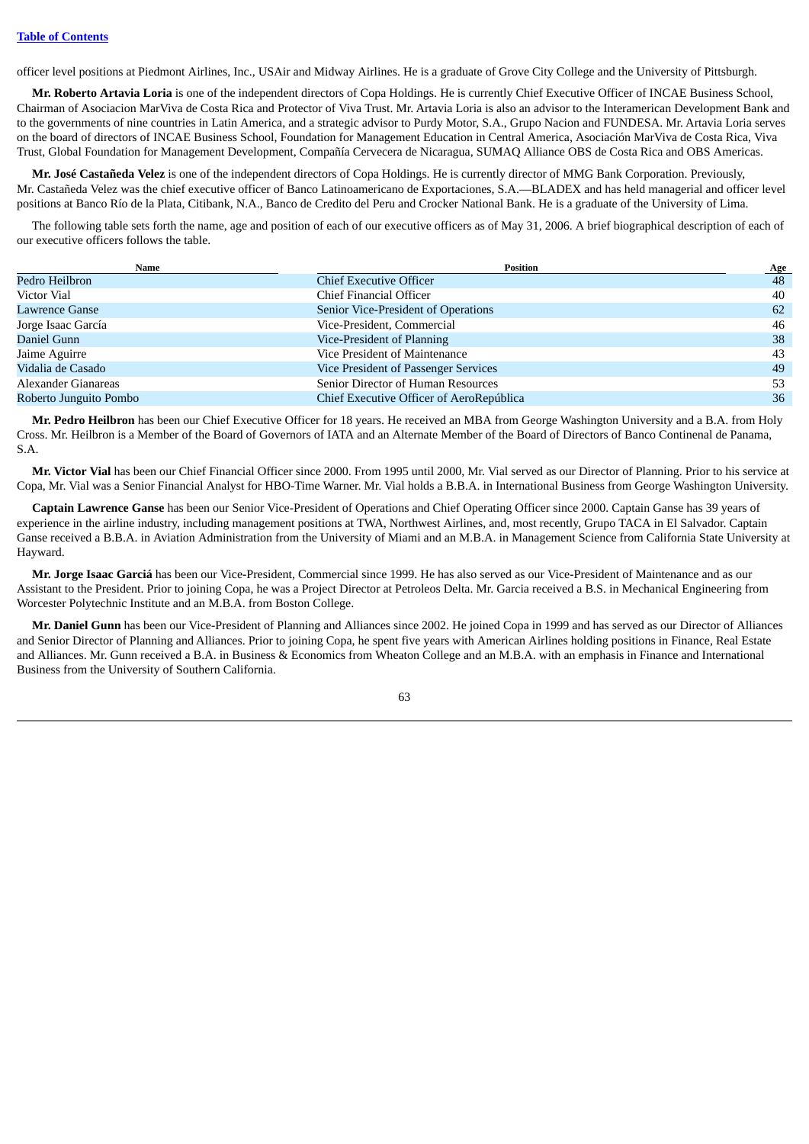officer level positions at Piedmont Airlines, Inc., USAir and Midway Airlines. He is a graduate of Grove City College and the University of Pittsburgh.

**Mr. Roberto Artavia Loria** is one of the independent directors of Copa Holdings. He is currently Chief Executive Officer of INCAE Business School, Chairman of Asociacion MarViva de Costa Rica and Protector of Viva Trust. Mr. Artavia Loria is also an advisor to the Interamerican Development Bank and to the governments of nine countries in Latin America, and a strategic advisor to Purdy Motor, S.A., Grupo Nacion and FUNDESA. Mr. Artavia Loria serves on the board of directors of INCAE Business School, Foundation for Management Education in Central America, Asociación MarViva de Costa Rica, Viva Trust, Global Foundation for Management Development, Compañía Cervecera de Nicaragua, SUMAQ Alliance OBS de Costa Rica and OBS Americas.

**Mr. José Castañeda Velez** is one of the independent directors of Copa Holdings. He is currently director of MMG Bank Corporation. Previously, Mr. Castañeda Velez was the chief executive officer of Banco Latinoamericano de Exportaciones, S.A.—BLADEX and has held managerial and officer level positions at Banco Río de la Plata, Citibank, N.A., Banco de Credito del Peru and Crocker National Bank. He is a graduate of the University of Lima.

The following table sets forth the name, age and position of each of our executive officers as of May 31, 2006. A brief biographical description of each of our executive officers follows the table.

| Name                   | <b>Position</b>                          | <b>Age</b> |
|------------------------|------------------------------------------|------------|
| Pedro Heilbron         | <b>Chief Executive Officer</b>           | 48         |
| Victor Vial            | Chief Financial Officer                  | 40         |
| Lawrence Ganse         | Senior Vice-President of Operations      | 62         |
| Jorge Isaac García     | Vice-President, Commercial               | 46         |
| Daniel Gunn            | Vice-President of Planning               | 38         |
| Jaime Aguirre          | Vice President of Maintenance            | 43         |
| Vidalia de Casado      | Vice President of Passenger Services     | 49         |
| Alexander Gianareas    | Senior Director of Human Resources       | 53         |
| Roberto Junguito Pombo | Chief Executive Officer of AeroRepública | 36         |

**Mr. Pedro Heilbron** has been our Chief Executive Officer for 18 years. He received an MBA from George Washington University and a B.A. from Holy Cross. Mr. Heilbron is a Member of the Board of Governors of IATA and an Alternate Member of the Board of Directors of Banco Continenal de Panama, S.A.

**Mr. Victor Vial** has been our Chief Financial Officer since 2000. From 1995 until 2000, Mr. Vial served as our Director of Planning. Prior to his service at Copa, Mr. Vial was a Senior Financial Analyst for HBO-Time Warner. Mr. Vial holds a B.B.A. in International Business from George Washington University.

**Captain Lawrence Ganse** has been our Senior Vice-President of Operations and Chief Operating Officer since 2000. Captain Ganse has 39 years of experience in the airline industry, including management positions at TWA, Northwest Airlines, and, most recently, Grupo TACA in El Salvador. Captain Ganse received a B.B.A. in Aviation Administration from the University of Miami and an M.B.A. in Management Science from California State University at Hayward.

**Mr. Jorge Isaac Garciá** has been our Vice-President, Commercial since 1999. He has also served as our Vice-President of Maintenance and as our Assistant to the President. Prior to joining Copa, he was a Project Director at Petroleos Delta. Mr. Garcia received a B.S. in Mechanical Engineering from Worcester Polytechnic Institute and an M.B.A. from Boston College.

**Mr. Daniel Gunn** has been our Vice-President of Planning and Alliances since 2002. He joined Copa in 1999 and has served as our Director of Alliances and Senior Director of Planning and Alliances. Prior to joining Copa, he spent five years with American Airlines holding positions in Finance, Real Estate and Alliances. Mr. Gunn received a B.A. in Business & Economics from Wheaton College and an M.B.A. with an emphasis in Finance and International Business from the University of Southern California.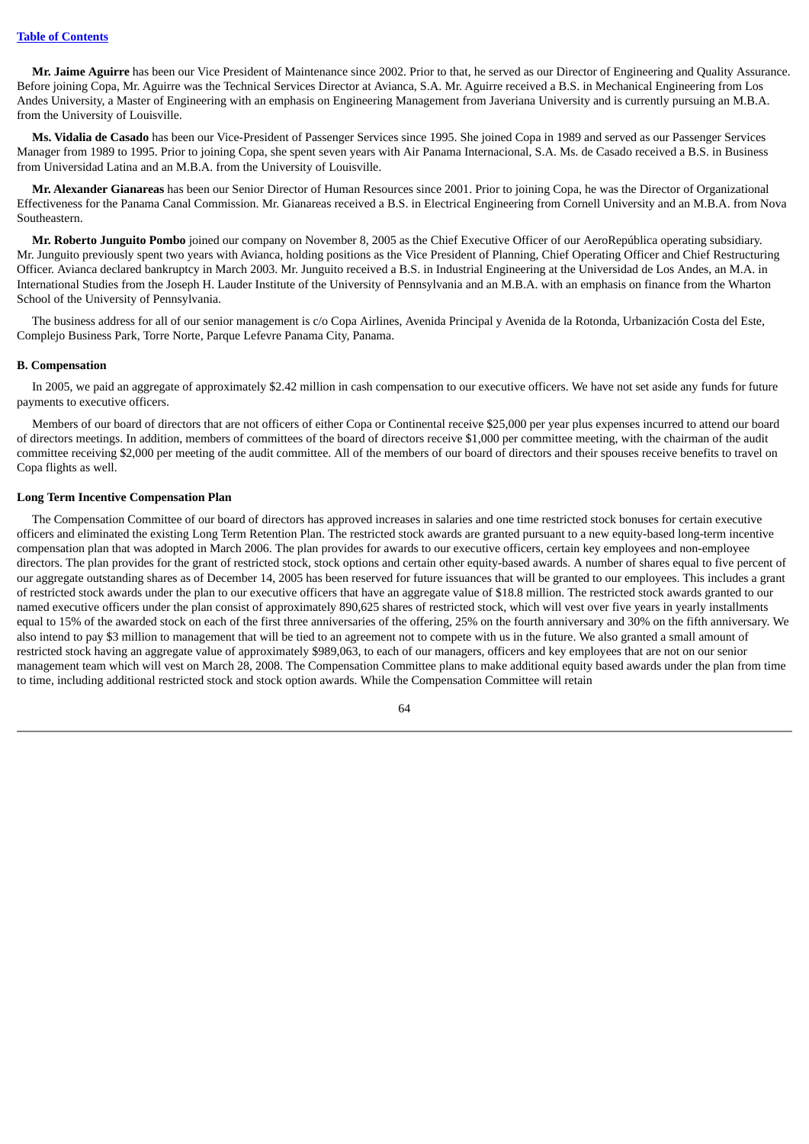**Mr. Jaime Aguirre** has been our Vice President of Maintenance since 2002. Prior to that, he served as our Director of Engineering and Quality Assurance. Before joining Copa, Mr. Aguirre was the Technical Services Director at Avianca, S.A. Mr. Aguirre received a B.S. in Mechanical Engineering from Los Andes University, a Master of Engineering with an emphasis on Engineering Management from Javeriana University and is currently pursuing an M.B.A. from the University of Louisville.

**Ms. Vidalia de Casado** has been our Vice-President of Passenger Services since 1995. She joined Copa in 1989 and served as our Passenger Services Manager from 1989 to 1995. Prior to joining Copa, she spent seven years with Air Panama Internacional, S.A. Ms. de Casado received a B.S. in Business from Universidad Latina and an M.B.A. from the University of Louisville.

**Mr. Alexander Gianareas** has been our Senior Director of Human Resources since 2001. Prior to joining Copa, he was the Director of Organizational Effectiveness for the Panama Canal Commission. Mr. Gianareas received a B.S. in Electrical Engineering from Cornell University and an M.B.A. from Nova Southeastern.

**Mr. Roberto Junguito Pombo** joined our company on November 8, 2005 as the Chief Executive Officer of our AeroRepública operating subsidiary. Mr. Junguito previously spent two years with Avianca, holding positions as the Vice President of Planning, Chief Operating Officer and Chief Restructuring Officer. Avianca declared bankruptcy in March 2003. Mr. Junguito received a B.S. in Industrial Engineering at the Universidad de Los Andes, an M.A. in International Studies from the Joseph H. Lauder Institute of the University of Pennsylvania and an M.B.A. with an emphasis on finance from the Wharton School of the University of Pennsylvania.

The business address for all of our senior management is c/o Copa Airlines, Avenida Principal y Avenida de la Rotonda, Urbanización Costa del Este, Complejo Business Park, Torre Norte, Parque Lefevre Panama City, Panama.

## **B. Compensation**

In 2005, we paid an aggregate of approximately \$2.42 million in cash compensation to our executive officers. We have not set aside any funds for future payments to executive officers.

Members of our board of directors that are not officers of either Copa or Continental receive \$25,000 per year plus expenses incurred to attend our board of directors meetings. In addition, members of committees of the board of directors receive \$1,000 per committee meeting, with the chairman of the audit committee receiving \$2,000 per meeting of the audit committee. All of the members of our board of directors and their spouses receive benefits to travel on Copa flights as well.

## **Long Term Incentive Compensation Plan**

The Compensation Committee of our board of directors has approved increases in salaries and one time restricted stock bonuses for certain executive officers and eliminated the existing Long Term Retention Plan. The restricted stock awards are granted pursuant to a new equity-based long-term incentive compensation plan that was adopted in March 2006. The plan provides for awards to our executive officers, certain key employees and non-employee directors. The plan provides for the grant of restricted stock, stock options and certain other equity-based awards. A number of shares equal to five percent of our aggregate outstanding shares as of December 14, 2005 has been reserved for future issuances that will be granted to our employees. This includes a grant of restricted stock awards under the plan to our executive officers that have an aggregate value of \$18.8 million. The restricted stock awards granted to our named executive officers under the plan consist of approximately 890,625 shares of restricted stock, which will vest over five years in yearly installments equal to 15% of the awarded stock on each of the first three anniversaries of the offering, 25% on the fourth anniversary and 30% on the fifth anniversary. We also intend to pay \$3 million to management that will be tied to an agreement not to compete with us in the future. We also granted a small amount of restricted stock having an aggregate value of approximately \$989,063, to each of our managers, officers and key employees that are not on our senior management team which will vest on March 28, 2008. The Compensation Committee plans to make additional equity based awards under the plan from time to time, including additional restricted stock and stock option awards. While the Compensation Committee will retain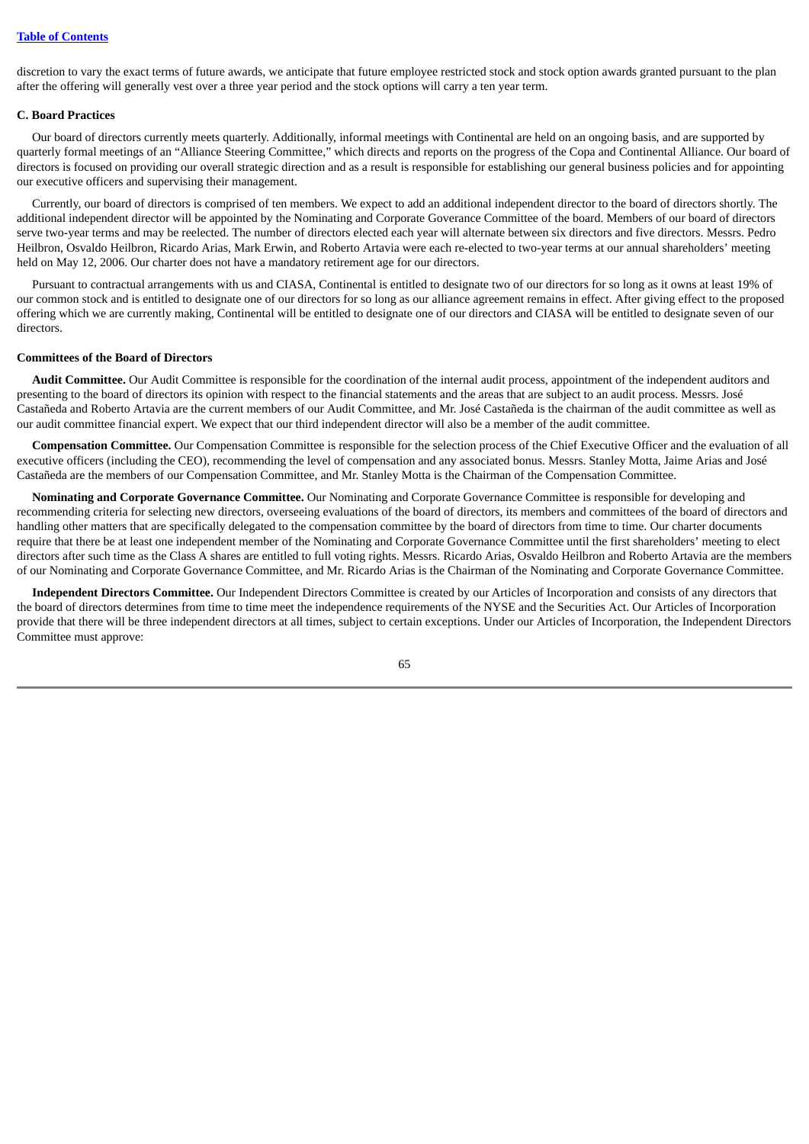discretion to vary the exact terms of future awards, we anticipate that future employee restricted stock and stock option awards granted pursuant to the plan after the offering will generally vest over a three year period and the stock options will carry a ten year term.

#### **C. Board Practices**

Our board of directors currently meets quarterly. Additionally, informal meetings with Continental are held on an ongoing basis, and are supported by quarterly formal meetings of an "Alliance Steering Committee," which directs and reports on the progress of the Copa and Continental Alliance. Our board of directors is focused on providing our overall strategic direction and as a result is responsible for establishing our general business policies and for appointing our executive officers and supervising their management.

Currently, our board of directors is comprised of ten members. We expect to add an additional independent director to the board of directors shortly. The additional independent director will be appointed by the Nominating and Corporate Goverance Committee of the board. Members of our board of directors serve two-year terms and may be reelected. The number of directors elected each year will alternate between six directors and five directors. Messrs. Pedro Heilbron, Osvaldo Heilbron, Ricardo Arias, Mark Erwin, and Roberto Artavia were each re-elected to two-year terms at our annual shareholders' meeting held on May 12, 2006. Our charter does not have a mandatory retirement age for our directors.

Pursuant to contractual arrangements with us and CIASA, Continental is entitled to designate two of our directors for so long as it owns at least 19% of our common stock and is entitled to designate one of our directors for so long as our alliance agreement remains in effect. After giving effect to the proposed offering which we are currently making, Continental will be entitled to designate one of our directors and CIASA will be entitled to designate seven of our directors.

#### **Committees of the Board of Directors**

**Audit Committee.** Our Audit Committee is responsible for the coordination of the internal audit process, appointment of the independent auditors and presenting to the board of directors its opinion with respect to the financial statements and the areas that are subject to an audit process. Messrs. José Castañeda and Roberto Artavia are the current members of our Audit Committee, and Mr. José Castañeda is the chairman of the audit committee as well as our audit committee financial expert. We expect that our third independent director will also be a member of the audit committee.

**Compensation Committee.** Our Compensation Committee is responsible for the selection process of the Chief Executive Officer and the evaluation of all executive officers (including the CEO), recommending the level of compensation and any associated bonus. Messrs. Stanley Motta, Jaime Arias and José Castañeda are the members of our Compensation Committee, and Mr. Stanley Motta is the Chairman of the Compensation Committee.

**Nominating and Corporate Governance Committee.** Our Nominating and Corporate Governance Committee is responsible for developing and recommending criteria for selecting new directors, overseeing evaluations of the board of directors, its members and committees of the board of directors and handling other matters that are specifically delegated to the compensation committee by the board of directors from time to time. Our charter documents require that there be at least one independent member of the Nominating and Corporate Governance Committee until the first shareholders' meeting to elect directors after such time as the Class A shares are entitled to full voting rights. Messrs. Ricardo Arias, Osvaldo Heilbron and Roberto Artavia are the members of our Nominating and Corporate Governance Committee, and Mr. Ricardo Arias is the Chairman of the Nominating and Corporate Governance Committee.

**Independent Directors Committee.** Our Independent Directors Committee is created by our Articles of Incorporation and consists of any directors that the board of directors determines from time to time meet the independence requirements of the NYSE and the Securities Act. Our Articles of Incorporation provide that there will be three independent directors at all times, subject to certain exceptions. Under our Articles of Incorporation, the Independent Directors Committee must approve: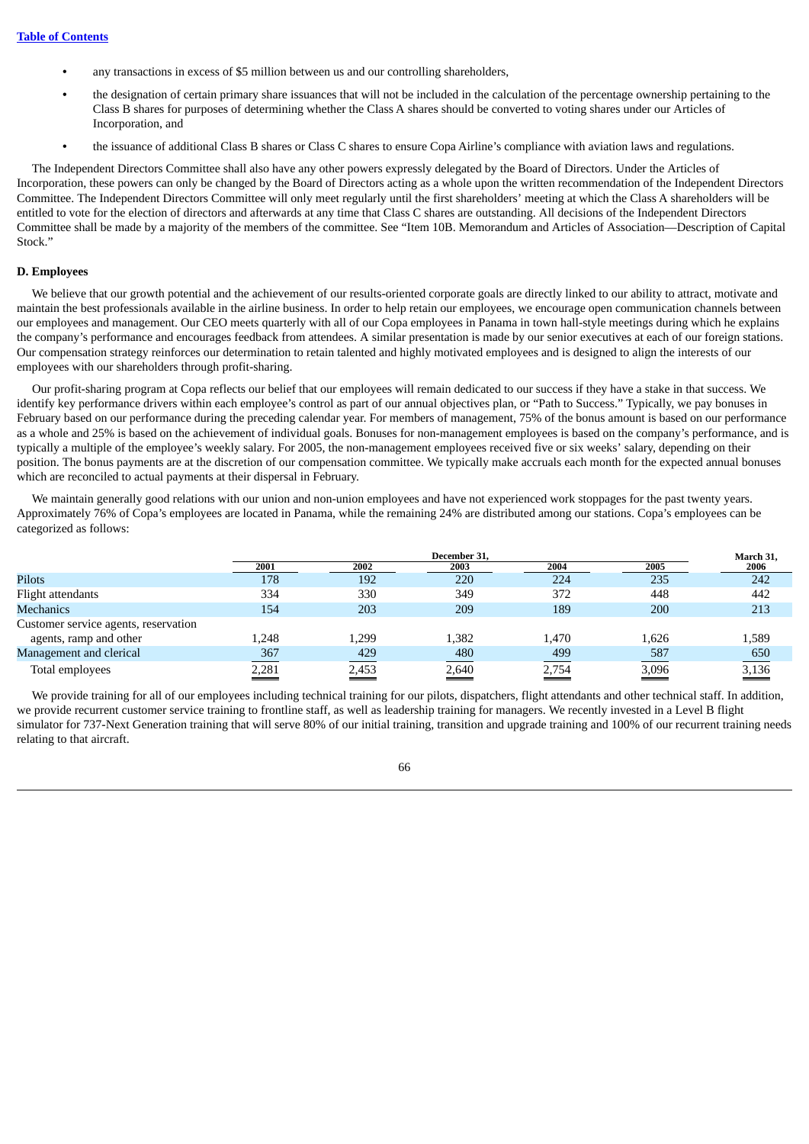- **•** any transactions in excess of \$5 million between us and our controlling shareholders,
- **•** the designation of certain primary share issuances that will not be included in the calculation of the percentage ownership pertaining to the Class B shares for purposes of determining whether the Class A shares should be converted to voting shares under our Articles of Incorporation, and
- the issuance of additional Class B shares or Class C shares to ensure Copa Airline's compliance with aviation laws and regulations.

The Independent Directors Committee shall also have any other powers expressly delegated by the Board of Directors. Under the Articles of Incorporation, these powers can only be changed by the Board of Directors acting as a whole upon the written recommendation of the Independent Directors Committee. The Independent Directors Committee will only meet regularly until the first shareholders' meeting at which the Class A shareholders will be entitled to vote for the election of directors and afterwards at any time that Class C shares are outstanding. All decisions of the Independent Directors Committee shall be made by a majority of the members of the committee. See "Item 10B. Memorandum and Articles of Association—Description of Capital Stock."

#### **D. Employees**

We believe that our growth potential and the achievement of our results-oriented corporate goals are directly linked to our ability to attract, motivate and maintain the best professionals available in the airline business. In order to help retain our employees, we encourage open communication channels between our employees and management. Our CEO meets quarterly with all of our Copa employees in Panama in town hall-style meetings during which he explains the company's performance and encourages feedback from attendees. A similar presentation is made by our senior executives at each of our foreign stations. Our compensation strategy reinforces our determination to retain talented and highly motivated employees and is designed to align the interests of our employees with our shareholders through profit-sharing.

Our profit-sharing program at Copa reflects our belief that our employees will remain dedicated to our success if they have a stake in that success. We identify key performance drivers within each employee's control as part of our annual objectives plan, or "Path to Success." Typically, we pay bonuses in February based on our performance during the preceding calendar year. For members of management, 75% of the bonus amount is based on our performance as a whole and 25% is based on the achievement of individual goals. Bonuses for non-management employees is based on the company's performance, and is typically a multiple of the employee's weekly salary. For 2005, the non-management employees received five or six weeks' salary, depending on their position. The bonus payments are at the discretion of our compensation committee. We typically make accruals each month for the expected annual bonuses which are reconciled to actual payments at their dispersal in February.

We maintain generally good relations with our union and non-union employees and have not experienced work stoppages for the past twenty years. Approximately 76% of Copa's employees are located in Panama, while the remaining 24% are distributed among our stations. Copa's employees can be categorized as follows:

|                                      |       | December 31. |       |       | March 31, |       |
|--------------------------------------|-------|--------------|-------|-------|-----------|-------|
|                                      | 2001  | 2002         | 2003  | 2004  | 2005      | 2006  |
| Pilots                               | 178   | 192          | 220   | 224   | 235       | 242   |
| Flight attendants                    | 334   | 330          | 349   | 372   | 448       | 442   |
| Mechanics                            | 154   | 203          | 209   | 189   | 200       | 213   |
| Customer service agents, reservation |       |              |       |       |           |       |
| agents, ramp and other               | 1.248 | 1,299        | 1,382 | 1.470 | 1,626     | 1,589 |
| Management and clerical              | 367   | 429          | 480   | 499   | 587       | 650   |
| Total employees                      | 2,281 | 2,453        | 2,640 | 2,754 | 3,096     | 3,136 |

We provide training for all of our employees including technical training for our pilots, dispatchers, flight attendants and other technical staff. In addition, we provide recurrent customer service training to frontline staff, as well as leadership training for managers. We recently invested in a Level B flight simulator for 737-Next Generation training that will serve 80% of our initial training, transition and upgrade training and 100% of our recurrent training needs relating to that aircraft.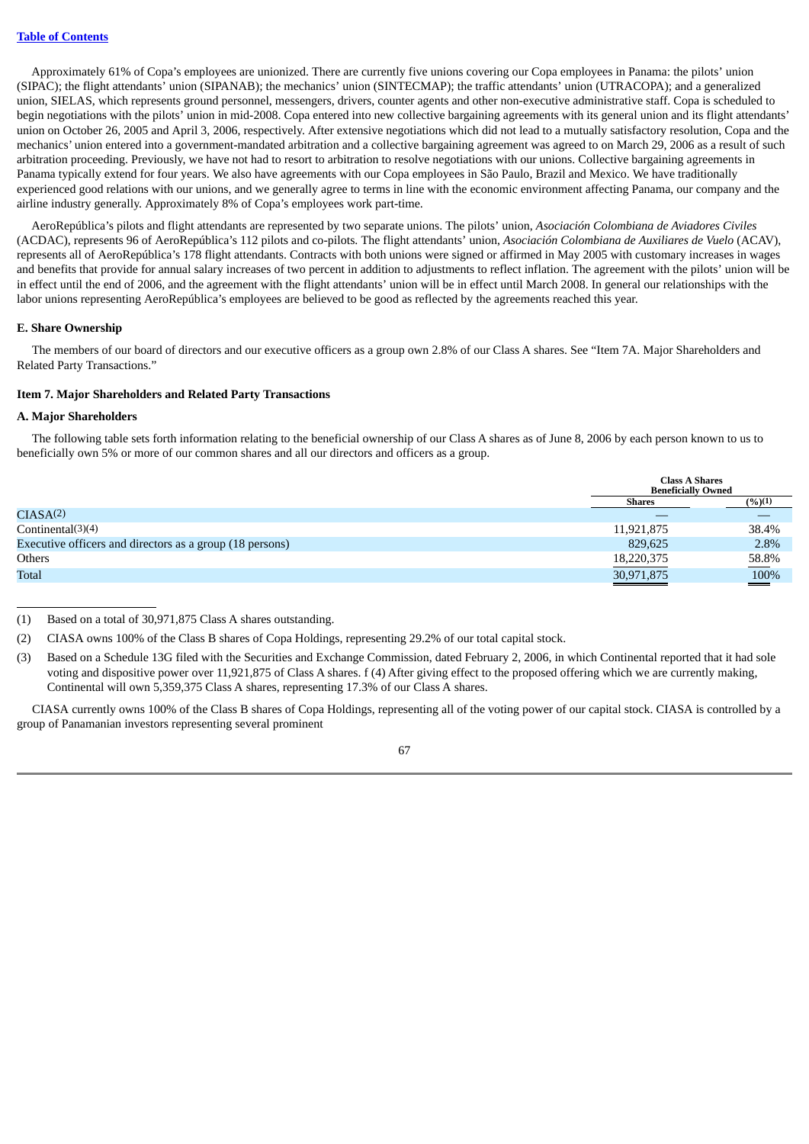Approximately 61% of Copa's employees are unionized. There are currently five unions covering our Copa employees in Panama: the pilots' union (SIPAC); the flight attendants' union (SIPANAB); the mechanics' union (SINTECMAP); the traffic attendants' union (UTRACOPA); and a generalized union, SIELAS, which represents ground personnel, messengers, drivers, counter agents and other non-executive administrative staff. Copa is scheduled to begin negotiations with the pilots' union in mid-2008. Copa entered into new collective bargaining agreements with its general union and its flight attendants' union on October 26, 2005 and April 3, 2006, respectively. After extensive negotiations which did not lead to a mutually satisfactory resolution, Copa and the mechanics' union entered into a government-mandated arbitration and a collective bargaining agreement was agreed to on March 29, 2006 as a result of such arbitration proceeding. Previously, we have not had to resort to arbitration to resolve negotiations with our unions. Collective bargaining agreements in Panama typically extend for four years. We also have agreements with our Copa employees in São Paulo, Brazil and Mexico. We have traditionally experienced good relations with our unions, and we generally agree to terms in line with the economic environment affecting Panama, our company and the airline industry generally. Approximately 8% of Copa's employees work part-time.

AeroRepública's pilots and flight attendants are represented by two separate unions. The pilots' union, *Asociación Colombiana de Aviadores Civiles* (ACDAC), represents 96 of AeroRepública's 112 pilots and co-pilots. The flight attendants' union, *Asociación Colombiana de Auxiliares de Vuelo* (ACAV), represents all of AeroRepública's 178 flight attendants. Contracts with both unions were signed or affirmed in May 2005 with customary increases in wages and benefits that provide for annual salary increases of two percent in addition to adjustments to reflect inflation. The agreement with the pilots' union will be in effect until the end of 2006, and the agreement with the flight attendants' union will be in effect until March 2008. In general our relationships with the labor unions representing AeroRepública's employees are believed to be good as reflected by the agreements reached this year.

#### **E. Share Ownership**

The members of our board of directors and our executive officers as a group own 2.8% of our Class A shares. See "Item 7A. Major Shareholders and Related Party Transactions."

#### **Item 7. Major Shareholders and Related Party Transactions**

#### **A. Major Shareholders**

The following table sets forth information relating to the beneficial ownership of our Class A shares as of June 8, 2006 by each person known to us to beneficially own 5% or more of our common shares and all our directors and officers as a group.

|                                                          |               | <b>Class A Shares</b><br><b>Beneficially Owned</b> |  |
|----------------------------------------------------------|---------------|----------------------------------------------------|--|
|                                                          | <b>Shares</b> | $(\frac{9}{6})(1)$                                 |  |
| CIASA(2)                                                 |               |                                                    |  |
| Continental(3)(4)                                        | 11,921,875    | 38.4%                                              |  |
| Executive officers and directors as a group (18 persons) | 829,625       | 2.8%                                               |  |
| Others                                                   | 18,220,375    | 58.8%                                              |  |
| <b>Total</b>                                             | 30,971,875    | 100%<br><u>a shekara ta 1999</u>                   |  |
|                                                          |               |                                                    |  |

(1) Based on a total of 30,971,875 Class A shares outstanding.

(2) CIASA owns 100% of the Class B shares of Copa Holdings, representing 29.2% of our total capital stock.

(3) Based on a Schedule 13G filed with the Securities and Exchange Commission, dated February 2, 2006, in which Continental reported that it had sole voting and dispositive power over 11,921,875 of Class A shares. f (4) After giving effect to the proposed offering which we are currently making, Continental will own 5,359,375 Class A shares, representing 17.3% of our Class A shares.

CIASA currently owns 100% of the Class B shares of Copa Holdings, representing all of the voting power of our capital stock. CIASA is controlled by a group of Panamanian investors representing several prominent

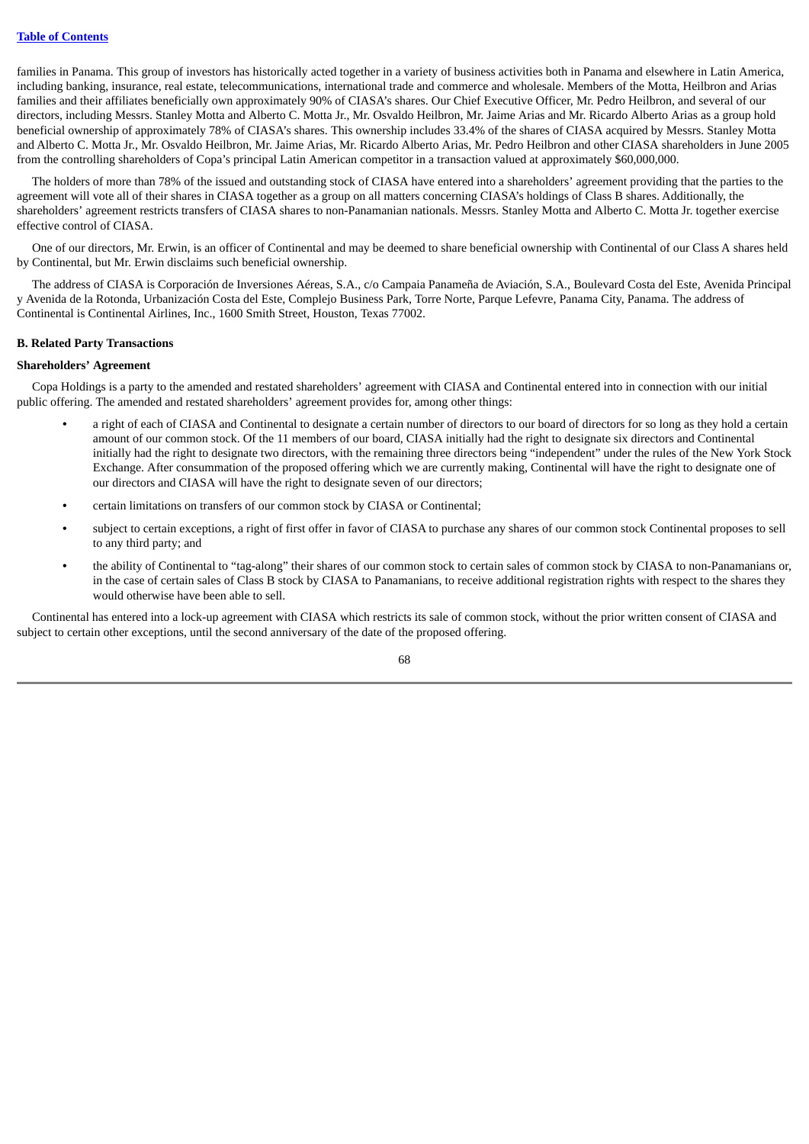families in Panama. This group of investors has historically acted together in a variety of business activities both in Panama and elsewhere in Latin America, including banking, insurance, real estate, telecommunications, international trade and commerce and wholesale. Members of the Motta, Heilbron and Arias families and their affiliates beneficially own approximately 90% of CIASA's shares. Our Chief Executive Officer, Mr. Pedro Heilbron, and several of our directors, including Messrs. Stanley Motta and Alberto C. Motta Jr., Mr. Osvaldo Heilbron, Mr. Jaime Arias and Mr. Ricardo Alberto Arias as a group hold beneficial ownership of approximately 78% of CIASA's shares. This ownership includes 33.4% of the shares of CIASA acquired by Messrs. Stanley Motta and Alberto C. Motta Jr., Mr. Osvaldo Heilbron, Mr. Jaime Arias, Mr. Ricardo Alberto Arias, Mr. Pedro Heilbron and other CIASA shareholders in June 2005 from the controlling shareholders of Copa's principal Latin American competitor in a transaction valued at approximately \$60,000,000.

The holders of more than 78% of the issued and outstanding stock of CIASA have entered into a shareholders' agreement providing that the parties to the agreement will vote all of their shares in CIASA together as a group on all matters concerning CIASA's holdings of Class B shares. Additionally, the shareholders' agreement restricts transfers of CIASA shares to non-Panamanian nationals. Messrs. Stanley Motta and Alberto C. Motta Jr. together exercise effective control of CIASA.

One of our directors, Mr. Erwin, is an officer of Continental and may be deemed to share beneficial ownership with Continental of our Class A shares held by Continental, but Mr. Erwin disclaims such beneficial ownership.

The address of CIASA is Corporación de Inversiones Aéreas, S.A., c/o Campaia Panameña de Aviación, S.A., Boulevard Costa del Este, Avenida Principal y Avenida de la Rotonda, Urbanización Costa del Este, Complejo Business Park, Torre Norte, Parque Lefevre, Panama City, Panama. The address of Continental is Continental Airlines, Inc., 1600 Smith Street, Houston, Texas 77002.

#### **B. Related Party Transactions**

#### **Shareholders' Agreement**

Copa Holdings is a party to the amended and restated shareholders' agreement with CIASA and Continental entered into in connection with our initial public offering. The amended and restated shareholders' agreement provides for, among other things:

- **•** a right of each of CIASA and Continental to designate a certain number of directors to our board of directors for so long as they hold a certain amount of our common stock. Of the 11 members of our board, CIASA initially had the right to designate six directors and Continental initially had the right to designate two directors, with the remaining three directors being "independent" under the rules of the New York Stock Exchange. After consummation of the proposed offering which we are currently making, Continental will have the right to designate one of our directors and CIASA will have the right to designate seven of our directors;
- **•** certain limitations on transfers of our common stock by CIASA or Continental;
- **•** subject to certain exceptions, a right of first offer in favor of CIASA to purchase any shares of our common stock Continental proposes to sell to any third party; and
- **•** the ability of Continental to "tag-along" their shares of our common stock to certain sales of common stock by CIASA to non-Panamanians or, in the case of certain sales of Class B stock by CIASA to Panamanians, to receive additional registration rights with respect to the shares they would otherwise have been able to sell.

Continental has entered into a lock-up agreement with CIASA which restricts its sale of common stock, without the prior written consent of CIASA and subject to certain other exceptions, until the second anniversary of the date of the proposed offering.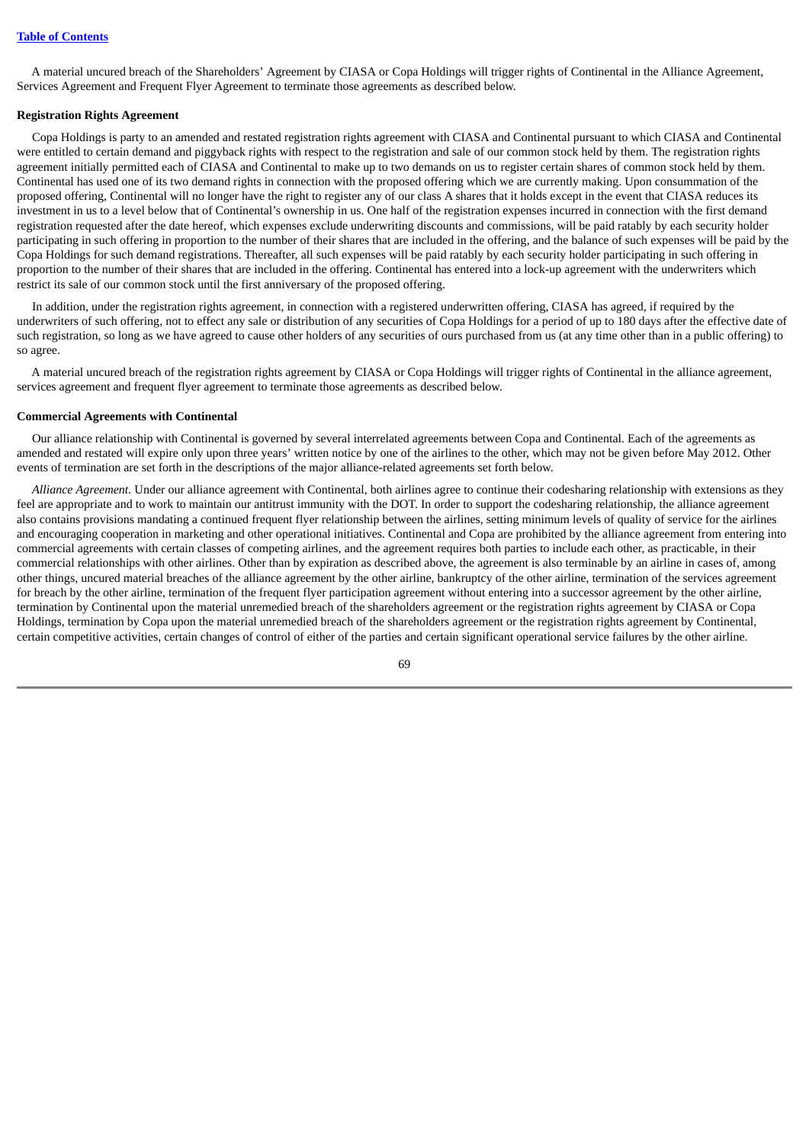A material uncured breach of the Shareholders' Agreement by CIASA or Copa Holdings will trigger rights of Continental in the Alliance Agreement, Services Agreement and Frequent Flyer Agreement to terminate those agreements as described below.

#### **Registration Rights Agreement**

Copa Holdings is party to an amended and restated registration rights agreement with CIASA and Continental pursuant to which CIASA and Continental were entitled to certain demand and piggyback rights with respect to the registration and sale of our common stock held by them. The registration rights agreement initially permitted each of CIASA and Continental to make up to two demands on us to register certain shares of common stock held by them. Continental has used one of its two demand rights in connection with the proposed offering which we are currently making. Upon consummation of the proposed offering, Continental will no longer have the right to register any of our class A shares that it holds except in the event that CIASA reduces its investment in us to a level below that of Continental's ownership in us. One half of the registration expenses incurred in connection with the first demand registration requested after the date hereof, which expenses exclude underwriting discounts and commissions, will be paid ratably by each security holder participating in such offering in proportion to the number of their shares that are included in the offering, and the balance of such expenses will be paid by the Copa Holdings for such demand registrations. Thereafter, all such expenses will be paid ratably by each security holder participating in such offering in proportion to the number of their shares that are included in the offering. Continental has entered into a lock-up agreement with the underwriters which restrict its sale of our common stock until the first anniversary of the proposed offering.

In addition, under the registration rights agreement, in connection with a registered underwritten offering, CIASA has agreed, if required by the underwriters of such offering, not to effect any sale or distribution of any securities of Copa Holdings for a period of up to 180 days after the effective date of such registration, so long as we have agreed to cause other holders of any securities of ours purchased from us (at any time other than in a public offering) to so agree.

A material uncured breach of the registration rights agreement by CIASA or Copa Holdings will trigger rights of Continental in the alliance agreement, services agreement and frequent flyer agreement to terminate those agreements as described below.

# **Commercial Agreements with Continental**

Our alliance relationship with Continental is governed by several interrelated agreements between Copa and Continental. Each of the agreements as amended and restated will expire only upon three years' written notice by one of the airlines to the other, which may not be given before May 2012. Other events of termination are set forth in the descriptions of the major alliance-related agreements set forth below.

*Alliance Agreement.* Under our alliance agreement with Continental, both airlines agree to continue their codesharing relationship with extensions as they feel are appropriate and to work to maintain our antitrust immunity with the DOT. In order to support the codesharing relationship, the alliance agreement also contains provisions mandating a continued frequent flyer relationship between the airlines, setting minimum levels of quality of service for the airlines and encouraging cooperation in marketing and other operational initiatives. Continental and Copa are prohibited by the alliance agreement from entering into commercial agreements with certain classes of competing airlines, and the agreement requires both parties to include each other, as practicable, in their commercial relationships with other airlines. Other than by expiration as described above, the agreement is also terminable by an airline in cases of, among other things, uncured material breaches of the alliance agreement by the other airline, bankruptcy of the other airline, termination of the services agreement for breach by the other airline, termination of the frequent flyer participation agreement without entering into a successor agreement by the other airline, termination by Continental upon the material unremedied breach of the shareholders agreement or the registration rights agreement by CIASA or Copa Holdings, termination by Copa upon the material unremedied breach of the shareholders agreement or the registration rights agreement by Continental, certain competitive activities, certain changes of control of either of the parties and certain significant operational service failures by the other airline.

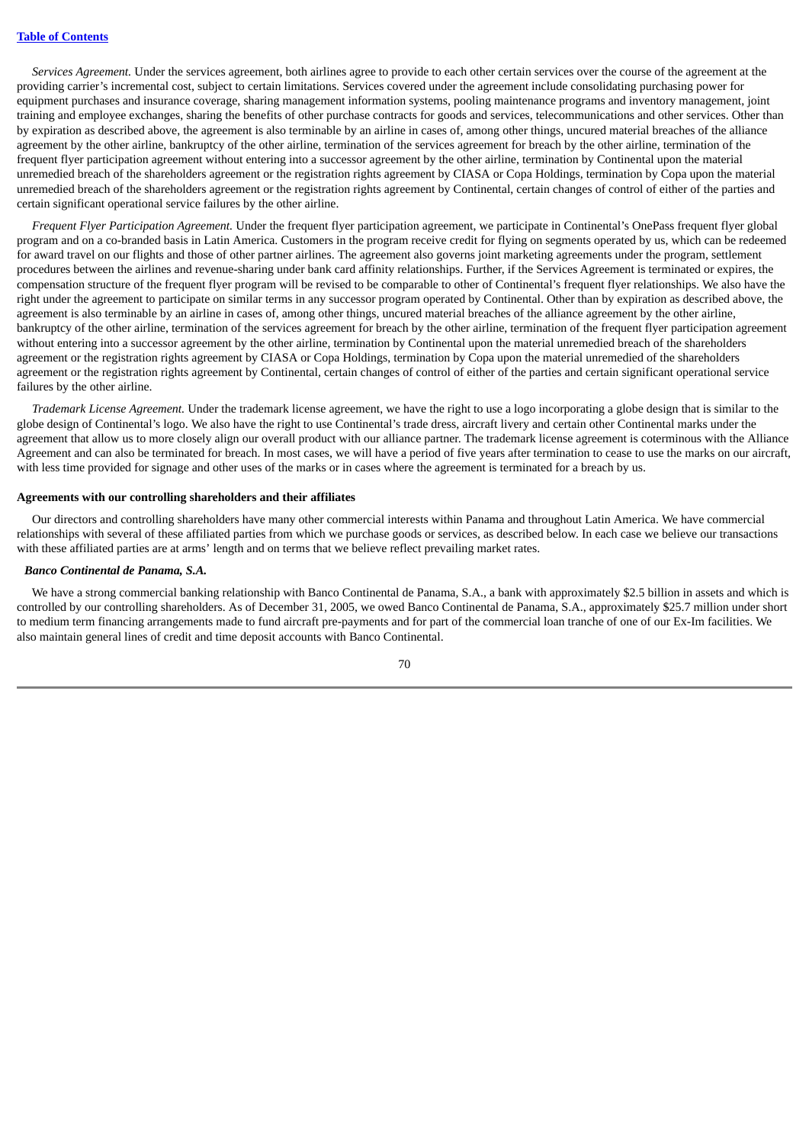*Services Agreement.* Under the services agreement, both airlines agree to provide to each other certain services over the course of the agreement at the providing carrier's incremental cost, subject to certain limitations. Services covered under the agreement include consolidating purchasing power for equipment purchases and insurance coverage, sharing management information systems, pooling maintenance programs and inventory management, joint training and employee exchanges, sharing the benefits of other purchase contracts for goods and services, telecommunications and other services. Other than by expiration as described above, the agreement is also terminable by an airline in cases of, among other things, uncured material breaches of the alliance agreement by the other airline, bankruptcy of the other airline, termination of the services agreement for breach by the other airline, termination of the frequent flyer participation agreement without entering into a successor agreement by the other airline, termination by Continental upon the material unremedied breach of the shareholders agreement or the registration rights agreement by CIASA or Copa Holdings, termination by Copa upon the material unremedied breach of the shareholders agreement or the registration rights agreement by Continental, certain changes of control of either of the parties and certain significant operational service failures by the other airline.

*Frequent Flyer Participation Agreement.* Under the frequent flyer participation agreement, we participate in Continental's OnePass frequent flyer global program and on a co-branded basis in Latin America. Customers in the program receive credit for flying on segments operated by us, which can be redeemed for award travel on our flights and those of other partner airlines. The agreement also governs joint marketing agreements under the program, settlement procedures between the airlines and revenue-sharing under bank card affinity relationships. Further, if the Services Agreement is terminated or expires, the compensation structure of the frequent flyer program will be revised to be comparable to other of Continental's frequent flyer relationships. We also have the right under the agreement to participate on similar terms in any successor program operated by Continental. Other than by expiration as described above, the agreement is also terminable by an airline in cases of, among other things, uncured material breaches of the alliance agreement by the other airline, bankruptcy of the other airline, termination of the services agreement for breach by the other airline, termination of the frequent flyer participation agreement without entering into a successor agreement by the other airline, termination by Continental upon the material unremedied breach of the shareholders agreement or the registration rights agreement by CIASA or Copa Holdings, termination by Copa upon the material unremedied of the shareholders agreement or the registration rights agreement by Continental, certain changes of control of either of the parties and certain significant operational service failures by the other airline.

*Trademark License Agreement.* Under the trademark license agreement, we have the right to use a logo incorporating a globe design that is similar to the globe design of Continental's logo. We also have the right to use Continental's trade dress, aircraft livery and certain other Continental marks under the agreement that allow us to more closely align our overall product with our alliance partner. The trademark license agreement is coterminous with the Alliance Agreement and can also be terminated for breach. In most cases, we will have a period of five years after termination to cease to use the marks on our aircraft, with less time provided for signage and other uses of the marks or in cases where the agreement is terminated for a breach by us.

#### **Agreements with our controlling shareholders and their affiliates**

Our directors and controlling shareholders have many other commercial interests within Panama and throughout Latin America. We have commercial relationships with several of these affiliated parties from which we purchase goods or services, as described below. In each case we believe our transactions with these affiliated parties are at arms' length and on terms that we believe reflect prevailing market rates.

#### *Banco Continental de Panama, S.A.*

We have a strong commercial banking relationship with Banco Continental de Panama, S.A., a bank with approximately \$2.5 billion in assets and which is controlled by our controlling shareholders. As of December 31, 2005, we owed Banco Continental de Panama, S.A., approximately \$25.7 million under short to medium term financing arrangements made to fund aircraft pre-payments and for part of the commercial loan tranche of one of our Ex-Im facilities. We also maintain general lines of credit and time deposit accounts with Banco Continental.

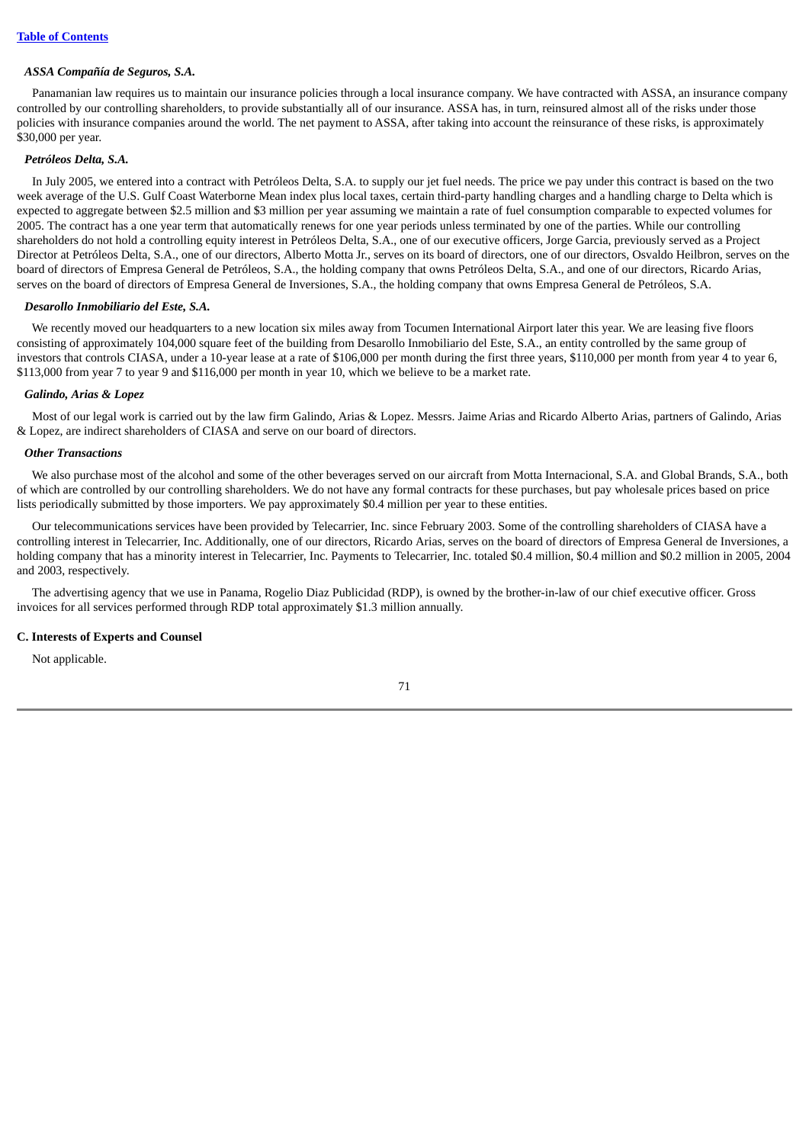#### *ASSA Compañía de Seguros, S.A.*

Panamanian law requires us to maintain our insurance policies through a local insurance company. We have contracted with ASSA, an insurance company controlled by our controlling shareholders, to provide substantially all of our insurance. ASSA has, in turn, reinsured almost all of the risks under those policies with insurance companies around the world. The net payment to ASSA, after taking into account the reinsurance of these risks, is approximately \$30,000 per year.

#### *Petróleos Delta, S.A.*

In July 2005, we entered into a contract with Petróleos Delta, S.A. to supply our jet fuel needs. The price we pay under this contract is based on the two week average of the U.S. Gulf Coast Waterborne Mean index plus local taxes, certain third-party handling charges and a handling charge to Delta which is expected to aggregate between \$2.5 million and \$3 million per year assuming we maintain a rate of fuel consumption comparable to expected volumes for 2005. The contract has a one year term that automatically renews for one year periods unless terminated by one of the parties. While our controlling shareholders do not hold a controlling equity interest in Petróleos Delta, S.A., one of our executive officers, Jorge Garcia, previously served as a Project Director at Petróleos Delta, S.A., one of our directors, Alberto Motta Jr., serves on its board of directors, one of our directors, Osvaldo Heilbron, serves on the board of directors of Empresa General de Petróleos, S.A., the holding company that owns Petróleos Delta, S.A., and one of our directors, Ricardo Arias, serves on the board of directors of Empresa General de Inversiones, S.A., the holding company that owns Empresa General de Petróleos, S.A.

#### *Desarollo Inmobiliario del Este, S.A.*

We recently moved our headquarters to a new location six miles away from Tocumen International Airport later this year. We are leasing five floors consisting of approximately 104,000 square feet of the building from Desarollo Inmobiliario del Este, S.A., an entity controlled by the same group of investors that controls CIASA, under a 10-year lease at a rate of \$106,000 per month during the first three years, \$110,000 per month from year 4 to year 6, \$113,000 from year 7 to year 9 and \$116,000 per month in year 10, which we believe to be a market rate.

#### *Galindo, Arias & Lopez*

Most of our legal work is carried out by the law firm Galindo, Arias & Lopez. Messrs. Jaime Arias and Ricardo Alberto Arias, partners of Galindo, Arias & Lopez, are indirect shareholders of CIASA and serve on our board of directors.

#### *Other Transactions*

We also purchase most of the alcohol and some of the other beverages served on our aircraft from Motta Internacional, S.A. and Global Brands, S.A., both of which are controlled by our controlling shareholders. We do not have any formal contracts for these purchases, but pay wholesale prices based on price lists periodically submitted by those importers. We pay approximately \$0.4 million per year to these entities.

Our telecommunications services have been provided by Telecarrier, Inc. since February 2003. Some of the controlling shareholders of CIASA have a controlling interest in Telecarrier, Inc. Additionally, one of our directors, Ricardo Arias, serves on the board of directors of Empresa General de Inversiones, a holding company that has a minority interest in Telecarrier, Inc. Payments to Telecarrier, Inc. totaled \$0.4 million, \$0.4 million and \$0.2 million in 2005, 2004 and 2003, respectively.

The advertising agency that we use in Panama, Rogelio Diaz Publicidad (RDP), is owned by the brother-in-law of our chief executive officer. Gross invoices for all services performed through RDP total approximately \$1.3 million annually.

#### **C. Interests of Experts and Counsel**

Not applicable.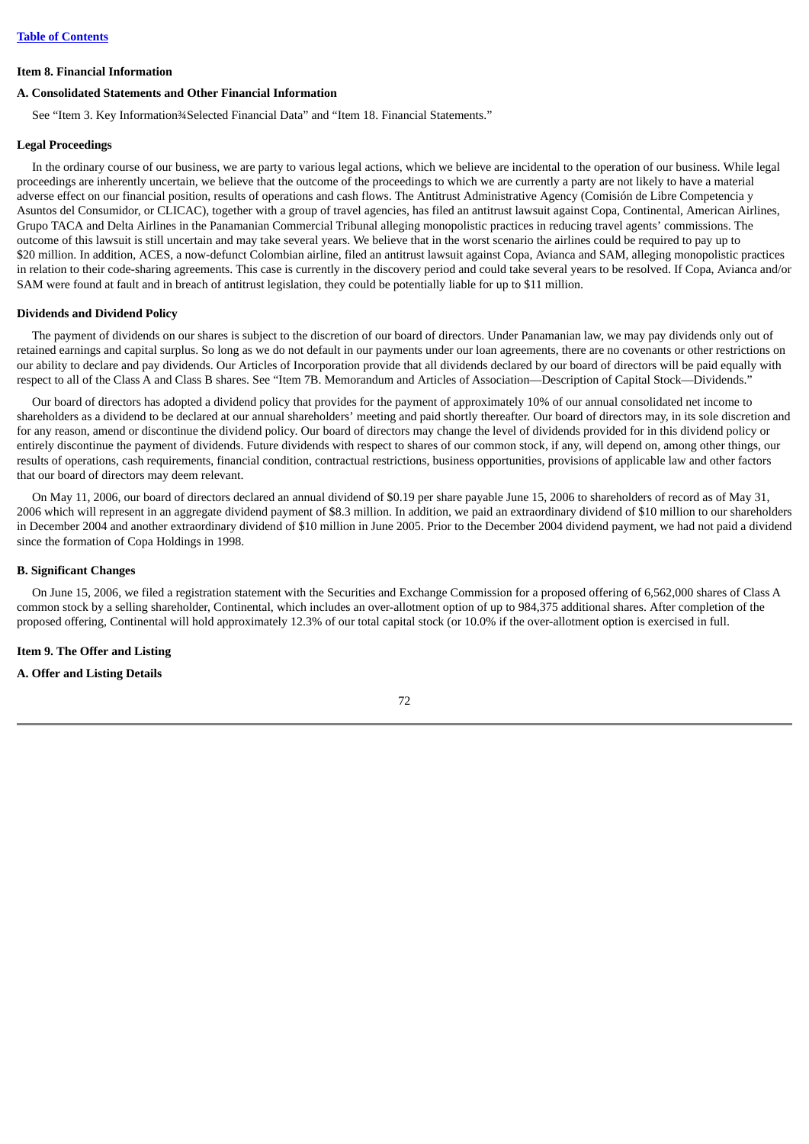#### **Item 8. Financial Information**

#### **A. Consolidated Statements and Other Financial Information**

See "Item 3. Key Information¾Selected Financial Data" and "Item 18. Financial Statements."

#### **Legal Proceedings**

In the ordinary course of our business, we are party to various legal actions, which we believe are incidental to the operation of our business. While legal proceedings are inherently uncertain, we believe that the outcome of the proceedings to which we are currently a party are not likely to have a material adverse effect on our financial position, results of operations and cash flows. The Antitrust Administrative Agency (Comisión de Libre Competencia y Asuntos del Consumidor, or CLICAC), together with a group of travel agencies, has filed an antitrust lawsuit against Copa, Continental, American Airlines, Grupo TACA and Delta Airlines in the Panamanian Commercial Tribunal alleging monopolistic practices in reducing travel agents' commissions. The outcome of this lawsuit is still uncertain and may take several years. We believe that in the worst scenario the airlines could be required to pay up to \$20 million. In addition, ACES, a now-defunct Colombian airline, filed an antitrust lawsuit against Copa, Avianca and SAM, alleging monopolistic practices in relation to their code-sharing agreements. This case is currently in the discovery period and could take several years to be resolved. If Copa, Avianca and/or SAM were found at fault and in breach of antitrust legislation, they could be potentially liable for up to \$11 million.

#### **Dividends and Dividend Policy**

The payment of dividends on our shares is subject to the discretion of our board of directors. Under Panamanian law, we may pay dividends only out of retained earnings and capital surplus. So long as we do not default in our payments under our loan agreements, there are no covenants or other restrictions on our ability to declare and pay dividends. Our Articles of Incorporation provide that all dividends declared by our board of directors will be paid equally with respect to all of the Class A and Class B shares. See "Item 7B. Memorandum and Articles of Association—Description of Capital Stock—Dividends."

Our board of directors has adopted a dividend policy that provides for the payment of approximately 10% of our annual consolidated net income to shareholders as a dividend to be declared at our annual shareholders' meeting and paid shortly thereafter. Our board of directors may, in its sole discretion and for any reason, amend or discontinue the dividend policy. Our board of directors may change the level of dividends provided for in this dividend policy or entirely discontinue the payment of dividends. Future dividends with respect to shares of our common stock, if any, will depend on, among other things, our results of operations, cash requirements, financial condition, contractual restrictions, business opportunities, provisions of applicable law and other factors that our board of directors may deem relevant.

On May 11, 2006, our board of directors declared an annual dividend of \$0.19 per share payable June 15, 2006 to shareholders of record as of May 31, 2006 which will represent in an aggregate dividend payment of \$8.3 million. In addition, we paid an extraordinary dividend of \$10 million to our shareholders in December 2004 and another extraordinary dividend of \$10 million in June 2005. Prior to the December 2004 dividend payment, we had not paid a dividend since the formation of Copa Holdings in 1998.

#### **B. Significant Changes**

On June 15, 2006, we filed a registration statement with the Securities and Exchange Commission for a proposed offering of 6,562,000 shares of Class A common stock by a selling shareholder, Continental, which includes an over-allotment option of up to 984,375 additional shares. After completion of the proposed offering, Continental will hold approximately 12.3% of our total capital stock (or 10.0% if the over-allotment option is exercised in full.

#### **Item 9. The Offer and Listing**

#### **A. Offer and Listing Details**

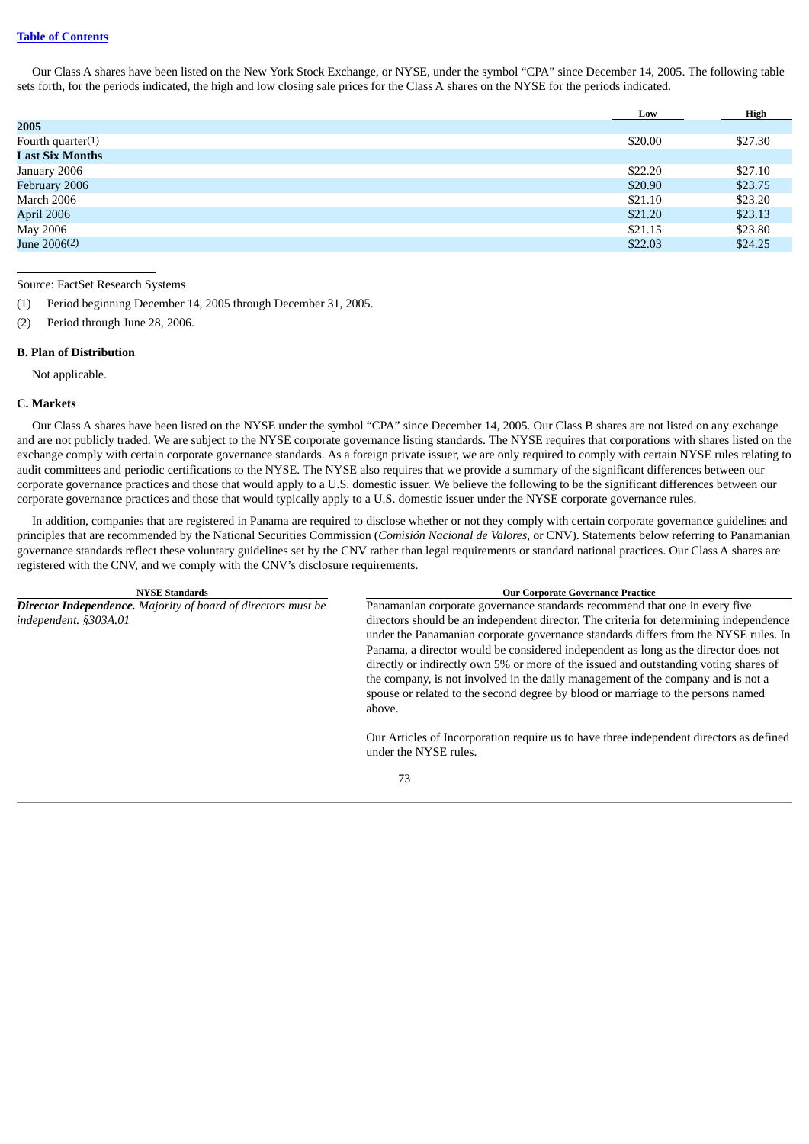### **Table of [Contents](#page-3-0)**

Our Class A shares have been listed on the New York Stock Exchange, or NYSE, under the symbol "CPA" since December 14, 2005. The following table sets forth, for the periods indicated, the high and low closing sale prices for the Class A shares on the NYSE for the periods indicated.

|                        | Low     | High    |
|------------------------|---------|---------|
| 2005                   |         |         |
| Fourth quarter $(1)$   | \$20.00 | \$27.30 |
| <b>Last Six Months</b> |         |         |
| January 2006           | \$22.20 | \$27.10 |
| February 2006          | \$20.90 | \$23.75 |
| March 2006             | \$21.10 | \$23.20 |
| April 2006             | \$21.20 | \$23.13 |
| May 2006               | \$21.15 | \$23.80 |
| June 2006(2)           | \$22.03 | \$24.25 |
|                        |         |         |

Source: FactSet Research Systems

(1) Period beginning December 14, 2005 through December 31, 2005.

(2) Period through June 28, 2006.

#### **B. Plan of Distribution**

Not applicable.

#### **C. Markets**

Our Class A shares have been listed on the NYSE under the symbol "CPA" since December 14, 2005. Our Class B shares are not listed on any exchange and are not publicly traded. We are subject to the NYSE corporate governance listing standards. The NYSE requires that corporations with shares listed on the exchange comply with certain corporate governance standards. As a foreign private issuer, we are only required to comply with certain NYSE rules relating to audit committees and periodic certifications to the NYSE. The NYSE also requires that we provide a summary of the significant differences between our corporate governance practices and those that would apply to a U.S. domestic issuer. We believe the following to be the significant differences between our corporate governance practices and those that would typically apply to a U.S. domestic issuer under the NYSE corporate governance rules.

In addition, companies that are registered in Panama are required to disclose whether or not they comply with certain corporate governance guidelines and principles that are recommended by the National Securities Commission (*Comisión Nacional de Valores*, or CNV). Statements below referring to Panamanian governance standards reflect these voluntary guidelines set by the CNV rather than legal requirements or standard national practices. Our Class A shares are registered with the CNV, and we comply with the CNV's disclosure requirements.

| <b>NYSE Standards</b>                                                | <b>Our Corporate Governance Practice</b>                                                                                                                                                                                                                                                                                                                                                                                                                                                                                                       |
|----------------------------------------------------------------------|------------------------------------------------------------------------------------------------------------------------------------------------------------------------------------------------------------------------------------------------------------------------------------------------------------------------------------------------------------------------------------------------------------------------------------------------------------------------------------------------------------------------------------------------|
| <b>Director Independence.</b> Majority of board of directors must be | Panamanian corporate governance standards recommend that one in every five                                                                                                                                                                                                                                                                                                                                                                                                                                                                     |
| independent. §303A.01                                                | directors should be an independent director. The criteria for determining independence<br>under the Panamanian corporate governance standards differs from the NYSE rules. In<br>Panama, a director would be considered independent as long as the director does not<br>directly or indirectly own 5% or more of the issued and outstanding voting shares of<br>the company, is not involved in the daily management of the company and is not a<br>spouse or related to the second degree by blood or marriage to the persons named<br>above. |
|                                                                      | Our Articles of Incorporation require us to have three independent directors as defined<br>under the NYSE rules.                                                                                                                                                                                                                                                                                                                                                                                                                               |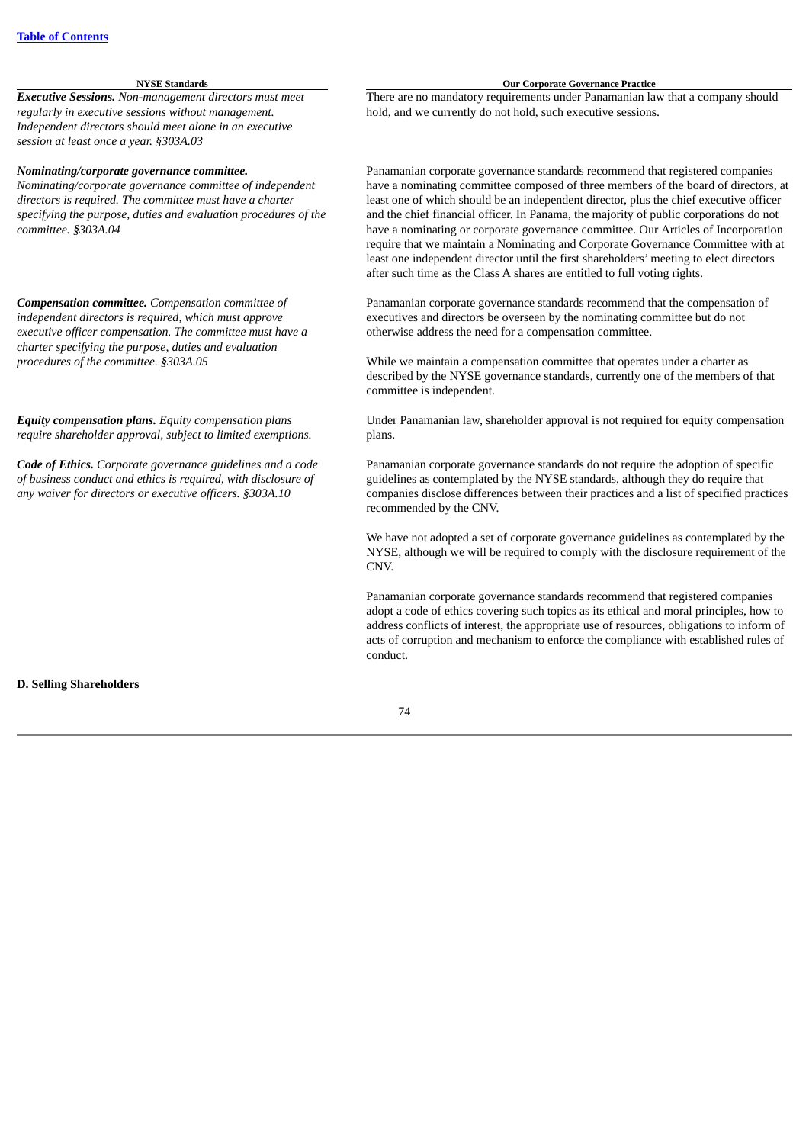*Executive Sessions. Non-management directors must meet regularly in executive sessions without management. Independent directors should meet alone in an executive session at least once a year. §303A.03*

#### *Nominating/corporate governance committee.*

*Nominating/corporate governance committee of independent directors is required. The committee must have a charter specifying the purpose, duties and evaluation procedures of the committee. §303A.04*

*Compensation committee. Compensation committee of independent directors is required, which must approve executive officer compensation. The committee must have a charter specifying the purpose, duties and evaluation procedures of the committee. §303A.05*

*Equity compensation plans. Equity compensation plans require shareholder approval, subject to limited exemptions.*

*Code of Ethics. Corporate governance guidelines and a code of business conduct and ethics is required, with disclosure of any waiver for directors or executive officers. §303A.10*

#### **NYSE Standards Our Corporate Governance Practice**

There are no mandatory requirements under Panamanian law that a company should hold, and we currently do not hold, such executive sessions.

Panamanian corporate governance standards recommend that registered companies have a nominating committee composed of three members of the board of directors, at least one of which should be an independent director, plus the chief executive officer and the chief financial officer. In Panama, the majority of public corporations do not have a nominating or corporate governance committee. Our Articles of Incorporation require that we maintain a Nominating and Corporate Governance Committee with at least one independent director until the first shareholders' meeting to elect directors after such time as the Class A shares are entitled to full voting rights.

Panamanian corporate governance standards recommend that the compensation of executives and directors be overseen by the nominating committee but do not otherwise address the need for a compensation committee.

While we maintain a compensation committee that operates under a charter as described by the NYSE governance standards, currently one of the members of that committee is independent.

Under Panamanian law, shareholder approval is not required for equity compensation plans.

Panamanian corporate governance standards do not require the adoption of specific guidelines as contemplated by the NYSE standards, although they do require that companies disclose differences between their practices and a list of specified practices recommended by the CNV.

We have not adopted a set of corporate governance guidelines as contemplated by the NYSE, although we will be required to comply with the disclosure requirement of the CNV.

Panamanian corporate governance standards recommend that registered companies adopt a code of ethics covering such topics as its ethical and moral principles, how to address conflicts of interest, the appropriate use of resources, obligations to inform of acts of corruption and mechanism to enforce the compliance with established rules of conduct.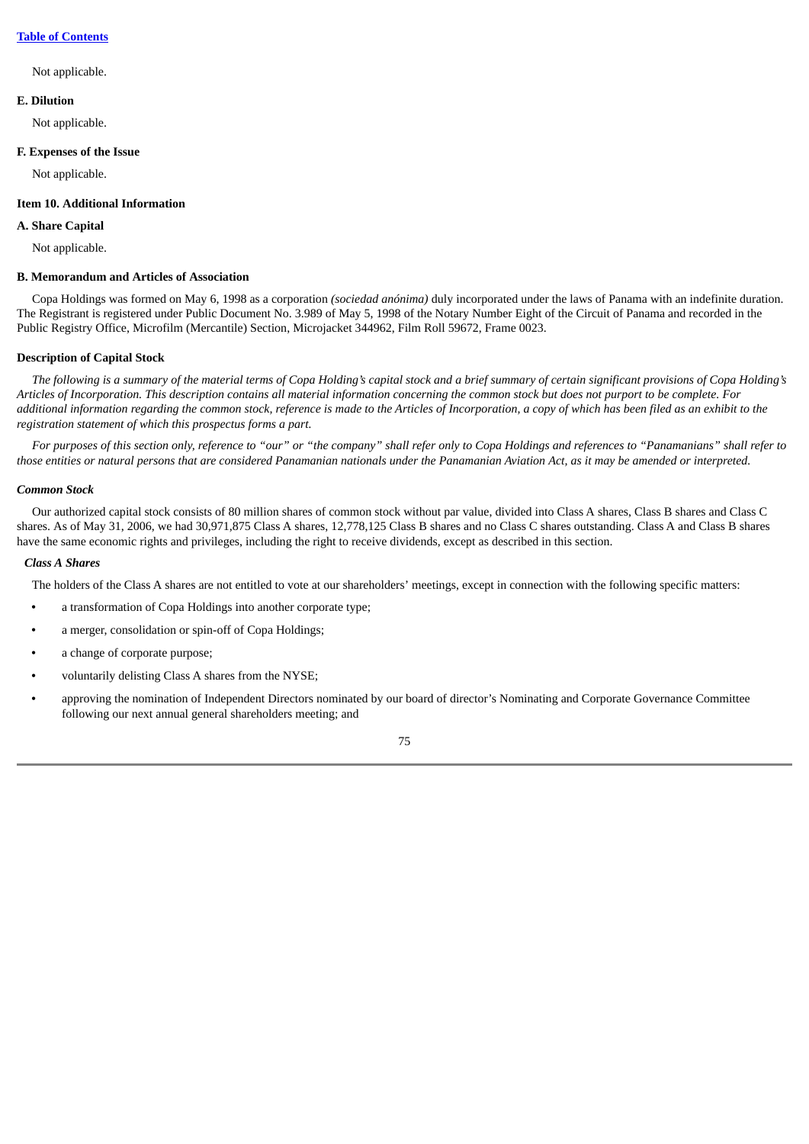#### **Table of [Contents](#page-3-0)**

#### Not applicable.

# **E. Dilution**

Not applicable.

#### **F. Expenses of the Issue**

Not applicable.

# **Item 10. Additional Information**

# **A. Share Capital**

Not applicable.

# **B. Memorandum and Articles of Association**

Copa Holdings was formed on May 6, 1998 as a corporation *(sociedad anónima)* duly incorporated under the laws of Panama with an indefinite duration. The Registrant is registered under Public Document No. 3.989 of May 5, 1998 of the Notary Number Eight of the Circuit of Panama and recorded in the Public Registry Office, Microfilm (Mercantile) Section, Microjacket 344962, Film Roll 59672, Frame 0023.

### **Description of Capital Stock**

The following is a summary of the material terms of Copa Holding's capital stock and a brief summary of certain significant provisions of Copa Holding's Articles of Incorporation. This description contains all material information concerning the common stock but does not purport to be complete. For additional information regarding the common stock, reference is made to the Articles of Incorporation, a copy of which has been filed as an exhibit to the *registration statement of which this prospectus forms a part.*

For purposes of this section only, reference to "our" or "the company" shall refer only to Copa Holdings and references to "Panamanians" shall refer to those entities or natural persons that are considered Panamanian nationals under the Panamanian Aviation Act, as it may be amended or interpreted.

#### *Common Stock*

Our authorized capital stock consists of 80 million shares of common stock without par value, divided into Class A shares, Class B shares and Class C shares. As of May 31, 2006, we had 30,971,875 Class A shares, 12,778,125 Class B shares and no Class C shares outstanding. Class A and Class B shares have the same economic rights and privileges, including the right to receive dividends, except as described in this section.

#### *Class A Shares*

The holders of the Class A shares are not entitled to vote at our shareholders' meetings, except in connection with the following specific matters:

- **•** a transformation of Copa Holdings into another corporate type;
- **•** a merger, consolidation or spin-off of Copa Holdings;
- **•** a change of corporate purpose;
- **•** voluntarily delisting Class A shares from the NYSE;
- **•** approving the nomination of Independent Directors nominated by our board of director's Nominating and Corporate Governance Committee following our next annual general shareholders meeting; and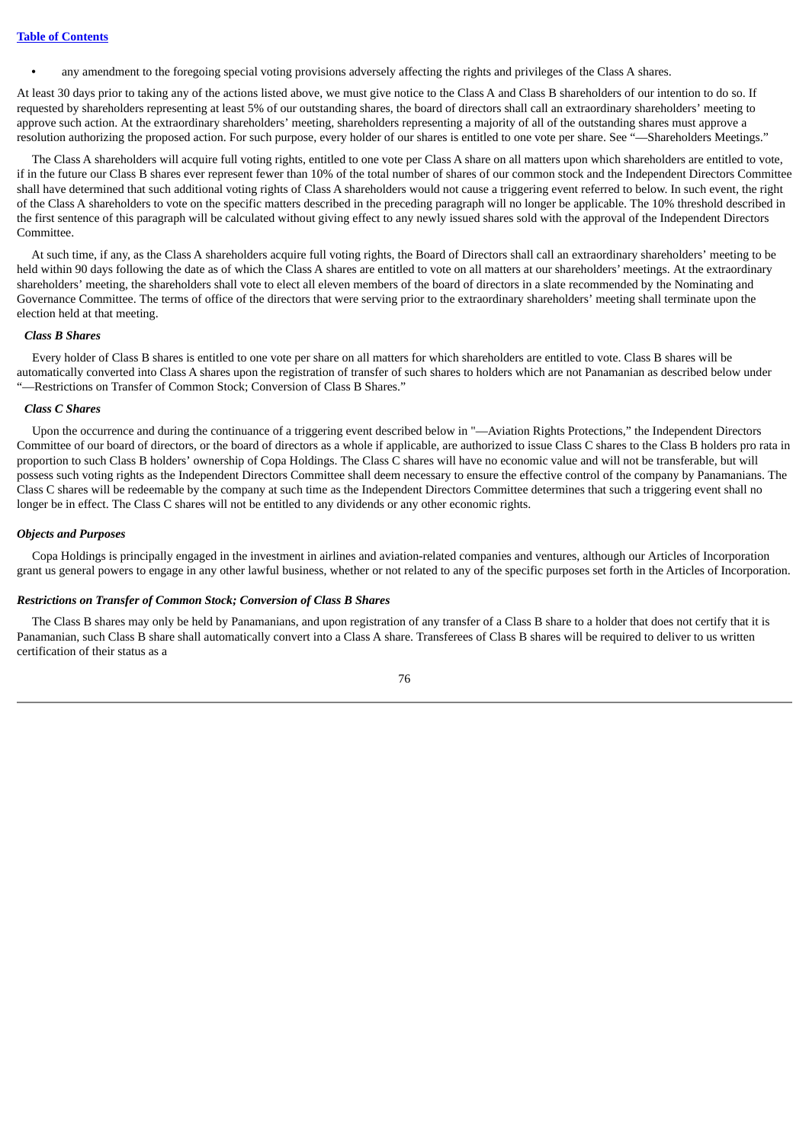**•** any amendment to the foregoing special voting provisions adversely affecting the rights and privileges of the Class A shares.

At least 30 days prior to taking any of the actions listed above, we must give notice to the Class A and Class B shareholders of our intention to do so. If requested by shareholders representing at least 5% of our outstanding shares, the board of directors shall call an extraordinary shareholders' meeting to approve such action. At the extraordinary shareholders' meeting, shareholders representing a majority of all of the outstanding shares must approve a resolution authorizing the proposed action. For such purpose, every holder of our shares is entitled to one vote per share. See "—Shareholders Meetings."

The Class A shareholders will acquire full voting rights, entitled to one vote per Class A share on all matters upon which shareholders are entitled to vote, if in the future our Class B shares ever represent fewer than 10% of the total number of shares of our common stock and the Independent Directors Committee shall have determined that such additional voting rights of Class A shareholders would not cause a triggering event referred to below. In such event, the right of the Class A shareholders to vote on the specific matters described in the preceding paragraph will no longer be applicable. The 10% threshold described in the first sentence of this paragraph will be calculated without giving effect to any newly issued shares sold with the approval of the Independent Directors Committee.

At such time, if any, as the Class A shareholders acquire full voting rights, the Board of Directors shall call an extraordinary shareholders' meeting to be held within 90 days following the date as of which the Class A shares are entitled to vote on all matters at our shareholders' meetings. At the extraordinary shareholders' meeting, the shareholders shall vote to elect all eleven members of the board of directors in a slate recommended by the Nominating and Governance Committee. The terms of office of the directors that were serving prior to the extraordinary shareholders' meeting shall terminate upon the election held at that meeting.

#### *Class B Shares*

Every holder of Class B shares is entitled to one vote per share on all matters for which shareholders are entitled to vote. Class B shares will be automatically converted into Class A shares upon the registration of transfer of such shares to holders which are not Panamanian as described below under "—Restrictions on Transfer of Common Stock; Conversion of Class B Shares."

#### *Class C Shares*

Upon the occurrence and during the continuance of a triggering event described below in "—Aviation Rights Protections," the Independent Directors Committee of our board of directors, or the board of directors as a whole if applicable, are authorized to issue Class C shares to the Class B holders pro rata in proportion to such Class B holders' ownership of Copa Holdings. The Class C shares will have no economic value and will not be transferable, but will possess such voting rights as the Independent Directors Committee shall deem necessary to ensure the effective control of the company by Panamanians. The Class C shares will be redeemable by the company at such time as the Independent Directors Committee determines that such a triggering event shall no longer be in effect. The Class C shares will not be entitled to any dividends or any other economic rights.

#### *Objects and Purposes*

Copa Holdings is principally engaged in the investment in airlines and aviation-related companies and ventures, although our Articles of Incorporation grant us general powers to engage in any other lawful business, whether or not related to any of the specific purposes set forth in the Articles of Incorporation.

#### *Restrictions on Transfer of Common Stock; Conversion of Class B Shares*

The Class B shares may only be held by Panamanians, and upon registration of any transfer of a Class B share to a holder that does not certify that it is Panamanian, such Class B share shall automatically convert into a Class A share. Transferees of Class B shares will be required to deliver to us written certification of their status as a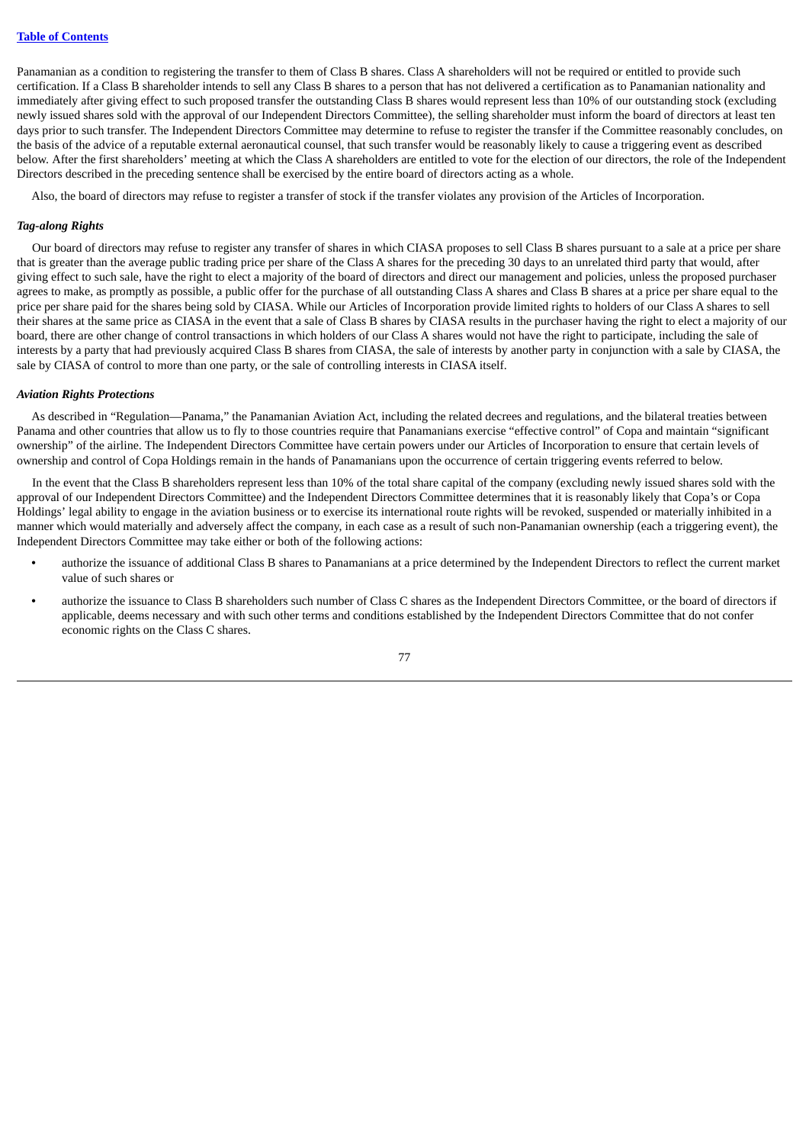Panamanian as a condition to registering the transfer to them of Class B shares. Class A shareholders will not be required or entitled to provide such certification. If a Class B shareholder intends to sell any Class B shares to a person that has not delivered a certification as to Panamanian nationality and immediately after giving effect to such proposed transfer the outstanding Class B shares would represent less than 10% of our outstanding stock (excluding newly issued shares sold with the approval of our Independent Directors Committee), the selling shareholder must inform the board of directors at least ten days prior to such transfer. The Independent Directors Committee may determine to refuse to register the transfer if the Committee reasonably concludes, on the basis of the advice of a reputable external aeronautical counsel, that such transfer would be reasonably likely to cause a triggering event as described below. After the first shareholders' meeting at which the Class A shareholders are entitled to vote for the election of our directors, the role of the Independent Directors described in the preceding sentence shall be exercised by the entire board of directors acting as a whole.

Also, the board of directors may refuse to register a transfer of stock if the transfer violates any provision of the Articles of Incorporation.

#### *Tag-along Rights*

Our board of directors may refuse to register any transfer of shares in which CIASA proposes to sell Class B shares pursuant to a sale at a price per share that is greater than the average public trading price per share of the Class A shares for the preceding 30 days to an unrelated third party that would, after giving effect to such sale, have the right to elect a majority of the board of directors and direct our management and policies, unless the proposed purchaser agrees to make, as promptly as possible, a public offer for the purchase of all outstanding Class A shares and Class B shares at a price per share equal to the price per share paid for the shares being sold by CIASA. While our Articles of Incorporation provide limited rights to holders of our Class A shares to sell their shares at the same price as CIASA in the event that a sale of Class B shares by CIASA results in the purchaser having the right to elect a majority of our board, there are other change of control transactions in which holders of our Class A shares would not have the right to participate, including the sale of interests by a party that had previously acquired Class B shares from CIASA, the sale of interests by another party in conjunction with a sale by CIASA, the sale by CIASA of control to more than one party, or the sale of controlling interests in CIASA itself.

#### *Aviation Rights Protections*

As described in "Regulation—Panama," the Panamanian Aviation Act, including the related decrees and regulations, and the bilateral treaties between Panama and other countries that allow us to fly to those countries require that Panamanians exercise "effective control" of Copa and maintain "significant ownership" of the airline. The Independent Directors Committee have certain powers under our Articles of Incorporation to ensure that certain levels of ownership and control of Copa Holdings remain in the hands of Panamanians upon the occurrence of certain triggering events referred to below.

In the event that the Class B shareholders represent less than 10% of the total share capital of the company (excluding newly issued shares sold with the approval of our Independent Directors Committee) and the Independent Directors Committee determines that it is reasonably likely that Copa's or Copa Holdings' legal ability to engage in the aviation business or to exercise its international route rights will be revoked, suspended or materially inhibited in a manner which would materially and adversely affect the company, in each case as a result of such non-Panamanian ownership (each a triggering event), the Independent Directors Committee may take either or both of the following actions:

- **•** authorize the issuance of additional Class B shares to Panamanians at a price determined by the Independent Directors to reflect the current market value of such shares or
- **•** authorize the issuance to Class B shareholders such number of Class C shares as the Independent Directors Committee, or the board of directors if applicable, deems necessary and with such other terms and conditions established by the Independent Directors Committee that do not confer economic rights on the Class C shares.

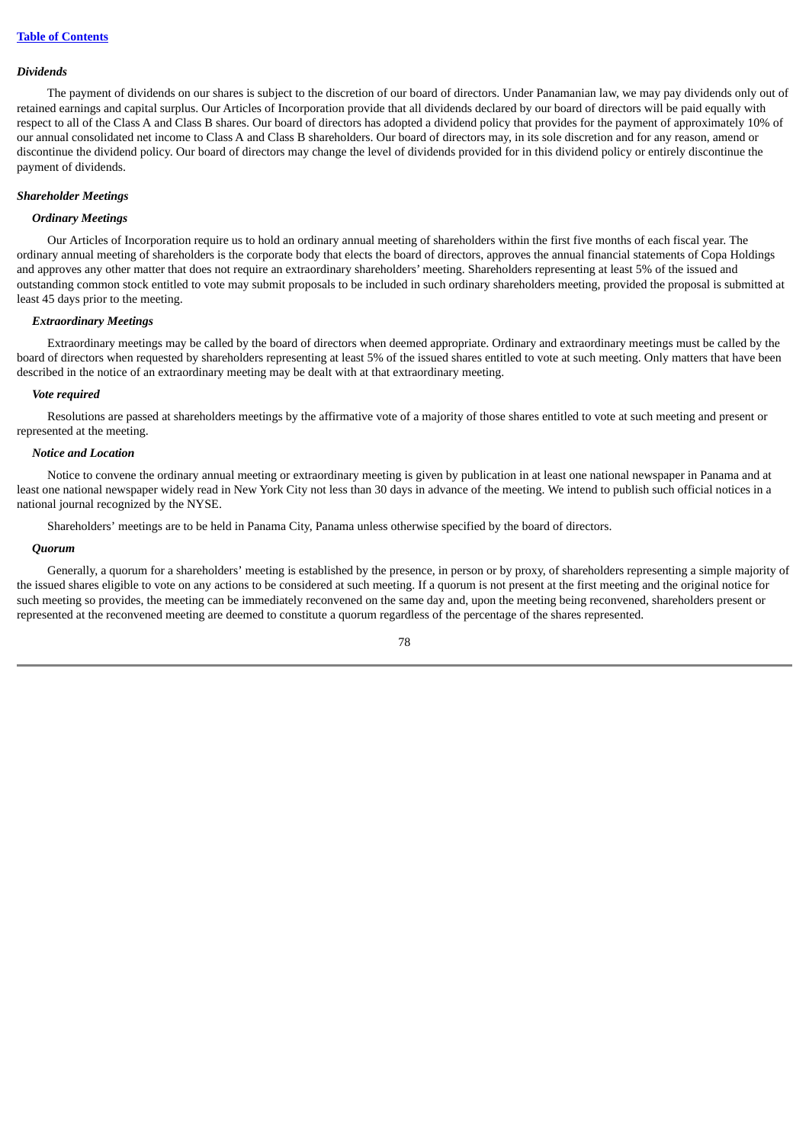#### *Dividends*

The payment of dividends on our shares is subject to the discretion of our board of directors. Under Panamanian law, we may pay dividends only out of retained earnings and capital surplus. Our Articles of Incorporation provide that all dividends declared by our board of directors will be paid equally with respect to all of the Class A and Class B shares. Our board of directors has adopted a dividend policy that provides for the payment of approximately 10% of our annual consolidated net income to Class A and Class B shareholders. Our board of directors may, in its sole discretion and for any reason, amend or discontinue the dividend policy. Our board of directors may change the level of dividends provided for in this dividend policy or entirely discontinue the payment of dividends.

#### *Shareholder Meetings*

### *Ordinary Meetings*

Our Articles of Incorporation require us to hold an ordinary annual meeting of shareholders within the first five months of each fiscal year. The ordinary annual meeting of shareholders is the corporate body that elects the board of directors, approves the annual financial statements of Copa Holdings and approves any other matter that does not require an extraordinary shareholders' meeting. Shareholders representing at least 5% of the issued and outstanding common stock entitled to vote may submit proposals to be included in such ordinary shareholders meeting, provided the proposal is submitted at least 45 days prior to the meeting.

#### *Extraordinary Meetings*

Extraordinary meetings may be called by the board of directors when deemed appropriate. Ordinary and extraordinary meetings must be called by the board of directors when requested by shareholders representing at least 5% of the issued shares entitled to vote at such meeting. Only matters that have been described in the notice of an extraordinary meeting may be dealt with at that extraordinary meeting.

#### *Vote required*

Resolutions are passed at shareholders meetings by the affirmative vote of a majority of those shares entitled to vote at such meeting and present or represented at the meeting.

#### *Notice and Location*

Notice to convene the ordinary annual meeting or extraordinary meeting is given by publication in at least one national newspaper in Panama and at least one national newspaper widely read in New York City not less than 30 days in advance of the meeting. We intend to publish such official notices in a national journal recognized by the NYSE.

Shareholders' meetings are to be held in Panama City, Panama unless otherwise specified by the board of directors.

#### *Quorum*

Generally, a quorum for a shareholders' meeting is established by the presence, in person or by proxy, of shareholders representing a simple majority of the issued shares eligible to vote on any actions to be considered at such meeting. If a quorum is not present at the first meeting and the original notice for such meeting so provides, the meeting can be immediately reconvened on the same day and, upon the meeting being reconvened, shareholders present or represented at the reconvened meeting are deemed to constitute a quorum regardless of the percentage of the shares represented.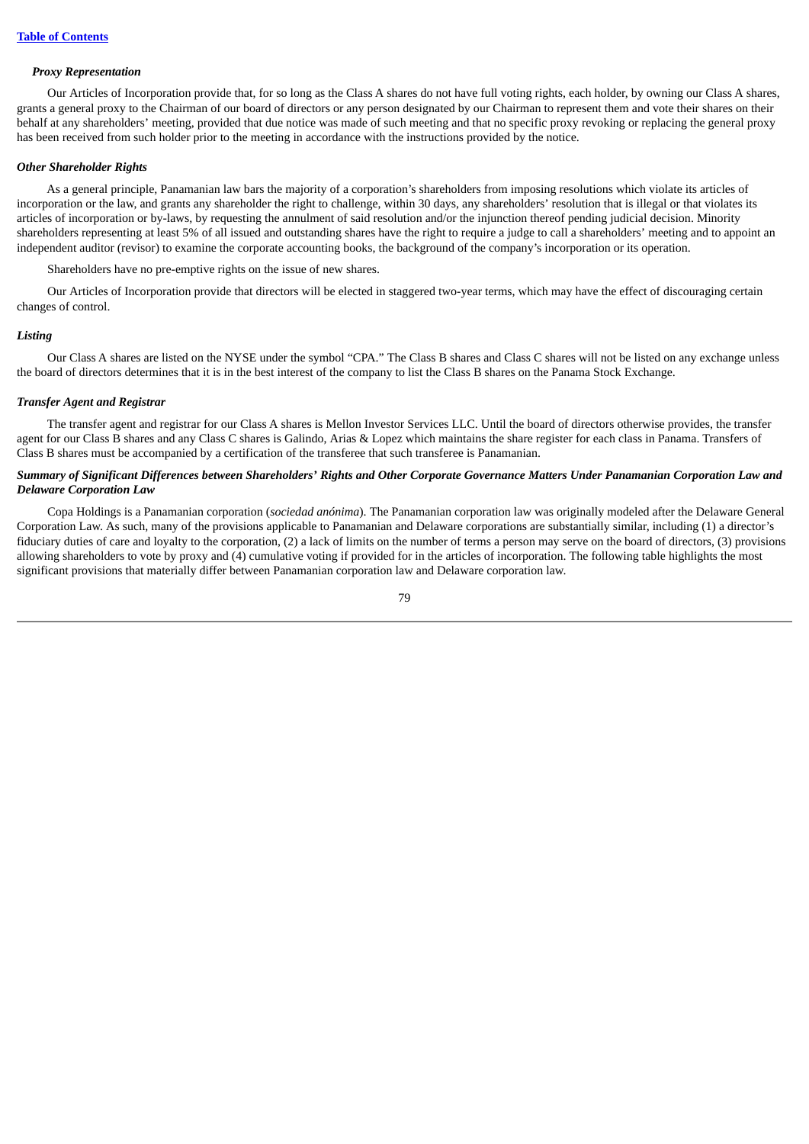#### *Proxy Representation*

Our Articles of Incorporation provide that, for so long as the Class A shares do not have full voting rights, each holder, by owning our Class A shares, grants a general proxy to the Chairman of our board of directors or any person designated by our Chairman to represent them and vote their shares on their behalf at any shareholders' meeting, provided that due notice was made of such meeting and that no specific proxy revoking or replacing the general proxy has been received from such holder prior to the meeting in accordance with the instructions provided by the notice.

#### *Other Shareholder Rights*

As a general principle, Panamanian law bars the majority of a corporation's shareholders from imposing resolutions which violate its articles of incorporation or the law, and grants any shareholder the right to challenge, within 30 days, any shareholders' resolution that is illegal or that violates its articles of incorporation or by-laws, by requesting the annulment of said resolution and/or the injunction thereof pending judicial decision. Minority shareholders representing at least 5% of all issued and outstanding shares have the right to require a judge to call a shareholders' meeting and to appoint an independent auditor (revisor) to examine the corporate accounting books, the background of the company's incorporation or its operation.

Shareholders have no pre-emptive rights on the issue of new shares.

Our Articles of Incorporation provide that directors will be elected in staggered two-year terms, which may have the effect of discouraging certain changes of control.

#### *Listing*

Our Class A shares are listed on the NYSE under the symbol "CPA." The Class B shares and Class C shares will not be listed on any exchange unless the board of directors determines that it is in the best interest of the company to list the Class B shares on the Panama Stock Exchange.

# *Transfer Agent and Registrar*

The transfer agent and registrar for our Class A shares is Mellon Investor Services LLC. Until the board of directors otherwise provides, the transfer agent for our Class B shares and any Class C shares is Galindo, Arias & Lopez which maintains the share register for each class in Panama. Transfers of Class B shares must be accompanied by a certification of the transferee that such transferee is Panamanian.

#### Summary of Significant Differences between Shareholders' Rights and Other Corporate Governance Matters Under Panamanian Corporation Law and *Delaware Corporation Law*

Copa Holdings is a Panamanian corporation (*sociedad anónima*). The Panamanian corporation law was originally modeled after the Delaware General Corporation Law. As such, many of the provisions applicable to Panamanian and Delaware corporations are substantially similar, including (1) a director's fiduciary duties of care and loyalty to the corporation, (2) a lack of limits on the number of terms a person may serve on the board of directors, (3) provisions allowing shareholders to vote by proxy and (4) cumulative voting if provided for in the articles of incorporation. The following table highlights the most significant provisions that materially differ between Panamanian corporation law and Delaware corporation law.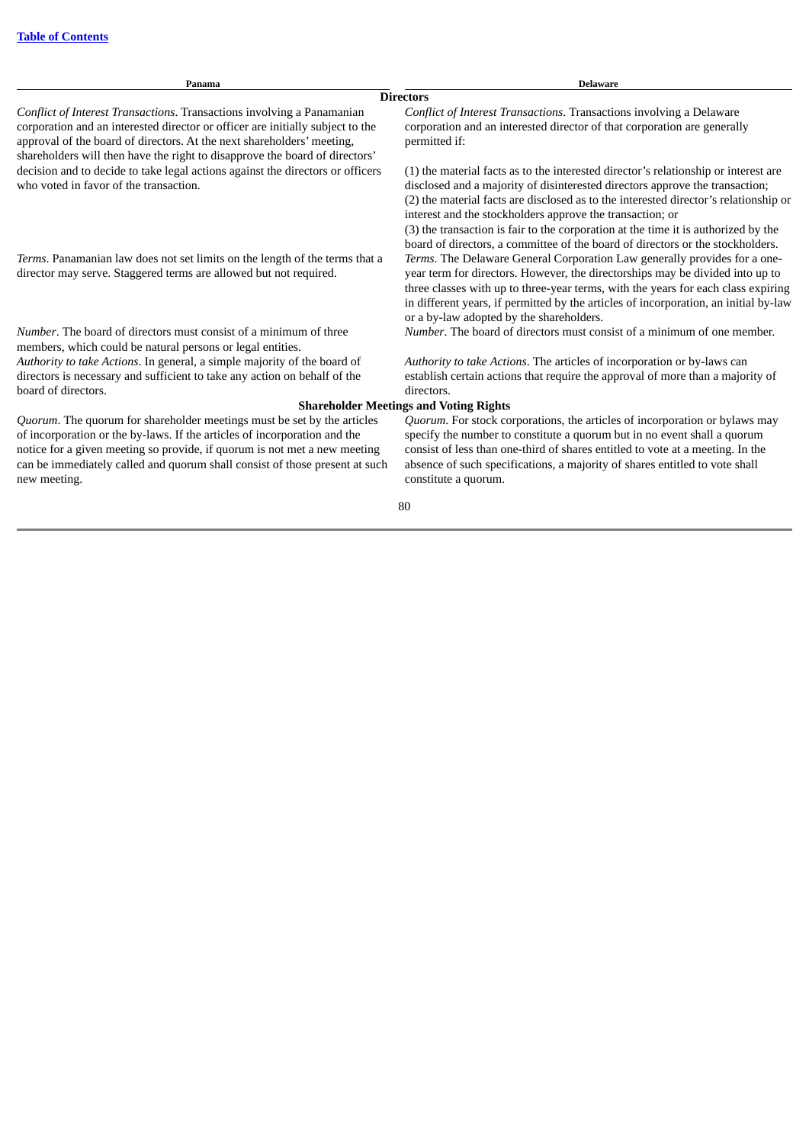| Panama                                                                                                                                                                                                                                                                                                                           | <b>Delaware</b>                                                                                                                                                                                                                                                                                                                                                                                                                                                                                  |  |  |
|----------------------------------------------------------------------------------------------------------------------------------------------------------------------------------------------------------------------------------------------------------------------------------------------------------------------------------|--------------------------------------------------------------------------------------------------------------------------------------------------------------------------------------------------------------------------------------------------------------------------------------------------------------------------------------------------------------------------------------------------------------------------------------------------------------------------------------------------|--|--|
|                                                                                                                                                                                                                                                                                                                                  | <b>Directors</b>                                                                                                                                                                                                                                                                                                                                                                                                                                                                                 |  |  |
| Conflict of Interest Transactions. Transactions involving a Panamanian<br>corporation and an interested director or officer are initially subject to the<br>approval of the board of directors. At the next shareholders' meeting,<br>shareholders will then have the right to disapprove the board of directors'                | Conflict of Interest Transactions. Transactions involving a Delaware<br>corporation and an interested director of that corporation are generally<br>permitted if:                                                                                                                                                                                                                                                                                                                                |  |  |
| decision and to decide to take legal actions against the directors or officers<br>who voted in favor of the transaction.                                                                                                                                                                                                         | (1) the material facts as to the interested director's relationship or interest are<br>disclosed and a majority of disinterested directors approve the transaction;<br>(2) the material facts are disclosed as to the interested director's relationship or<br>interest and the stockholders approve the transaction; or<br>(3) the transaction is fair to the corporation at the time it is authorized by the<br>board of directors, a committee of the board of directors or the stockholders. |  |  |
| Terms. Panamanian law does not set limits on the length of the terms that a<br>director may serve. Staggered terms are allowed but not required.                                                                                                                                                                                 | Terms. The Delaware General Corporation Law generally provides for a one-<br>year term for directors. However, the directorships may be divided into up to<br>three classes with up to three-year terms, with the years for each class expiring<br>in different years, if permitted by the articles of incorporation, an initial by-law<br>or a by-law adopted by the shareholders.                                                                                                              |  |  |
| <i>Number</i> . The board of directors must consist of a minimum of three<br>members, which could be natural persons or legal entities.                                                                                                                                                                                          | <i>Number</i> . The board of directors must consist of a minimum of one member.                                                                                                                                                                                                                                                                                                                                                                                                                  |  |  |
| Authority to take Actions. In general, a simple majority of the board of<br>directors is necessary and sufficient to take any action on behalf of the<br>board of directors.                                                                                                                                                     | Authority to take Actions. The articles of incorporation or by-laws can<br>establish certain actions that require the approval of more than a majority of<br>directors.                                                                                                                                                                                                                                                                                                                          |  |  |
| <b>Shareholder Meetings and Voting Rights</b>                                                                                                                                                                                                                                                                                    |                                                                                                                                                                                                                                                                                                                                                                                                                                                                                                  |  |  |
| Quorum. The quorum for shareholder meetings must be set by the articles<br>of incorporation or the by-laws. If the articles of incorporation and the<br>notice for a given meeting so provide, if quorum is not met a new meeting<br>can be immediately called and quorum shall consist of those present at such<br>new meeting. | Quorum. For stock corporations, the articles of incorporation or bylaws may<br>specify the number to constitute a quorum but in no event shall a quorum<br>consist of less than one-third of shares entitled to vote at a meeting. In the<br>absence of such specifications, a majority of shares entitled to vote shall<br>constitute a quorum.                                                                                                                                                 |  |  |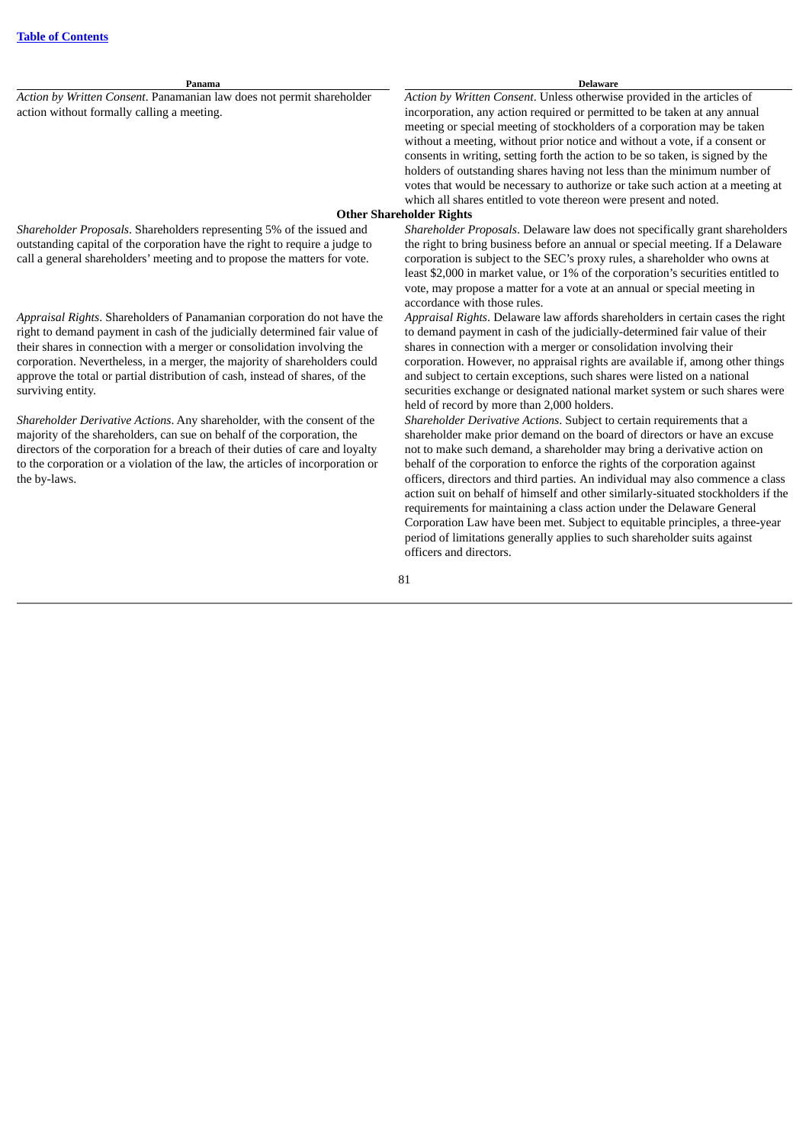**Panama Delaware** *Action by Written Consent*. Panamanian law does not permit shareholder action without formally calling a meeting. *Action by Written Consent*. Unless otherwise provided in the articles of incorporation, any action required or permitted to be taken at any annual meeting or special meeting of stockholders of a corporation may be taken without a meeting, without prior notice and without a vote, if a consent or consents in writing, setting forth the action to be so taken, is signed by the holders of outstanding shares having not less than the minimum number of votes that would be necessary to authorize or take such action at a meeting at which all shares entitled to vote thereon were present and noted. **Other Shareholder Rights** *Shareholder Proposals*. Shareholders representing 5% of the issued and outstanding capital of the corporation have the right to require a judge to call a general shareholders' meeting and to propose the matters for vote. *Shareholder Proposals*. Delaware law does not specifically grant shareholders the right to bring business before an annual or special meeting. If a Delaware corporation is subject to the SEC's proxy rules, a shareholder who owns at least \$2,000 in market value, or 1% of the corporation's securities entitled to vote, may propose a matter for a vote at an annual or special meeting in accordance with those rules. *Appraisal Rights*. Shareholders of Panamanian corporation do not have the right to demand payment in cash of the judicially determined fair value of their shares in connection with a merger or consolidation involving the corporation. Nevertheless, in a merger, the majority of shareholders could approve the total or partial distribution of cash, instead of shares, of the surviving entity. *Appraisal Rights*. Delaware law affords shareholders in certain cases the right to demand payment in cash of the judicially-determined fair value of their shares in connection with a merger or consolidation involving their corporation. However, no appraisal rights are available if, among other things and subject to certain exceptions, such shares were listed on a national securities exchange or designated national market system or such shares were

*Shareholder Derivative Actions*. Any shareholder, with the consent of the majority of the shareholders, can sue on behalf of the corporation, the directors of the corporation for a breach of their duties of care and loyalty to the corporation or a violation of the law, the articles of incorporation or the by-laws.

held of record by more than 2,000 holders.

*Shareholder Derivative Actions*. Subject to certain requirements that a shareholder make prior demand on the board of directors or have an excuse not to make such demand, a shareholder may bring a derivative action on behalf of the corporation to enforce the rights of the corporation against officers, directors and third parties. An individual may also commence a class action suit on behalf of himself and other similarly-situated stockholders if the requirements for maintaining a class action under the Delaware General Corporation Law have been met. Subject to equitable principles, a three-year period of limitations generally applies to such shareholder suits against officers and directors.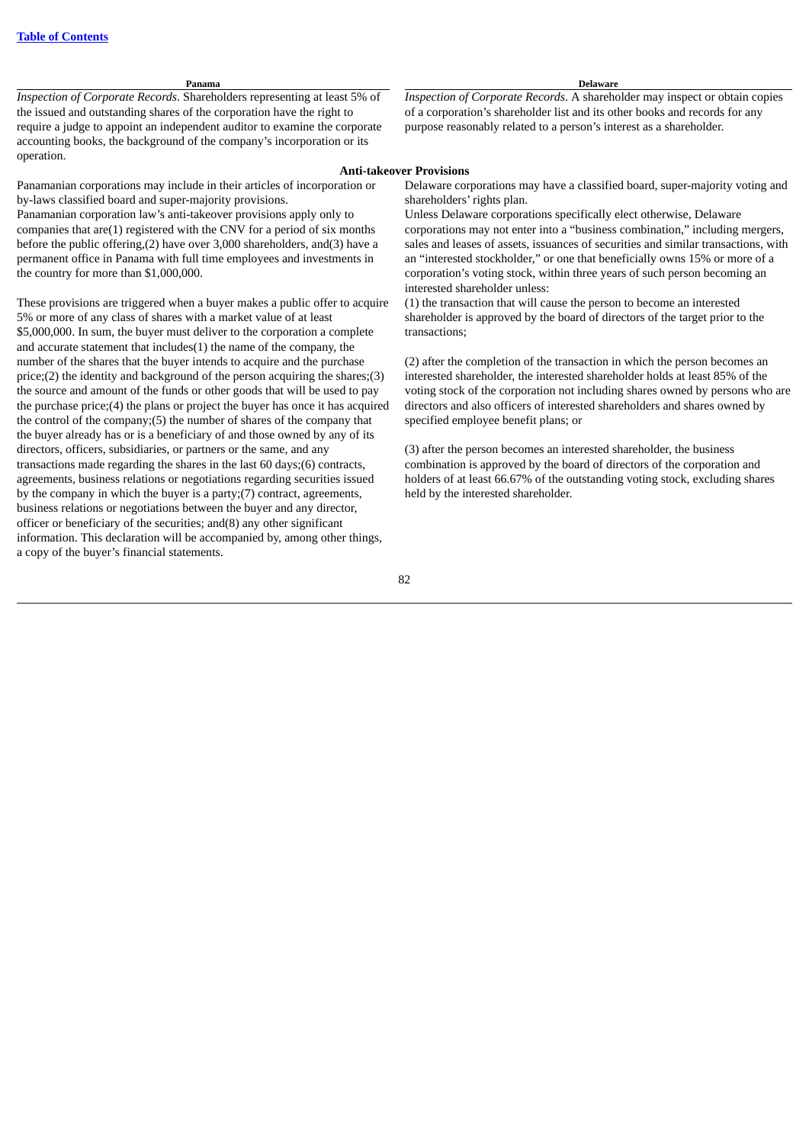*Inspection of Corporate Records*. Shareholders representing at least 5% of the issued and outstanding shares of the corporation have the right to require a judge to appoint an independent auditor to examine the corporate accounting books, the background of the company's incorporation or its operation.

Panamanian corporations may include in their articles of incorporation or by-laws classified board and super-majority provisions.

Panamanian corporation law's anti-takeover provisions apply only to companies that are(1) registered with the CNV for a period of six months before the public offering,(2) have over 3,000 shareholders, and(3) have a permanent office in Panama with full time employees and investments in the country for more than \$1,000,000.

These provisions are triggered when a buyer makes a public offer to acquire 5% or more of any class of shares with a market value of at least \$5,000,000. In sum, the buyer must deliver to the corporation a complete and accurate statement that includes(1) the name of the company, the number of the shares that the buyer intends to acquire and the purchase price;(2) the identity and background of the person acquiring the shares;(3) the source and amount of the funds or other goods that will be used to pay the purchase price;(4) the plans or project the buyer has once it has acquired the control of the company;(5) the number of shares of the company that the buyer already has or is a beneficiary of and those owned by any of its directors, officers, subsidiaries, or partners or the same, and any transactions made regarding the shares in the last 60 days;(6) contracts, agreements, business relations or negotiations regarding securities issued by the company in which the buyer is a party;(7) contract, agreements, business relations or negotiations between the buyer and any director, officer or beneficiary of the securities; and(8) any other significant information. This declaration will be accompanied by, among other things, a copy of the buyer's financial statements.

#### **Panama Delaware**

*Inspection of Corporate Records*. A shareholder may inspect or obtain copies of a corporation's shareholder list and its other books and records for any purpose reasonably related to a person's interest as a shareholder.

#### **Anti-takeover Provisions**

Delaware corporations may have a classified board, super-majority voting and shareholders' rights plan.

Unless Delaware corporations specifically elect otherwise, Delaware corporations may not enter into a "business combination," including mergers, sales and leases of assets, issuances of securities and similar transactions, with an "interested stockholder," or one that beneficially owns 15% or more of a corporation's voting stock, within three years of such person becoming an interested shareholder unless:

(1) the transaction that will cause the person to become an interested shareholder is approved by the board of directors of the target prior to the transactions;

(2) after the completion of the transaction in which the person becomes an interested shareholder, the interested shareholder holds at least 85% of the voting stock of the corporation not including shares owned by persons who are directors and also officers of interested shareholders and shares owned by specified employee benefit plans; or

(3) after the person becomes an interested shareholder, the business combination is approved by the board of directors of the corporation and holders of at least 66.67% of the outstanding voting stock, excluding shares held by the interested shareholder.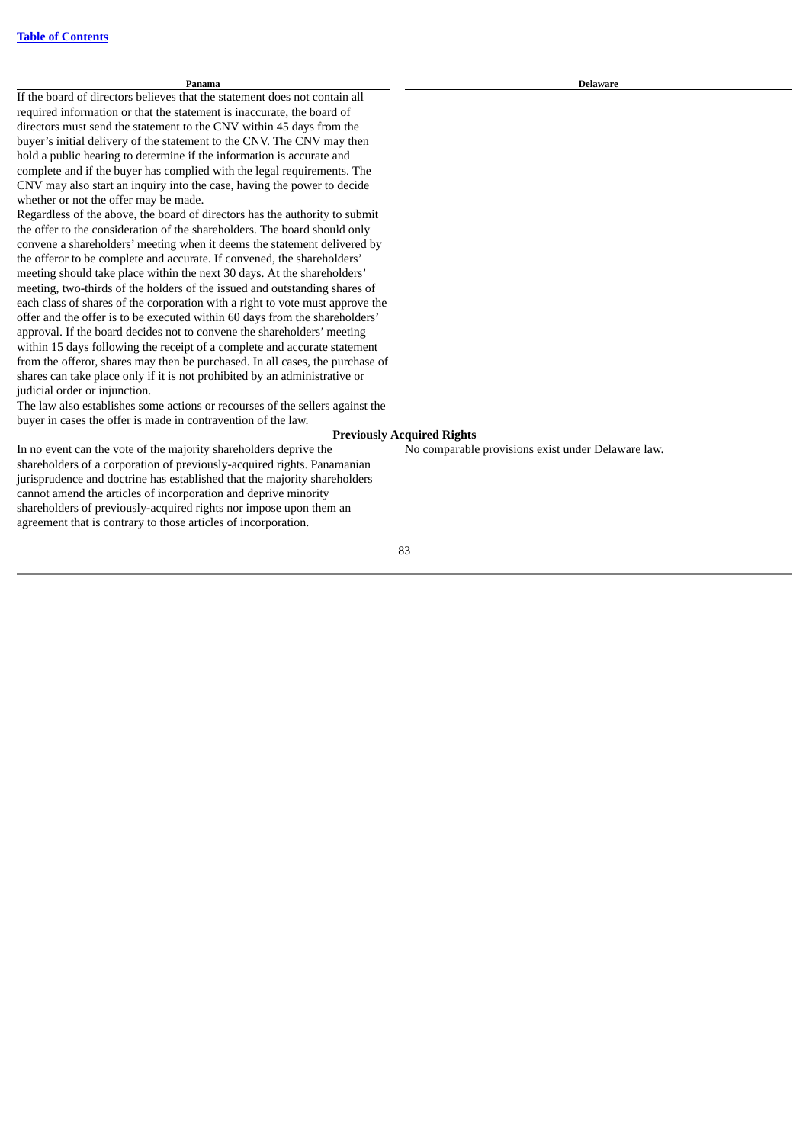#### **Panama Delaware**

If the board of directors believes that the statement does not contain all required information or that the statement is inaccurate, the board of directors must send the statement to the CNV within 45 days from the buyer's initial delivery of the statement to the CNV. The CNV may then hold a public hearing to determine if the information is accurate and complete and if the buyer has complied with the legal requirements. The CNV may also start an inquiry into the case, having the power to decide whether or not the offer may be made.

Regardless of the above, the board of directors has the authority to submit the offer to the consideration of the shareholders. The board should only convene a shareholders' meeting when it deems the statement delivered by the offeror to be complete and accurate. If convened, the shareholders' meeting should take place within the next 30 days. At the shareholders' meeting, two-thirds of the holders of the issued and outstanding shares of each class of shares of the corporation with a right to vote must approve the offer and the offer is to be executed within 60 days from the shareholders' approval. If the board decides not to convene the shareholders' meeting within 15 days following the receipt of a complete and accurate statement from the offeror, shares may then be purchased. In all cases, the purchase of shares can take place only if it is not prohibited by an administrative or judicial order or injunction.

The law also establishes some actions or recourses of the sellers against the buyer in cases the offer is made in contravention of the law.

#### **Previously Acquired Rights**

No comparable provisions exist under Delaware law.

In no event can the vote of the majority shareholders deprive the shareholders of a corporation of previously-acquired rights. Panamanian jurisprudence and doctrine has established that the majority shareholders cannot amend the articles of incorporation and deprive minority shareholders of previously-acquired rights nor impose upon them an agreement that is contrary to those articles of incorporation.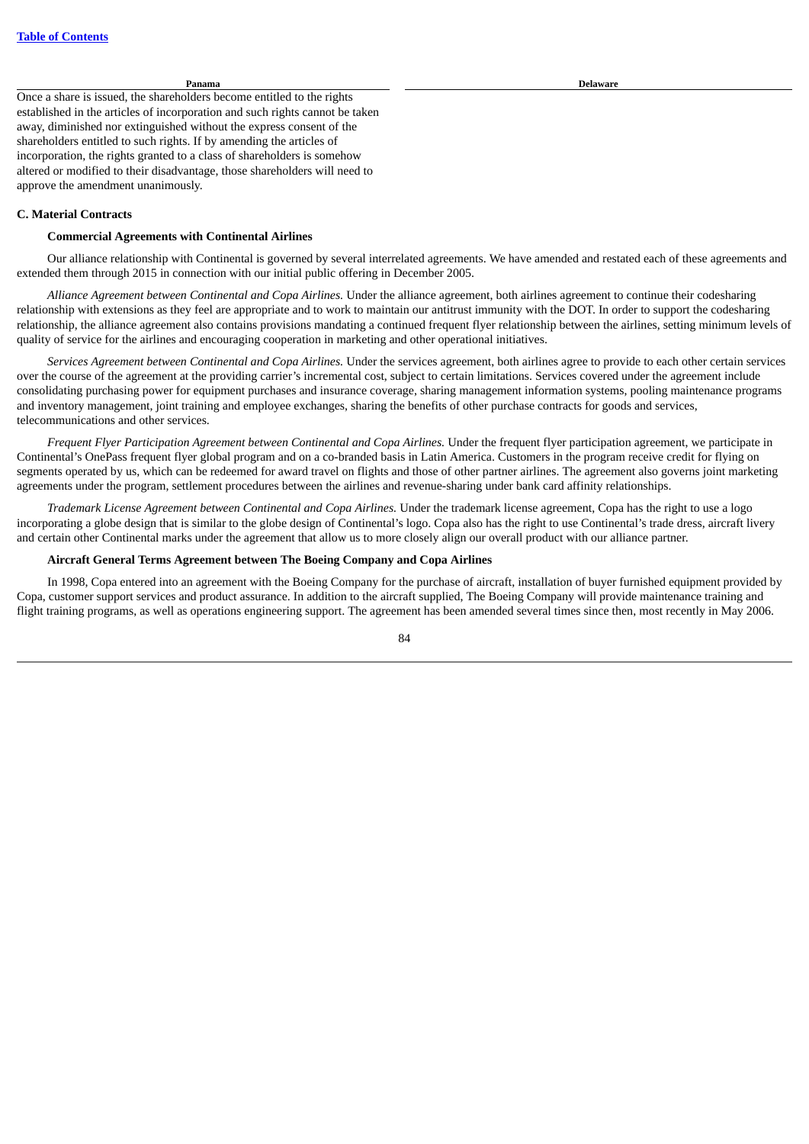Once a share is issued, the shareholders become entitled to the rights established in the articles of incorporation and such rights cannot be taken away, diminished nor extinguished without the express consent of the shareholders entitled to such rights. If by amending the articles of incorporation, the rights granted to a class of shareholders is somehow altered or modified to their disadvantage, those shareholders will need to approve the amendment unanimously.

#### **C. Material Contracts**

#### **Commercial Agreements with Continental Airlines**

Our alliance relationship with Continental is governed by several interrelated agreements. We have amended and restated each of these agreements and extended them through 2015 in connection with our initial public offering in December 2005.

*Alliance Agreement between Continental and Copa Airlines.* Under the alliance agreement, both airlines agreement to continue their codesharing relationship with extensions as they feel are appropriate and to work to maintain our antitrust immunity with the DOT. In order to support the codesharing relationship, the alliance agreement also contains provisions mandating a continued frequent flyer relationship between the airlines, setting minimum levels of quality of service for the airlines and encouraging cooperation in marketing and other operational initiatives.

*Services Agreement between Continental and Copa Airlines.* Under the services agreement, both airlines agree to provide to each other certain services over the course of the agreement at the providing carrier's incremental cost, subject to certain limitations. Services covered under the agreement include consolidating purchasing power for equipment purchases and insurance coverage, sharing management information systems, pooling maintenance programs and inventory management, joint training and employee exchanges, sharing the benefits of other purchase contracts for goods and services, telecommunications and other services.

*Frequent Flyer Participation Agreement between Continental and Copa Airlines.* Under the frequent flyer participation agreement, we participate in Continental's OnePass frequent flyer global program and on a co-branded basis in Latin America. Customers in the program receive credit for flying on segments operated by us, which can be redeemed for award travel on flights and those of other partner airlines. The agreement also governs joint marketing agreements under the program, settlement procedures between the airlines and revenue-sharing under bank card affinity relationships.

*Trademark License Agreement between Continental and Copa Airlines.* Under the trademark license agreement, Copa has the right to use a logo incorporating a globe design that is similar to the globe design of Continental's logo. Copa also has the right to use Continental's trade dress, aircraft livery and certain other Continental marks under the agreement that allow us to more closely align our overall product with our alliance partner.

#### **Aircraft General Terms Agreement between The Boeing Company and Copa Airlines**

In 1998, Copa entered into an agreement with the Boeing Company for the purchase of aircraft, installation of buyer furnished equipment provided by Copa, customer support services and product assurance. In addition to the aircraft supplied, The Boeing Company will provide maintenance training and flight training programs, as well as operations engineering support. The agreement has been amended several times since then, most recently in May 2006.

**Panama Delaware**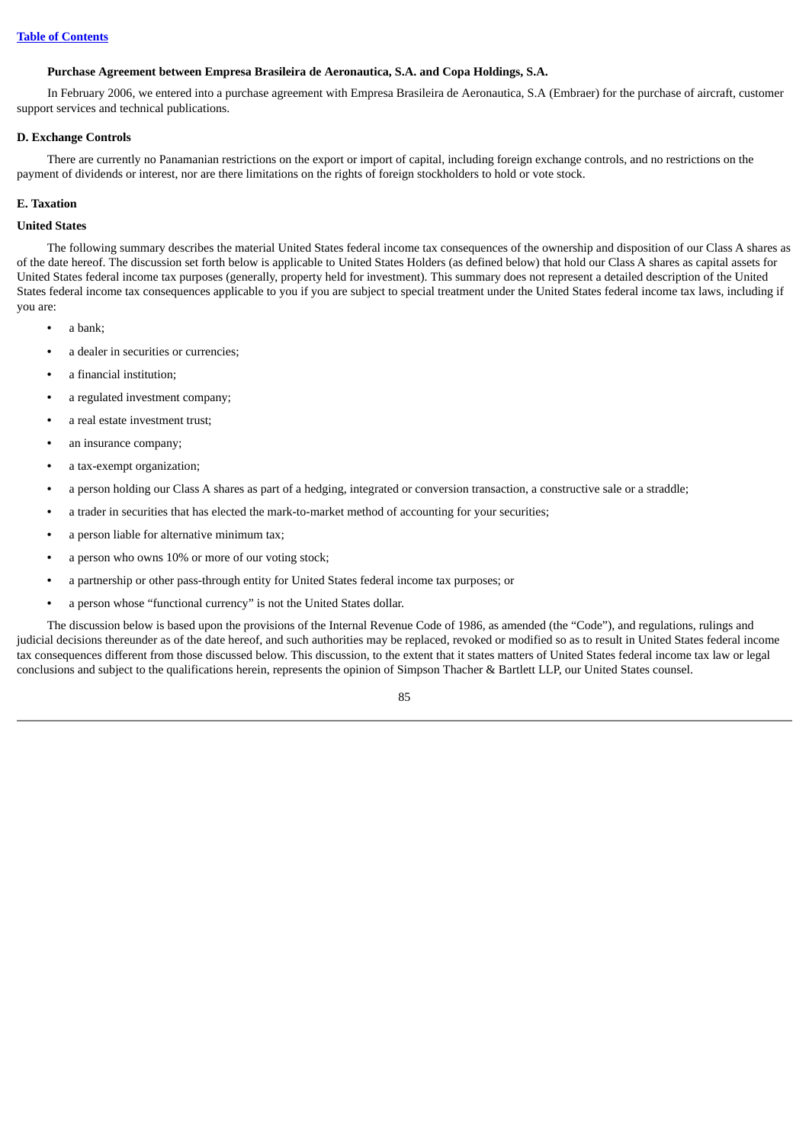### **Purchase Agreement between Empresa Brasileira de Aeronautica, S.A. and Copa Holdings, S.A.**

In February 2006, we entered into a purchase agreement with Empresa Brasileira de Aeronautica, S.A (Embraer) for the purchase of aircraft, customer support services and technical publications.

#### **D. Exchange Controls**

There are currently no Panamanian restrictions on the export or import of capital, including foreign exchange controls, and no restrictions on the payment of dividends or interest, nor are there limitations on the rights of foreign stockholders to hold or vote stock.

#### **E. Taxation**

# **United States**

The following summary describes the material United States federal income tax consequences of the ownership and disposition of our Class A shares as of the date hereof. The discussion set forth below is applicable to United States Holders (as defined below) that hold our Class A shares as capital assets for United States federal income tax purposes (generally, property held for investment). This summary does not represent a detailed description of the United States federal income tax consequences applicable to you if you are subject to special treatment under the United States federal income tax laws, including if you are:

- **•** a bank;
- **•** a dealer in securities or currencies;
- **•** a financial institution;
- **•** a regulated investment company;
- **•** a real estate investment trust;
- **•** an insurance company;
- **•** a tax-exempt organization;
- **•** a person holding our Class A shares as part of a hedging, integrated or conversion transaction, a constructive sale or a straddle;
- **•** a trader in securities that has elected the mark-to-market method of accounting for your securities;
- **•** a person liable for alternative minimum tax;
- **•** a person who owns 10% or more of our voting stock;
- **•** a partnership or other pass-through entity for United States federal income tax purposes; or
- **•** a person whose "functional currency" is not the United States dollar.

The discussion below is based upon the provisions of the Internal Revenue Code of 1986, as amended (the "Code"), and regulations, rulings and judicial decisions thereunder as of the date hereof, and such authorities may be replaced, revoked or modified so as to result in United States federal income tax consequences different from those discussed below. This discussion, to the extent that it states matters of United States federal income tax law or legal conclusions and subject to the qualifications herein, represents the opinion of Simpson Thacher & Bartlett LLP, our United States counsel.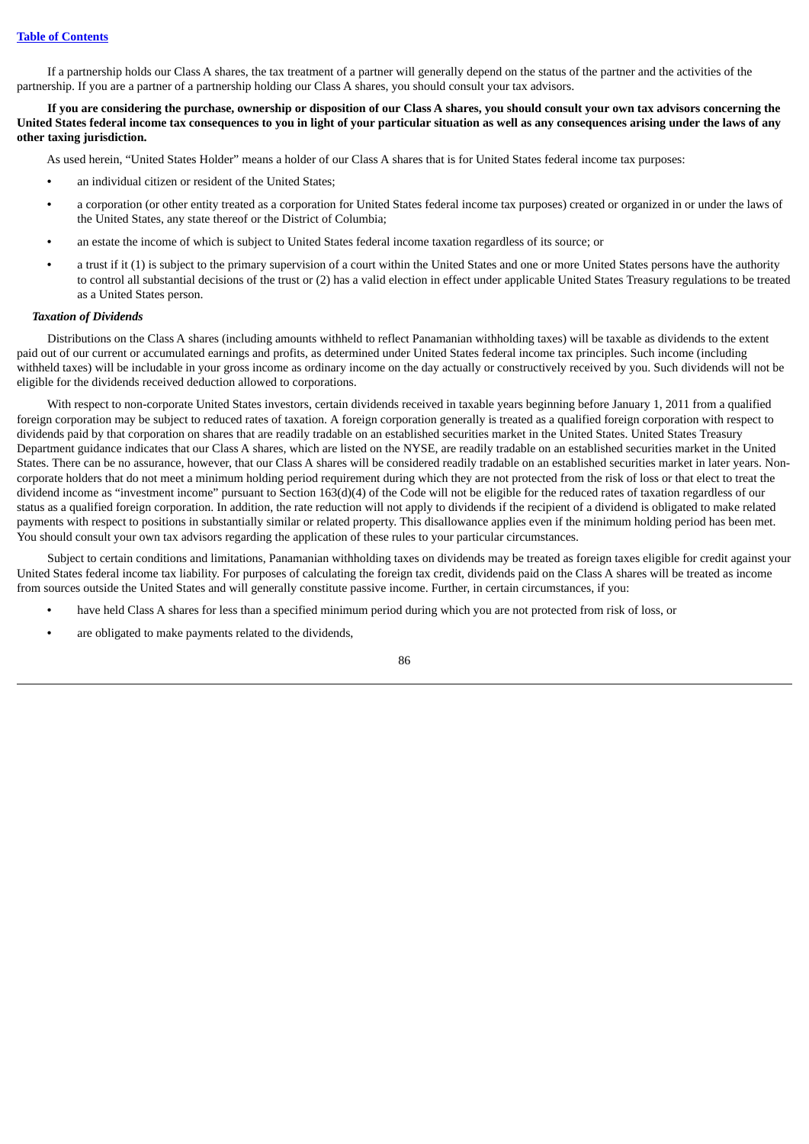If a partnership holds our Class A shares, the tax treatment of a partner will generally depend on the status of the partner and the activities of the partnership. If you are a partner of a partnership holding our Class A shares, you should consult your tax advisors.

If you are considering the purchase, ownership or disposition of our Class A shares, you should consult your own tax advisors concerning the United States federal income tax consequences to you in light of your particular situation as well as any consequences arising under the laws of any **other taxing jurisdiction.**

As used herein, "United States Holder" means a holder of our Class A shares that is for United States federal income tax purposes:

- **•** an individual citizen or resident of the United States;
- **•** a corporation (or other entity treated as a corporation for United States federal income tax purposes) created or organized in or under the laws of the United States, any state thereof or the District of Columbia;
- **•** an estate the income of which is subject to United States federal income taxation regardless of its source; or
- **•** a trust if it (1) is subject to the primary supervision of a court within the United States and one or more United States persons have the authority to control all substantial decisions of the trust or (2) has a valid election in effect under applicable United States Treasury regulations to be treated as a United States person.

#### *Taxation of Dividends*

Distributions on the Class A shares (including amounts withheld to reflect Panamanian withholding taxes) will be taxable as dividends to the extent paid out of our current or accumulated earnings and profits, as determined under United States federal income tax principles. Such income (including withheld taxes) will be includable in your gross income as ordinary income on the day actually or constructively received by you. Such dividends will not be eligible for the dividends received deduction allowed to corporations.

With respect to non-corporate United States investors, certain dividends received in taxable years beginning before January 1, 2011 from a qualified foreign corporation may be subject to reduced rates of taxation. A foreign corporation generally is treated as a qualified foreign corporation with respect to dividends paid by that corporation on shares that are readily tradable on an established securities market in the United States. United States Treasury Department guidance indicates that our Class A shares, which are listed on the NYSE, are readily tradable on an established securities market in the United States. There can be no assurance, however, that our Class A shares will be considered readily tradable on an established securities market in later years. Noncorporate holders that do not meet a minimum holding period requirement during which they are not protected from the risk of loss or that elect to treat the dividend income as "investment income" pursuant to Section 163(d)(4) of the Code will not be eligible for the reduced rates of taxation regardless of our status as a qualified foreign corporation. In addition, the rate reduction will not apply to dividends if the recipient of a dividend is obligated to make related payments with respect to positions in substantially similar or related property. This disallowance applies even if the minimum holding period has been met. You should consult your own tax advisors regarding the application of these rules to your particular circumstances.

Subject to certain conditions and limitations, Panamanian withholding taxes on dividends may be treated as foreign taxes eligible for credit against your United States federal income tax liability. For purposes of calculating the foreign tax credit, dividends paid on the Class A shares will be treated as income from sources outside the United States and will generally constitute passive income. Further, in certain circumstances, if you:

- **•** have held Class A shares for less than a specified minimum period during which you are not protected from risk of loss, or
- **•** are obligated to make payments related to the dividends,

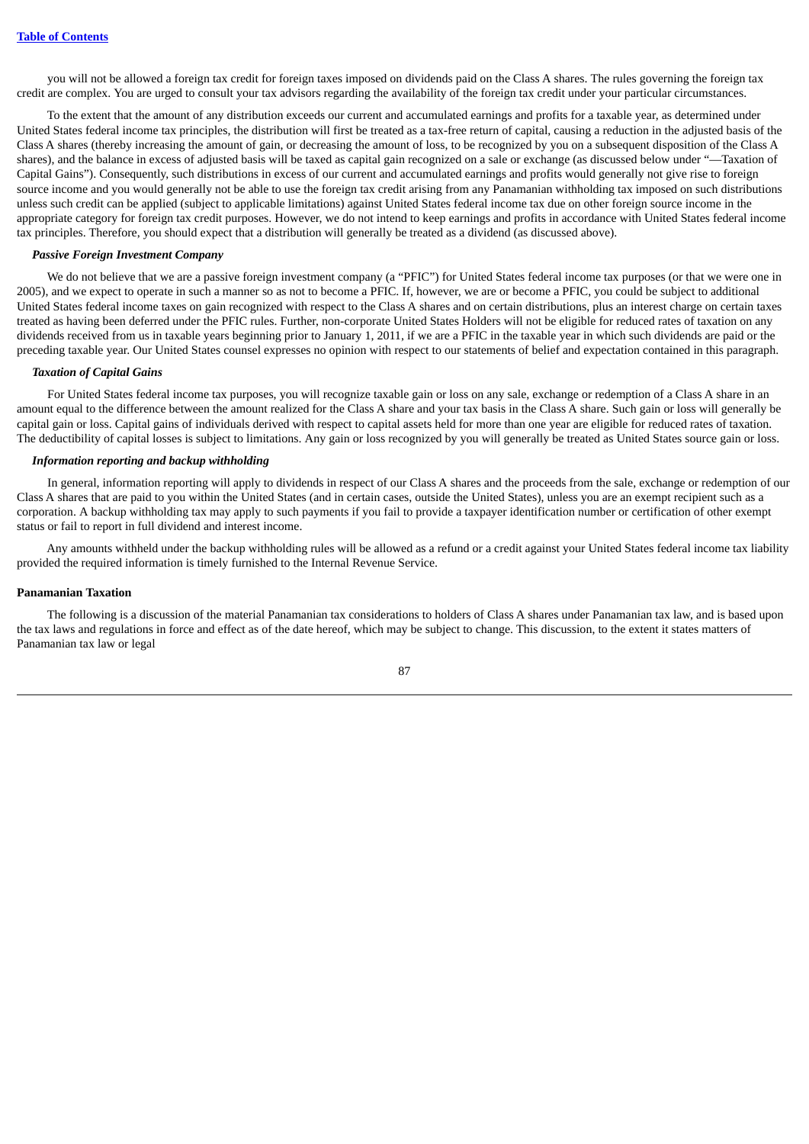you will not be allowed a foreign tax credit for foreign taxes imposed on dividends paid on the Class A shares. The rules governing the foreign tax credit are complex. You are urged to consult your tax advisors regarding the availability of the foreign tax credit under your particular circumstances.

To the extent that the amount of any distribution exceeds our current and accumulated earnings and profits for a taxable year, as determined under United States federal income tax principles, the distribution will first be treated as a tax-free return of capital, causing a reduction in the adjusted basis of the Class A shares (thereby increasing the amount of gain, or decreasing the amount of loss, to be recognized by you on a subsequent disposition of the Class A shares), and the balance in excess of adjusted basis will be taxed as capital gain recognized on a sale or exchange (as discussed below under "—Taxation of Capital Gains"). Consequently, such distributions in excess of our current and accumulated earnings and profits would generally not give rise to foreign source income and you would generally not be able to use the foreign tax credit arising from any Panamanian withholding tax imposed on such distributions unless such credit can be applied (subject to applicable limitations) against United States federal income tax due on other foreign source income in the appropriate category for foreign tax credit purposes. However, we do not intend to keep earnings and profits in accordance with United States federal income tax principles. Therefore, you should expect that a distribution will generally be treated as a dividend (as discussed above).

#### *Passive Foreign Investment Company*

We do not believe that we are a passive foreign investment company (a "PFIC") for United States federal income tax purposes (or that we were one in 2005), and we expect to operate in such a manner so as not to become a PFIC. If, however, we are or become a PFIC, you could be subject to additional United States federal income taxes on gain recognized with respect to the Class A shares and on certain distributions, plus an interest charge on certain taxes treated as having been deferred under the PFIC rules. Further, non-corporate United States Holders will not be eligible for reduced rates of taxation on any dividends received from us in taxable years beginning prior to January 1, 2011, if we are a PFIC in the taxable year in which such dividends are paid or the preceding taxable year. Our United States counsel expresses no opinion with respect to our statements of belief and expectation contained in this paragraph.

#### *Taxation of Capital Gains*

For United States federal income tax purposes, you will recognize taxable gain or loss on any sale, exchange or redemption of a Class A share in an amount equal to the difference between the amount realized for the Class A share and your tax basis in the Class A share. Such gain or loss will generally be capital gain or loss. Capital gains of individuals derived with respect to capital assets held for more than one year are eligible for reduced rates of taxation. The deductibility of capital losses is subject to limitations. Any gain or loss recognized by you will generally be treated as United States source gain or loss.

#### *Information reporting and backup withholding*

In general, information reporting will apply to dividends in respect of our Class A shares and the proceeds from the sale, exchange or redemption of our Class A shares that are paid to you within the United States (and in certain cases, outside the United States), unless you are an exempt recipient such as a corporation. A backup withholding tax may apply to such payments if you fail to provide a taxpayer identification number or certification of other exempt status or fail to report in full dividend and interest income.

Any amounts withheld under the backup withholding rules will be allowed as a refund or a credit against your United States federal income tax liability provided the required information is timely furnished to the Internal Revenue Service.

#### **Panamanian Taxation**

The following is a discussion of the material Panamanian tax considerations to holders of Class A shares under Panamanian tax law, and is based upon the tax laws and regulations in force and effect as of the date hereof, which may be subject to change. This discussion, to the extent it states matters of Panamanian tax law or legal

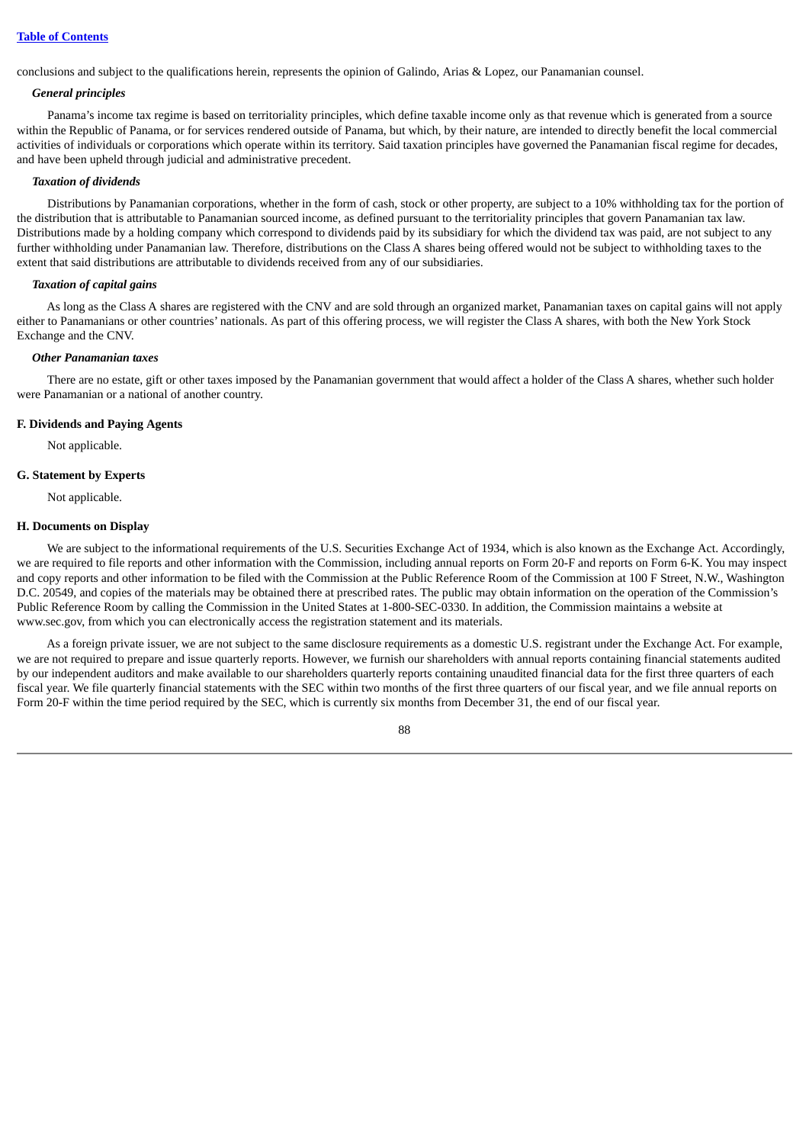conclusions and subject to the qualifications herein, represents the opinion of Galindo, Arias & Lopez, our Panamanian counsel.

#### *General principles*

Panama's income tax regime is based on territoriality principles, which define taxable income only as that revenue which is generated from a source within the Republic of Panama, or for services rendered outside of Panama, but which, by their nature, are intended to directly benefit the local commercial activities of individuals or corporations which operate within its territory. Said taxation principles have governed the Panamanian fiscal regime for decades, and have been upheld through judicial and administrative precedent.

#### *Taxation of dividends*

Distributions by Panamanian corporations, whether in the form of cash, stock or other property, are subject to a 10% withholding tax for the portion of the distribution that is attributable to Panamanian sourced income, as defined pursuant to the territoriality principles that govern Panamanian tax law. Distributions made by a holding company which correspond to dividends paid by its subsidiary for which the dividend tax was paid, are not subject to any further withholding under Panamanian law. Therefore, distributions on the Class A shares being offered would not be subject to withholding taxes to the extent that said distributions are attributable to dividends received from any of our subsidiaries.

#### *Taxation of capital gains*

As long as the Class A shares are registered with the CNV and are sold through an organized market, Panamanian taxes on capital gains will not apply either to Panamanians or other countries' nationals. As part of this offering process, we will register the Class A shares, with both the New York Stock Exchange and the CNV.

#### *Other Panamanian taxes*

There are no estate, gift or other taxes imposed by the Panamanian government that would affect a holder of the Class A shares, whether such holder were Panamanian or a national of another country.

#### **F. Dividends and Paying Agents**

Not applicable.

#### **G. Statement by Experts**

Not applicable.

#### **H. Documents on Display**

We are subject to the informational requirements of the U.S. Securities Exchange Act of 1934, which is also known as the Exchange Act. Accordingly, we are required to file reports and other information with the Commission, including annual reports on Form 20-F and reports on Form 6-K. You may inspect and copy reports and other information to be filed with the Commission at the Public Reference Room of the Commission at 100 F Street, N.W., Washington D.C. 20549, and copies of the materials may be obtained there at prescribed rates. The public may obtain information on the operation of the Commission's Public Reference Room by calling the Commission in the United States at 1-800-SEC-0330. In addition, the Commission maintains a website at www.sec.gov, from which you can electronically access the registration statement and its materials.

As a foreign private issuer, we are not subject to the same disclosure requirements as a domestic U.S. registrant under the Exchange Act. For example, we are not required to prepare and issue quarterly reports. However, we furnish our shareholders with annual reports containing financial statements audited by our independent auditors and make available to our shareholders quarterly reports containing unaudited financial data for the first three quarters of each fiscal year. We file quarterly financial statements with the SEC within two months of the first three quarters of our fiscal year, and we file annual reports on Form 20-F within the time period required by the SEC, which is currently six months from December 31, the end of our fiscal year.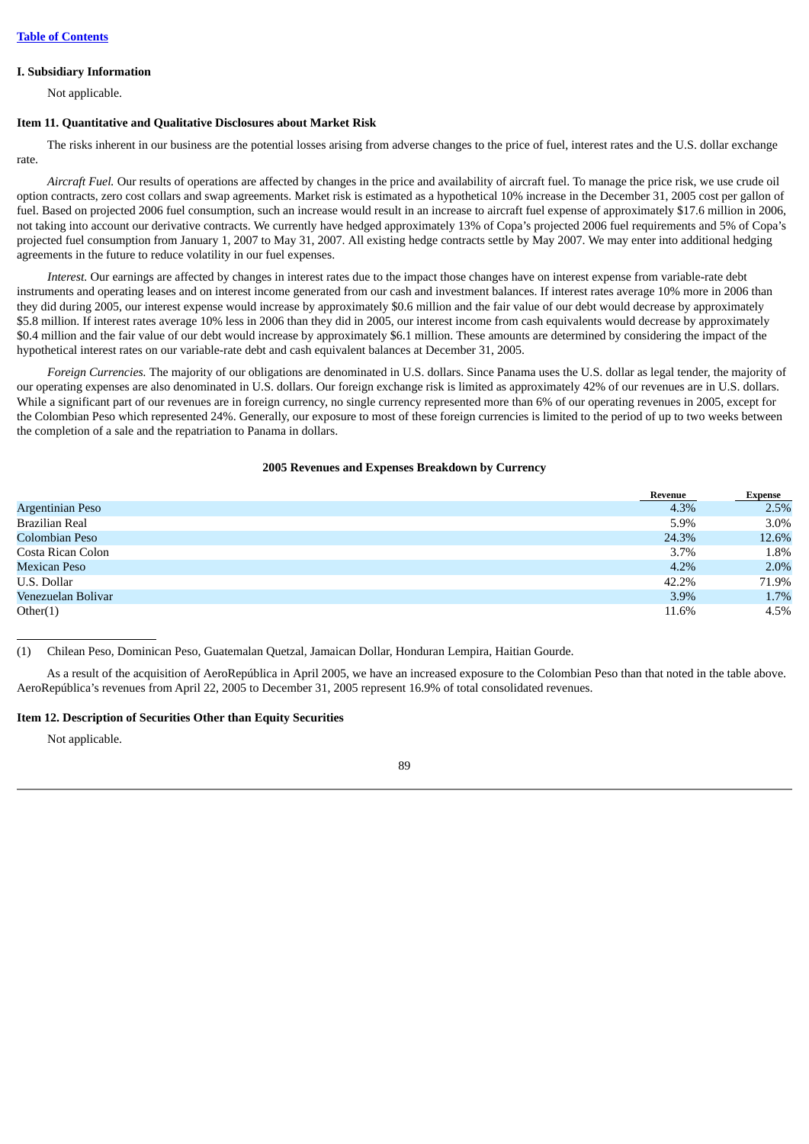#### **I. Subsidiary Information**

Not applicable.

#### **Item 11. Quantitative and Qualitative Disclosures about Market Risk**

The risks inherent in our business are the potential losses arising from adverse changes to the price of fuel, interest rates and the U.S. dollar exchange rate.

*Aircraft Fuel.* Our results of operations are affected by changes in the price and availability of aircraft fuel. To manage the price risk, we use crude oil option contracts, zero cost collars and swap agreements. Market risk is estimated as a hypothetical 10% increase in the December 31, 2005 cost per gallon of fuel. Based on projected 2006 fuel consumption, such an increase would result in an increase to aircraft fuel expense of approximately \$17.6 million in 2006, not taking into account our derivative contracts. We currently have hedged approximately 13% of Copa's projected 2006 fuel requirements and 5% of Copa's projected fuel consumption from January 1, 2007 to May 31, 2007. All existing hedge contracts settle by May 2007. We may enter into additional hedging agreements in the future to reduce volatility in our fuel expenses.

*Interest.* Our earnings are affected by changes in interest rates due to the impact those changes have on interest expense from variable-rate debt instruments and operating leases and on interest income generated from our cash and investment balances. If interest rates average 10% more in 2006 than they did during 2005, our interest expense would increase by approximately \$0.6 million and the fair value of our debt would decrease by approximately \$5.8 million. If interest rates average 10% less in 2006 than they did in 2005, our interest income from cash equivalents would decrease by approximately \$0.4 million and the fair value of our debt would increase by approximately \$6.1 million. These amounts are determined by considering the impact of the hypothetical interest rates on our variable-rate debt and cash equivalent balances at December 31, 2005.

*Foreign Currencies.* The majority of our obligations are denominated in U.S. dollars. Since Panama uses the U.S. dollar as legal tender, the majority of our operating expenses are also denominated in U.S. dollars. Our foreign exchange risk is limited as approximately 42% of our revenues are in U.S. dollars. While a significant part of our revenues are in foreign currency, no single currency represented more than 6% of our operating revenues in 2005, except for the Colombian Peso which represented 24%. Generally, our exposure to most of these foreign currencies is limited to the period of up to two weeks between the completion of a sale and the repatriation to Panama in dollars.

#### **2005 Revenues and Expenses Breakdown by Currency**

|                     | Revenue | Expense |
|---------------------|---------|---------|
| Argentinian Peso    | 4.3%    | 2.5%    |
| Brazilian Real      | 5.9%    | 3.0%    |
| Colombian Peso      | 24.3%   | 12.6%   |
| Costa Rican Colon   | 3.7%    | 1.8%    |
| <b>Mexican Peso</b> | $4.2\%$ | 2.0%    |
| U.S. Dollar         | 42.2%   | 71.9%   |
| Venezuelan Bolivar  | 3.9%    | 1.7%    |
| Other(1)            | 11.6%   | 4.5%    |

(1) Chilean Peso, Dominican Peso, Guatemalan Quetzal, Jamaican Dollar, Honduran Lempira, Haitian Gourde.

As a result of the acquisition of AeroRepública in April 2005, we have an increased exposure to the Colombian Peso than that noted in the table above. AeroRepública's revenues from April 22, 2005 to December 31, 2005 represent 16.9% of total consolidated revenues.

#### **Item 12. Description of Securities Other than Equity Securities**

Not applicable.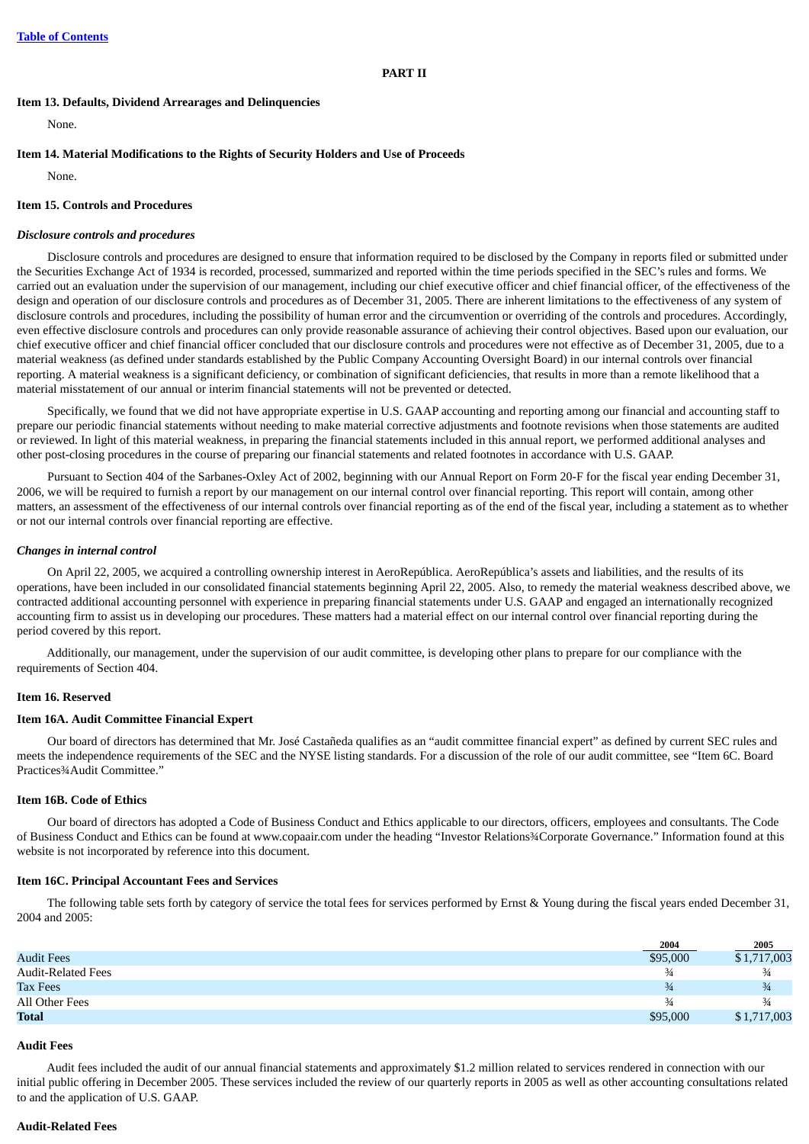# **Item 13. Defaults, Dividend Arrearages and Delinquencies**

None.

# **Item 14. Material Modifications to the Rights of Security Holders and Use of Proceeds**

None.

# **Item 15. Controls and Procedures**

# *Disclosure controls and procedures*

Disclosure controls and procedures are designed to ensure that information required to be disclosed by the Company in reports filed or submitted under the Securities Exchange Act of 1934 is recorded, processed, summarized and reported within the time periods specified in the SEC's rules and forms. We carried out an evaluation under the supervision of our management, including our chief executive officer and chief financial officer, of the effectiveness of the design and operation of our disclosure controls and procedures as of December 31, 2005. There are inherent limitations to the effectiveness of any system of disclosure controls and procedures, including the possibility of human error and the circumvention or overriding of the controls and procedures. Accordingly, even effective disclosure controls and procedures can only provide reasonable assurance of achieving their control objectives. Based upon our evaluation, our chief executive officer and chief financial officer concluded that our disclosure controls and procedures were not effective as of December 31, 2005, due to a material weakness (as defined under standards established by the Public Company Accounting Oversight Board) in our internal controls over financial reporting. A material weakness is a significant deficiency, or combination of significant deficiencies, that results in more than a remote likelihood that a material misstatement of our annual or interim financial statements will not be prevented or detected.

Specifically, we found that we did not have appropriate expertise in U.S. GAAP accounting and reporting among our financial and accounting staff to prepare our periodic financial statements without needing to make material corrective adjustments and footnote revisions when those statements are audited or reviewed. In light of this material weakness, in preparing the financial statements included in this annual report, we performed additional analyses and other post-closing procedures in the course of preparing our financial statements and related footnotes in accordance with U.S. GAAP.

Pursuant to Section 404 of the Sarbanes-Oxley Act of 2002, beginning with our Annual Report on Form 20-F for the fiscal year ending December 31, 2006, we will be required to furnish a report by our management on our internal control over financial reporting. This report will contain, among other matters, an assessment of the effectiveness of our internal controls over financial reporting as of the end of the fiscal year, including a statement as to whether or not our internal controls over financial reporting are effective.

#### *Changes in internal control*

On April 22, 2005, we acquired a controlling ownership interest in AeroRepública. AeroRepública's assets and liabilities, and the results of its operations, have been included in our consolidated financial statements beginning April 22, 2005. Also, to remedy the material weakness described above, we contracted additional accounting personnel with experience in preparing financial statements under U.S. GAAP and engaged an internationally recognized accounting firm to assist us in developing our procedures. These matters had a material effect on our internal control over financial reporting during the period covered by this report.

Additionally, our management, under the supervision of our audit committee, is developing other plans to prepare for our compliance with the requirements of Section 404.

#### **Item 16. Reserved**

### **Item 16A. Audit Committee Financial Expert**

Our board of directors has determined that Mr. José Castañeda qualifies as an "audit committee financial expert" as defined by current SEC rules and meets the independence requirements of the SEC and the NYSE listing standards. For a discussion of the role of our audit committee, see "Item 6C. Board Practices¾Audit Committee."

# **Item 16B. Code of Ethics**

Our board of directors has adopted a Code of Business Conduct and Ethics applicable to our directors, officers, employees and consultants. The Code of Business Conduct and Ethics can be found at www.copaair.com under the heading "Investor Relations¾Corporate Governance." Information found at this website is not incorporated by reference into this document.

### **Item 16C. Principal Accountant Fees and Services**

The following table sets forth by category of service the total fees for services performed by Ernst & Young during the fiscal years ended December 31, 2004 and 2005:

|                           | 2004          | 2005          |
|---------------------------|---------------|---------------|
| <b>Audit Fees</b>         | \$95,000      | \$1,717,003   |
| <b>Audit-Related Fees</b> | $\frac{3}{4}$ | $\frac{3}{4}$ |
| <b>Tax Fees</b>           | $\frac{3}{4}$ | $\frac{3}{4}$ |
| All Other Fees            | $\frac{3}{4}$ | $\frac{3}{4}$ |
| <b>Total</b>              | \$95,000      | \$1,717,003   |

#### **Audit Fees**

Audit fees included the audit of our annual financial statements and approximately \$1.2 million related to services rendered in connection with our initial public offering in December 2005. These services included the review of our quarterly reports in 2005 as well as other accounting consultations related to and the application of U.S. GAAP.

#### **Audit-Related Fees**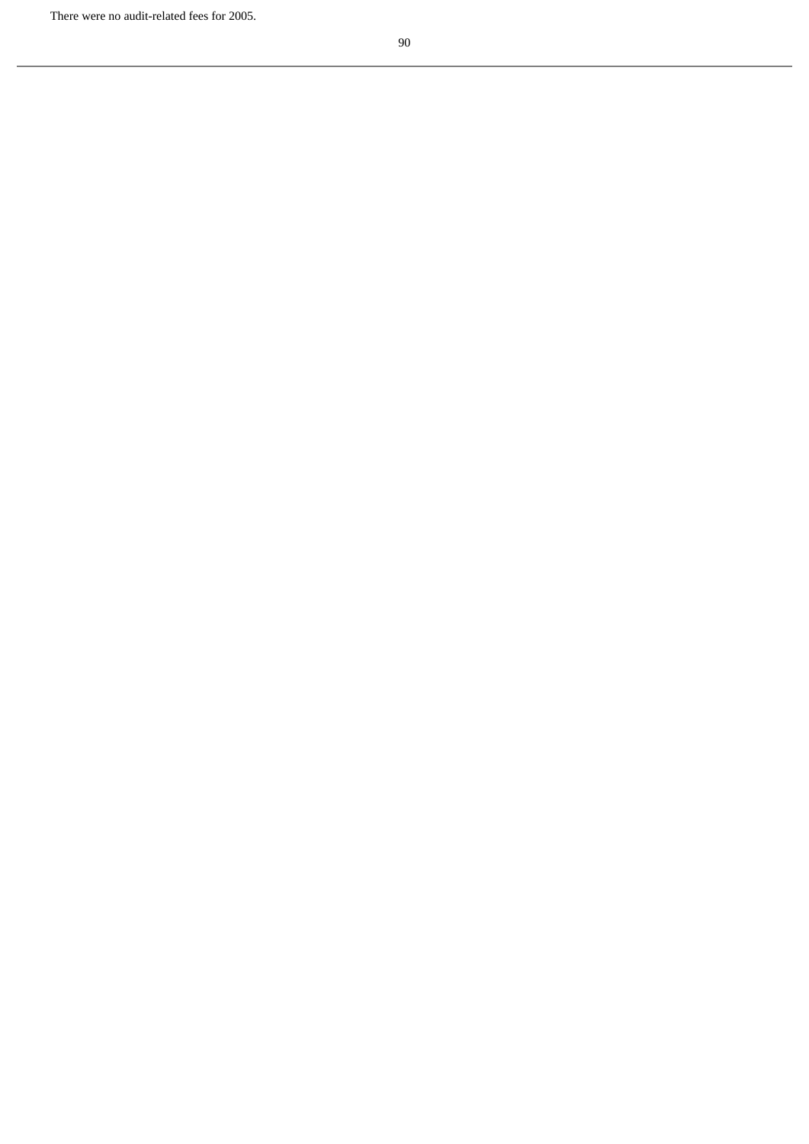There were no audit-related fees for 2005.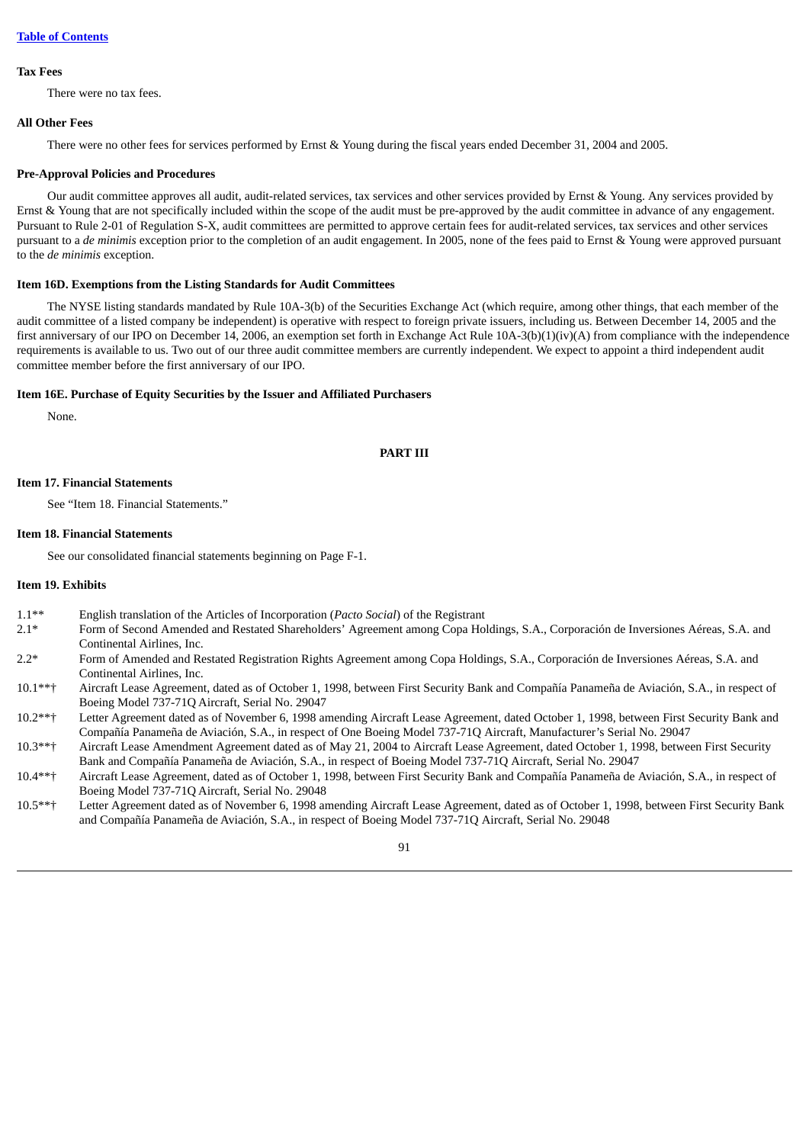#### **Tax Fees**

There were no tax fees.

#### **All Other Fees**

There were no other fees for services performed by Ernst & Young during the fiscal years ended December 31, 2004 and 2005.

#### **Pre-Approval Policies and Procedures**

Our audit committee approves all audit, audit-related services, tax services and other services provided by Ernst & Young. Any services provided by Ernst & Young that are not specifically included within the scope of the audit must be pre-approved by the audit committee in advance of any engagement. Pursuant to Rule 2-01 of Regulation S-X, audit committees are permitted to approve certain fees for audit-related services, tax services and other services pursuant to a *de minimis* exception prior to the completion of an audit engagement. In 2005, none of the fees paid to Ernst & Young were approved pursuant to the *de minimis* exception.

#### **Item 16D. Exemptions from the Listing Standards for Audit Committees**

The NYSE listing standards mandated by Rule 10A-3(b) of the Securities Exchange Act (which require, among other things, that each member of the audit committee of a listed company be independent) is operative with respect to foreign private issuers, including us. Between December 14, 2005 and the first anniversary of our IPO on December 14, 2006, an exemption set forth in Exchange Act Rule 10A-3(b)(1)(iv)(A) from compliance with the independence requirements is available to us. Two out of our three audit committee members are currently independent. We expect to appoint a third independent audit committee member before the first anniversary of our IPO.

#### **Item 16E. Purchase of Equity Securities by the Issuer and Affiliated Purchasers**

None.

### **PART III**

#### **Item 17. Financial Statements**

See "Item 18. Financial Statements."

#### **Item 18. Financial Statements**

See our consolidated financial statements beginning on Page F-1.

#### **Item 19. Exhibits**

- 1.1\*\* English translation of the Articles of Incorporation (*Pacto Social*) of the Registrant
- 2.1\* Form of Second Amended and Restated Shareholders' Agreement among Copa Holdings, S.A., Corporación de Inversiones Aéreas, S.A. and Continental Airlines, Inc.
- 2.2\* Form of Amended and Restated Registration Rights Agreement among Copa Holdings, S.A., Corporación de Inversiones Aéreas, S.A. and Continental Airlines, Inc.
- 10.1\*\*† Aircraft Lease Agreement, dated as of October 1, 1998, between First Security Bank and Compañía Panameña de Aviación, S.A., in respect of Boeing Model 737-71Q Aircraft, Serial No. 29047
- 10.2\*\*† Letter Agreement dated as of November 6, 1998 amending Aircraft Lease Agreement, dated October 1, 1998, between First Security Bank and Compañía Panameña de Aviación, S.A., in respect of One Boeing Model 737-71Q Aircraft, Manufacturer's Serial No. 29047
- 10.3\*\*† Aircraft Lease Amendment Agreement dated as of May 21, 2004 to Aircraft Lease Agreement, dated October 1, 1998, between First Security Bank and Compañía Panameña de Aviación, S.A., in respect of Boeing Model 737-71Q Aircraft, Serial No. 29047
- 10.4\*\*† Aircraft Lease Agreement, dated as of October 1, 1998, between First Security Bank and Compañía Panameña de Aviación, S.A., in respect of Boeing Model 737-71Q Aircraft, Serial No. 29048
- 10.5\*\*† Letter Agreement dated as of November 6, 1998 amending Aircraft Lease Agreement, dated as of October 1, 1998, between First Security Bank and Compañía Panameña de Aviación, S.A., in respect of Boeing Model 737-71Q Aircraft, Serial No. 29048

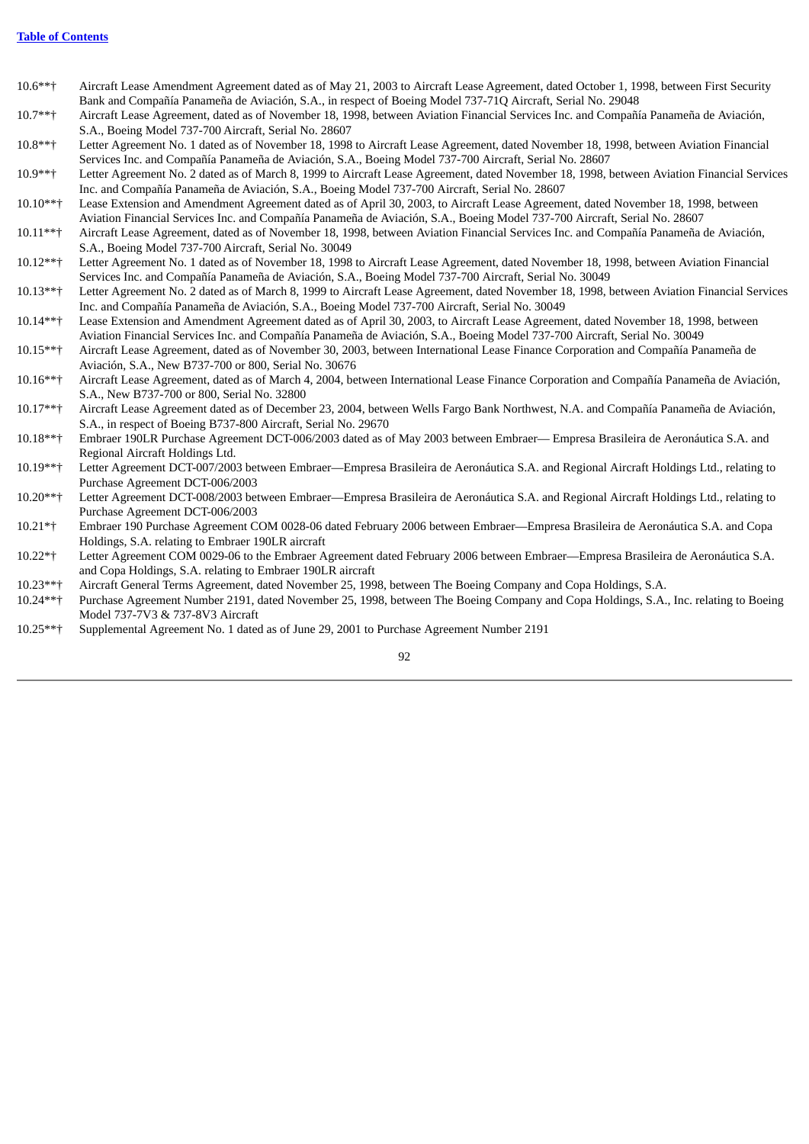- 10.6\*\*† Aircraft Lease Amendment Agreement dated as of May 21, 2003 to Aircraft Lease Agreement, dated October 1, 1998, between First Security Bank and Compañía Panameña de Aviación, S.A., in respect of Boeing Model 737-71Q Aircraft, Serial No. 29048
- 10.7\*\*† Aircraft Lease Agreement, dated as of November 18, 1998, between Aviation Financial Services Inc. and Compañía Panameña de Aviación, S.A., Boeing Model 737-700 Aircraft, Serial No. 28607
- 10.8\*\*† Letter Agreement No. 1 dated as of November 18, 1998 to Aircraft Lease Agreement, dated November 18, 1998, between Aviation Financial Services Inc. and Compañía Panameña de Aviación, S.A., Boeing Model 737-700 Aircraft, Serial No. 28607
- 10.9\*\*† Letter Agreement No. 2 dated as of March 8, 1999 to Aircraft Lease Agreement, dated November 18, 1998, between Aviation Financial Services Inc. and Compañía Panameña de Aviación, S.A., Boeing Model 737-700 Aircraft, Serial No. 28607
- 10.10\*\*† Lease Extension and Amendment Agreement dated as of April 30, 2003, to Aircraft Lease Agreement, dated November 18, 1998, between Aviation Financial Services Inc. and Compañía Panameña de Aviación, S.A., Boeing Model 737-700 Aircraft, Serial No. 28607
- 10.11\*\*† Aircraft Lease Agreement, dated as of November 18, 1998, between Aviation Financial Services Inc. and Compañía Panameña de Aviación, S.A., Boeing Model 737-700 Aircraft, Serial No. 30049
- 10.12\*\*† Letter Agreement No. 1 dated as of November 18, 1998 to Aircraft Lease Agreement, dated November 18, 1998, between Aviation Financial Services Inc. and Compañía Panameña de Aviación, S.A., Boeing Model 737-700 Aircraft, Serial No. 30049
- 10.13\*\*† Letter Agreement No. 2 dated as of March 8, 1999 to Aircraft Lease Agreement, dated November 18, 1998, between Aviation Financial Services Inc. and Compañía Panameña de Aviación, S.A., Boeing Model 737-700 Aircraft, Serial No. 30049
- 10.14\*\*† Lease Extension and Amendment Agreement dated as of April 30, 2003, to Aircraft Lease Agreement, dated November 18, 1998, between Aviation Financial Services Inc. and Compañía Panameña de Aviación, S.A., Boeing Model 737-700 Aircraft, Serial No. 30049
- 10.15\*\*† Aircraft Lease Agreement, dated as of November 30, 2003, between International Lease Finance Corporation and Compañía Panameña de Aviación, S.A., New B737-700 or 800, Serial No. 30676
- 10.16\*\*† Aircraft Lease Agreement, dated as of March 4, 2004, between International Lease Finance Corporation and Compañía Panameña de Aviación, S.A., New B737-700 or 800, Serial No. 32800
- 10.17\*\*† Aircraft Lease Agreement dated as of December 23, 2004, between Wells Fargo Bank Northwest, N.A. and Compañía Panameña de Aviación, S.A., in respect of Boeing B737-800 Aircraft, Serial No. 29670
- 10.18\*\*† Embraer 190LR Purchase Agreement DCT-006/2003 dated as of May 2003 between Embraer— Empresa Brasileira de Aeronáutica S.A. and Regional Aircraft Holdings Ltd.
- 10.19\*\*† Letter Agreement DCT-007/2003 between Embraer—Empresa Brasileira de Aeronáutica S.A. and Regional Aircraft Holdings Ltd., relating to Purchase Agreement DCT-006/2003
- 10.20\*\*† Letter Agreement DCT-008/2003 between Embraer—Empresa Brasileira de Aeronáutica S.A. and Regional Aircraft Holdings Ltd., relating to Purchase Agreement DCT-006/2003
- 10.21\*† Embraer 190 Purchase Agreement COM 0028-06 dated February 2006 between Embraer—Empresa Brasileira de Aeronáutica S.A. and Copa Holdings, S.A. relating to Embraer 190LR aircraft
- 10.22\*† Letter Agreement COM 0029-06 to the Embraer Agreement dated February 2006 between Embraer—Empresa Brasileira de Aeronáutica S.A. and Copa Holdings, S.A. relating to Embraer 190LR aircraft
- 10.23\*\*† Aircraft General Terms Agreement, dated November 25, 1998, between The Boeing Company and Copa Holdings, S.A.
- 10.24\*\*† Purchase Agreement Number 2191, dated November 25, 1998, between The Boeing Company and Copa Holdings, S.A., Inc. relating to Boeing Model 737-7V3 & 737-8V3 Aircraft
- 10.25\*\*† Supplemental Agreement No. 1 dated as of June 29, 2001 to Purchase Agreement Number 2191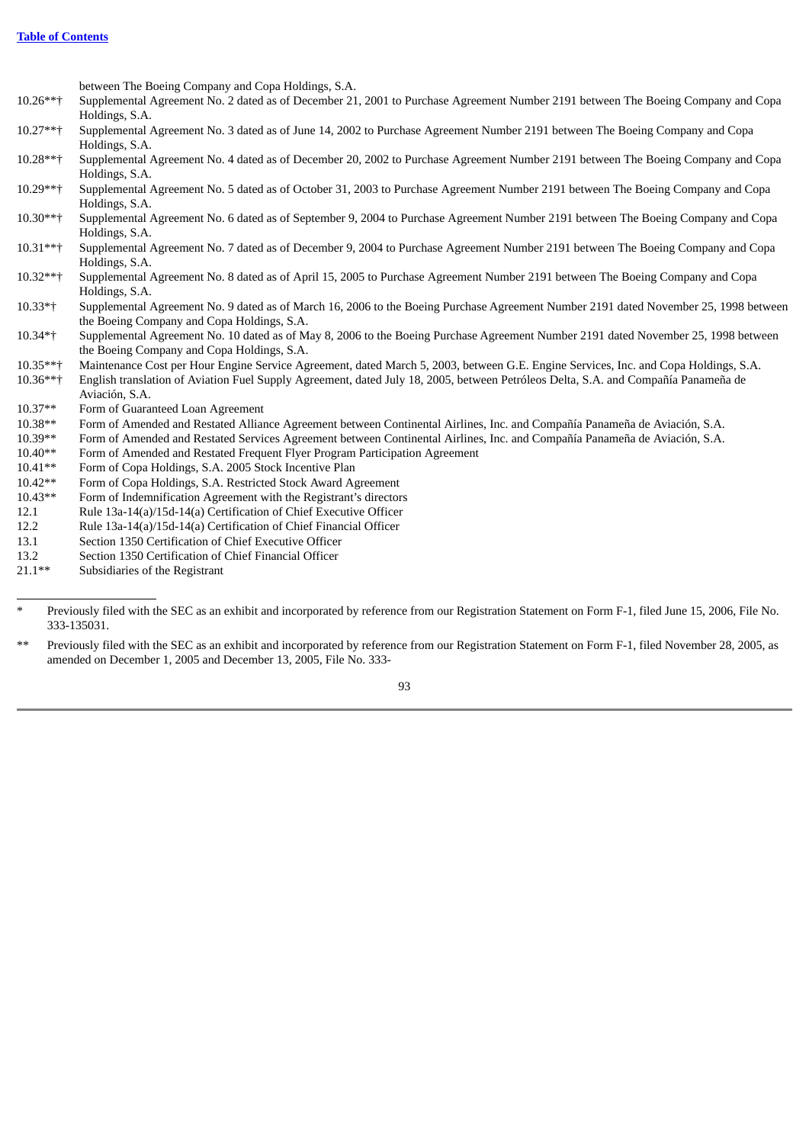between The Boeing Company and Copa Holdings, S.A.

- 10.26\*\*† Supplemental Agreement No. 2 dated as of December 21, 2001 to Purchase Agreement Number 2191 between The Boeing Company and Copa Holdings, S.A.
- 10.27\*\*† Supplemental Agreement No. 3 dated as of June 14, 2002 to Purchase Agreement Number 2191 between The Boeing Company and Copa Holdings, S.A.
- 10.28\*\*† Supplemental Agreement No. 4 dated as of December 20, 2002 to Purchase Agreement Number 2191 between The Boeing Company and Copa Holdings, S.A.
- 10.29\*\*† Supplemental Agreement No. 5 dated as of October 31, 2003 to Purchase Agreement Number 2191 between The Boeing Company and Copa Holdings, S.A.
- 10.30\*\*† Supplemental Agreement No. 6 dated as of September 9, 2004 to Purchase Agreement Number 2191 between The Boeing Company and Copa Holdings, S.A.
- 10.31\*\*† Supplemental Agreement No. 7 dated as of December 9, 2004 to Purchase Agreement Number 2191 between The Boeing Company and Copa Holdings, S.A.
- 10.32\*\*† Supplemental Agreement No. 8 dated as of April 15, 2005 to Purchase Agreement Number 2191 between The Boeing Company and Copa Holdings, S.A.
- 10.33\*† Supplemental Agreement No. 9 dated as of March 16, 2006 to the Boeing Purchase Agreement Number 2191 dated November 25, 1998 between the Boeing Company and Copa Holdings, S.A.
- 10.34\*† Supplemental Agreement No. 10 dated as of May 8, 2006 to the Boeing Purchase Agreement Number 2191 dated November 25, 1998 between the Boeing Company and Copa Holdings, S.A.
- 10.35\*\*† Maintenance Cost per Hour Engine Service Agreement, dated March 5, 2003, between G.E. Engine Services, Inc. and Copa Holdings, S.A.
- 10.36\*\*† English translation of Aviation Fuel Supply Agreement, dated July 18, 2005, between Petróleos Delta, S.A. and Compañía Panameña de Aviación, S.A.
- 10.37\*\* Form of Guaranteed Loan Agreement
- 10.38\*\* Form of Amended and Restated Alliance Agreement between Continental Airlines, Inc. and Compañía Panameña de Aviación, S.A.
- 10.39\*\* Form of Amended and Restated Services Agreement between Continental Airlines, Inc. and Compañía Panameña de Aviación, S.A.
- 10.40\*\* Form of Amended and Restated Frequent Flyer Program Participation Agreement
- 10.41\*\* Form of Copa Holdings, S.A. 2005 Stock Incentive Plan
- 10.42\*\* Form of Copa Holdings, S.A. Restricted Stock Award Agreement
- 10.43\*\* Form of Indemnification Agreement with the Registrant's directors
- 12.1 Rule 13a-14(a)/15d-14(a) Certification of Chief Executive Officer
- 12.2 Rule 13a-14(a)/15d-14(a) Certification of Chief Financial Officer
- 13.1 Section 1350 Certification of Chief Executive Officer
- 13.2 Section 1350 Certification of Chief Financial Officer<br>21.1\*\* Subsidiaries of the Registrant
- Subsidiaries of the Registrant

\*\* Previously filed with the SEC as an exhibit and incorporated by reference from our Registration Statement on Form F-1, filed November 28, 2005, as amended on December 1, 2005 and December 13, 2005, File No. 333-

Previously filed with the SEC as an exhibit and incorporated by reference from our Registration Statement on Form F-1, filed June 15, 2006, File No. 333-135031.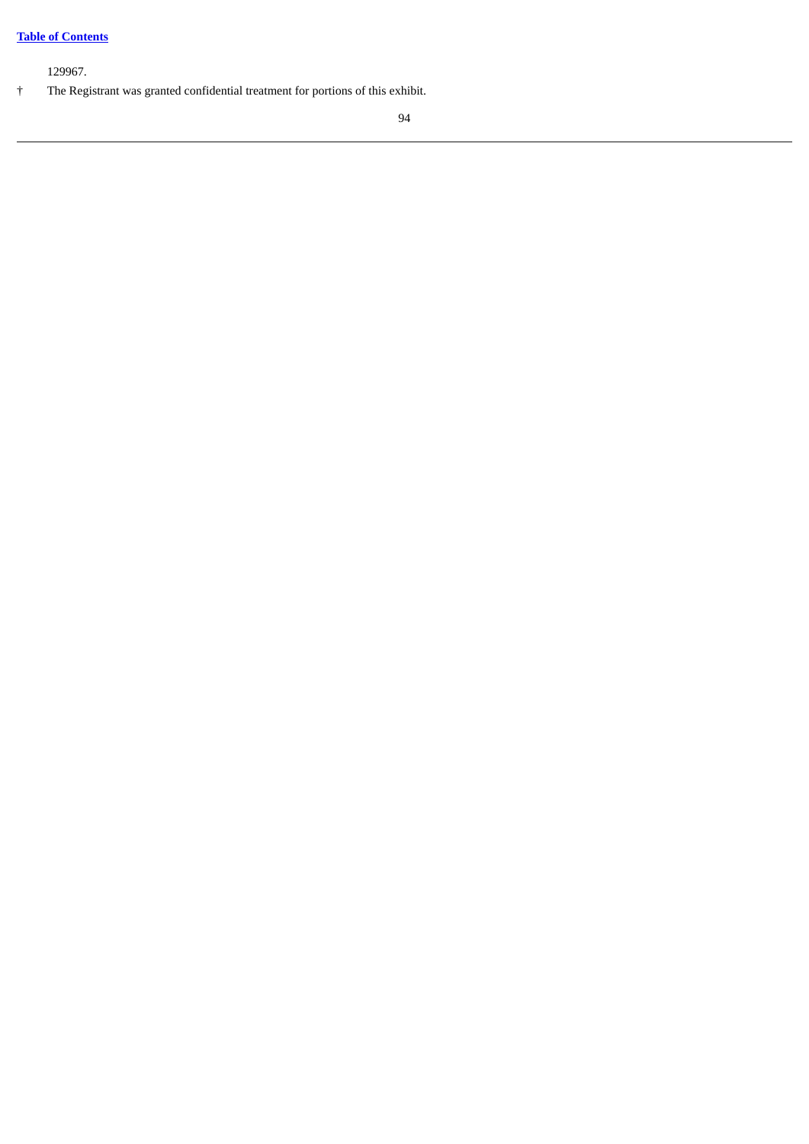# **Table of [Contents](#page-3-0)**

129967.

† The Registrant was granted confidential treatment for portions of this exhibit.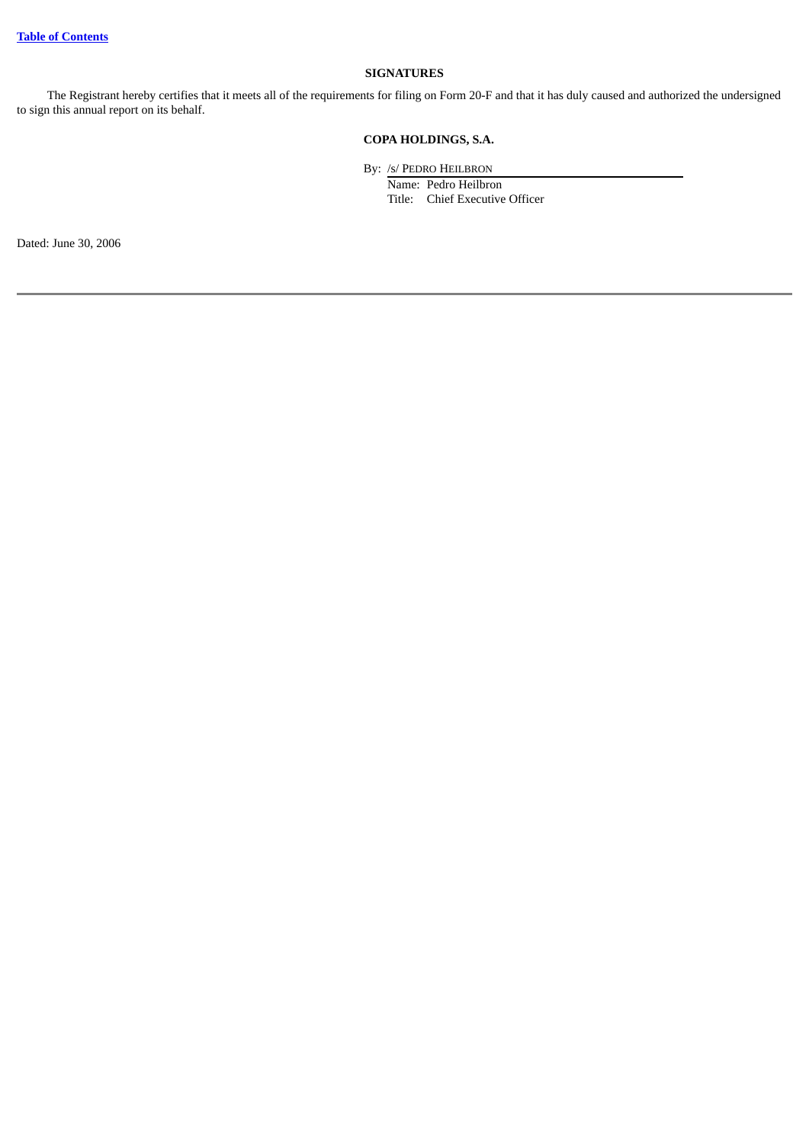# **SIGNATURES**

The Registrant hereby certifies that it meets all of the requirements for filing on Form 20-F and that it has duly caused and authorized the undersigned to sign this annual report on its behalf.

# **COPA HOLDINGS, S.A.**

By: /s/ PEDRO HEILBRON Name: Pedro Heilbron Title: Chief Executive Officer

Dated: June 30, 2006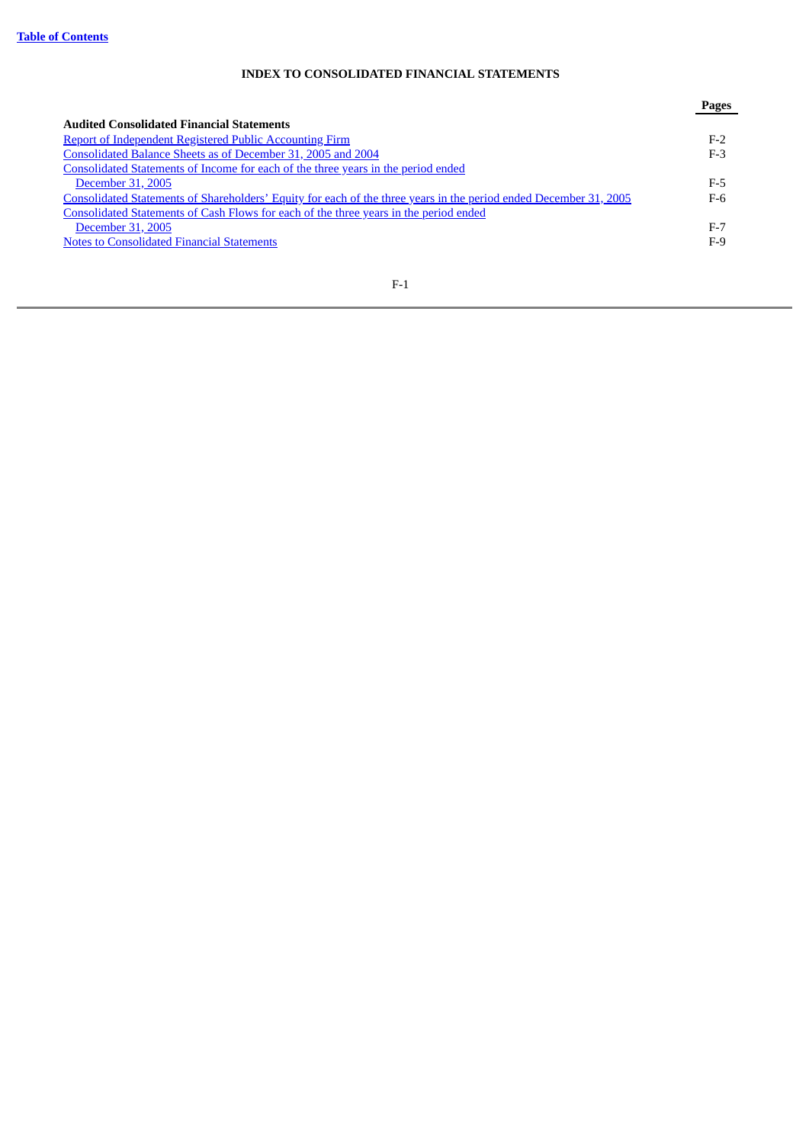# **INDEX TO CONSOLIDATED FINANCIAL STATEMENTS**

|                                                                                                                   | Pages |
|-------------------------------------------------------------------------------------------------------------------|-------|
| <b>Audited Consolidated Financial Statements</b>                                                                  |       |
| Report of Independent Registered Public Accounting Firm                                                           | $F-2$ |
| Consolidated Balance Sheets as of December 31, 2005 and 2004                                                      | F-3   |
| Consolidated Statements of Income for each of the three years in the period ended                                 |       |
| December 31, 2005                                                                                                 | $F-5$ |
| Consolidated Statements of Shareholders' Equity for each of the three years in the period ended December 31, 2005 | F-6   |
| Consolidated Statements of Cash Flows for each of the three years in the period ended                             |       |
| December 31, 2005                                                                                                 | $F-7$ |
| <b>Notes to Consolidated Financial Statements</b>                                                                 | $F-9$ |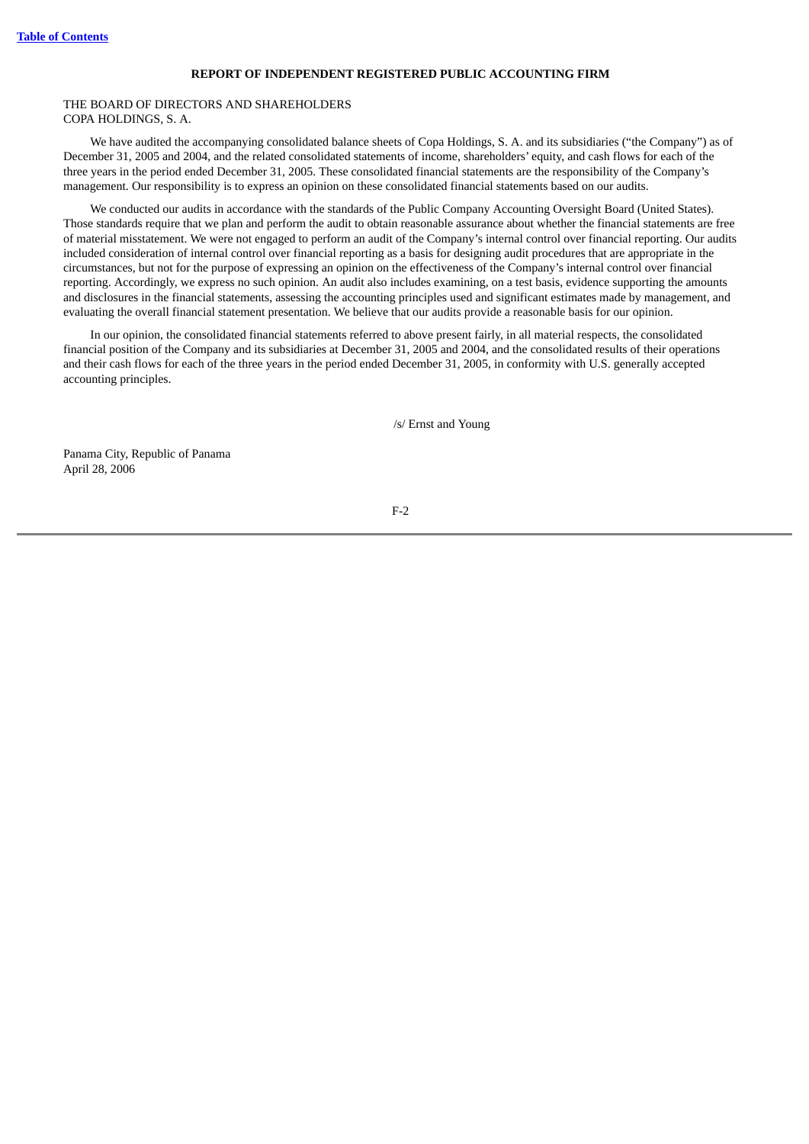#### **REPORT OF INDEPENDENT REGISTERED PUBLIC ACCOUNTING FIRM**

### <span id="page-105-0"></span>THE BOARD OF DIRECTORS AND SHAREHOLDERS COPA HOLDINGS, S. A.

We have audited the accompanying consolidated balance sheets of Copa Holdings, S. A. and its subsidiaries ("the Company") as of December 31, 2005 and 2004, and the related consolidated statements of income, shareholders' equity, and cash flows for each of the three years in the period ended December 31, 2005. These consolidated financial statements are the responsibility of the Company's management. Our responsibility is to express an opinion on these consolidated financial statements based on our audits.

We conducted our audits in accordance with the standards of the Public Company Accounting Oversight Board (United States). Those standards require that we plan and perform the audit to obtain reasonable assurance about whether the financial statements are free of material misstatement. We were not engaged to perform an audit of the Company's internal control over financial reporting. Our audits included consideration of internal control over financial reporting as a basis for designing audit procedures that are appropriate in the circumstances, but not for the purpose of expressing an opinion on the effectiveness of the Company's internal control over financial reporting. Accordingly, we express no such opinion. An audit also includes examining, on a test basis, evidence supporting the amounts and disclosures in the financial statements, assessing the accounting principles used and significant estimates made by management, and evaluating the overall financial statement presentation. We believe that our audits provide a reasonable basis for our opinion.

In our opinion, the consolidated financial statements referred to above present fairly, in all material respects, the consolidated financial position of the Company and its subsidiaries at December 31, 2005 and 2004, and the consolidated results of their operations and their cash flows for each of the three years in the period ended December 31, 2005, in conformity with U.S. generally accepted accounting principles.

/s/ Ernst and Young

Panama City, Republic of Panama April 28, 2006

# F-2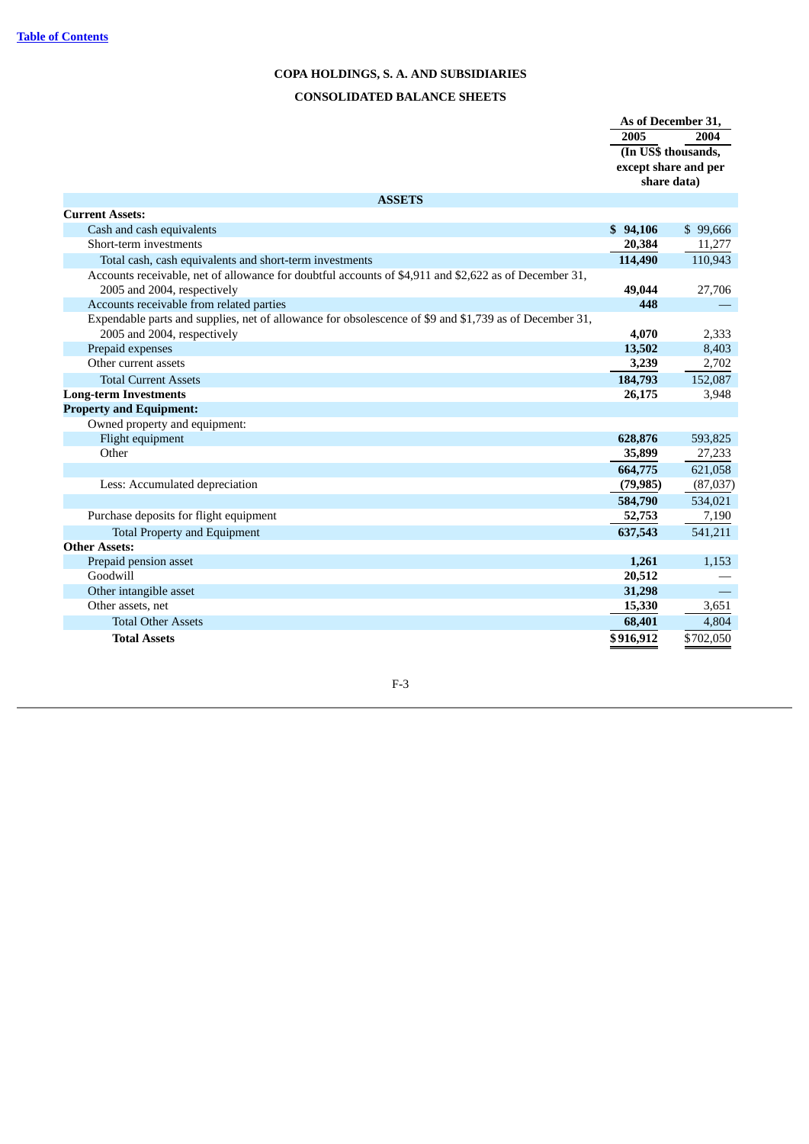# **COPA HOLDINGS, S. A. AND SUBSIDIARIES CONSOLIDATED BALANCE SHEETS**

<span id="page-106-0"></span>

|                                                                                                        | As of December 31,  |                      |
|--------------------------------------------------------------------------------------------------------|---------------------|----------------------|
|                                                                                                        | 2005                | 2004                 |
|                                                                                                        | (In US\$ thousands, |                      |
|                                                                                                        |                     | except share and per |
|                                                                                                        |                     | share data)          |
| <b>ASSETS</b>                                                                                          |                     |                      |
| <b>Current Assets:</b>                                                                                 |                     |                      |
| Cash and cash equivalents                                                                              | \$94,106            | \$99,666             |
| Short-term investments                                                                                 | 20,384              | 11,277               |
| Total cash, cash equivalents and short-term investments                                                | 114,490             | 110,943              |
| Accounts receivable, net of allowance for doubtful accounts of \$4,911 and \$2,622 as of December 31,  |                     |                      |
| 2005 and 2004, respectively                                                                            | 49,044              | 27,706               |
| Accounts receivable from related parties                                                               | 448                 |                      |
| Expendable parts and supplies, net of allowance for obsolescence of \$9 and \$1,739 as of December 31, |                     |                      |
| 2005 and 2004, respectively                                                                            | 4,070               | 2,333                |
| Prepaid expenses                                                                                       | 13,502              | 8,403                |
| Other current assets                                                                                   | 3,239               | 2,702                |
| <b>Total Current Assets</b>                                                                            | 184,793             | 152,087              |
| <b>Long-term Investments</b>                                                                           | 26,175              | 3,948                |
| <b>Property and Equipment:</b>                                                                         |                     |                      |
| Owned property and equipment:                                                                          |                     |                      |
| Flight equipment                                                                                       | 628,876             | 593,825              |
| Other                                                                                                  | 35,899              | 27,233               |
|                                                                                                        | 664,775             | 621,058              |
| Less: Accumulated depreciation                                                                         | (79, 985)           | (87,037)             |
|                                                                                                        | 584,790             | 534,021              |
| Purchase deposits for flight equipment                                                                 | 52,753              | 7,190                |
| <b>Total Property and Equipment</b>                                                                    | 637,543             | 541,211              |
| <b>Other Assets:</b>                                                                                   |                     |                      |
| Prepaid pension asset                                                                                  | 1,261               | 1,153                |
| Goodwill                                                                                               | 20,512              |                      |
| Other intangible asset                                                                                 | 31,298              |                      |
| Other assets, net                                                                                      | 15,330              | 3,651                |
| <b>Total Other Assets</b>                                                                              | 68,401              | 4,804                |
| <b>Total Assets</b>                                                                                    | \$916,912           | \$702,050            |

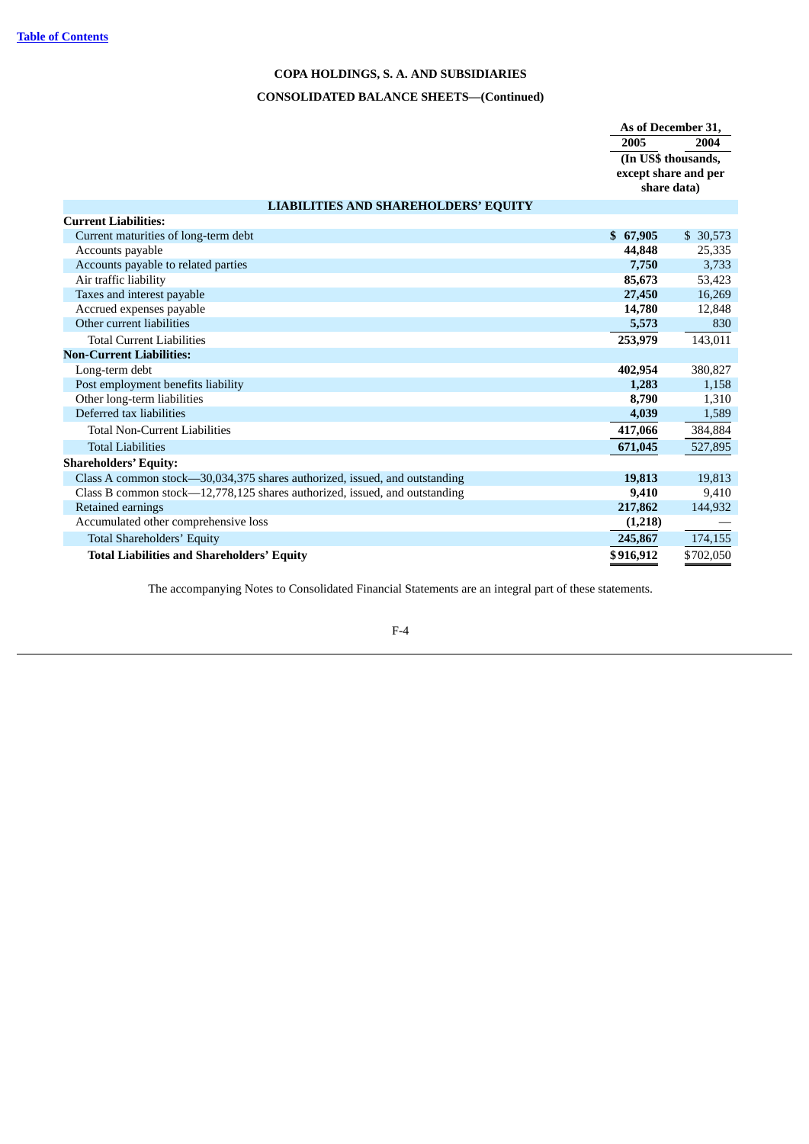# **COPA HOLDINGS, S. A. AND SUBSIDIARIES**

# **CONSOLIDATED BALANCE SHEETS—(Continued)**

|                                                                            | As of December 31.                                         |           |
|----------------------------------------------------------------------------|------------------------------------------------------------|-----------|
|                                                                            | 2005                                                       | 2004      |
|                                                                            | (In US\$ thousands,<br>except share and per<br>share data) |           |
| <b>LIABILITIES AND SHAREHOLDERS' EQUITY</b>                                |                                                            |           |
| <b>Current Liabilities:</b>                                                |                                                            |           |
| Current maturities of long-term debt                                       | \$67,905                                                   | \$30,573  |
| Accounts payable                                                           | 44,848                                                     | 25,335    |
| Accounts payable to related parties                                        | 7,750                                                      | 3,733     |
| Air traffic liability                                                      | 85,673                                                     | 53,423    |
| Taxes and interest payable                                                 | 27,450                                                     | 16,269    |
| Accrued expenses payable                                                   | 14,780                                                     | 12,848    |
| Other current liabilities                                                  | 5,573                                                      | 830       |
| <b>Total Current Liabilities</b>                                           | 253,979                                                    | 143,011   |
| <b>Non-Current Liabilities:</b>                                            |                                                            |           |
| Long-term debt                                                             | 402,954                                                    | 380,827   |
| Post employment benefits liability                                         | 1,283                                                      | 1,158     |
| Other long-term liabilities                                                | 8,790                                                      | 1,310     |
| Deferred tax liabilities                                                   | 4,039                                                      | 1,589     |
| <b>Total Non-Current Liabilities</b>                                       | 417,066                                                    | 384,884   |
| <b>Total Liabilities</b>                                                   | 671,045                                                    | 527,895   |
| <b>Shareholders' Equity:</b>                                               |                                                            |           |
| Class A common stock—30,034,375 shares authorized, issued, and outstanding | 19,813                                                     | 19,813    |
| Class B common stock—12,778,125 shares authorized, issued, and outstanding | 9.410                                                      | 9,410     |
| Retained earnings                                                          | 217,862                                                    | 144,932   |
| Accumulated other comprehensive loss                                       | (1,218)                                                    |           |
| Total Shareholders' Equity                                                 | 245,867                                                    | 174,155   |
| <b>Total Liabilities and Shareholders' Equity</b>                          | \$916,912                                                  | \$702,050 |

The accompanying Notes to Consolidated Financial Statements are an integral part of these statements.

# F-4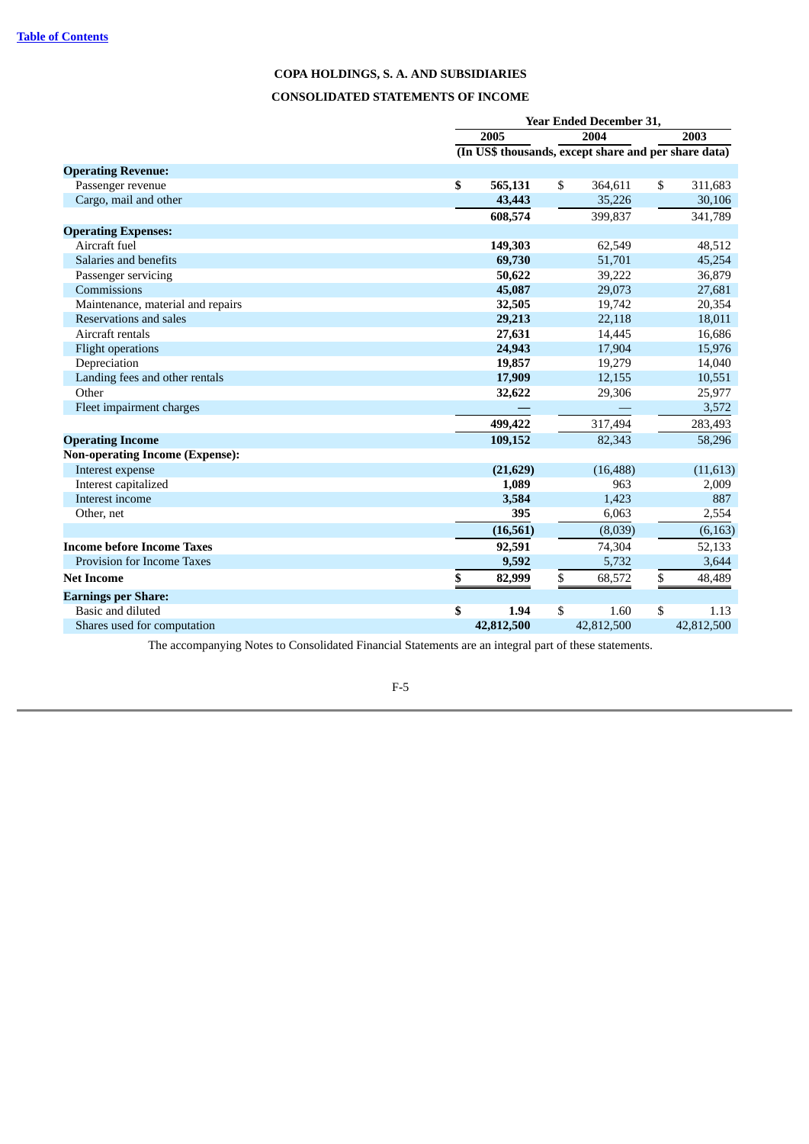# **CONSOLIDATED STATEMENTS OF INCOME**

|                                        | Year Ended December 31, |    |                                                      |    |            |  |
|----------------------------------------|-------------------------|----|------------------------------------------------------|----|------------|--|
|                                        | 2005                    |    | 2004                                                 |    | 2003       |  |
|                                        |                         |    | (In US\$ thousands, except share and per share data) |    |            |  |
| <b>Operating Revenue:</b>              |                         |    |                                                      |    |            |  |
| Passenger revenue                      | \$<br>565,131           | \$ | 364,611                                              | \$ | 311,683    |  |
| Cargo, mail and other                  | 43,443                  |    | 35,226                                               |    | 30,106     |  |
|                                        | 608,574                 |    | 399,837                                              |    | 341,789    |  |
| <b>Operating Expenses:</b>             |                         |    |                                                      |    |            |  |
| Aircraft fuel                          | 149,303                 |    | 62,549                                               |    | 48,512     |  |
| Salaries and benefits                  | 69,730                  |    | 51,701                                               |    | 45,254     |  |
| Passenger servicing                    | 50,622                  |    | 39,222                                               |    | 36,879     |  |
| Commissions                            | 45,087                  |    | 29,073                                               |    | 27,681     |  |
| Maintenance, material and repairs      | 32,505                  |    | 19,742                                               |    | 20,354     |  |
| Reservations and sales                 | 29,213                  |    | 22,118                                               |    | 18,011     |  |
| Aircraft rentals                       | 27,631                  |    | 14,445                                               |    | 16,686     |  |
| <b>Flight operations</b>               | 24,943                  |    | 17,904                                               |    | 15,976     |  |
| Depreciation                           | 19,857                  |    | 19,279                                               |    | 14,040     |  |
| Landing fees and other rentals         | 17,909                  |    | 12,155                                               |    | 10,551     |  |
| Other                                  | 32,622                  |    | 29,306                                               |    | 25,977     |  |
| Fleet impairment charges               |                         |    |                                                      |    | 3,572      |  |
|                                        | 499,422                 |    | 317,494                                              |    | 283,493    |  |
| <b>Operating Income</b>                | 109,152                 |    | 82,343                                               |    | 58,296     |  |
| <b>Non-operating Income (Expense):</b> |                         |    |                                                      |    |            |  |
| Interest expense                       | (21, 629)               |    | (16, 488)                                            |    | (11, 613)  |  |
| Interest capitalized                   | 1,089                   |    | 963                                                  |    | 2,009      |  |
| Interest income                        | 3,584                   |    | 1,423                                                |    | 887        |  |
| Other, net                             | 395                     |    | 6,063                                                |    | 2,554      |  |
|                                        | (16, 561)               |    | (8,039)                                              |    | (6, 163)   |  |
| <b>Income before Income Taxes</b>      | 92,591                  |    | 74,304                                               |    | 52,133     |  |
| Provision for Income Taxes             | 9,592                   |    | 5,732                                                |    | 3,644      |  |
| <b>Net Income</b>                      | \$<br>82,999            | \$ | 68,572                                               | \$ | 48,489     |  |
| <b>Earnings per Share:</b>             |                         |    |                                                      |    |            |  |
| Basic and diluted                      | \$<br>1.94              | \$ | 1.60                                                 | \$ | 1.13       |  |
| Shares used for computation            | 42,812,500              |    | 42,812,500                                           |    | 42,812,500 |  |

The accompanying Notes to Consolidated Financial Statements are an integral part of these statements.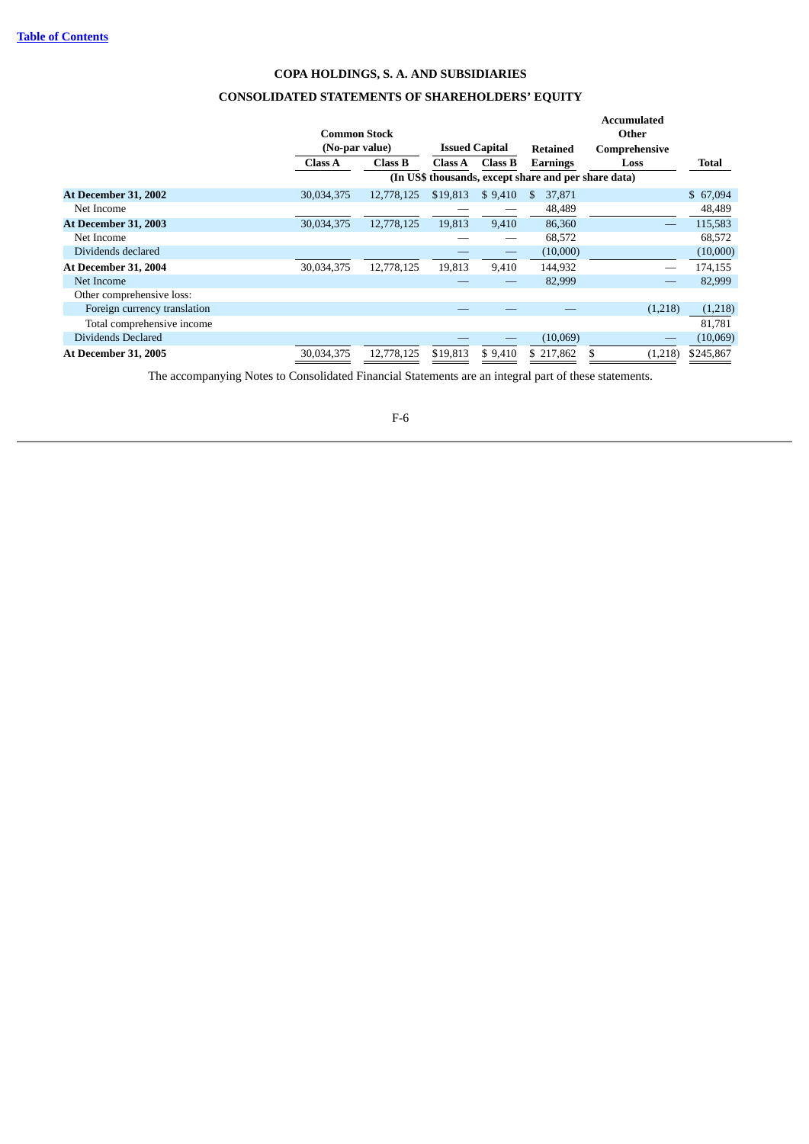# **COPA HOLDINGS, S. A. AND SUBSIDIARIES CONSOLIDATED STATEMENTS OF SHAREHOLDERS' EQUITY**

**Accumulated**

|                              |                     |                                         |                |                 |                                                      | Accumulated |           |
|------------------------------|---------------------|-----------------------------------------|----------------|-----------------|------------------------------------------------------|-------------|-----------|
|                              | <b>Common Stock</b> |                                         |                |                 |                                                      | Other       |           |
|                              |                     | <b>Issued Capital</b><br>(No-par value) |                | <b>Retained</b> | Comprehensive                                        |             |           |
|                              | Class A             | Class B                                 | <b>Class A</b> | Class B         | <b>Earnings</b>                                      | Loss        | Total     |
|                              |                     |                                         |                |                 | (In US\$ thousands, except share and per share data) |             |           |
| At December 31, 2002         | 30,034,375          | 12,778,125                              | \$19,813       | \$9,410         | 37,871<br>-SS                                        |             | \$67,094  |
| Net Income                   |                     |                                         |                |                 | 48,489                                               |             | 48,489    |
| <b>At December 31, 2003</b>  | 30,034,375          | 12,778,125                              | 19,813         | 9,410           | 86,360                                               |             | 115,583   |
| Net Income                   |                     |                                         |                |                 | 68,572                                               |             | 68,572    |
| Dividends declared           |                     |                                         |                |                 | (10,000)                                             |             | (10,000)  |
| At December 31, 2004         | 30,034,375          | 12,778,125                              | 19,813         | 9,410           | 144,932                                              |             | 174,155   |
| Net Income                   |                     |                                         |                |                 | 82,999                                               |             | 82,999    |
| Other comprehensive loss:    |                     |                                         |                |                 |                                                      |             |           |
| Foreign currency translation |                     |                                         |                |                 |                                                      | (1,218)     | (1,218)   |
| Total comprehensive income   |                     |                                         |                |                 |                                                      |             | 81,781    |
| Dividends Declared           |                     |                                         |                |                 | (10,069)                                             |             | (10,069)  |
| <b>At December 31, 2005</b>  | 30,034,375          | 12,778,125                              | \$19,813       | \$9,410         | \$217,862                                            | (1,218)     | \$245,867 |

The accompanying Notes to Consolidated Financial Statements are an integral part of these statements.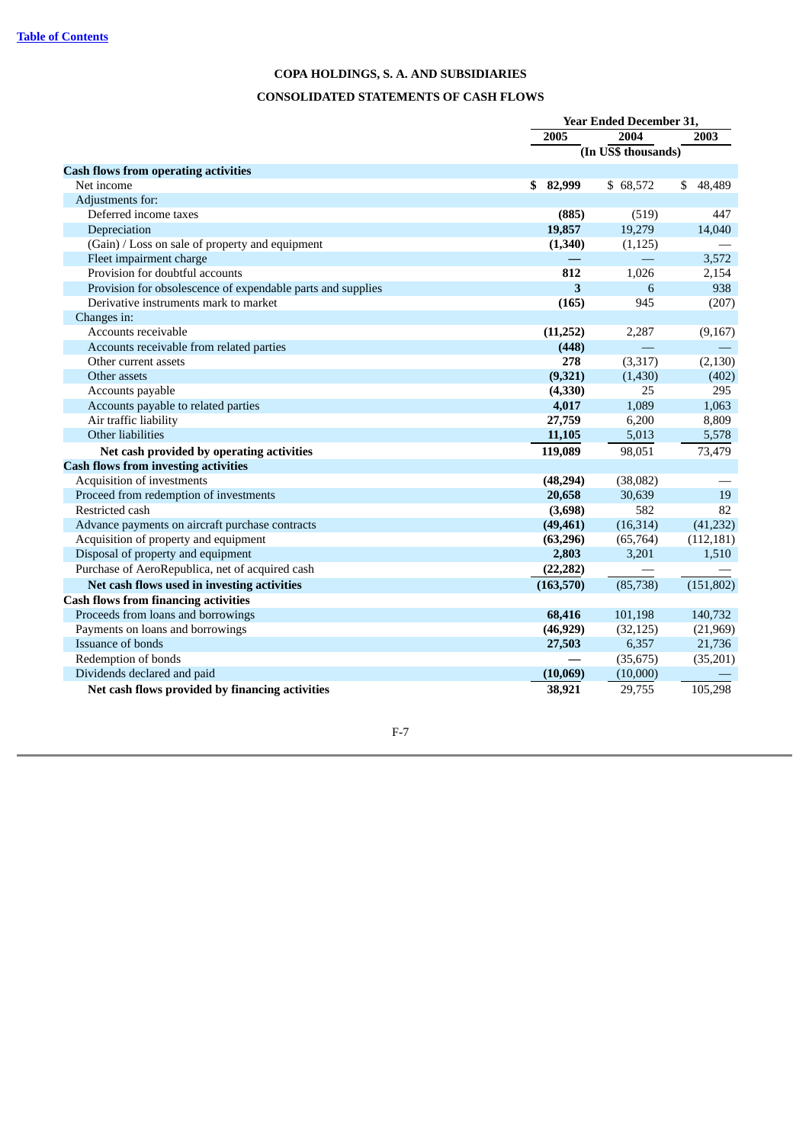# **CONSOLIDATED STATEMENTS OF CASH FLOWS**

|                                                             |            | <b>Year Ended December 31,</b> |              |  |  |
|-------------------------------------------------------------|------------|--------------------------------|--------------|--|--|
|                                                             | 2005       | 2004                           | 2003         |  |  |
|                                                             |            | (In US\$ thousands)            |              |  |  |
| <b>Cash flows from operating activities</b>                 |            |                                |              |  |  |
| Net income                                                  | \$82,999   | \$68,572                       | 48,489<br>\$ |  |  |
| Adjustments for:                                            |            |                                |              |  |  |
| Deferred income taxes                                       | (885)      | (519)                          | 447          |  |  |
| Depreciation                                                | 19,857     | 19,279                         | 14,040       |  |  |
| (Gain) / Loss on sale of property and equipment             | (1,340)    | (1, 125)                       |              |  |  |
| Fleet impairment charge                                     |            |                                | 3,572        |  |  |
| Provision for doubtful accounts                             | 812        | 1,026                          | 2,154        |  |  |
| Provision for obsolescence of expendable parts and supplies | 3          | 6                              | 938          |  |  |
| Derivative instruments mark to market                       | (165)      | 945                            | (207)        |  |  |
| Changes in:                                                 |            |                                |              |  |  |
| Accounts receivable                                         | (11,252)   | 2,287                          | (9,167)      |  |  |
| Accounts receivable from related parties                    | (448)      |                                |              |  |  |
| Other current assets                                        | 278        | (3,317)                        | (2, 130)     |  |  |
| Other assets                                                | (9, 321)   | (1,430)                        | (402)        |  |  |
| Accounts payable                                            | (4, 330)   | 25                             | 295          |  |  |
| Accounts payable to related parties                         | 4,017      | 1,089                          | 1,063        |  |  |
| Air traffic liability                                       | 27,759     | 6,200                          | 8,809        |  |  |
| Other liabilities                                           | 11,105     | 5,013                          | 5,578        |  |  |
| Net cash provided by operating activities                   | 119,089    | 98,051                         | 73,479       |  |  |
| <b>Cash flows from investing activities</b>                 |            |                                |              |  |  |
| Acquisition of investments                                  | (48, 294)  | (38,082)                       |              |  |  |
| Proceed from redemption of investments                      | 20,658     | 30,639                         | 19           |  |  |
| Restricted cash                                             | (3,698)    | 582                            | 82           |  |  |
| Advance payments on aircraft purchase contracts             | (49, 461)  | (16, 314)                      | (41,232)     |  |  |
| Acquisition of property and equipment                       | (63, 296)  | (65, 764)                      | (112, 181)   |  |  |
| Disposal of property and equipment                          | 2,803      | 3,201                          | 1,510        |  |  |
| Purchase of AeroRepublica, net of acquired cash             | (22, 282)  |                                |              |  |  |
| Net cash flows used in investing activities                 | (163, 570) | (85,738)                       | (151, 802)   |  |  |
| <b>Cash flows from financing activities</b>                 |            |                                |              |  |  |
| Proceeds from loans and borrowings                          | 68,416     | 101,198                        | 140,732      |  |  |
| Payments on loans and borrowings                            | (46, 929)  | (32, 125)                      | (21,969)     |  |  |
| Issuance of bonds                                           | 27,503     | 6,357                          | 21,736       |  |  |
| Redemption of bonds                                         |            | (35, 675)                      | (35,201)     |  |  |
| Dividends declared and paid                                 | (10,069)   | (10,000)                       |              |  |  |
| Net cash flows provided by financing activities             | 38,921     | 29,755                         | 105,298      |  |  |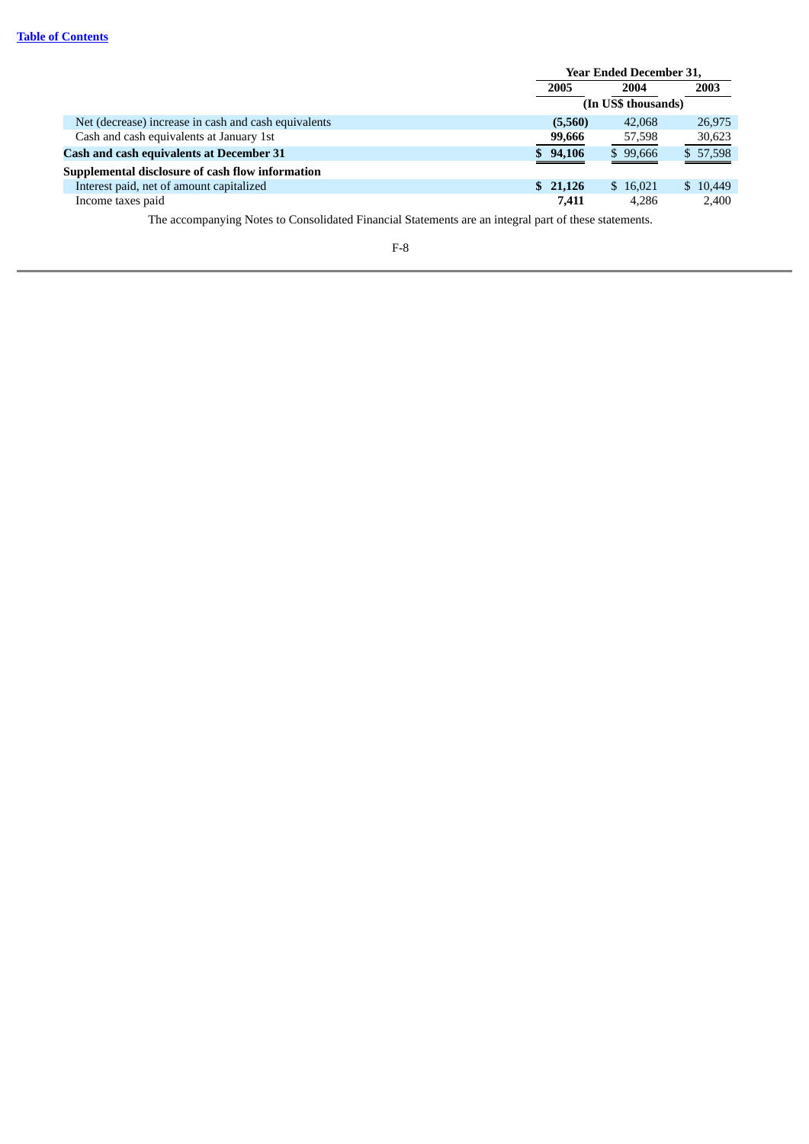|                                                      | <b>Year Ended December 31,</b> |          |          |  |
|------------------------------------------------------|--------------------------------|----------|----------|--|
|                                                      | 2005                           | 2004     | 2003     |  |
|                                                      | (In US\$ thousands)            |          |          |  |
| Net (decrease) increase in cash and cash equivalents | (5,560)                        | 42,068   | 26,975   |  |
| Cash and cash equivalents at January 1st             | 99,666                         | 57,598   | 30,623   |  |
| <b>Cash and cash equivalents at December 31</b>      | \$94,106                       | \$99,666 | \$57,598 |  |
| Supplemental disclosure of cash flow information     |                                |          |          |  |
| Interest paid, net of amount capitalized             | \$21,126                       | \$16,021 | \$10,449 |  |
| Income taxes paid                                    | 7,411                          | 4,286    | 2,400    |  |

The accompanying Notes to Consolidated Financial Statements are an integral part of these statements.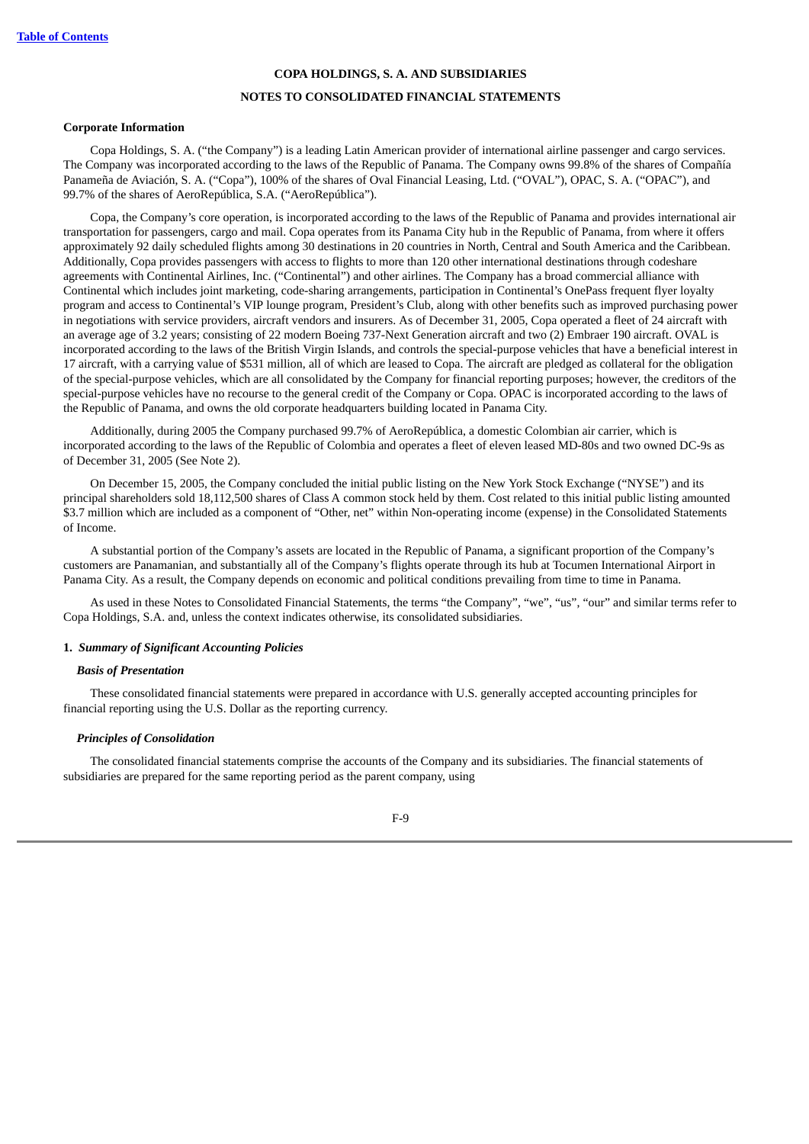# **NOTES TO CONSOLIDATED FINANCIAL STATEMENTS**

#### **Corporate Information**

Copa Holdings, S. A. ("the Company") is a leading Latin American provider of international airline passenger and cargo services. The Company was incorporated according to the laws of the Republic of Panama. The Company owns 99.8% of the shares of Compañía Panameña de Aviación, S. A. ("Copa"), 100% of the shares of Oval Financial Leasing, Ltd. ("OVAL"), OPAC, S. A. ("OPAC"), and 99.7% of the shares of AeroRepública, S.A. ("AeroRepública").

Copa, the Company's core operation, is incorporated according to the laws of the Republic of Panama and provides international air transportation for passengers, cargo and mail. Copa operates from its Panama City hub in the Republic of Panama, from where it offers approximately 92 daily scheduled flights among 30 destinations in 20 countries in North, Central and South America and the Caribbean. Additionally, Copa provides passengers with access to flights to more than 120 other international destinations through codeshare agreements with Continental Airlines, Inc. ("Continental") and other airlines. The Company has a broad commercial alliance with Continental which includes joint marketing, code-sharing arrangements, participation in Continental's OnePass frequent flyer loyalty program and access to Continental's VIP lounge program, President's Club, along with other benefits such as improved purchasing power in negotiations with service providers, aircraft vendors and insurers. As of December 31, 2005, Copa operated a fleet of 24 aircraft with an average age of 3.2 years; consisting of 22 modern Boeing 737-Next Generation aircraft and two (2) Embraer 190 aircraft. OVAL is incorporated according to the laws of the British Virgin Islands, and controls the special-purpose vehicles that have a beneficial interest in 17 aircraft, with a carrying value of \$531 million, all of which are leased to Copa. The aircraft are pledged as collateral for the obligation of the special-purpose vehicles, which are all consolidated by the Company for financial reporting purposes; however, the creditors of the special-purpose vehicles have no recourse to the general credit of the Company or Copa. OPAC is incorporated according to the laws of the Republic of Panama, and owns the old corporate headquarters building located in Panama City.

Additionally, during 2005 the Company purchased 99.7% of AeroRepública, a domestic Colombian air carrier, which is incorporated according to the laws of the Republic of Colombia and operates a fleet of eleven leased MD-80s and two owned DC-9s as of December 31, 2005 (See Note 2).

On December 15, 2005, the Company concluded the initial public listing on the New York Stock Exchange ("NYSE") and its principal shareholders sold 18,112,500 shares of Class A common stock held by them. Cost related to this initial public listing amounted \$3.7 million which are included as a component of "Other, net" within Non-operating income (expense) in the Consolidated Statements of Income.

A substantial portion of the Company's assets are located in the Republic of Panama, a significant proportion of the Company's customers are Panamanian, and substantially all of the Company's flights operate through its hub at Tocumen International Airport in Panama City. As a result, the Company depends on economic and political conditions prevailing from time to time in Panama.

As used in these Notes to Consolidated Financial Statements, the terms "the Company", "we", "us", "our" and similar terms refer to Copa Holdings, S.A. and, unless the context indicates otherwise, its consolidated subsidiaries.

#### **1.** *Summary of Significant Accounting Policies*

#### *Basis of Presentation*

These consolidated financial statements were prepared in accordance with U.S. generally accepted accounting principles for financial reporting using the U.S. Dollar as the reporting currency.

#### *Principles of Consolidation*

The consolidated financial statements comprise the accounts of the Company and its subsidiaries. The financial statements of subsidiaries are prepared for the same reporting period as the parent company, using

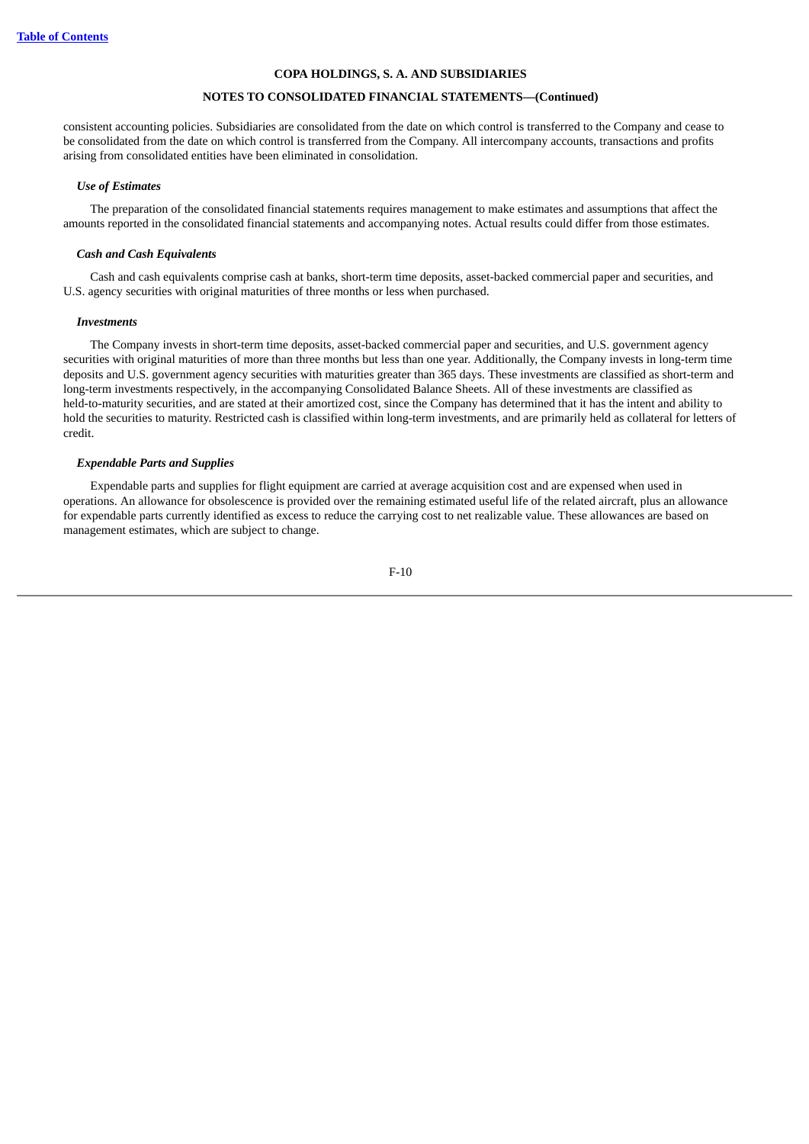## **NOTES TO CONSOLIDATED FINANCIAL STATEMENTS—(Continued)**

consistent accounting policies. Subsidiaries are consolidated from the date on which control is transferred to the Company and cease to be consolidated from the date on which control is transferred from the Company. All intercompany accounts, transactions and profits arising from consolidated entities have been eliminated in consolidation.

#### *Use of Estimates*

The preparation of the consolidated financial statements requires management to make estimates and assumptions that affect the amounts reported in the consolidated financial statements and accompanying notes. Actual results could differ from those estimates.

#### *Cash and Cash Equivalents*

Cash and cash equivalents comprise cash at banks, short-term time deposits, asset-backed commercial paper and securities, and U.S. agency securities with original maturities of three months or less when purchased.

#### *Investments*

The Company invests in short-term time deposits, asset-backed commercial paper and securities, and U.S. government agency securities with original maturities of more than three months but less than one year. Additionally, the Company invests in long-term time deposits and U.S. government agency securities with maturities greater than 365 days. These investments are classified as short-term and long-term investments respectively, in the accompanying Consolidated Balance Sheets. All of these investments are classified as held-to-maturity securities, and are stated at their amortized cost, since the Company has determined that it has the intent and ability to hold the securities to maturity. Restricted cash is classified within long-term investments, and are primarily held as collateral for letters of credit.

#### *Expendable Parts and Supplies*

Expendable parts and supplies for flight equipment are carried at average acquisition cost and are expensed when used in operations. An allowance for obsolescence is provided over the remaining estimated useful life of the related aircraft, plus an allowance for expendable parts currently identified as excess to reduce the carrying cost to net realizable value. These allowances are based on management estimates, which are subject to change.

$$
F-10
$$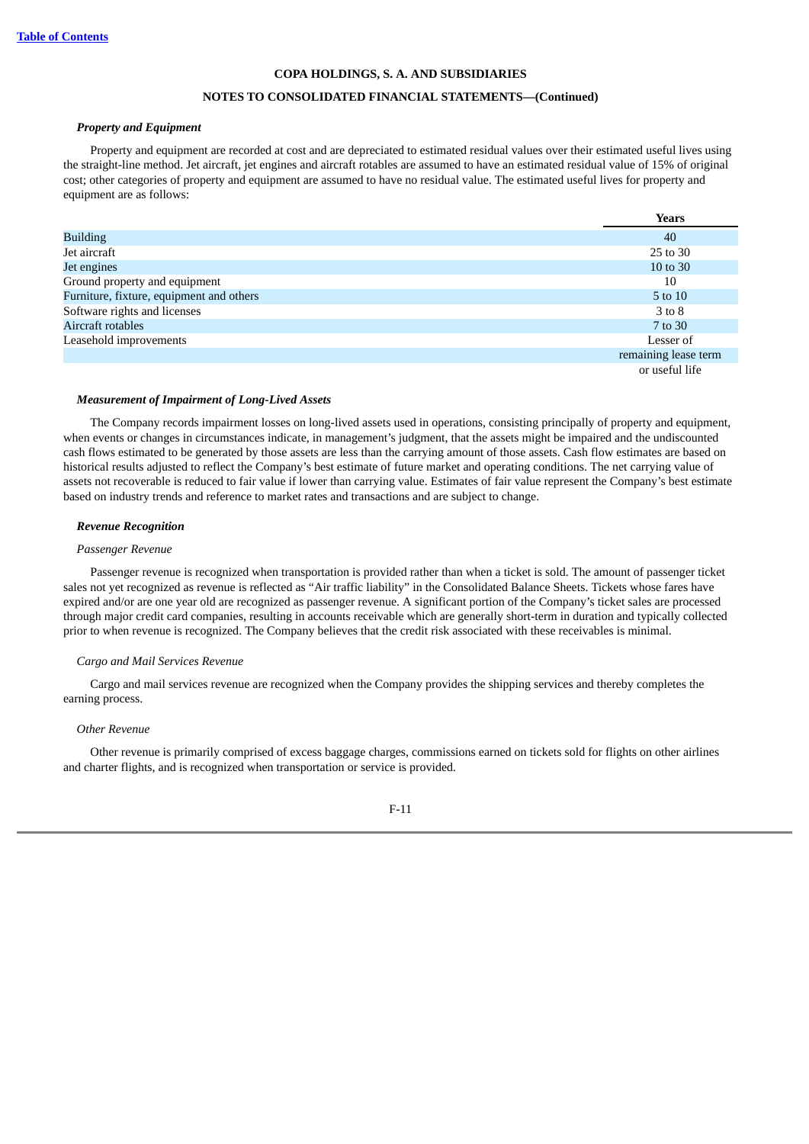# **NOTES TO CONSOLIDATED FINANCIAL STATEMENTS—(Continued)**

## *Property and Equipment*

Property and equipment are recorded at cost and are depreciated to estimated residual values over their estimated useful lives using the straight-line method. Jet aircraft, jet engines and aircraft rotables are assumed to have an estimated residual value of 15% of original cost; other categories of property and equipment are assumed to have no residual value. The estimated useful lives for property and equipment are as follows:

|                                          | <b>Years</b>         |
|------------------------------------------|----------------------|
| <b>Building</b>                          | 40                   |
| Jet aircraft                             | 25 to 30             |
| Jet engines                              | 10 to 30             |
| Ground property and equipment            | 10                   |
| Furniture, fixture, equipment and others | 5 to 10              |
| Software rights and licenses             | 3 to 8               |
| Aircraft rotables                        | 7 to 30              |
| Leasehold improvements                   | Lesser of            |
|                                          | remaining lease term |
|                                          | or useful life       |

## *Measurement of Impairment of Long-Lived Assets*

The Company records impairment losses on long-lived assets used in operations, consisting principally of property and equipment, when events or changes in circumstances indicate, in management's judgment, that the assets might be impaired and the undiscounted cash flows estimated to be generated by those assets are less than the carrying amount of those assets. Cash flow estimates are based on historical results adjusted to reflect the Company's best estimate of future market and operating conditions. The net carrying value of assets not recoverable is reduced to fair value if lower than carrying value. Estimates of fair value represent the Company's best estimate based on industry trends and reference to market rates and transactions and are subject to change.

#### *Revenue Recognition*

#### *Passenger Revenue*

Passenger revenue is recognized when transportation is provided rather than when a ticket is sold. The amount of passenger ticket sales not yet recognized as revenue is reflected as "Air traffic liability" in the Consolidated Balance Sheets. Tickets whose fares have expired and/or are one year old are recognized as passenger revenue. A significant portion of the Company's ticket sales are processed through major credit card companies, resulting in accounts receivable which are generally short-term in duration and typically collected prior to when revenue is recognized. The Company believes that the credit risk associated with these receivables is minimal.

#### *Cargo and Mail Services Revenue*

Cargo and mail services revenue are recognized when the Company provides the shipping services and thereby completes the earning process.

#### *Other Revenue*

Other revenue is primarily comprised of excess baggage charges, commissions earned on tickets sold for flights on other airlines and charter flights, and is recognized when transportation or service is provided.

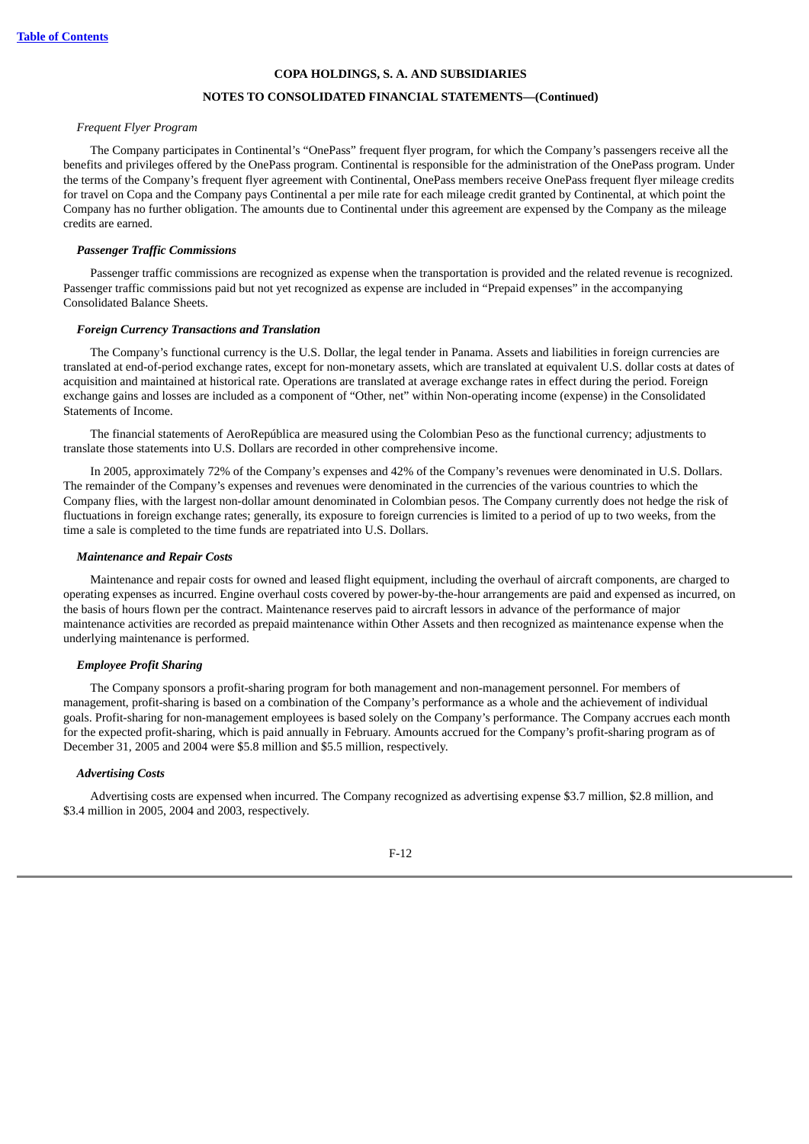#### **NOTES TO CONSOLIDATED FINANCIAL STATEMENTS—(Continued)**

## *Frequent Flyer Program*

The Company participates in Continental's "OnePass" frequent flyer program, for which the Company's passengers receive all the benefits and privileges offered by the OnePass program. Continental is responsible for the administration of the OnePass program. Under the terms of the Company's frequent flyer agreement with Continental, OnePass members receive OnePass frequent flyer mileage credits for travel on Copa and the Company pays Continental a per mile rate for each mileage credit granted by Continental, at which point the Company has no further obligation. The amounts due to Continental under this agreement are expensed by the Company as the mileage credits are earned.

#### *Passenger Traffic Commissions*

Passenger traffic commissions are recognized as expense when the transportation is provided and the related revenue is recognized. Passenger traffic commissions paid but not yet recognized as expense are included in "Prepaid expenses" in the accompanying Consolidated Balance Sheets.

#### *Foreign Currency Transactions and Translation*

The Company's functional currency is the U.S. Dollar, the legal tender in Panama. Assets and liabilities in foreign currencies are translated at end-of-period exchange rates, except for non-monetary assets, which are translated at equivalent U.S. dollar costs at dates of acquisition and maintained at historical rate. Operations are translated at average exchange rates in effect during the period. Foreign exchange gains and losses are included as a component of "Other, net" within Non-operating income (expense) in the Consolidated Statements of Income.

The financial statements of AeroRepública are measured using the Colombian Peso as the functional currency; adjustments to translate those statements into U.S. Dollars are recorded in other comprehensive income.

In 2005, approximately 72% of the Company's expenses and 42% of the Company's revenues were denominated in U.S. Dollars. The remainder of the Company's expenses and revenues were denominated in the currencies of the various countries to which the Company flies, with the largest non-dollar amount denominated in Colombian pesos. The Company currently does not hedge the risk of fluctuations in foreign exchange rates; generally, its exposure to foreign currencies is limited to a period of up to two weeks, from the time a sale is completed to the time funds are repatriated into U.S. Dollars.

#### *Maintenance and Repair Costs*

Maintenance and repair costs for owned and leased flight equipment, including the overhaul of aircraft components, are charged to operating expenses as incurred. Engine overhaul costs covered by power-by-the-hour arrangements are paid and expensed as incurred, on the basis of hours flown per the contract. Maintenance reserves paid to aircraft lessors in advance of the performance of major maintenance activities are recorded as prepaid maintenance within Other Assets and then recognized as maintenance expense when the underlying maintenance is performed.

#### *Employee Profit Sharing*

The Company sponsors a profit-sharing program for both management and non-management personnel. For members of management, profit-sharing is based on a combination of the Company's performance as a whole and the achievement of individual goals. Profit-sharing for non-management employees is based solely on the Company's performance. The Company accrues each month for the expected profit-sharing, which is paid annually in February. Amounts accrued for the Company's profit-sharing program as of December 31, 2005 and 2004 were \$5.8 million and \$5.5 million, respectively.

#### *Advertising Costs*

Advertising costs are expensed when incurred. The Company recognized as advertising expense \$3.7 million, \$2.8 million, and \$3.4 million in 2005, 2004 and 2003, respectively.

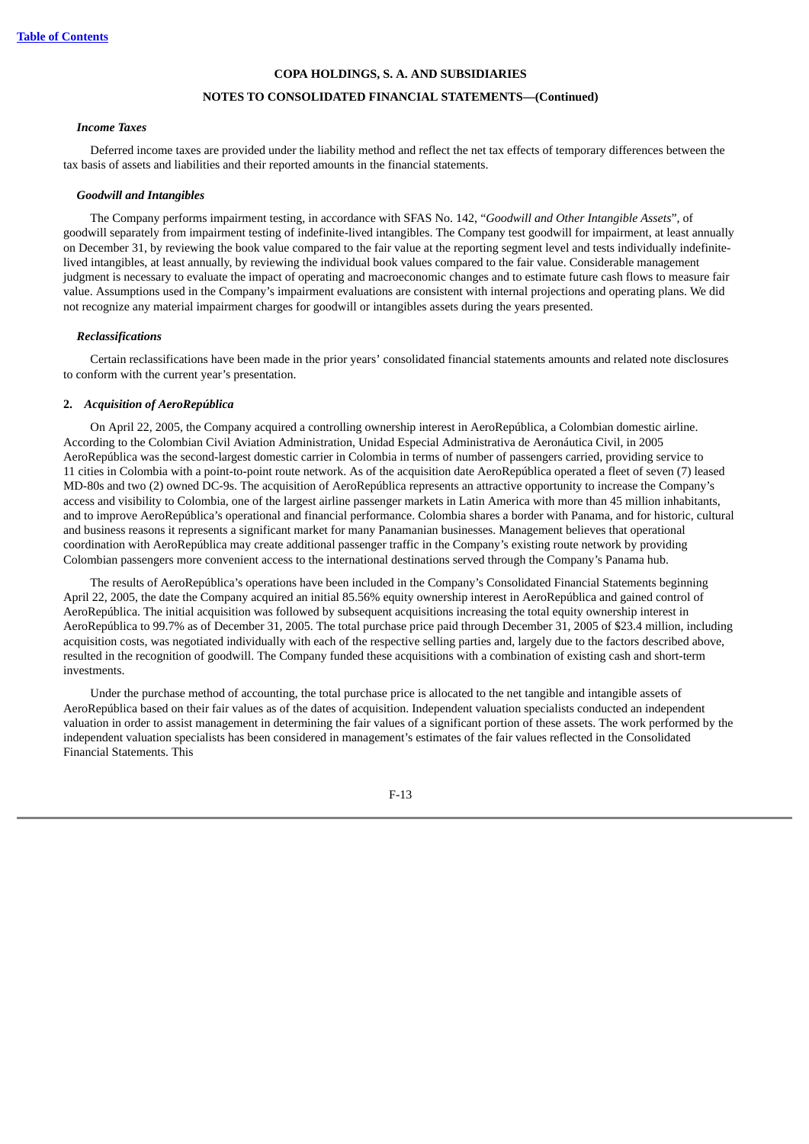## **NOTES TO CONSOLIDATED FINANCIAL STATEMENTS—(Continued)**

#### *Income Taxes*

Deferred income taxes are provided under the liability method and reflect the net tax effects of temporary differences between the tax basis of assets and liabilities and their reported amounts in the financial statements.

#### *Goodwill and Intangibles*

The Company performs impairment testing, in accordance with SFAS No. 142, "*Goodwill and Other Intangible Assets*", of goodwill separately from impairment testing of indefinite-lived intangibles. The Company test goodwill for impairment, at least annually on December 31, by reviewing the book value compared to the fair value at the reporting segment level and tests individually indefinitelived intangibles, at least annually, by reviewing the individual book values compared to the fair value. Considerable management judgment is necessary to evaluate the impact of operating and macroeconomic changes and to estimate future cash flows to measure fair value. Assumptions used in the Company's impairment evaluations are consistent with internal projections and operating plans. We did not recognize any material impairment charges for goodwill or intangibles assets during the years presented.

#### *Reclassifications*

Certain reclassifications have been made in the prior years' consolidated financial statements amounts and related note disclosures to conform with the current year's presentation.

#### **2.** *Acquisition of AeroRepública*

On April 22, 2005, the Company acquired a controlling ownership interest in AeroRepública, a Colombian domestic airline. According to the Colombian Civil Aviation Administration, Unidad Especial Administrativa de Aeronáutica Civil, in 2005 AeroRepública was the second-largest domestic carrier in Colombia in terms of number of passengers carried, providing service to 11 cities in Colombia with a point-to-point route network. As of the acquisition date AeroRepública operated a fleet of seven (7) leased MD-80s and two (2) owned DC-9s. The acquisition of AeroRepública represents an attractive opportunity to increase the Company's access and visibility to Colombia, one of the largest airline passenger markets in Latin America with more than 45 million inhabitants, and to improve AeroRepública's operational and financial performance. Colombia shares a border with Panama, and for historic, cultural and business reasons it represents a significant market for many Panamanian businesses. Management believes that operational coordination with AeroRepública may create additional passenger traffic in the Company's existing route network by providing Colombian passengers more convenient access to the international destinations served through the Company's Panama hub.

The results of AeroRepública's operations have been included in the Company's Consolidated Financial Statements beginning April 22, 2005, the date the Company acquired an initial 85.56% equity ownership interest in AeroRepública and gained control of AeroRepública. The initial acquisition was followed by subsequent acquisitions increasing the total equity ownership interest in AeroRepública to 99.7% as of December 31, 2005. The total purchase price paid through December 31, 2005 of \$23.4 million, including acquisition costs, was negotiated individually with each of the respective selling parties and, largely due to the factors described above, resulted in the recognition of goodwill. The Company funded these acquisitions with a combination of existing cash and short-term investments.

Under the purchase method of accounting, the total purchase price is allocated to the net tangible and intangible assets of AeroRepública based on their fair values as of the dates of acquisition. Independent valuation specialists conducted an independent valuation in order to assist management in determining the fair values of a significant portion of these assets. The work performed by the independent valuation specialists has been considered in management's estimates of the fair values reflected in the Consolidated Financial Statements. This

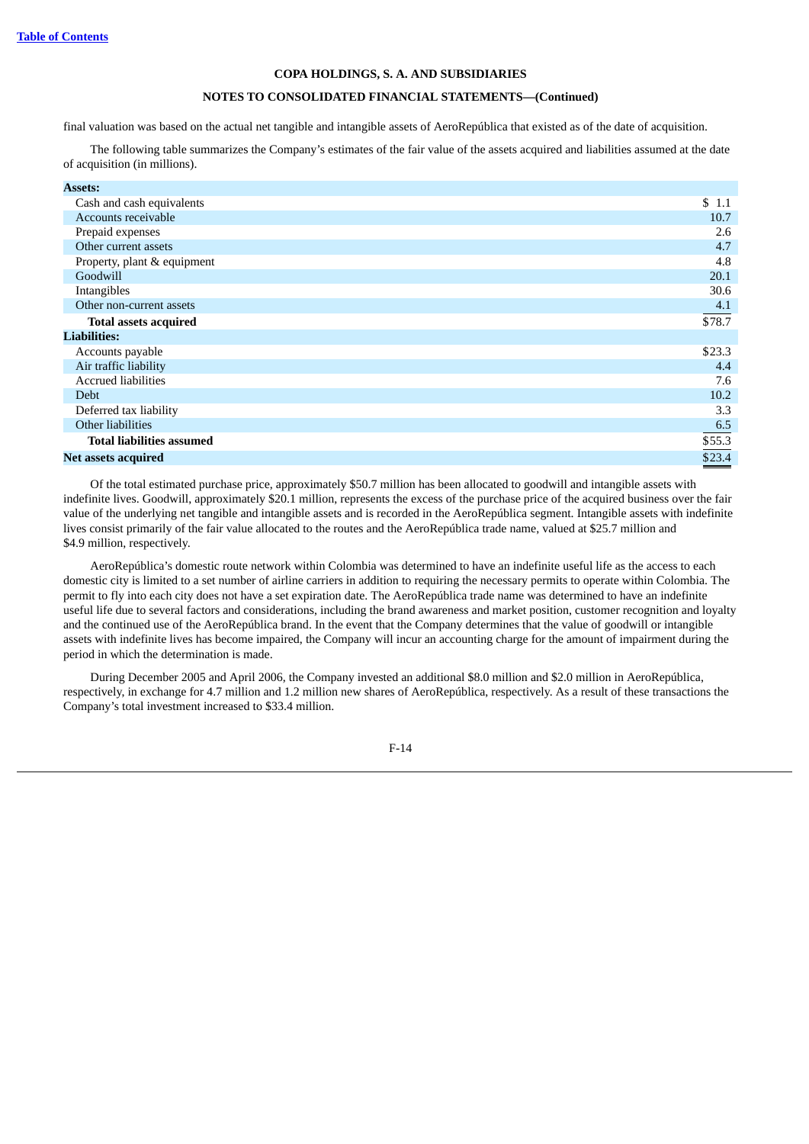# **NOTES TO CONSOLIDATED FINANCIAL STATEMENTS—(Continued)**

final valuation was based on the actual net tangible and intangible assets of AeroRepública that existed as of the date of acquisition.

The following table summarizes the Company's estimates of the fair value of the assets acquired and liabilities assumed at the date of acquisition (in millions).

| <b>Assets:</b>                   |        |
|----------------------------------|--------|
| Cash and cash equivalents        | \$1.1  |
| Accounts receivable              | 10.7   |
| Prepaid expenses                 | 2.6    |
| Other current assets             | 4.7    |
| Property, plant & equipment      | 4.8    |
| Goodwill                         | 20.1   |
| Intangibles                      | 30.6   |
| Other non-current assets         | 4.1    |
| <b>Total assets acquired</b>     | \$78.7 |
| <b>Liabilities:</b>              |        |
| Accounts payable                 | \$23.3 |
| Air traffic liability            | 4.4    |
| <b>Accrued liabilities</b>       | 7.6    |
| <b>Debt</b>                      | 10.2   |
| Deferred tax liability           | 3.3    |
| Other liabilities                | 6.5    |
| <b>Total liabilities assumed</b> | \$55.3 |
| Net assets acquired              | \$23.4 |

Of the total estimated purchase price, approximately \$50.7 million has been allocated to goodwill and intangible assets with indefinite lives. Goodwill, approximately \$20.1 million, represents the excess of the purchase price of the acquired business over the fair value of the underlying net tangible and intangible assets and is recorded in the AeroRepública segment. Intangible assets with indefinite lives consist primarily of the fair value allocated to the routes and the AeroRepública trade name, valued at \$25.7 million and \$4.9 million, respectively.

AeroRepública's domestic route network within Colombia was determined to have an indefinite useful life as the access to each domestic city is limited to a set number of airline carriers in addition to requiring the necessary permits to operate within Colombia. The permit to fly into each city does not have a set expiration date. The AeroRepública trade name was determined to have an indefinite useful life due to several factors and considerations, including the brand awareness and market position, customer recognition and loyalty and the continued use of the AeroRepública brand. In the event that the Company determines that the value of goodwill or intangible assets with indefinite lives has become impaired, the Company will incur an accounting charge for the amount of impairment during the period in which the determination is made.

During December 2005 and April 2006, the Company invested an additional \$8.0 million and \$2.0 million in AeroRepública, respectively, in exchange for 4.7 million and 1.2 million new shares of AeroRepública, respectively. As a result of these transactions the Company's total investment increased to \$33.4 million.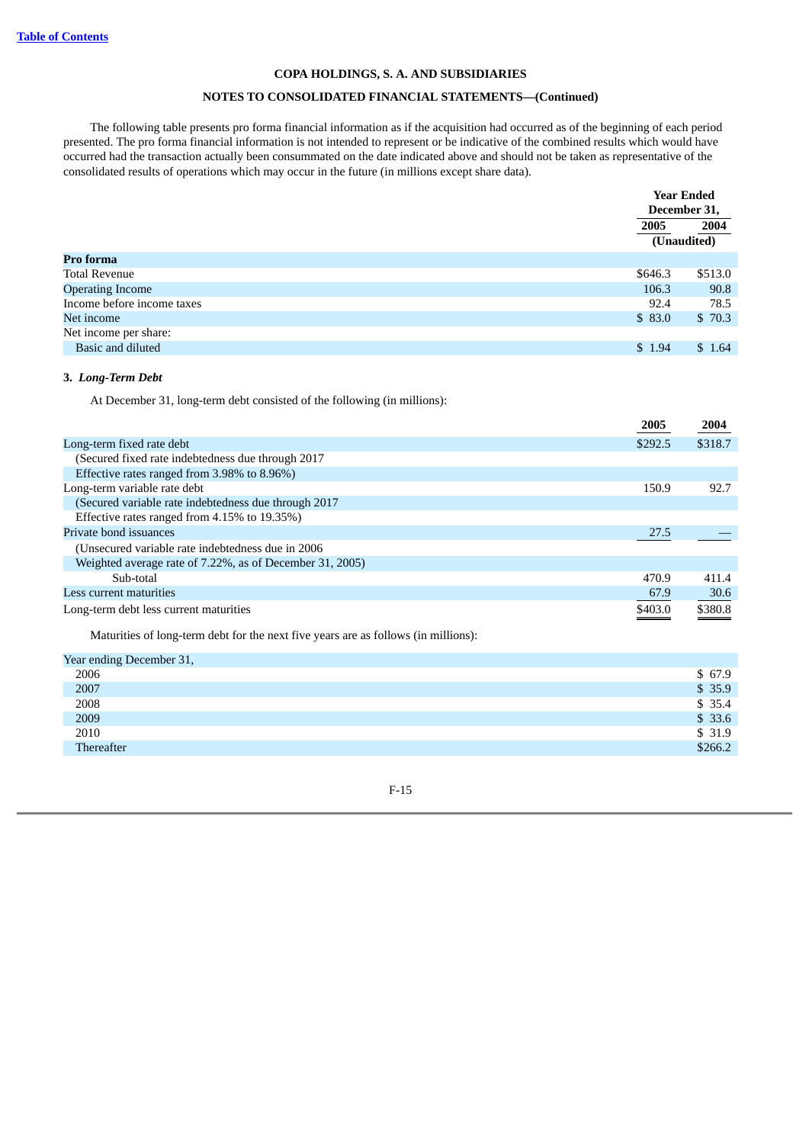# **NOTES TO CONSOLIDATED FINANCIAL STATEMENTS—(Continued)**

The following table presents pro forma financial information as if the acquisition had occurred as of the beginning of each period presented. The pro forma financial information is not intended to represent or be indicative of the combined results which would have occurred had the transaction actually been consummated on the date indicated above and should not be taken as representative of the consolidated results of operations which may occur in the future (in millions except share data).

|                                                                                               |         | <b>Year Ended</b><br>December 31, |
|-----------------------------------------------------------------------------------------------|---------|-----------------------------------|
|                                                                                               | 2005    | 2004                              |
|                                                                                               |         | (Unaudited)                       |
| Pro forma                                                                                     |         |                                   |
| <b>Total Revenue</b>                                                                          | \$646.3 | \$513.0                           |
| <b>Operating Income</b>                                                                       | 106.3   | 90.8                              |
| Income before income taxes                                                                    | 92.4    | 78.5                              |
| Net income                                                                                    | \$83.0  | \$70.3                            |
| Net income per share:                                                                         |         |                                   |
| Basic and diluted                                                                             | \$1.94  | \$1.64                            |
| 3. Long-Term Debt<br>At December 31, long-term debt consisted of the following (in millions): | 2005    | 2004                              |
| Long-term fixed rate debt                                                                     | \$292.5 | \$318.7                           |
| (Secured fixed rate indebtedness due through 2017                                             |         |                                   |
| Effective rates ranged from 3.98% to 8.96%)                                                   |         |                                   |
|                                                                                               |         |                                   |
|                                                                                               |         |                                   |
| Long-term variable rate debt                                                                  | 150.9   | 92.7                              |
| (Secured variable rate indebtedness due through 2017                                          |         |                                   |
| Effective rates ranged from 4.15% to 19.35%)<br>Private bond issuances                        | 27.5    |                                   |
|                                                                                               |         |                                   |
| (Unsecured variable rate indebtedness due in 2006                                             |         |                                   |
| Weighted average rate of 7.22%, as of December 31, 2005)<br>Sub-total                         | 470.9   | 411.4                             |
| Less current maturities                                                                       | 67.9    | 30.6                              |
| Long-term debt less current maturities                                                        | \$403.0 | \$380.8                           |

| \$ 67.9 |
|---------|
| \$35.9  |
| \$35.4  |
| \$33.6  |
| \$31.9  |
| \$266.2 |
|         |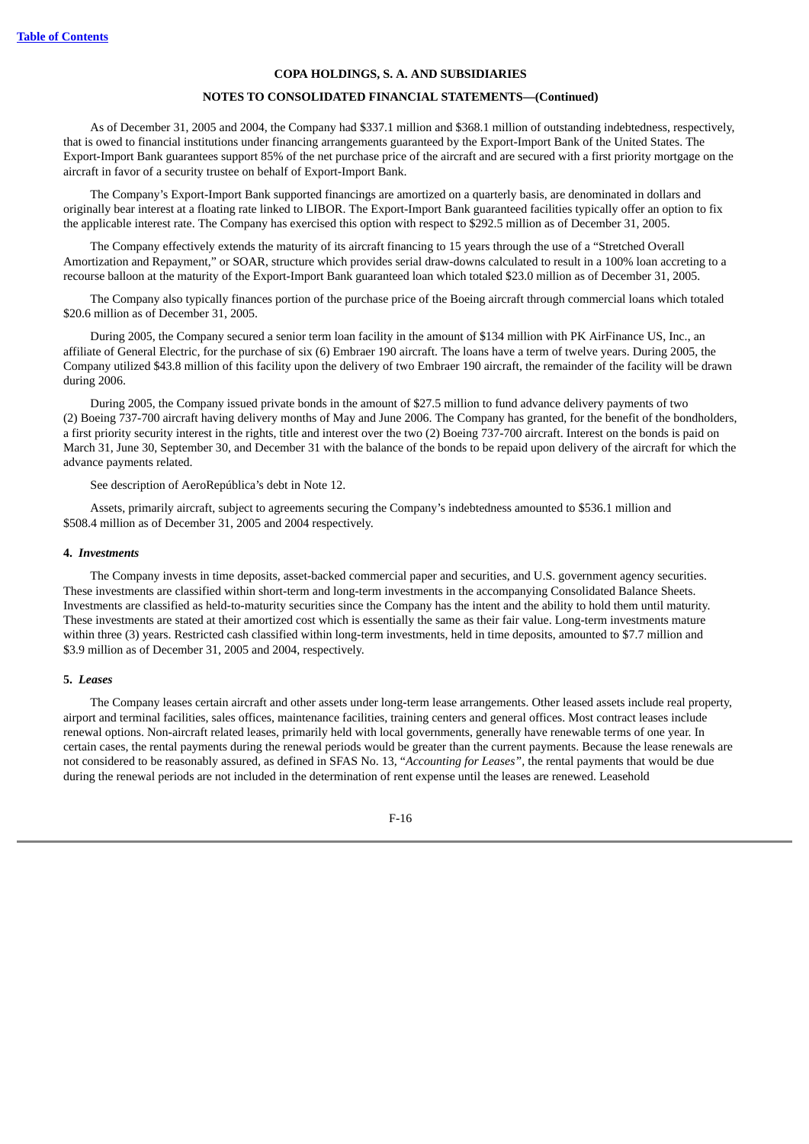## **NOTES TO CONSOLIDATED FINANCIAL STATEMENTS—(Continued)**

As of December 31, 2005 and 2004, the Company had \$337.1 million and \$368.1 million of outstanding indebtedness, respectively, that is owed to financial institutions under financing arrangements guaranteed by the Export-Import Bank of the United States. The Export-Import Bank guarantees support 85% of the net purchase price of the aircraft and are secured with a first priority mortgage on the aircraft in favor of a security trustee on behalf of Export-Import Bank.

The Company's Export-Import Bank supported financings are amortized on a quarterly basis, are denominated in dollars and originally bear interest at a floating rate linked to LIBOR. The Export-Import Bank guaranteed facilities typically offer an option to fix the applicable interest rate. The Company has exercised this option with respect to \$292.5 million as of December 31, 2005.

The Company effectively extends the maturity of its aircraft financing to 15 years through the use of a "Stretched Overall Amortization and Repayment," or SOAR, structure which provides serial draw-downs calculated to result in a 100% loan accreting to a recourse balloon at the maturity of the Export-Import Bank guaranteed loan which totaled \$23.0 million as of December 31, 2005.

The Company also typically finances portion of the purchase price of the Boeing aircraft through commercial loans which totaled \$20.6 million as of December 31, 2005.

During 2005, the Company secured a senior term loan facility in the amount of \$134 million with PK AirFinance US, Inc., an affiliate of General Electric, for the purchase of six (6) Embraer 190 aircraft. The loans have a term of twelve years. During 2005, the Company utilized \$43.8 million of this facility upon the delivery of two Embraer 190 aircraft, the remainder of the facility will be drawn during 2006.

During 2005, the Company issued private bonds in the amount of \$27.5 million to fund advance delivery payments of two (2) Boeing 737-700 aircraft having delivery months of May and June 2006. The Company has granted, for the benefit of the bondholders, a first priority security interest in the rights, title and interest over the two (2) Boeing 737-700 aircraft. Interest on the bonds is paid on March 31, June 30, September 30, and December 31 with the balance of the bonds to be repaid upon delivery of the aircraft for which the advance payments related.

See description of AeroRepública's debt in Note 12.

Assets, primarily aircraft, subject to agreements securing the Company's indebtedness amounted to \$536.1 million and \$508.4 million as of December 31, 2005 and 2004 respectively.

#### **4.** *Investments*

The Company invests in time deposits, asset-backed commercial paper and securities, and U.S. government agency securities. These investments are classified within short-term and long-term investments in the accompanying Consolidated Balance Sheets. Investments are classified as held-to-maturity securities since the Company has the intent and the ability to hold them until maturity. These investments are stated at their amortized cost which is essentially the same as their fair value. Long-term investments mature within three (3) years. Restricted cash classified within long-term investments, held in time deposits, amounted to \$7.7 million and \$3.9 million as of December 31, 2005 and 2004, respectively.

## **5.** *Leases*

The Company leases certain aircraft and other assets under long-term lease arrangements. Other leased assets include real property, airport and terminal facilities, sales offices, maintenance facilities, training centers and general offices. Most contract leases include renewal options. Non-aircraft related leases, primarily held with local governments, generally have renewable terms of one year. In certain cases, the rental payments during the renewal periods would be greater than the current payments. Because the lease renewals are not considered to be reasonably assured, as defined in SFAS No. 13, "*Accounting for Leases",* the rental payments that would be due during the renewal periods are not included in the determination of rent expense until the leases are renewed. Leasehold

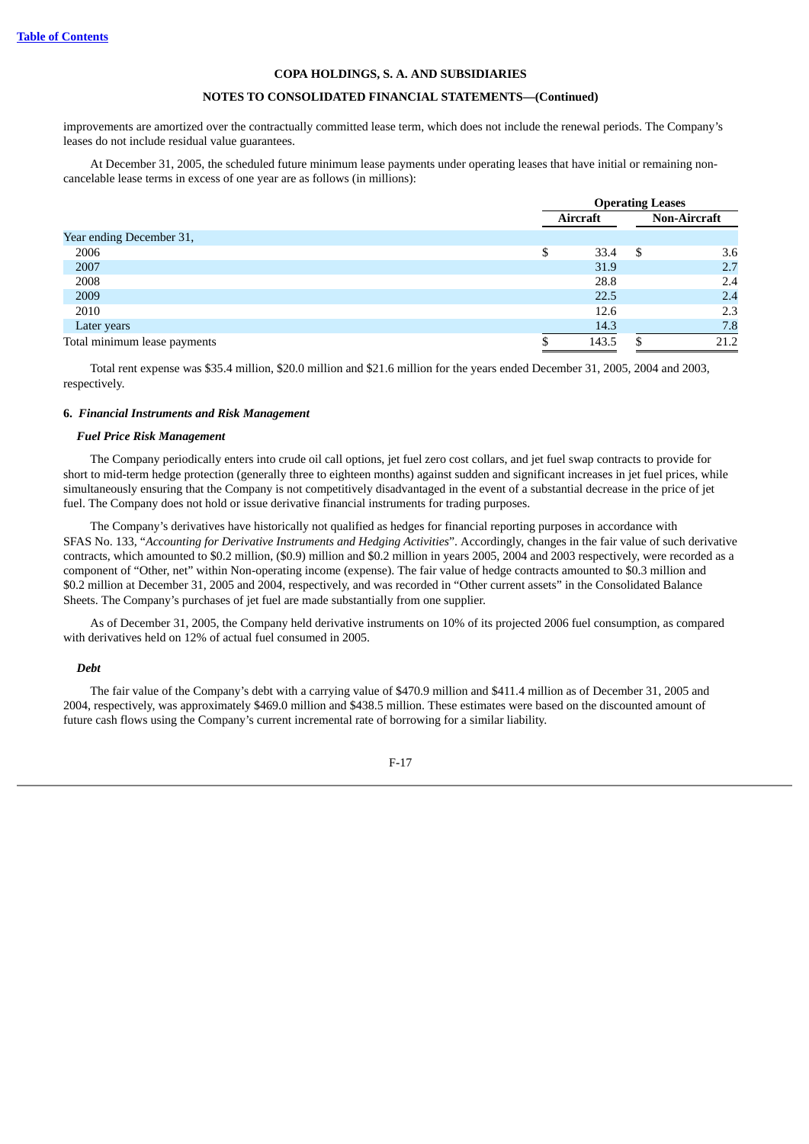## **NOTES TO CONSOLIDATED FINANCIAL STATEMENTS—(Continued)**

improvements are amortized over the contractually committed lease term, which does not include the renewal periods. The Company's leases do not include residual value guarantees.

At December 31, 2005, the scheduled future minimum lease payments under operating leases that have initial or remaining noncancelable lease terms in excess of one year are as follows (in millions):

|                              | <b>Operating Leases</b> |    |                     |
|------------------------------|-------------------------|----|---------------------|
|                              | Aircraft                |    | <b>Non-Aircraft</b> |
| Year ending December 31,     |                         |    |                     |
| 2006                         | \$<br>33.4              | -S | 3.6                 |
| 2007                         | 31.9                    |    | 2.7                 |
| 2008                         | 28.8                    |    | 2.4                 |
| 2009                         | 22.5                    |    | 2.4                 |
| 2010                         | 12.6                    |    | 2.3                 |
| Later years                  | 14.3                    |    | 7.8                 |
| Total minimum lease payments | 143.5                   |    | 21.2                |

Total rent expense was \$35.4 million, \$20.0 million and \$21.6 million for the years ended December 31, 2005, 2004 and 2003, respectively.

#### **6.** *Financial Instruments and Risk Management*

#### *Fuel Price Risk Management*

The Company periodically enters into crude oil call options, jet fuel zero cost collars, and jet fuel swap contracts to provide for short to mid-term hedge protection (generally three to eighteen months) against sudden and significant increases in jet fuel prices, while simultaneously ensuring that the Company is not competitively disadvantaged in the event of a substantial decrease in the price of jet fuel. The Company does not hold or issue derivative financial instruments for trading purposes.

The Company's derivatives have historically not qualified as hedges for financial reporting purposes in accordance with SFAS No. 133, "*Accounting for Derivative Instruments and Hedging Activities*". Accordingly, changes in the fair value of such derivative contracts, which amounted to \$0.2 million, (\$0.9) million and \$0.2 million in years 2005, 2004 and 2003 respectively, were recorded as a component of "Other, net" within Non-operating income (expense). The fair value of hedge contracts amounted to \$0.3 million and \$0.2 million at December 31, 2005 and 2004, respectively, and was recorded in "Other current assets" in the Consolidated Balance Sheets. The Company's purchases of jet fuel are made substantially from one supplier.

As of December 31, 2005, the Company held derivative instruments on 10% of its projected 2006 fuel consumption, as compared with derivatives held on 12% of actual fuel consumed in 2005.

## *Debt*

The fair value of the Company's debt with a carrying value of \$470.9 million and \$411.4 million as of December 31, 2005 and 2004, respectively, was approximately \$469.0 million and \$438.5 million. These estimates were based on the discounted amount of future cash flows using the Company's current incremental rate of borrowing for a similar liability.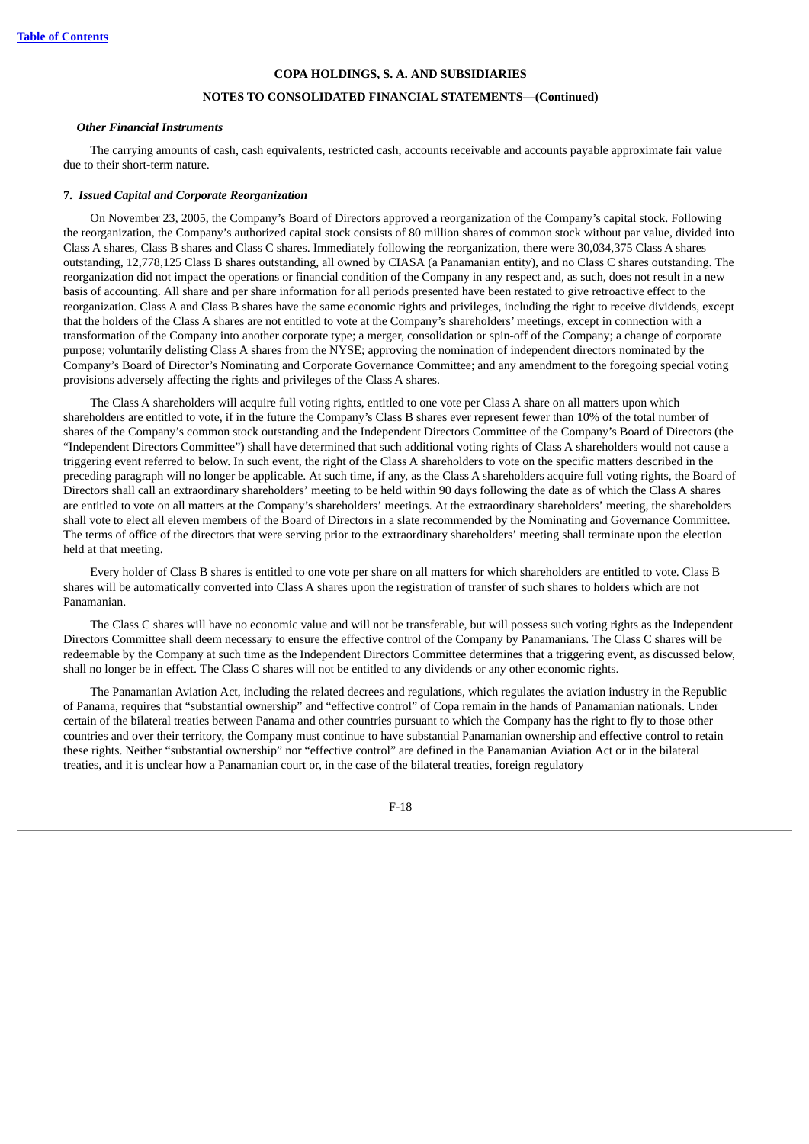## **NOTES TO CONSOLIDATED FINANCIAL STATEMENTS—(Continued)**

### *Other Financial Instruments*

The carrying amounts of cash, cash equivalents, restricted cash, accounts receivable and accounts payable approximate fair value due to their short-term nature.

#### **7.** *Issued Capital and Corporate Reorganization*

On November 23, 2005, the Company's Board of Directors approved a reorganization of the Company's capital stock. Following the reorganization, the Company's authorized capital stock consists of 80 million shares of common stock without par value, divided into Class A shares, Class B shares and Class C shares. Immediately following the reorganization, there were 30,034,375 Class A shares outstanding, 12,778,125 Class B shares outstanding, all owned by CIASA (a Panamanian entity), and no Class C shares outstanding. The reorganization did not impact the operations or financial condition of the Company in any respect and, as such, does not result in a new basis of accounting. All share and per share information for all periods presented have been restated to give retroactive effect to the reorganization. Class A and Class B shares have the same economic rights and privileges, including the right to receive dividends, except that the holders of the Class A shares are not entitled to vote at the Company's shareholders' meetings, except in connection with a transformation of the Company into another corporate type; a merger, consolidation or spin-off of the Company; a change of corporate purpose; voluntarily delisting Class A shares from the NYSE; approving the nomination of independent directors nominated by the Company's Board of Director's Nominating and Corporate Governance Committee; and any amendment to the foregoing special voting provisions adversely affecting the rights and privileges of the Class A shares.

The Class A shareholders will acquire full voting rights, entitled to one vote per Class A share on all matters upon which shareholders are entitled to vote, if in the future the Company's Class B shares ever represent fewer than 10% of the total number of shares of the Company's common stock outstanding and the Independent Directors Committee of the Company's Board of Directors (the "Independent Directors Committee") shall have determined that such additional voting rights of Class A shareholders would not cause a triggering event referred to below. In such event, the right of the Class A shareholders to vote on the specific matters described in the preceding paragraph will no longer be applicable. At such time, if any, as the Class A shareholders acquire full voting rights, the Board of Directors shall call an extraordinary shareholders' meeting to be held within 90 days following the date as of which the Class A shares are entitled to vote on all matters at the Company's shareholders' meetings. At the extraordinary shareholders' meeting, the shareholders shall vote to elect all eleven members of the Board of Directors in a slate recommended by the Nominating and Governance Committee. The terms of office of the directors that were serving prior to the extraordinary shareholders' meeting shall terminate upon the election held at that meeting.

Every holder of Class B shares is entitled to one vote per share on all matters for which shareholders are entitled to vote. Class B shares will be automatically converted into Class A shares upon the registration of transfer of such shares to holders which are not Panamanian.

The Class C shares will have no economic value and will not be transferable, but will possess such voting rights as the Independent Directors Committee shall deem necessary to ensure the effective control of the Company by Panamanians. The Class C shares will be redeemable by the Company at such time as the Independent Directors Committee determines that a triggering event, as discussed below, shall no longer be in effect. The Class C shares will not be entitled to any dividends or any other economic rights.

The Panamanian Aviation Act, including the related decrees and regulations, which regulates the aviation industry in the Republic of Panama, requires that "substantial ownership" and "effective control" of Copa remain in the hands of Panamanian nationals. Under certain of the bilateral treaties between Panama and other countries pursuant to which the Company has the right to fly to those other countries and over their territory, the Company must continue to have substantial Panamanian ownership and effective control to retain these rights. Neither "substantial ownership" nor "effective control" are defined in the Panamanian Aviation Act or in the bilateral treaties, and it is unclear how a Panamanian court or, in the case of the bilateral treaties, foreign regulatory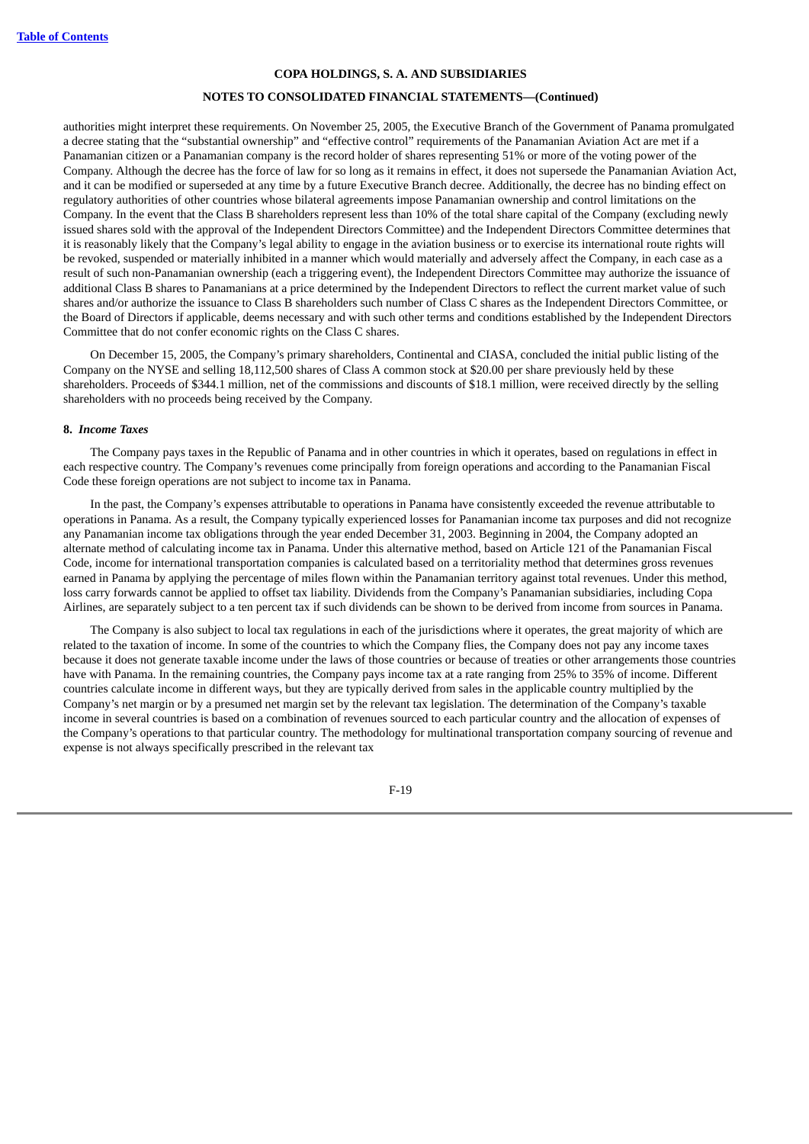## **NOTES TO CONSOLIDATED FINANCIAL STATEMENTS—(Continued)**

authorities might interpret these requirements. On November 25, 2005, the Executive Branch of the Government of Panama promulgated a decree stating that the "substantial ownership" and "effective control" requirements of the Panamanian Aviation Act are met if a Panamanian citizen or a Panamanian company is the record holder of shares representing 51% or more of the voting power of the Company. Although the decree has the force of law for so long as it remains in effect, it does not supersede the Panamanian Aviation Act, and it can be modified or superseded at any time by a future Executive Branch decree. Additionally, the decree has no binding effect on regulatory authorities of other countries whose bilateral agreements impose Panamanian ownership and control limitations on the Company. In the event that the Class B shareholders represent less than 10% of the total share capital of the Company (excluding newly issued shares sold with the approval of the Independent Directors Committee) and the Independent Directors Committee determines that it is reasonably likely that the Company's legal ability to engage in the aviation business or to exercise its international route rights will be revoked, suspended or materially inhibited in a manner which would materially and adversely affect the Company, in each case as a result of such non-Panamanian ownership (each a triggering event), the Independent Directors Committee may authorize the issuance of additional Class B shares to Panamanians at a price determined by the Independent Directors to reflect the current market value of such shares and/or authorize the issuance to Class B shareholders such number of Class C shares as the Independent Directors Committee, or the Board of Directors if applicable, deems necessary and with such other terms and conditions established by the Independent Directors Committee that do not confer economic rights on the Class C shares.

On December 15, 2005, the Company's primary shareholders, Continental and CIASA, concluded the initial public listing of the Company on the NYSE and selling 18,112,500 shares of Class A common stock at \$20.00 per share previously held by these shareholders. Proceeds of \$344.1 million, net of the commissions and discounts of \$18.1 million, were received directly by the selling shareholders with no proceeds being received by the Company.

#### **8.** *Income Taxes*

The Company pays taxes in the Republic of Panama and in other countries in which it operates, based on regulations in effect in each respective country. The Company's revenues come principally from foreign operations and according to the Panamanian Fiscal Code these foreign operations are not subject to income tax in Panama.

In the past, the Company's expenses attributable to operations in Panama have consistently exceeded the revenue attributable to operations in Panama. As a result, the Company typically experienced losses for Panamanian income tax purposes and did not recognize any Panamanian income tax obligations through the year ended December 31, 2003. Beginning in 2004, the Company adopted an alternate method of calculating income tax in Panama. Under this alternative method, based on Article 121 of the Panamanian Fiscal Code, income for international transportation companies is calculated based on a territoriality method that determines gross revenues earned in Panama by applying the percentage of miles flown within the Panamanian territory against total revenues. Under this method, loss carry forwards cannot be applied to offset tax liability. Dividends from the Company's Panamanian subsidiaries, including Copa Airlines, are separately subject to a ten percent tax if such dividends can be shown to be derived from income from sources in Panama.

The Company is also subject to local tax regulations in each of the jurisdictions where it operates, the great majority of which are related to the taxation of income. In some of the countries to which the Company flies, the Company does not pay any income taxes because it does not generate taxable income under the laws of those countries or because of treaties or other arrangements those countries have with Panama. In the remaining countries, the Company pays income tax at a rate ranging from 25% to 35% of income. Different countries calculate income in different ways, but they are typically derived from sales in the applicable country multiplied by the Company's net margin or by a presumed net margin set by the relevant tax legislation. The determination of the Company's taxable income in several countries is based on a combination of revenues sourced to each particular country and the allocation of expenses of the Company's operations to that particular country. The methodology for multinational transportation company sourcing of revenue and expense is not always specifically prescribed in the relevant tax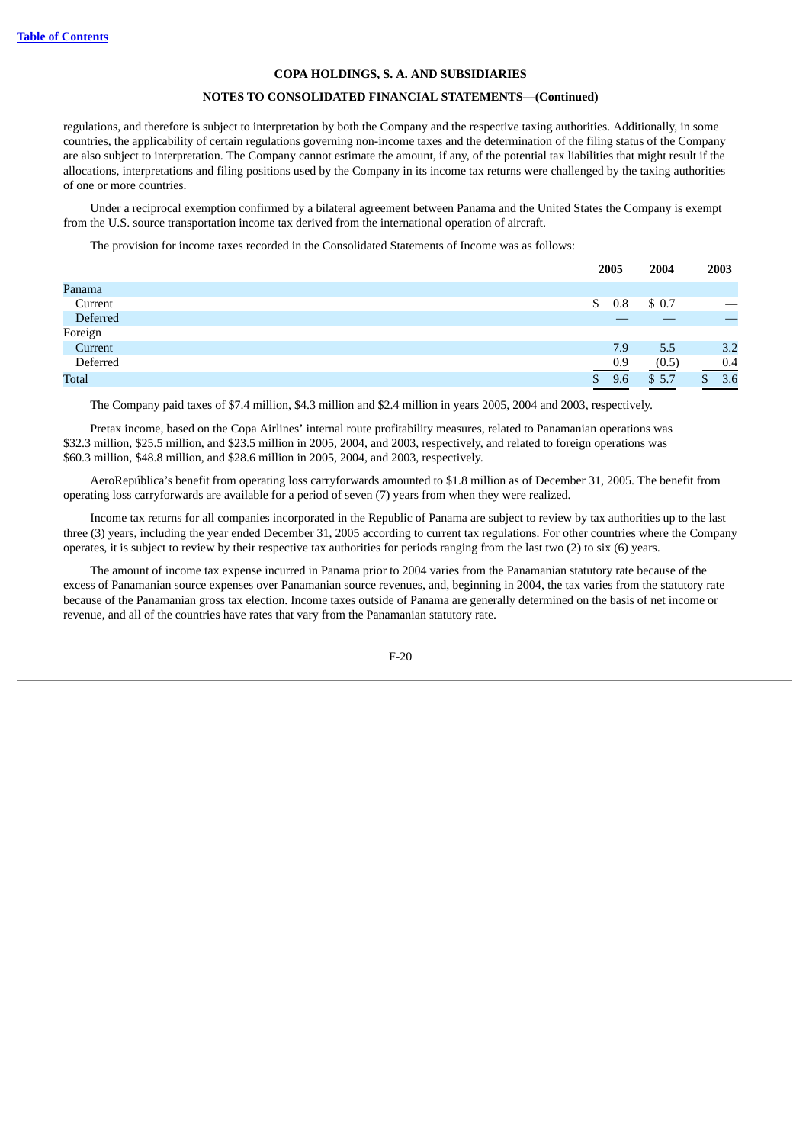## **NOTES TO CONSOLIDATED FINANCIAL STATEMENTS—(Continued)**

regulations, and therefore is subject to interpretation by both the Company and the respective taxing authorities. Additionally, in some countries, the applicability of certain regulations governing non-income taxes and the determination of the filing status of the Company are also subject to interpretation. The Company cannot estimate the amount, if any, of the potential tax liabilities that might result if the allocations, interpretations and filing positions used by the Company in its income tax returns were challenged by the taxing authorities of one or more countries.

Under a reciprocal exemption confirmed by a bilateral agreement between Panama and the United States the Company is exempt from the U.S. source transportation income tax derived from the international operation of aircraft.

The provision for income taxes recorded in the Consolidated Statements of Income was as follows:

|              | 2005     | 2004  | 2003 |
|--------------|----------|-------|------|
| Panama       |          |       |      |
| Current      | 0.8<br>S | \$0.7 |      |
| Deferred     |          |       |      |
| Foreign      |          |       |      |
| Current      | 7.9      | 5.5   | 3.2  |
| Deferred     | 0.9      | (0.5) | 0.4  |
| <b>Total</b> | 9.6      | \$5.7 | 3.6  |
|              | ______   |       |      |

The Company paid taxes of \$7.4 million, \$4.3 million and \$2.4 million in years 2005, 2004 and 2003, respectively.

Pretax income, based on the Copa Airlines' internal route profitability measures, related to Panamanian operations was \$32.3 million, \$25.5 million, and \$23.5 million in 2005, 2004, and 2003, respectively, and related to foreign operations was \$60.3 million, \$48.8 million, and \$28.6 million in 2005, 2004, and 2003, respectively.

AeroRepública's benefit from operating loss carryforwards amounted to \$1.8 million as of December 31, 2005. The benefit from operating loss carryforwards are available for a period of seven (7) years from when they were realized.

Income tax returns for all companies incorporated in the Republic of Panama are subject to review by tax authorities up to the last three (3) years, including the year ended December 31, 2005 according to current tax regulations. For other countries where the Company operates, it is subject to review by their respective tax authorities for periods ranging from the last two (2) to six (6) years.

The amount of income tax expense incurred in Panama prior to 2004 varies from the Panamanian statutory rate because of the excess of Panamanian source expenses over Panamanian source revenues, and, beginning in 2004, the tax varies from the statutory rate because of the Panamanian gross tax election. Income taxes outside of Panama are generally determined on the basis of net income or revenue, and all of the countries have rates that vary from the Panamanian statutory rate.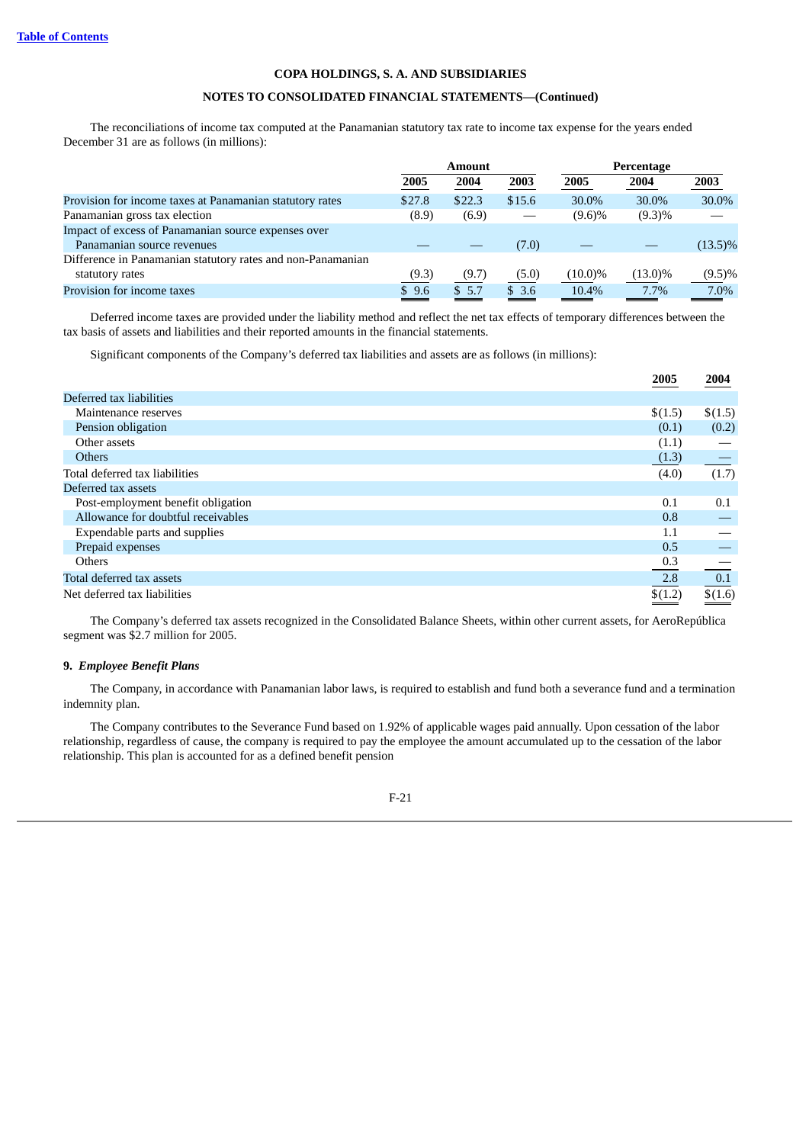# **NOTES TO CONSOLIDATED FINANCIAL STATEMENTS—(Continued)**

The reconciliations of income tax computed at the Panamanian statutory tax rate to income tax expense for the years ended December 31 are as follows (in millions):

|                                                             | <b>Amount</b> |        | Percentage |            |            |            |
|-------------------------------------------------------------|---------------|--------|------------|------------|------------|------------|
|                                                             | 2005          | 2004   | 2003       | 2005       | 2004       | 2003       |
| Provision for income taxes at Panamanian statutory rates    | \$27.8        | \$22.3 | \$15.6     | 30.0%      | 30.0%      | 30.0%      |
| Panamanian gross tax election                               | (8.9)         | (6.9)  |            | $(9.6)\%$  | $(9.3)\%$  |            |
| Impact of excess of Panamanian source expenses over         |               |        |            |            |            |            |
| Panamanian source revenues                                  |               |        | (7.0)      |            |            | $(13.5)\%$ |
| Difference in Panamanian statutory rates and non-Panamanian |               |        |            |            |            |            |
| statutory rates                                             | (9.3)         | (9.7)  | (5.0)      | $(10.0)\%$ | $(13.0)\%$ | $(9.5)\%$  |
| Provision for income taxes                                  | \$9.6         | \$5.7  | \$3.6      | 10.4%      | 7.7%       | 7.0%       |

Deferred income taxes are provided under the liability method and reflect the net tax effects of temporary differences between the tax basis of assets and liabilities and their reported amounts in the financial statements.

Significant components of the Company's deferred tax liabilities and assets are as follows (in millions):

|                                    | 2005    | 2004    |
|------------------------------------|---------|---------|
| Deferred tax liabilities           |         |         |
| Maintenance reserves               | \$(1.5) | \$(1.5) |
| Pension obligation                 | (0.1)   | (0.2)   |
| Other assets                       | (1.1)   |         |
| <b>Others</b>                      | (1.3)   |         |
| Total deferred tax liabilities     | (4.0)   | (1.7)   |
| Deferred tax assets                |         |         |
| Post-employment benefit obligation | 0.1     | 0.1     |
| Allowance for doubtful receivables | 0.8     |         |
| Expendable parts and supplies      | 1.1     |         |
| Prepaid expenses                   | 0.5     |         |
| <b>Others</b>                      | 0.3     |         |
| Total deferred tax assets          | 2.8     | 0.1     |
| Net deferred tax liabilities       | \$(1.2) | \$(1.6) |

The Company's deferred tax assets recognized in the Consolidated Balance Sheets, within other current assets, for AeroRepública segment was \$2.7 million for 2005.

## **9.** *Employee Benefit Plans*

The Company, in accordance with Panamanian labor laws, is required to establish and fund both a severance fund and a termination indemnity plan.

The Company contributes to the Severance Fund based on 1.92% of applicable wages paid annually. Upon cessation of the labor relationship, regardless of cause, the company is required to pay the employee the amount accumulated up to the cessation of the labor relationship. This plan is accounted for as a defined benefit pension

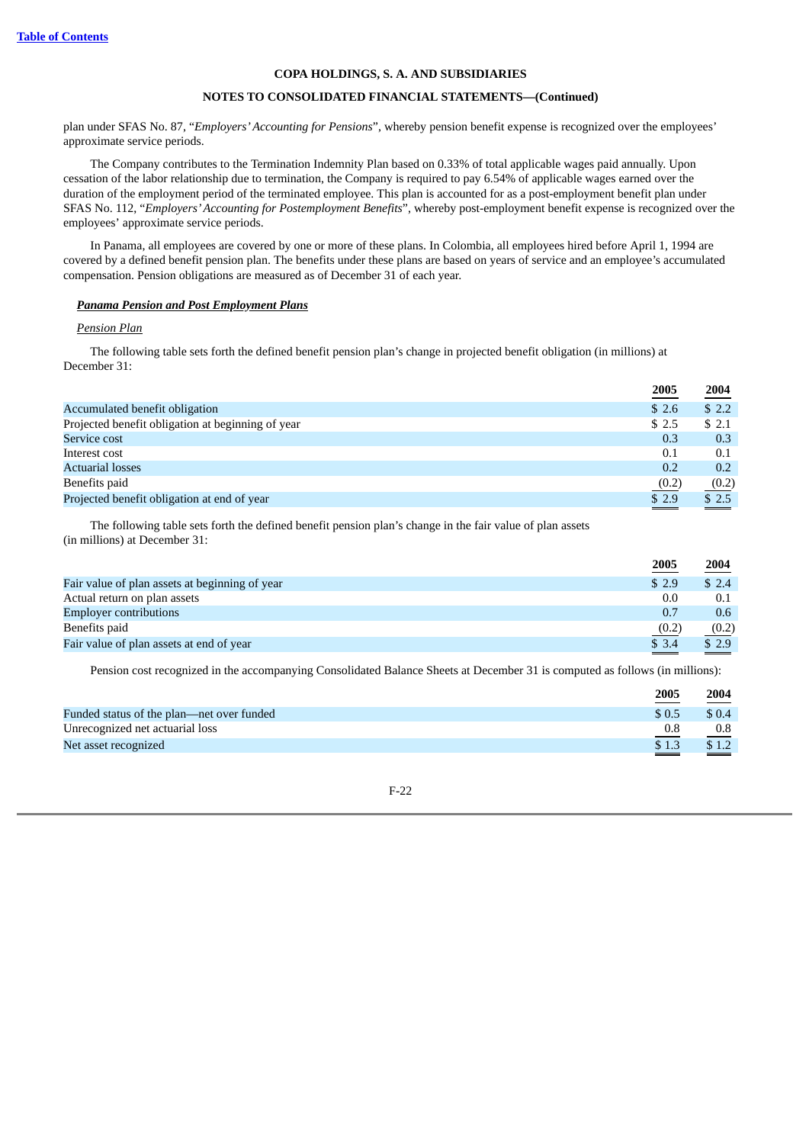# **NOTES TO CONSOLIDATED FINANCIAL STATEMENTS—(Continued)**

plan under SFAS No. 87, "*Employers'Accounting for Pensions*", whereby pension benefit expense is recognized over the employees' approximate service periods.

The Company contributes to the Termination Indemnity Plan based on 0.33% of total applicable wages paid annually. Upon cessation of the labor relationship due to termination, the Company is required to pay 6.54% of applicable wages earned over the duration of the employment period of the terminated employee. This plan is accounted for as a post-employment benefit plan under SFAS No. 112, "*Employers'Accounting for Postemployment Benefits*", whereby post-employment benefit expense is recognized over the employees' approximate service periods.

In Panama, all employees are covered by one or more of these plans. In Colombia, all employees hired before April 1, 1994 are covered by a defined benefit pension plan. The benefits under these plans are based on years of service and an employee's accumulated compensation. Pension obligations are measured as of December 31 of each year.

## *Panama Pension and Post Employment Plans*

#### *Pension Plan*

The following table sets forth the defined benefit pension plan's change in projected benefit obligation (in millions) at December 31:

|                                                   | 2005   | 2004  |
|---------------------------------------------------|--------|-------|
| Accumulated benefit obligation                    | \$2.6  | \$2.2 |
| Projected benefit obligation at beginning of year | \$ 2.5 | \$2.1 |
| Service cost                                      | 0.3    | 0.3   |
| Interest cost                                     | 0.1    | 0.1   |
| <b>Actuarial losses</b>                           | 0.2    | 0.2   |
| Benefits paid                                     | (0.2)  | (0.2) |
| Projected benefit obligation at end of year       | \$2.9  | \$2.5 |
|                                                   |        | ____  |

The following table sets forth the defined benefit pension plan's change in the fair value of plan assets (in millions) at December 31:

| 2005  | 2004  |
|-------|-------|
| \$2.9 | \$2.4 |
| 0.0   | 0.1   |
| 0.7   | 0.6   |
| (0.2) | (0.2) |
| \$3.4 | \$2.9 |
|       |       |

Pension cost recognized in the accompanying Consolidated Balance Sheets at December 31 is computed as follows (in millions):

|                                           | 2005  | 2004   |
|-------------------------------------------|-------|--------|
| Funded status of the plan—net over funded | \$0.5 | \$ 0.4 |
| Unrecognized net actuarial loss           | 0.8   | 0.8    |
| Net asset recognized                      | \$1.3 | \$1.2  |
|                                           |       | $\sim$ |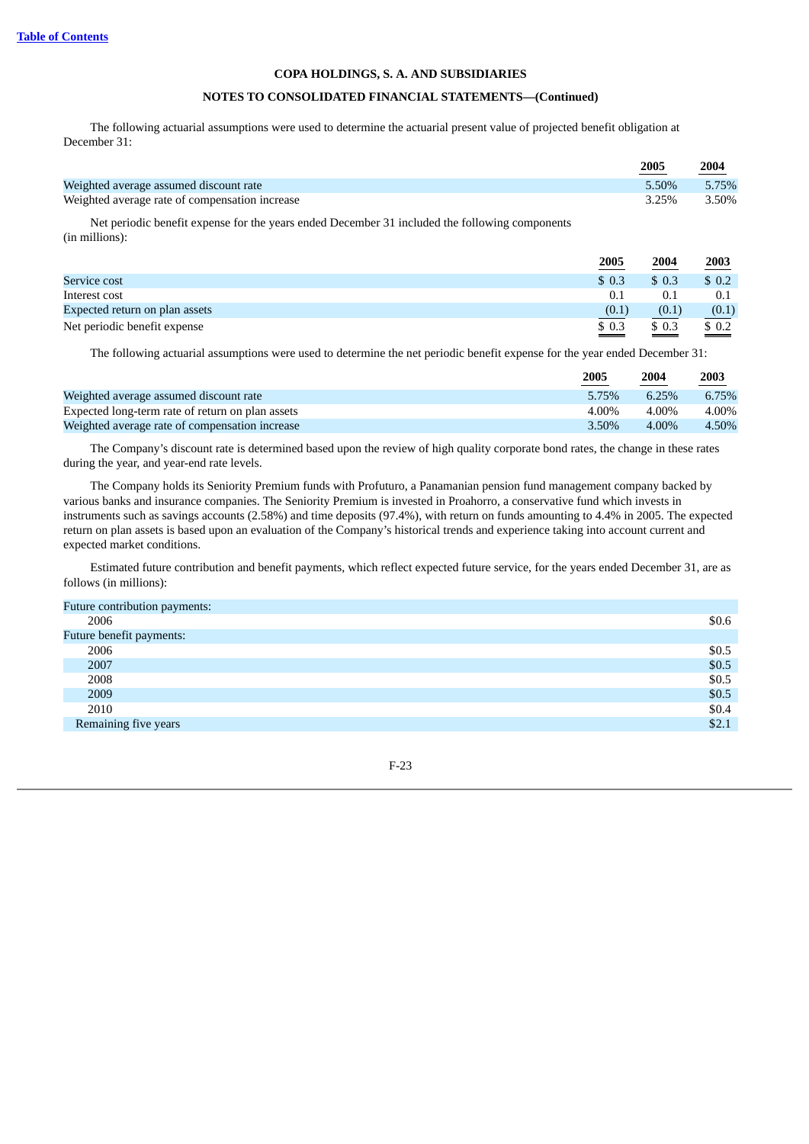# **NOTES TO CONSOLIDATED FINANCIAL STATEMENTS—(Continued)**

The following actuarial assumptions were used to determine the actuarial present value of projected benefit obligation at December 31:

|                                                | 2005  | 2004<br><b>Contract Contract Contract</b> |
|------------------------------------------------|-------|-------------------------------------------|
| Weighted average assumed discount rate         | 5.50% | 5.75%                                     |
| Weighted average rate of compensation increase | 3.25% | 3.50%                                     |

Net periodic benefit expense for the years ended December 31 included the following components (in millions):

|                                | 2005         | 2004         | 2003         |
|--------------------------------|--------------|--------------|--------------|
| Service cost                   | \$0.3        | \$0.3        | \$0.2        |
| Interest cost                  | 0.1          | 0.1          | 0.1          |
| Expected return on plan assets | (0.1)        | (0.1)        | (0.1)        |
| Net periodic benefit expense   | \$0.3<br>___ | \$0.3<br>___ | \$0.2<br>___ |

The following actuarial assumptions were used to determine the net periodic benefit expense for the year ended December 31:

|                                                  | 2005  | 2004     | 2003  |
|--------------------------------------------------|-------|----------|-------|
| Weighted average assumed discount rate           | 5.75% | 6.25%    | 6.75% |
| Expected long-term rate of return on plan assets | 4.00% | 4.00%    | 4.00% |
| Weighted average rate of compensation increase   | 3.50% | $4.00\%$ | 4.50% |

The Company's discount rate is determined based upon the review of high quality corporate bond rates, the change in these rates during the year, and year-end rate levels.

The Company holds its Seniority Premium funds with Profuturo, a Panamanian pension fund management company backed by various banks and insurance companies. The Seniority Premium is invested in Proahorro, a conservative fund which invests in instruments such as savings accounts (2.58%) and time deposits (97.4%), with return on funds amounting to 4.4% in 2005. The expected return on plan assets is based upon an evaluation of the Company's historical trends and experience taking into account current and expected market conditions.

Estimated future contribution and benefit payments, which reflect expected future service, for the years ended December 31, are as follows (in millions):

| Future contribution payments: |       |
|-------------------------------|-------|
| 2006                          | \$0.6 |
| Future benefit payments:      |       |
| 2006                          | \$0.5 |
| 2007                          | \$0.5 |
| 2008                          | \$0.5 |
| 2009                          | \$0.5 |
| 2010                          | \$0.4 |
| Remaining five years          | \$2.1 |
|                               |       |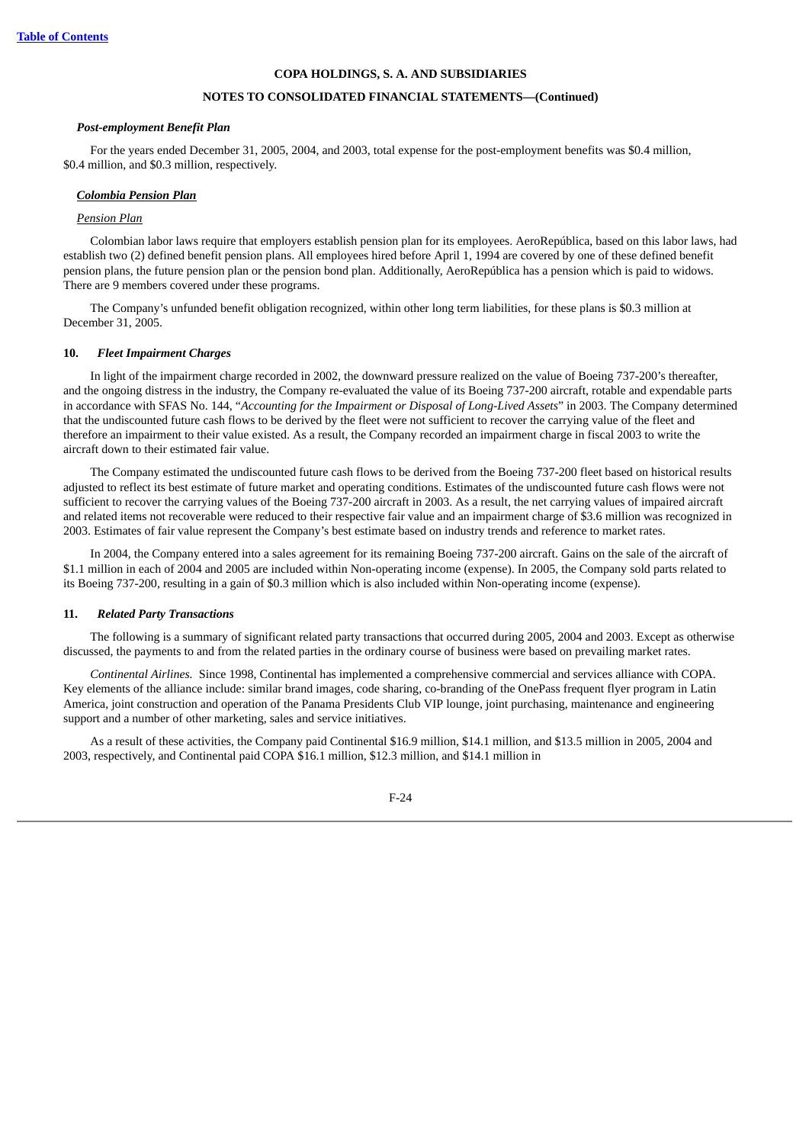#### **NOTES TO CONSOLIDATED FINANCIAL STATEMENTS—(Continued)**

#### *Post-employment Benefit Plan*

For the years ended December 31, 2005, 2004, and 2003, total expense for the post-employment benefits was \$0.4 million, \$0.4 million, and \$0.3 million, respectively.

#### *Colombia Pension Plan*

#### *Pension Plan*

Colombian labor laws require that employers establish pension plan for its employees. AeroRepública, based on this labor laws, had establish two (2) defined benefit pension plans. All employees hired before April 1, 1994 are covered by one of these defined benefit pension plans, the future pension plan or the pension bond plan. Additionally, AeroRepública has a pension which is paid to widows. There are 9 members covered under these programs.

The Company's unfunded benefit obligation recognized, within other long term liabilities, for these plans is \$0.3 million at December 31, 2005.

#### **10.** *Fleet Impairment Charges*

In light of the impairment charge recorded in 2002, the downward pressure realized on the value of Boeing 737-200's thereafter, and the ongoing distress in the industry, the Company re-evaluated the value of its Boeing 737-200 aircraft, rotable and expendable parts in accordance with SFAS No. 144, "*Accounting for the Impairment or Disposal of Long-Lived Assets*" in 2003. The Company determined that the undiscounted future cash flows to be derived by the fleet were not sufficient to recover the carrying value of the fleet and therefore an impairment to their value existed. As a result, the Company recorded an impairment charge in fiscal 2003 to write the aircraft down to their estimated fair value.

The Company estimated the undiscounted future cash flows to be derived from the Boeing 737-200 fleet based on historical results adjusted to reflect its best estimate of future market and operating conditions. Estimates of the undiscounted future cash flows were not sufficient to recover the carrying values of the Boeing 737-200 aircraft in 2003. As a result, the net carrying values of impaired aircraft and related items not recoverable were reduced to their respective fair value and an impairment charge of \$3.6 million was recognized in 2003. Estimates of fair value represent the Company's best estimate based on industry trends and reference to market rates.

In 2004, the Company entered into a sales agreement for its remaining Boeing 737-200 aircraft. Gains on the sale of the aircraft of \$1.1 million in each of 2004 and 2005 are included within Non-operating income (expense). In 2005, the Company sold parts related to its Boeing 737-200, resulting in a gain of \$0.3 million which is also included within Non-operating income (expense).

#### **11.** *Related Party Transactions*

The following is a summary of significant related party transactions that occurred during 2005, 2004 and 2003. Except as otherwise discussed, the payments to and from the related parties in the ordinary course of business were based on prevailing market rates.

*Continental Airlines.* Since 1998, Continental has implemented a comprehensive commercial and services alliance with COPA. Key elements of the alliance include: similar brand images, code sharing, co-branding of the OnePass frequent flyer program in Latin America, joint construction and operation of the Panama Presidents Club VIP lounge, joint purchasing, maintenance and engineering support and a number of other marketing, sales and service initiatives.

As a result of these activities, the Company paid Continental \$16.9 million, \$14.1 million, and \$13.5 million in 2005, 2004 and 2003, respectively, and Continental paid COPA \$16.1 million, \$12.3 million, and \$14.1 million in

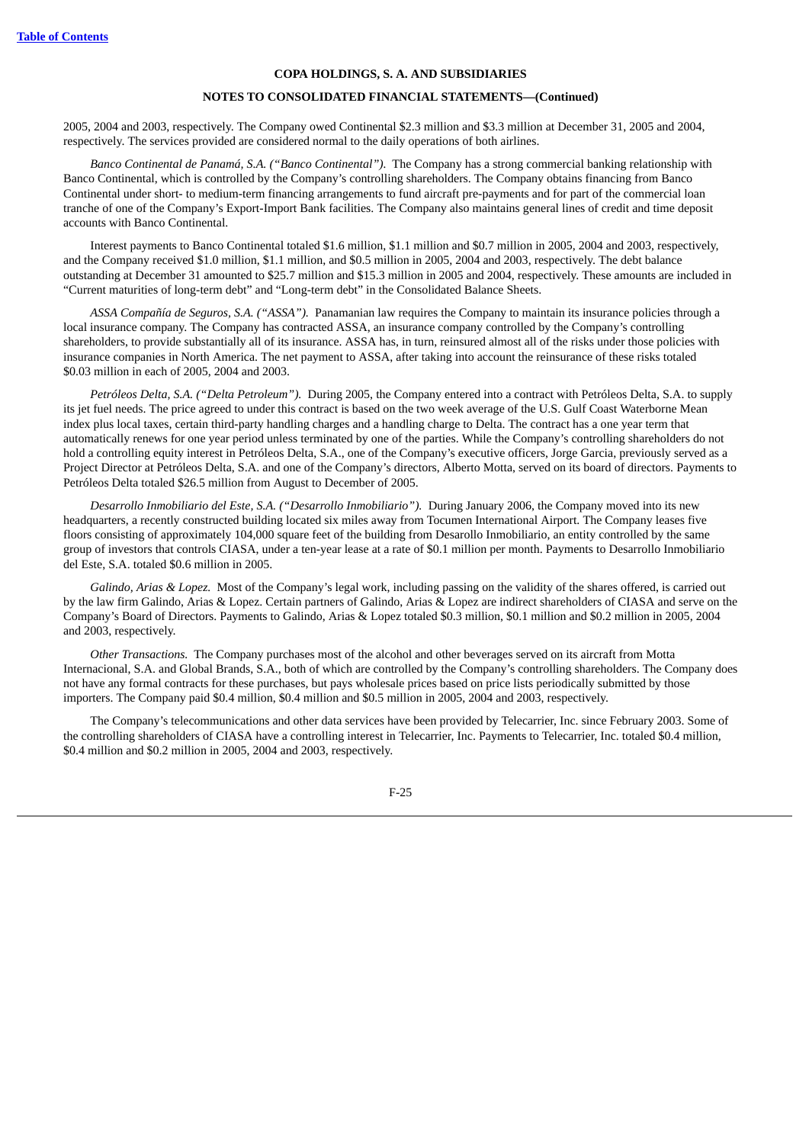#### **NOTES TO CONSOLIDATED FINANCIAL STATEMENTS—(Continued)**

2005, 2004 and 2003, respectively. The Company owed Continental \$2.3 million and \$3.3 million at December 31, 2005 and 2004, respectively. The services provided are considered normal to the daily operations of both airlines.

*Banco Continental de Panamá, S.A. ("Banco Continental").* The Company has a strong commercial banking relationship with Banco Continental, which is controlled by the Company's controlling shareholders. The Company obtains financing from Banco Continental under short- to medium-term financing arrangements to fund aircraft pre-payments and for part of the commercial loan tranche of one of the Company's Export-Import Bank facilities. The Company also maintains general lines of credit and time deposit accounts with Banco Continental.

Interest payments to Banco Continental totaled \$1.6 million, \$1.1 million and \$0.7 million in 2005, 2004 and 2003, respectively, and the Company received \$1.0 million, \$1.1 million, and \$0.5 million in 2005, 2004 and 2003, respectively. The debt balance outstanding at December 31 amounted to \$25.7 million and \$15.3 million in 2005 and 2004, respectively. These amounts are included in "Current maturities of long-term debt" and "Long-term debt" in the Consolidated Balance Sheets.

*ASSA Compañía de Seguros, S.A. ("ASSA").* Panamanian law requires the Company to maintain its insurance policies through a local insurance company. The Company has contracted ASSA, an insurance company controlled by the Company's controlling shareholders, to provide substantially all of its insurance. ASSA has, in turn, reinsured almost all of the risks under those policies with insurance companies in North America. The net payment to ASSA, after taking into account the reinsurance of these risks totaled \$0.03 million in each of 2005, 2004 and 2003.

*Petróleos Delta, S.A. ("Delta Petroleum").* During 2005, the Company entered into a contract with Petróleos Delta, S.A. to supply its jet fuel needs. The price agreed to under this contract is based on the two week average of the U.S. Gulf Coast Waterborne Mean index plus local taxes, certain third-party handling charges and a handling charge to Delta. The contract has a one year term that automatically renews for one year period unless terminated by one of the parties. While the Company's controlling shareholders do not hold a controlling equity interest in Petróleos Delta, S.A., one of the Company's executive officers, Jorge Garcia, previously served as a Project Director at Petróleos Delta, S.A. and one of the Company's directors, Alberto Motta, served on its board of directors. Payments to Petróleos Delta totaled \$26.5 million from August to December of 2005.

*Desarrollo Inmobiliario del Este, S.A. ("Desarrollo Inmobiliario").* During January 2006, the Company moved into its new headquarters, a recently constructed building located six miles away from Tocumen International Airport. The Company leases five floors consisting of approximately 104,000 square feet of the building from Desarollo Inmobiliario, an entity controlled by the same group of investors that controls CIASA, under a ten-year lease at a rate of \$0.1 million per month. Payments to Desarrollo Inmobiliario del Este, S.A. totaled \$0.6 million in 2005.

*Galindo, Arias & Lopez.* Most of the Company's legal work, including passing on the validity of the shares offered, is carried out by the law firm Galindo, Arias & Lopez. Certain partners of Galindo, Arias & Lopez are indirect shareholders of CIASA and serve on the Company's Board of Directors. Payments to Galindo, Arias & Lopez totaled \$0.3 million, \$0.1 million and \$0.2 million in 2005, 2004 and 2003, respectively.

*Other Transactions.* The Company purchases most of the alcohol and other beverages served on its aircraft from Motta Internacional, S.A. and Global Brands, S.A., both of which are controlled by the Company's controlling shareholders. The Company does not have any formal contracts for these purchases, but pays wholesale prices based on price lists periodically submitted by those importers. The Company paid \$0.4 million, \$0.4 million and \$0.5 million in 2005, 2004 and 2003, respectively.

The Company's telecommunications and other data services have been provided by Telecarrier, Inc. since February 2003. Some of the controlling shareholders of CIASA have a controlling interest in Telecarrier, Inc. Payments to Telecarrier, Inc. totaled \$0.4 million, \$0.4 million and \$0.2 million in 2005, 2004 and 2003, respectively.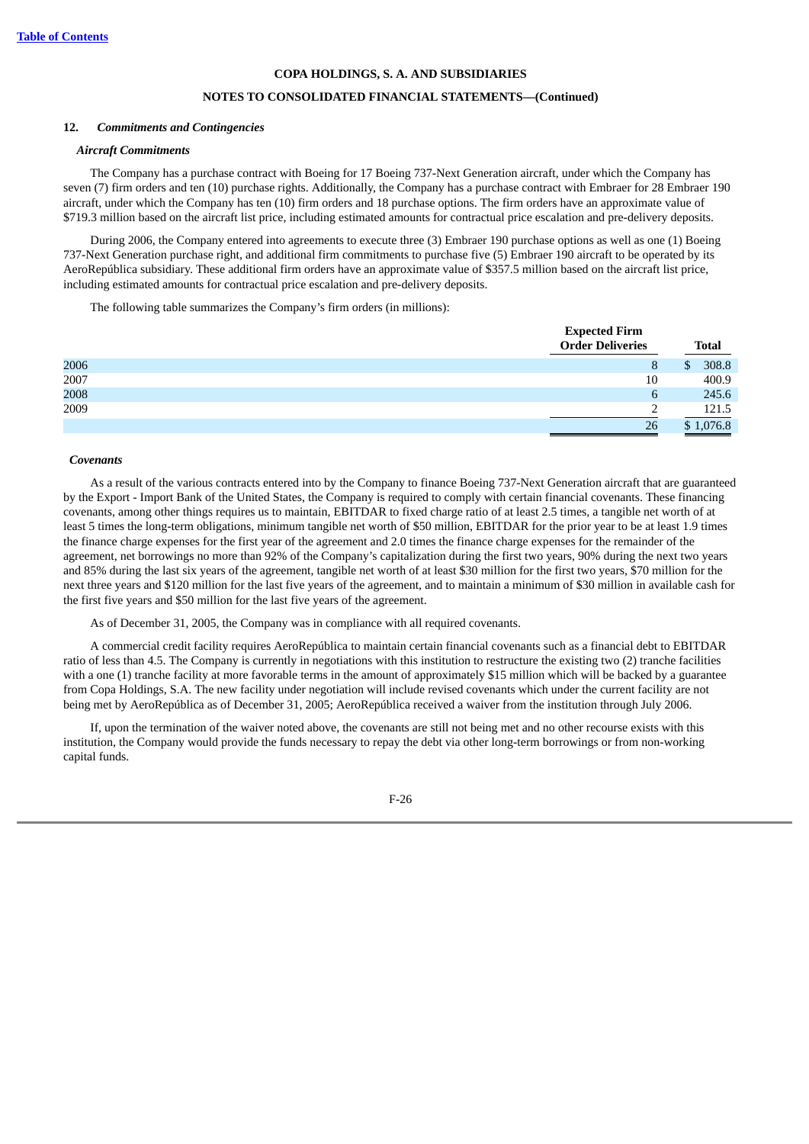## **NOTES TO CONSOLIDATED FINANCIAL STATEMENTS—(Continued)**

#### **12.** *Commitments and Contingencies*

#### *Aircraft Commitments*

The Company has a purchase contract with Boeing for 17 Boeing 737-Next Generation aircraft, under which the Company has seven (7) firm orders and ten (10) purchase rights. Additionally, the Company has a purchase contract with Embraer for 28 Embraer 190 aircraft, under which the Company has ten (10) firm orders and 18 purchase options. The firm orders have an approximate value of \$719.3 million based on the aircraft list price, including estimated amounts for contractual price escalation and pre-delivery deposits.

During 2006, the Company entered into agreements to execute three (3) Embraer 190 purchase options as well as one (1) Boeing 737-Next Generation purchase right, and additional firm commitments to purchase five (5) Embraer 190 aircraft to be operated by its AeroRepública subsidiary. These additional firm orders have an approximate value of \$357.5 million based on the aircraft list price, including estimated amounts for contractual price escalation and pre-delivery deposits.

The following table summarizes the Company's firm orders (in millions):

|      |                         | <b>Expected Firm</b> |              |
|------|-------------------------|----------------------|--------------|
|      | <b>Order Deliveries</b> |                      | <b>Total</b> |
| 2006 | 8                       | \$.                  | 308.8        |
| 2007 | 10                      |                      | 400.9        |
| 2008 | 6                       |                      | 245.6        |
| 2009 |                         |                      | 121.5        |
|      | 26                      |                      | \$1,076.8    |

#### *Covenants*

As a result of the various contracts entered into by the Company to finance Boeing 737-Next Generation aircraft that are guaranteed by the Export - Import Bank of the United States, the Company is required to comply with certain financial covenants. These financing covenants, among other things requires us to maintain, EBITDAR to fixed charge ratio of at least 2.5 times, a tangible net worth of at least 5 times the long-term obligations, minimum tangible net worth of \$50 million, EBITDAR for the prior year to be at least 1.9 times the finance charge expenses for the first year of the agreement and 2.0 times the finance charge expenses for the remainder of the agreement, net borrowings no more than 92% of the Company's capitalization during the first two years, 90% during the next two years and 85% during the last six years of the agreement, tangible net worth of at least \$30 million for the first two years, \$70 million for the next three years and \$120 million for the last five years of the agreement, and to maintain a minimum of \$30 million in available cash for the first five years and \$50 million for the last five years of the agreement.

As of December 31, 2005, the Company was in compliance with all required covenants.

A commercial credit facility requires AeroRepública to maintain certain financial covenants such as a financial debt to EBITDAR ratio of less than 4.5. The Company is currently in negotiations with this institution to restructure the existing two (2) tranche facilities with a one (1) tranche facility at more favorable terms in the amount of approximately \$15 million which will be backed by a guarantee from Copa Holdings, S.A. The new facility under negotiation will include revised covenants which under the current facility are not being met by AeroRepública as of December 31, 2005; AeroRepública received a waiver from the institution through July 2006.

If, upon the termination of the waiver noted above, the covenants are still not being met and no other recourse exists with this institution, the Company would provide the funds necessary to repay the debt via other long-term borrowings or from non-working capital funds.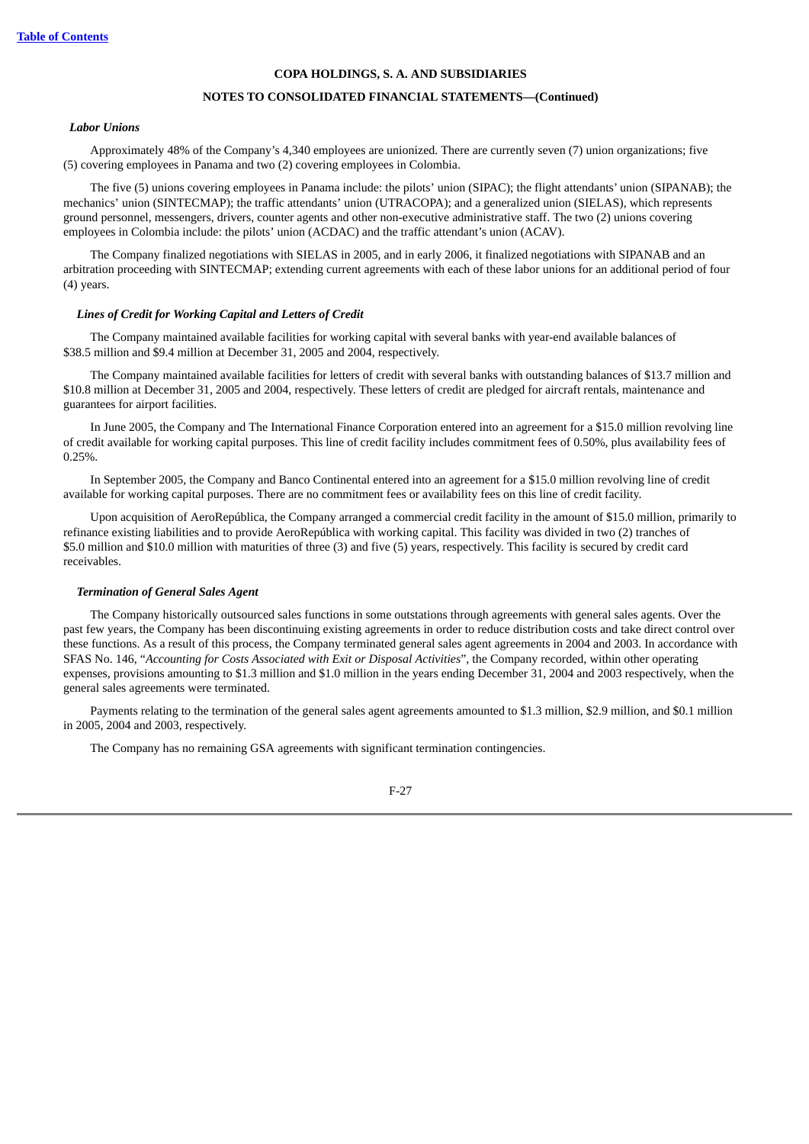## **NOTES TO CONSOLIDATED FINANCIAL STATEMENTS—(Continued)**

#### *Labor Unions*

Approximately 48% of the Company's 4,340 employees are unionized. There are currently seven (7) union organizations; five (5) covering employees in Panama and two (2) covering employees in Colombia.

The five (5) unions covering employees in Panama include: the pilots' union (SIPAC); the flight attendants' union (SIPANAB); the mechanics' union (SINTECMAP); the traffic attendants' union (UTRACOPA); and a generalized union (SIELAS), which represents ground personnel, messengers, drivers, counter agents and other non-executive administrative staff. The two (2) unions covering employees in Colombia include: the pilots' union (ACDAC) and the traffic attendant's union (ACAV).

The Company finalized negotiations with SIELAS in 2005, and in early 2006, it finalized negotiations with SIPANAB and an arbitration proceeding with SINTECMAP; extending current agreements with each of these labor unions for an additional period of four (4) years.

#### *Lines of Credit for Working Capital and Letters of Credit*

The Company maintained available facilities for working capital with several banks with year-end available balances of \$38.5 million and \$9.4 million at December 31, 2005 and 2004, respectively.

The Company maintained available facilities for letters of credit with several banks with outstanding balances of \$13.7 million and \$10.8 million at December 31, 2005 and 2004, respectively. These letters of credit are pledged for aircraft rentals, maintenance and guarantees for airport facilities.

In June 2005, the Company and The International Finance Corporation entered into an agreement for a \$15.0 million revolving line of credit available for working capital purposes. This line of credit facility includes commitment fees of 0.50%, plus availability fees of 0.25%.

In September 2005, the Company and Banco Continental entered into an agreement for a \$15.0 million revolving line of credit available for working capital purposes. There are no commitment fees or availability fees on this line of credit facility.

Upon acquisition of AeroRepública, the Company arranged a commercial credit facility in the amount of \$15.0 million, primarily to refinance existing liabilities and to provide AeroRepública with working capital. This facility was divided in two (2) tranches of \$5.0 million and \$10.0 million with maturities of three (3) and five (5) years, respectively. This facility is secured by credit card receivables.

### *Termination of General Sales Agent*

The Company historically outsourced sales functions in some outstations through agreements with general sales agents. Over the past few years, the Company has been discontinuing existing agreements in order to reduce distribution costs and take direct control over these functions. As a result of this process, the Company terminated general sales agent agreements in 2004 and 2003. In accordance with SFAS No. 146, "*Accounting for Costs Associated with Exit or Disposal Activities*", the Company recorded, within other operating expenses, provisions amounting to \$1.3 million and \$1.0 million in the years ending December 31, 2004 and 2003 respectively, when the general sales agreements were terminated.

Payments relating to the termination of the general sales agent agreements amounted to \$1.3 million, \$2.9 million, and \$0.1 million in 2005, 2004 and 2003, respectively.

The Company has no remaining GSA agreements with significant termination contingencies.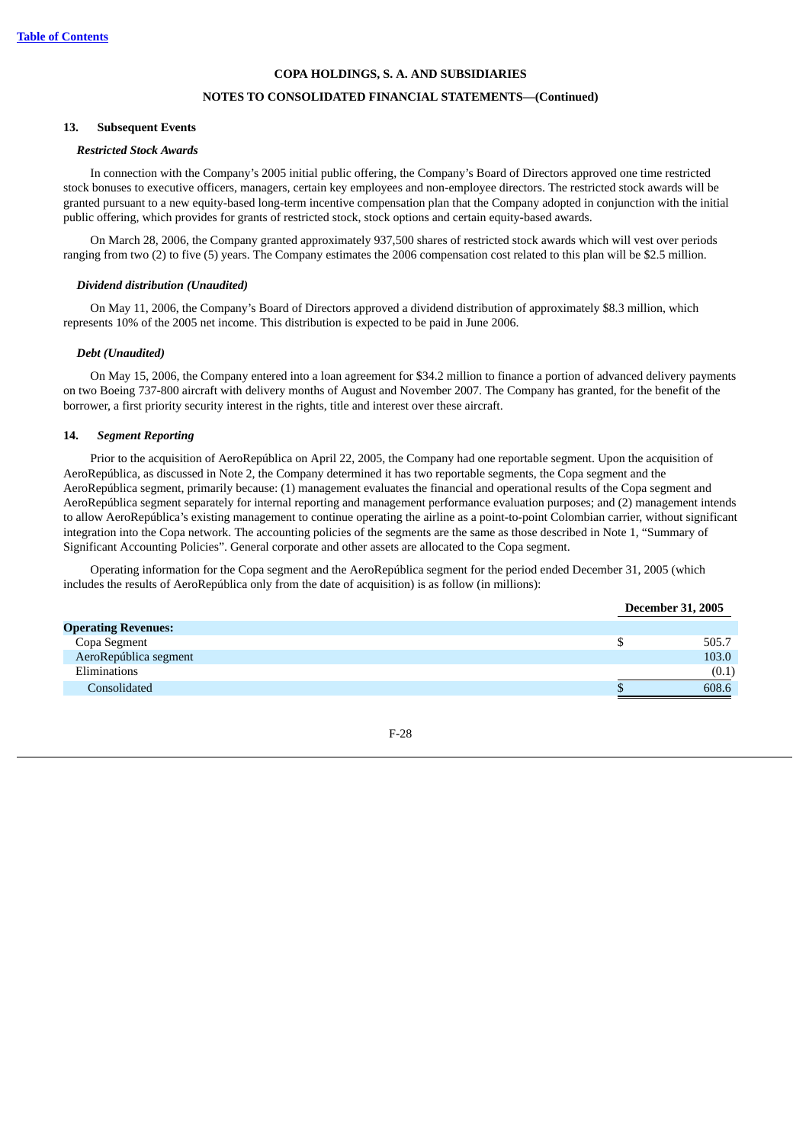## **NOTES TO CONSOLIDATED FINANCIAL STATEMENTS—(Continued)**

### **13. Subsequent Events**

#### *Restricted Stock Awards*

In connection with the Company's 2005 initial public offering, the Company's Board of Directors approved one time restricted stock bonuses to executive officers, managers, certain key employees and non-employee directors. The restricted stock awards will be granted pursuant to a new equity-based long-term incentive compensation plan that the Company adopted in conjunction with the initial public offering, which provides for grants of restricted stock, stock options and certain equity-based awards.

On March 28, 2006, the Company granted approximately 937,500 shares of restricted stock awards which will vest over periods ranging from two (2) to five (5) years. The Company estimates the 2006 compensation cost related to this plan will be \$2.5 million.

#### *Dividend distribution (Unaudited)*

On May 11, 2006, the Company's Board of Directors approved a dividend distribution of approximately \$8.3 million, which represents 10% of the 2005 net income. This distribution is expected to be paid in June 2006.

#### *Debt (Unaudited)*

On May 15, 2006, the Company entered into a loan agreement for \$34.2 million to finance a portion of advanced delivery payments on two Boeing 737-800 aircraft with delivery months of August and November 2007. The Company has granted, for the benefit of the borrower, a first priority security interest in the rights, title and interest over these aircraft.

### **14.** *Segment Reporting*

Prior to the acquisition of AeroRepública on April 22, 2005, the Company had one reportable segment. Upon the acquisition of AeroRepública, as discussed in Note 2, the Company determined it has two reportable segments, the Copa segment and the AeroRepública segment, primarily because: (1) management evaluates the financial and operational results of the Copa segment and AeroRepública segment separately for internal reporting and management performance evaluation purposes; and (2) management intends to allow AeroRepública's existing management to continue operating the airline as a point-to-point Colombian carrier, without significant integration into the Copa network. The accounting policies of the segments are the same as those described in Note 1, "Summary of Significant Accounting Policies". General corporate and other assets are allocated to the Copa segment.

Operating information for the Copa segment and the AeroRepública segment for the period ended December 31, 2005 (which includes the results of AeroRepública only from the date of acquisition) is as follow (in millions):

|                            | <b>December 31, 2005</b> |       |
|----------------------------|--------------------------|-------|
| <b>Operating Revenues:</b> |                          |       |
| Copa Segment               |                          | 505.7 |
| AeroRepública segment      |                          | 103.0 |
| Eliminations               |                          | (0.1) |
| Consolidated               |                          | 608.6 |

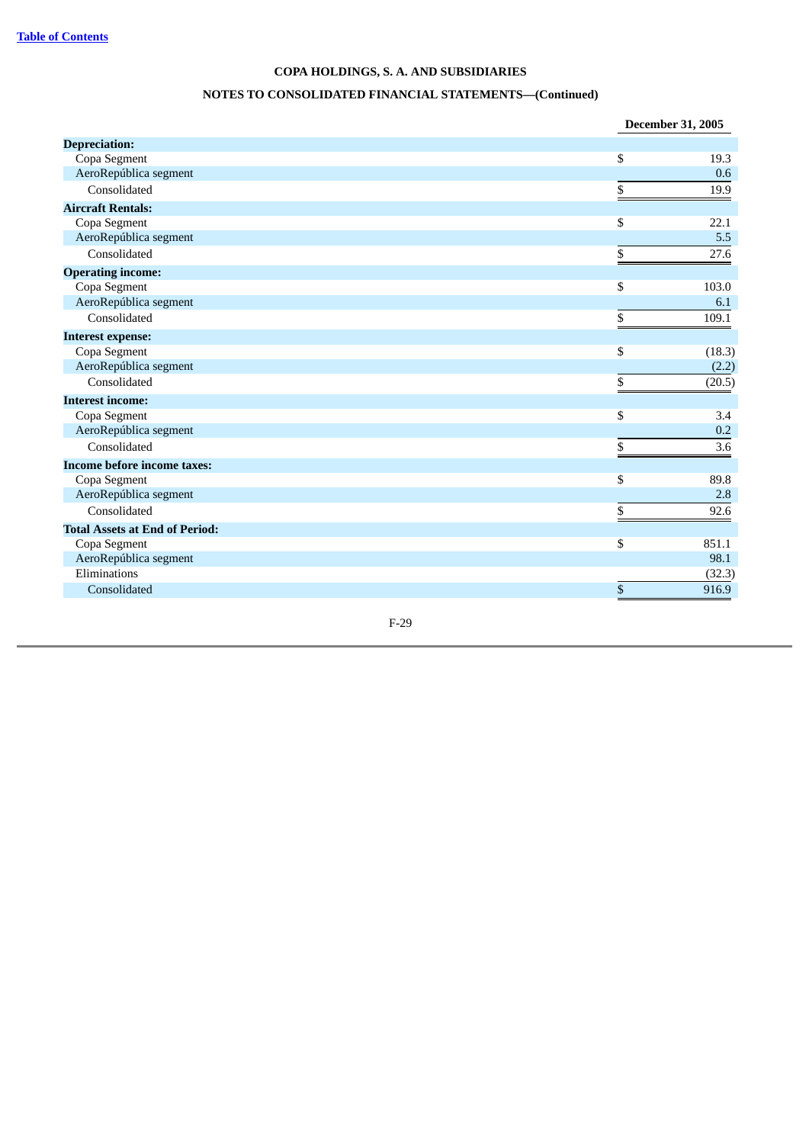# **NOTES TO CONSOLIDATED FINANCIAL STATEMENTS—(Continued)**

|                                       | December 31, 2005 |
|---------------------------------------|-------------------|
| <b>Depreciation:</b>                  |                   |
| Copa Segment                          | \$<br>19.3        |
| AeroRepública segment                 | 0.6               |
| Consolidated                          | \$<br>19.9        |
| <b>Aircraft Rentals:</b>              |                   |
| Copa Segment                          | \$<br>22.1        |
| AeroRepública segment                 | 5.5               |
| Consolidated                          | \$<br>27.6        |
| <b>Operating income:</b>              |                   |
| Copa Segment                          | \$<br>103.0       |
| AeroRepública segment                 | 6.1               |
| Consolidated                          | \$<br>109.1       |
| <b>Interest expense:</b>              |                   |
| Copa Segment                          | \$<br>(18.3)      |
| AeroRepública segment                 | (2.2)             |
| Consolidated                          | \$<br>(20.5)      |
| <b>Interest income:</b>               |                   |
| Copa Segment                          | \$<br>3.4         |
| AeroRepública segment                 | 0.2               |
| Consolidated                          | \$<br>3.6         |
| <b>Income before income taxes:</b>    |                   |
| Copa Segment                          | \$<br>89.8        |
| AeroRepública segment                 | 2.8               |
| Consolidated                          | \$<br>92.6        |
| <b>Total Assets at End of Period:</b> |                   |
| Copa Segment                          | \$<br>851.1       |
| AeroRepública segment                 | 98.1              |
| Eliminations                          | (32.3)            |
| Consolidated                          | \$<br>916.9       |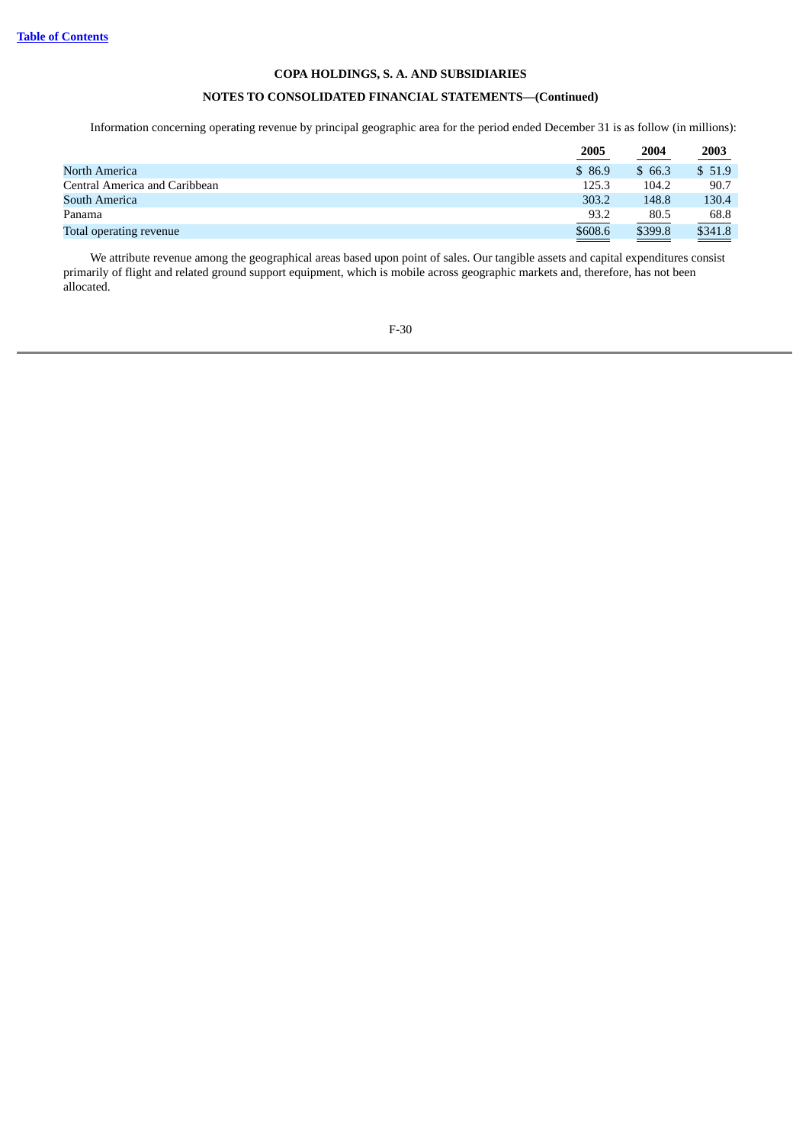# **NOTES TO CONSOLIDATED FINANCIAL STATEMENTS—(Continued)**

Information concerning operating revenue by principal geographic area for the period ended December 31 is as follow (in millions):

|                               | <u>2005</u> | 2004<br>the control of the control of the | <u>2003</u>                                                                                                                                                                                                                                     |
|-------------------------------|-------------|-------------------------------------------|-------------------------------------------------------------------------------------------------------------------------------------------------------------------------------------------------------------------------------------------------|
| North America                 | \$86.9      | \$66.3                                    | \$51.9                                                                                                                                                                                                                                          |
| Central America and Caribbean | 125.3       | 104.2                                     | 90.7                                                                                                                                                                                                                                            |
| South America                 | 303.2       | 148.8                                     | 130.4                                                                                                                                                                                                                                           |
| Panama                        | 93.2        | 80.5                                      | 68.8                                                                                                                                                                                                                                            |
| Total operating revenue       | \$608.6     | \$399.8                                   | \$341.8<br><u>a shekara ta 1999, a shekara ta 1999, a shekara ta 1999, a shekara ta 1999, a shekara ta 1999, a shekara ta 1999, a shekara ta 1999, a shekara ta 1999, a shekara ta 1999, a shekara ta 1999, a shekara ta 1999, a shekara ta</u> |

We attribute revenue among the geographical areas based upon point of sales. Our tangible assets and capital expenditures consist primarily of flight and related ground support equipment, which is mobile across geographic markets and, therefore, has not been allocated.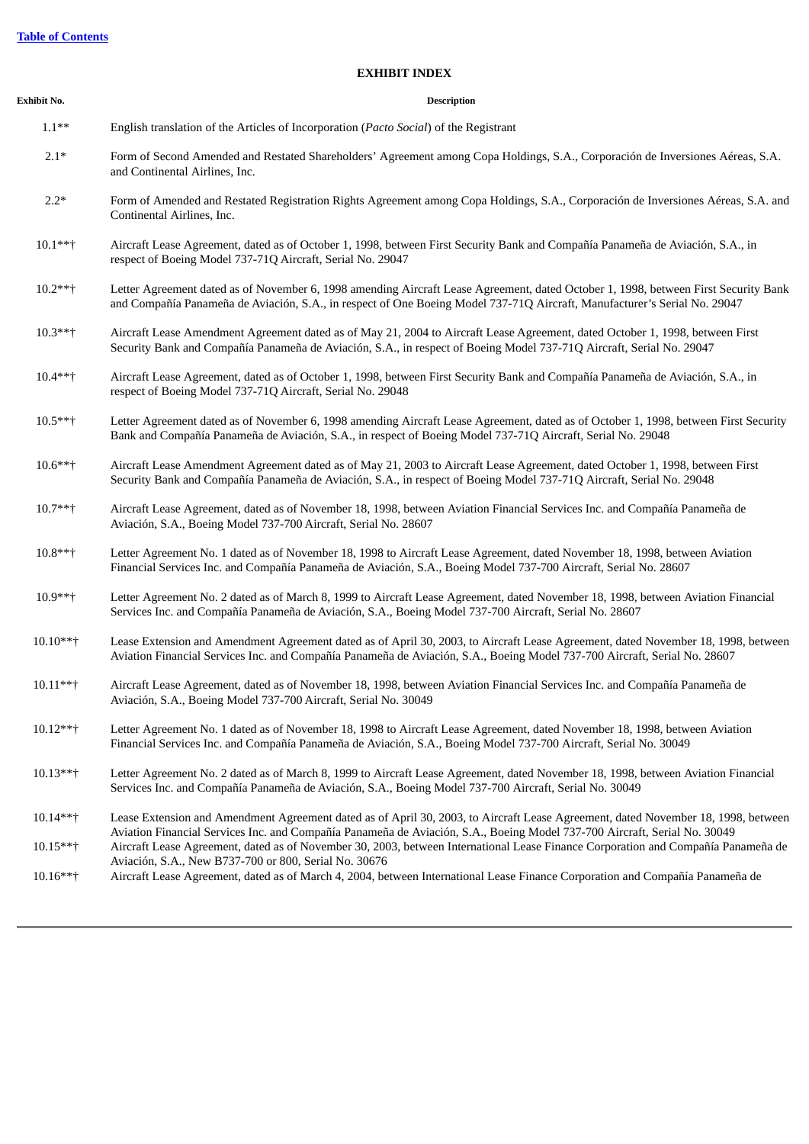#### **EXHIBIT INDEX**

| Exhibit No. | <b>Description</b> |
|-------------|--------------------|
|             |                    |

| $1.1***$ | English translation of the Articles of Incorporation (Pacto Social) of the Registrant |  |
|----------|---------------------------------------------------------------------------------------|--|
|          |                                                                                       |  |

- 2.1\* Form of Second Amended and Restated Shareholders' Agreement among Copa Holdings, S.A., Corporación de Inversiones Aéreas, S.A. and Continental Airlines, Inc.
- 2.2\* Form of Amended and Restated Registration Rights Agreement among Copa Holdings, S.A., Corporación de Inversiones Aéreas, S.A. and Continental Airlines, Inc.
- 10.1\*\*† Aircraft Lease Agreement, dated as of October 1, 1998, between First Security Bank and Compañía Panameña de Aviación, S.A., in respect of Boeing Model 737-71Q Aircraft, Serial No. 29047
- 10.2\*\*† Letter Agreement dated as of November 6, 1998 amending Aircraft Lease Agreement, dated October 1, 1998, between First Security Bank and Compañía Panameña de Aviación, S.A., in respect of One Boeing Model 737-71Q Aircraft, Manufacturer's Serial No. 29047
- 10.3\*\*† Aircraft Lease Amendment Agreement dated as of May 21, 2004 to Aircraft Lease Agreement, dated October 1, 1998, between First Security Bank and Compañía Panameña de Aviación, S.A., in respect of Boeing Model 737-71Q Aircraft, Serial No. 29047
- 10.4\*\*† Aircraft Lease Agreement, dated as of October 1, 1998, between First Security Bank and Compañía Panameña de Aviación, S.A., in respect of Boeing Model 737-71Q Aircraft, Serial No. 29048
- 10.5\*\*† Letter Agreement dated as of November 6, 1998 amending Aircraft Lease Agreement, dated as of October 1, 1998, between First Security Bank and Compañía Panameña de Aviación, S.A., in respect of Boeing Model 737-71Q Aircraft, Serial No. 29048
- 10.6\*\*† Aircraft Lease Amendment Agreement dated as of May 21, 2003 to Aircraft Lease Agreement, dated October 1, 1998, between First Security Bank and Compañía Panameña de Aviación, S.A., in respect of Boeing Model 737-71Q Aircraft, Serial No. 29048
- 10.7\*\*† Aircraft Lease Agreement, dated as of November 18, 1998, between Aviation Financial Services Inc. and Compañía Panameña de Aviación, S.A., Boeing Model 737-700 Aircraft, Serial No. 28607
- 10.8\*\*† Letter Agreement No. 1 dated as of November 18, 1998 to Aircraft Lease Agreement, dated November 18, 1998, between Aviation Financial Services Inc. and Compañía Panameña de Aviación, S.A., Boeing Model 737-700 Aircraft, Serial No. 28607
- 10.9\*\*† Letter Agreement No. 2 dated as of March 8, 1999 to Aircraft Lease Agreement, dated November 18, 1998, between Aviation Financial Services Inc. and Compañía Panameña de Aviación, S.A., Boeing Model 737-700 Aircraft, Serial No. 28607
- 10.10\*\*† Lease Extension and Amendment Agreement dated as of April 30, 2003, to Aircraft Lease Agreement, dated November 18, 1998, between Aviation Financial Services Inc. and Compañía Panameña de Aviación, S.A., Boeing Model 737-700 Aircraft, Serial No. 28607
- 10.11\*\*† Aircraft Lease Agreement, dated as of November 18, 1998, between Aviation Financial Services Inc. and Compañía Panameña de Aviación, S.A., Boeing Model 737-700 Aircraft, Serial No. 30049
- 10.12\*\*† Letter Agreement No. 1 dated as of November 18, 1998 to Aircraft Lease Agreement, dated November 18, 1998, between Aviation Financial Services Inc. and Compañía Panameña de Aviación, S.A., Boeing Model 737-700 Aircraft, Serial No. 30049
- 10.13\*\*† Letter Agreement No. 2 dated as of March 8, 1999 to Aircraft Lease Agreement, dated November 18, 1998, between Aviation Financial Services Inc. and Compañía Panameña de Aviación, S.A., Boeing Model 737-700 Aircraft, Serial No. 30049
- 10.14\*\*† Lease Extension and Amendment Agreement dated as of April 30, 2003, to Aircraft Lease Agreement, dated November 18, 1998, between Aviation Financial Services Inc. and Compañía Panameña de Aviación, S.A., Boeing Model 737-700 Aircraft, Serial No. 30049 10.15\*\*† Aircraft Lease Agreement, dated as of November 30, 2003, between International Lease Finance Corporation and Compañía Panameña de
- Aviación, S.A., New B737-700 or 800, Serial No. 30676 10.16\*\*† Aircraft Lease Agreement, dated as of March 4, 2004, between International Lease Finance Corporation and Compañía Panameña de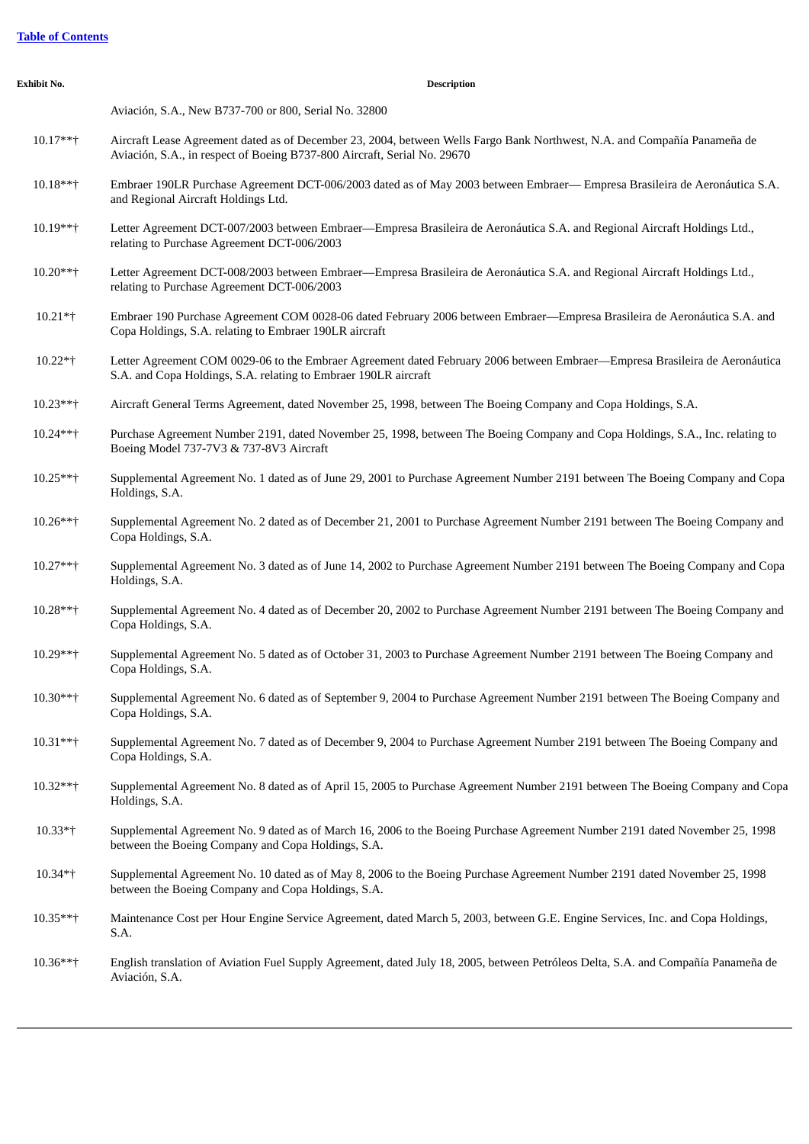|  | <b>Table of Contents</b> |
|--|--------------------------|
|  |                          |

| Exhibit No.  | <b>Description</b>                                                                                                                                                                                    |
|--------------|-------------------------------------------------------------------------------------------------------------------------------------------------------------------------------------------------------|
|              | Aviación, S.A., New B737-700 or 800, Serial No. 32800                                                                                                                                                 |
| $10.17***$   | Aircraft Lease Agreement dated as of December 23, 2004, between Wells Fargo Bank Northwest, N.A. and Compañía Panameña de<br>Aviación, S.A., in respect of Boeing B737-800 Aircraft, Serial No. 29670 |
| $10.18***$   | Embraer 190LR Purchase Agreement DCT-006/2003 dated as of May 2003 between Embraer— Empresa Brasileira de Aeronáutica S.A.<br>and Regional Aircraft Holdings Ltd.                                     |
| $10.19***$   | Letter Agreement DCT-007/2003 between Embraer—Empresa Brasileira de Aeronáutica S.A. and Regional Aircraft Holdings Ltd.,<br>relating to Purchase Agreement DCT-006/2003                              |
| $10.20**+$   | Letter Agreement DCT-008/2003 between Embraer—Empresa Brasileira de Aeronáutica S.A. and Regional Aircraft Holdings Ltd.,<br>relating to Purchase Agreement DCT-006/2003                              |
| $10.21**$    | Embraer 190 Purchase Agreement COM 0028-06 dated February 2006 between Embraer—Empresa Brasileira de Aeronáutica S.A. and<br>Copa Holdings, S.A. relating to Embraer 190LR aircraft                   |
| $10.22*$ †   | Letter Agreement COM 0029-06 to the Embraer Agreement dated February 2006 between Embraer—Empresa Brasileira de Aeronáutica<br>S.A. and Copa Holdings, S.A. relating to Embraer 190LR aircraft        |
| $10.23***$   | Aircraft General Terms Agreement, dated November 25, 1998, between The Boeing Company and Copa Holdings, S.A.                                                                                         |
| $10.24***$ † | Purchase Agreement Number 2191, dated November 25, 1998, between The Boeing Company and Copa Holdings, S.A., Inc. relating to<br>Boeing Model 737-7V3 & 737-8V3 Aircraft                              |
| 10.25**†     | Supplemental Agreement No. 1 dated as of June 29, 2001 to Purchase Agreement Number 2191 between The Boeing Company and Copa<br>Holdings, S.A.                                                        |
| 10.26**†     | Supplemental Agreement No. 2 dated as of December 21, 2001 to Purchase Agreement Number 2191 between The Boeing Company and<br>Copa Holdings, S.A.                                                    |
| $10.27***$   | Supplemental Agreement No. 3 dated as of June 14, 2002 to Purchase Agreement Number 2191 between The Boeing Company and Copa<br>Holdings, S.A.                                                        |
| $10.28**+$   | Supplemental Agreement No. 4 dated as of December 20, 2002 to Purchase Agreement Number 2191 between The Boeing Company and<br>Copa Holdings, S.A.                                                    |
| $10.29***$   | Supplemental Agreement No. 5 dated as of October 31, 2003 to Purchase Agreement Number 2191 between The Boeing Company and<br>Copa Holdings, S.A.                                                     |
| 10.30**†     | Supplemental Agreement No. 6 dated as of September 9, 2004 to Purchase Agreement Number 2191 between The Boeing Company and<br>Copa Holdings, S.A.                                                    |
| $10.31***$   | Supplemental Agreement No. 7 dated as of December 9, 2004 to Purchase Agreement Number 2191 between The Boeing Company and<br>Copa Holdings, S.A.                                                     |
| $10.32**+$   | Supplemental Agreement No. 8 dated as of April 15, 2005 to Purchase Agreement Number 2191 between The Boeing Company and Copa<br>Holdings, S.A.                                                       |
| $10.33*$ †   | Supplemental Agreement No. 9 dated as of March 16, 2006 to the Boeing Purchase Agreement Number 2191 dated November 25, 1998<br>between the Boeing Company and Copa Holdings, S.A.                    |
| 10.34*†      | Supplemental Agreement No. 10 dated as of May 8, 2006 to the Boeing Purchase Agreement Number 2191 dated November 25, 1998<br>between the Boeing Company and Copa Holdings, S.A.                      |
| $10.35***$   | Maintenance Cost per Hour Engine Service Agreement, dated March 5, 2003, between G.E. Engine Services, Inc. and Copa Holdings,<br>S.A.                                                                |
| 10.36**†     | English translation of Aviation Fuel Supply Agreement, dated July 18, 2005, between Petróleos Delta, S.A. and Compañía Panameña de<br>Aviación, S.A.                                                  |
|              |                                                                                                                                                                                                       |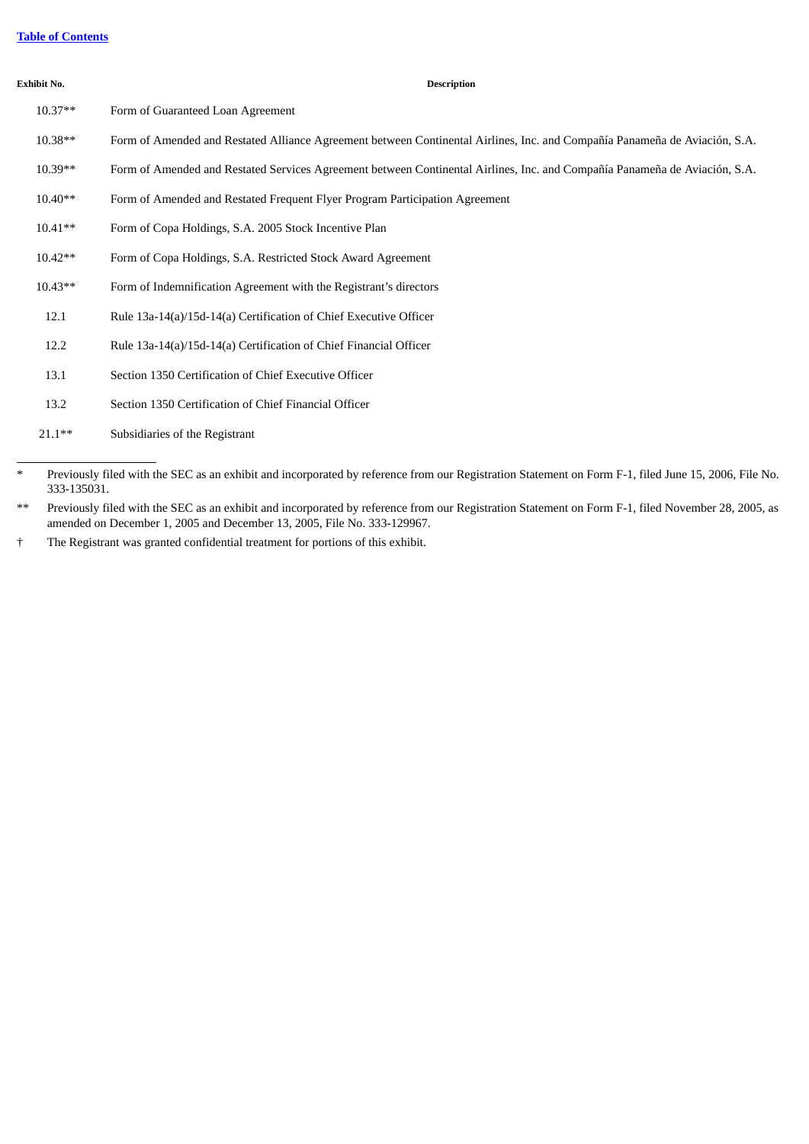# **Table of [Contents](#page-3-0)**

#### **Exhibit No. Description**

| $10.37**$ | Form of Guaranteed Loan Agreement                                                                                          |
|-----------|----------------------------------------------------------------------------------------------------------------------------|
| 10.38**   | Form of Amended and Restated Alliance Agreement between Continental Airlines, Inc. and Compañía Panameña de Aviación, S.A. |
| $10.39**$ | Form of Amended and Restated Services Agreement between Continental Airlines, Inc. and Compañía Panameña de Aviación, S.A. |
| $10.40**$ | Form of Amended and Restated Frequent Flyer Program Participation Agreement                                                |
| $10.41**$ | Form of Copa Holdings, S.A. 2005 Stock Incentive Plan                                                                      |
| $10.42**$ | Form of Copa Holdings, S.A. Restricted Stock Award Agreement                                                               |
| $10.43**$ | Form of Indemnification Agreement with the Registrant's directors                                                          |
| 12.1      | Rule 13a-14(a)/15d-14(a) Certification of Chief Executive Officer                                                          |
| 12.2      | Rule 13a-14(a)/15d-14(a) Certification of Chief Financial Officer                                                          |
| 13.1      | Section 1350 Certification of Chief Executive Officer                                                                      |
| 13.2      | Section 1350 Certification of Chief Financial Officer                                                                      |
| $21.1***$ | Subsidiaries of the Registrant                                                                                             |

<sup>\*</sup> Previously filed with the SEC as an exhibit and incorporated by reference from our Registration Statement on Form F-1, filed June 15, 2006, File No. 333-135031.

<sup>\*\*</sup> Previously filed with the SEC as an exhibit and incorporated by reference from our Registration Statement on Form F-1, filed November 28, 2005, as amended on December 1, 2005 and December 13, 2005, File No. 333-129967.

<sup>†</sup> The Registrant was granted confidential treatment for portions of this exhibit.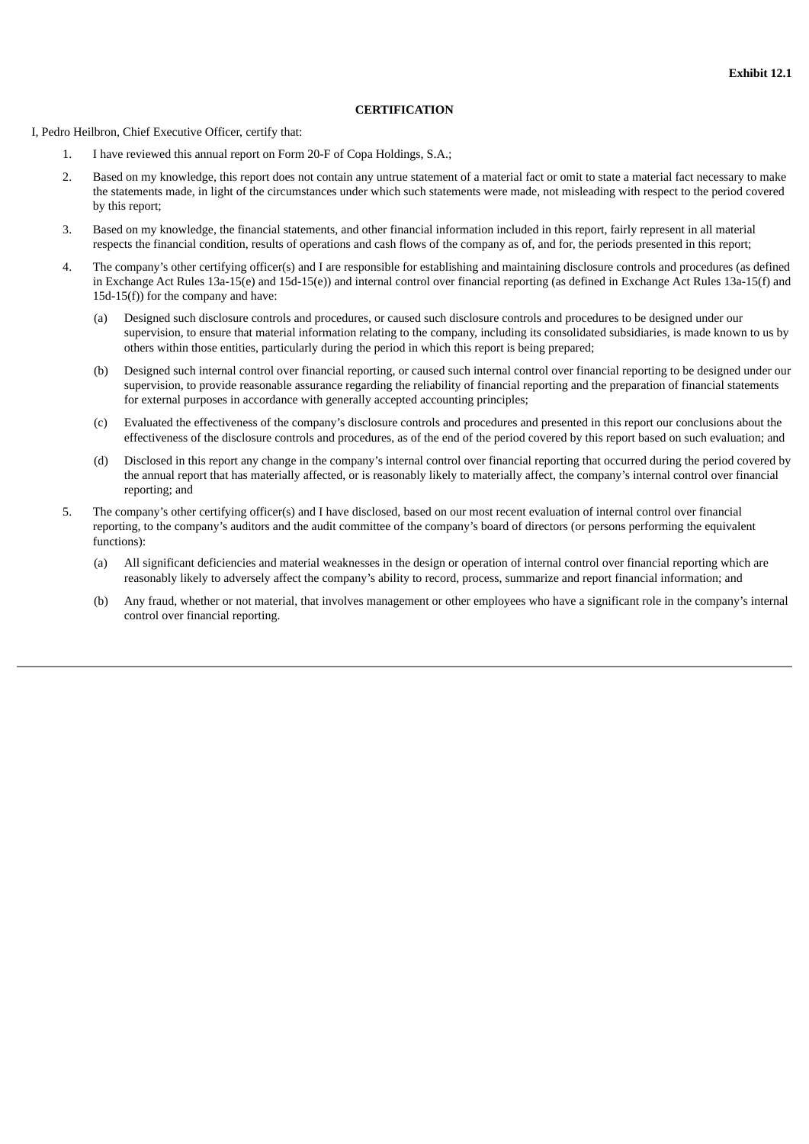#### **CERTIFICATION**

I, Pedro Heilbron, Chief Executive Officer, certify that:

- 1. I have reviewed this annual report on Form 20-F of Copa Holdings, S.A.;
- 2. Based on my knowledge, this report does not contain any untrue statement of a material fact or omit to state a material fact necessary to make the statements made, in light of the circumstances under which such statements were made, not misleading with respect to the period covered by this report;
- 3. Based on my knowledge, the financial statements, and other financial information included in this report, fairly represent in all material respects the financial condition, results of operations and cash flows of the company as of, and for, the periods presented in this report;
- 4. The company's other certifying officer(s) and I are responsible for establishing and maintaining disclosure controls and procedures (as defined in Exchange Act Rules 13a-15(e) and 15d-15(e)) and internal control over financial reporting (as defined in Exchange Act Rules 13a-15(f) and 15d-15(f)) for the company and have:
	- (a) Designed such disclosure controls and procedures, or caused such disclosure controls and procedures to be designed under our supervision, to ensure that material information relating to the company, including its consolidated subsidiaries, is made known to us by others within those entities, particularly during the period in which this report is being prepared;
	- (b) Designed such internal control over financial reporting, or caused such internal control over financial reporting to be designed under our supervision, to provide reasonable assurance regarding the reliability of financial reporting and the preparation of financial statements for external purposes in accordance with generally accepted accounting principles;
	- (c) Evaluated the effectiveness of the company's disclosure controls and procedures and presented in this report our conclusions about the effectiveness of the disclosure controls and procedures, as of the end of the period covered by this report based on such evaluation; and
	- (d) Disclosed in this report any change in the company's internal control over financial reporting that occurred during the period covered by the annual report that has materially affected, or is reasonably likely to materially affect, the company's internal control over financial reporting; and
- 5. The company's other certifying officer(s) and I have disclosed, based on our most recent evaluation of internal control over financial reporting, to the company's auditors and the audit committee of the company's board of directors (or persons performing the equivalent functions):
	- (a) All significant deficiencies and material weaknesses in the design or operation of internal control over financial reporting which are reasonably likely to adversely affect the company's ability to record, process, summarize and report financial information; and
	- (b) Any fraud, whether or not material, that involves management or other employees who have a significant role in the company's internal control over financial reporting.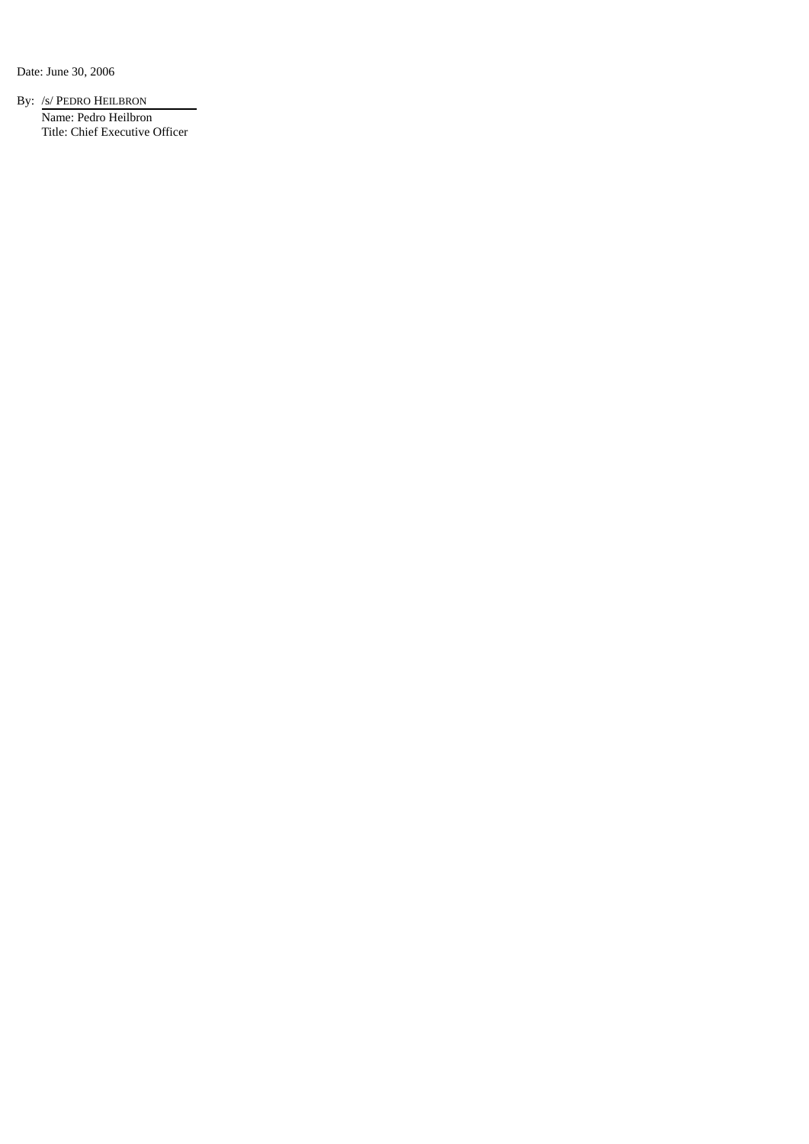Date: June 30, 2006

By: /s/ PEDRO HEILBRON Name: Pedro Heilbron Title: Chief Executive Officer

÷,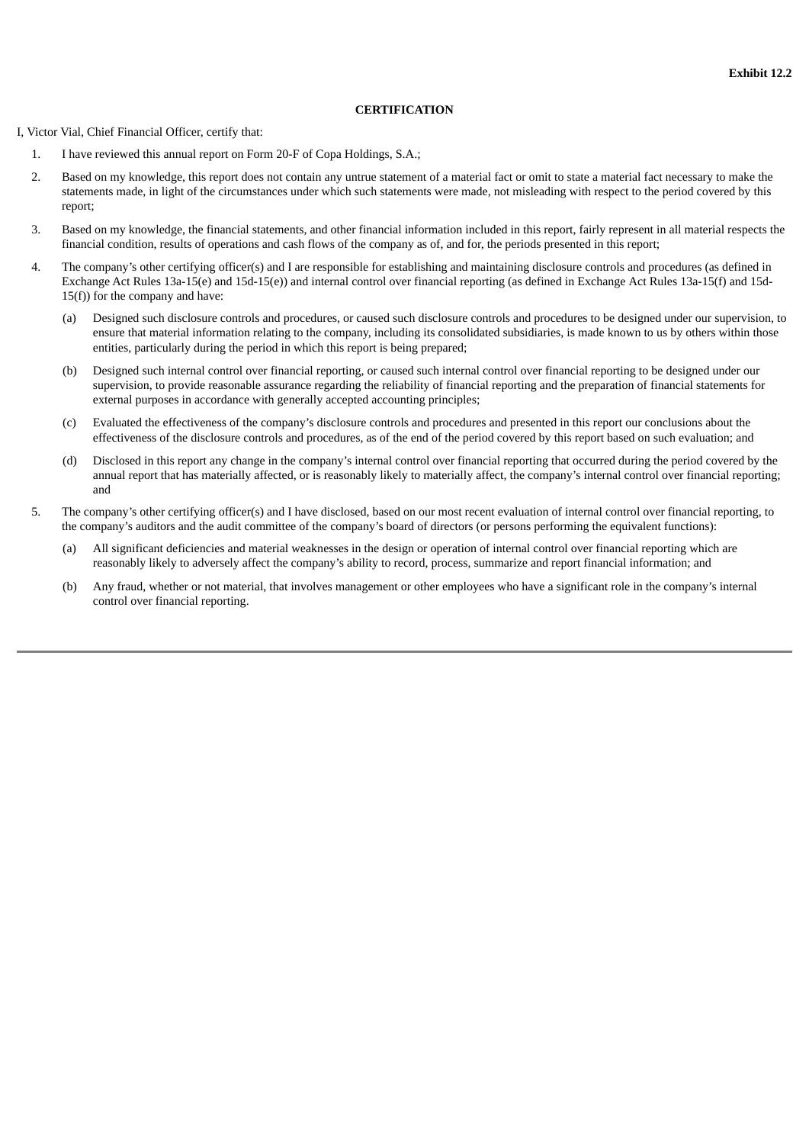#### **CERTIFICATION**

I, Victor Vial, Chief Financial Officer, certify that:

- 1. I have reviewed this annual report on Form 20-F of Copa Holdings, S.A.;
- 2. Based on my knowledge, this report does not contain any untrue statement of a material fact or omit to state a material fact necessary to make the statements made, in light of the circumstances under which such statements were made, not misleading with respect to the period covered by this report;
- 3. Based on my knowledge, the financial statements, and other financial information included in this report, fairly represent in all material respects the financial condition, results of operations and cash flows of the company as of, and for, the periods presented in this report;
- 4. The company's other certifying officer(s) and I are responsible for establishing and maintaining disclosure controls and procedures (as defined in Exchange Act Rules 13a-15(e) and 15d-15(e)) and internal control over financial reporting (as defined in Exchange Act Rules 13a-15(f) and 15d- $15(f)$ ) for the company and have:
	- (a) Designed such disclosure controls and procedures, or caused such disclosure controls and procedures to be designed under our supervision, to ensure that material information relating to the company, including its consolidated subsidiaries, is made known to us by others within those entities, particularly during the period in which this report is being prepared;
	- (b) Designed such internal control over financial reporting, or caused such internal control over financial reporting to be designed under our supervision, to provide reasonable assurance regarding the reliability of financial reporting and the preparation of financial statements for external purposes in accordance with generally accepted accounting principles;
	- (c) Evaluated the effectiveness of the company's disclosure controls and procedures and presented in this report our conclusions about the effectiveness of the disclosure controls and procedures, as of the end of the period covered by this report based on such evaluation; and
	- (d) Disclosed in this report any change in the company's internal control over financial reporting that occurred during the period covered by the annual report that has materially affected, or is reasonably likely to materially affect, the company's internal control over financial reporting; and
- 5. The company's other certifying officer(s) and I have disclosed, based on our most recent evaluation of internal control over financial reporting, to the company's auditors and the audit committee of the company's board of directors (or persons performing the equivalent functions):
	- (a) All significant deficiencies and material weaknesses in the design or operation of internal control over financial reporting which are reasonably likely to adversely affect the company's ability to record, process, summarize and report financial information; and
	- (b) Any fraud, whether or not material, that involves management or other employees who have a significant role in the company's internal control over financial reporting.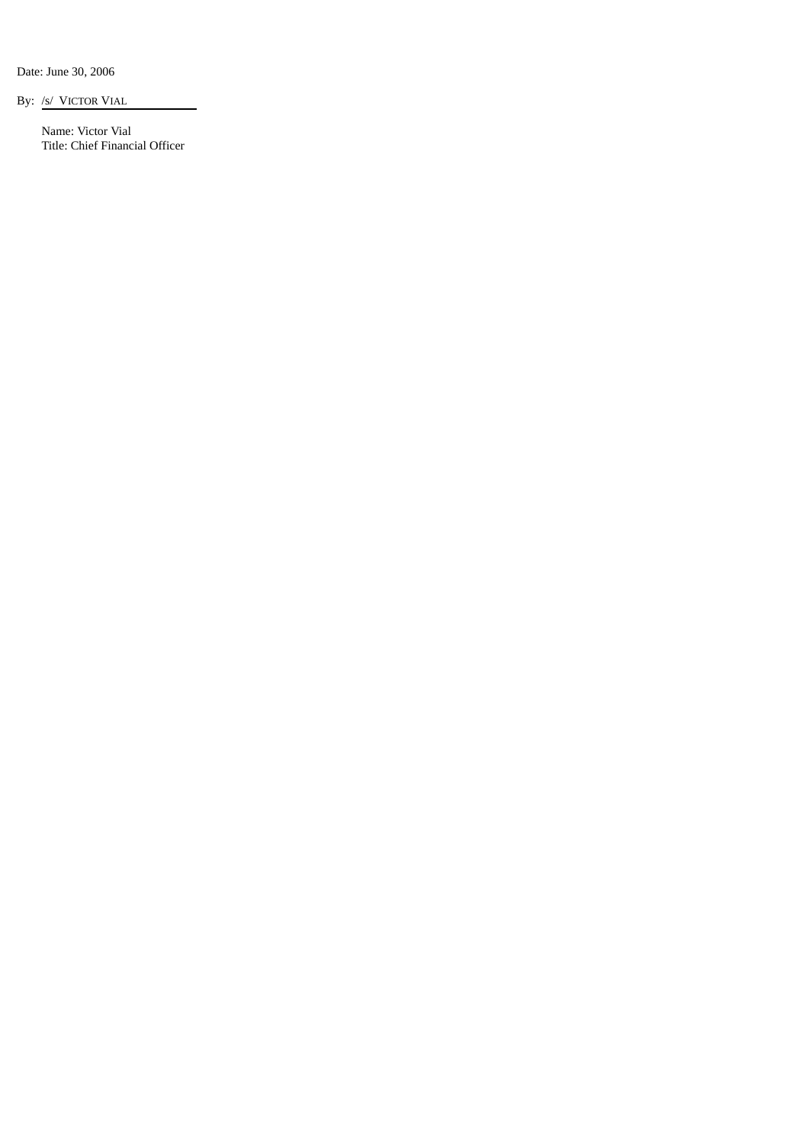Date: June 30, 2006

By: /s/ VICTOR VIAL

Name: Victor Vial Title: Chief Financial Officer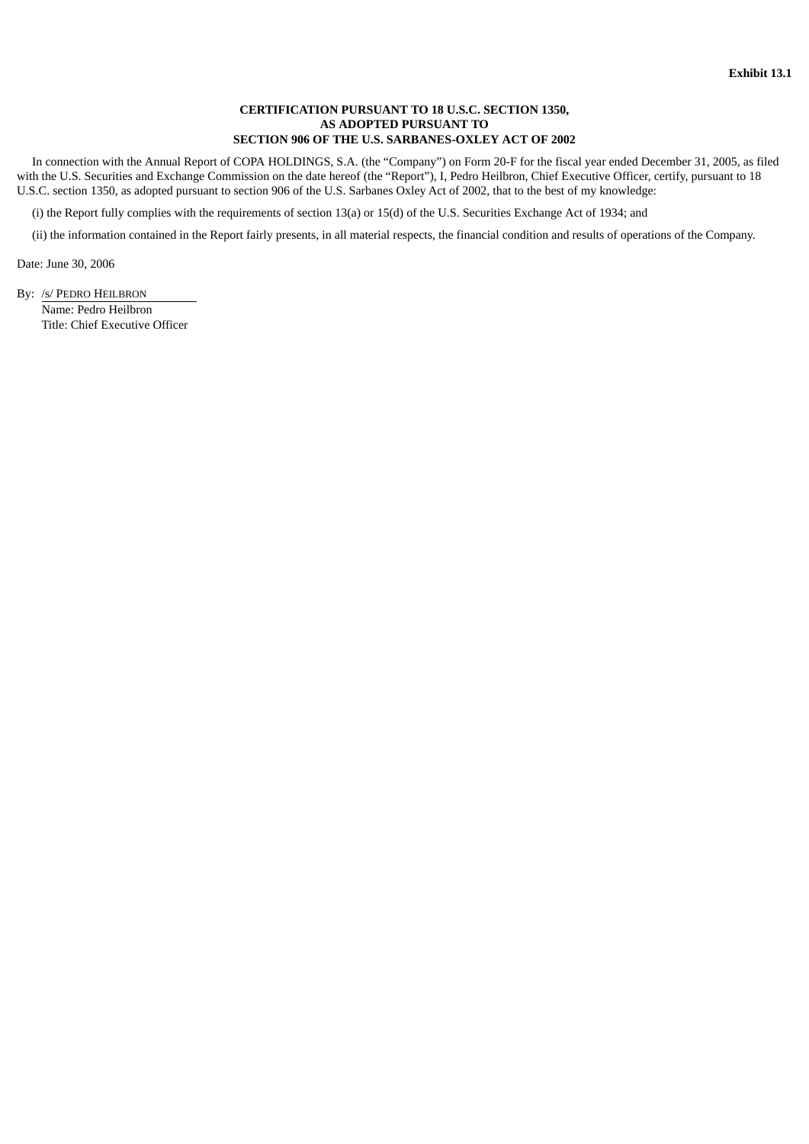## **CERTIFICATION PURSUANT TO 18 U.S.C. SECTION 1350, AS ADOPTED PURSUANT TO SECTION 906 OF THE U.S. SARBANES-OXLEY ACT OF 2002**

In connection with the Annual Report of COPA HOLDINGS, S.A. (the "Company") on Form 20-F for the fiscal year ended December 31, 2005, as filed with the U.S. Securities and Exchange Commission on the date hereof (the "Report"), I, Pedro Heilbron, Chief Executive Officer, certify, pursuant to 18 U.S.C. section 1350, as adopted pursuant to section 906 of the U.S. Sarbanes Oxley Act of 2002, that to the best of my knowledge:

(i) the Report fully complies with the requirements of section 13(a) or 15(d) of the U.S. Securities Exchange Act of 1934; and

(ii) the information contained in the Report fairly presents, in all material respects, the financial condition and results of operations of the Company.

Date: June 30, 2006

By: /s/ PEDRO HEILBRON

Name: Pedro Heilbron Title: Chief Executive Officer